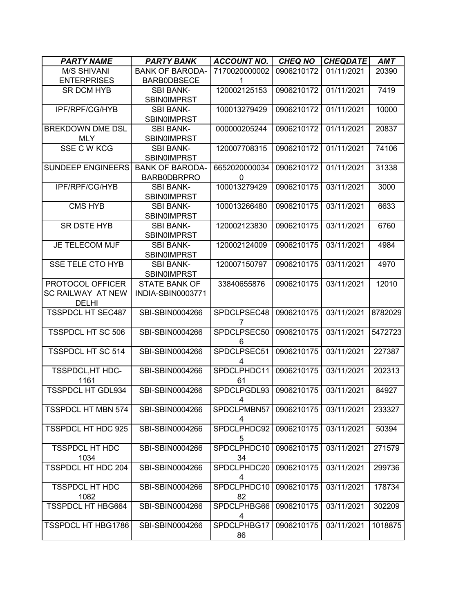| <b>PARTY NAME</b>                | <b>PARTY BANK</b>                          | <b>ACCOUNT NO.</b> | <b>CHEQ NO</b> | <b>CHEQDATE</b> | <b>AMT</b> |
|----------------------------------|--------------------------------------------|--------------------|----------------|-----------------|------------|
| <b>M/S SHIVANI</b>               | <b>BANK OF BARODA-</b>                     | 7170020000002      | 0906210172     | 01/11/2021      | 20390      |
| <b>ENTERPRISES</b>               | <b>BARBODBSECE</b>                         | 1                  |                |                 |            |
| <b>SR DCM HYB</b>                | <b>SBI BANK-</b>                           | 120002125153       | 0906210172     | 01/11/2021      | 7419       |
|                                  | <b>SBINOIMPRST</b>                         |                    |                |                 |            |
| IPF/RPF/CG/HYB                   | <b>SBI BANK-</b>                           | 100013279429       | 0906210172     | 01/11/2021      | 10000      |
| <b>BREKDOWN DME DSL</b>          | <b>SBIN0IMPRST</b><br><b>SBI BANK-</b>     | 000000205244       | 0906210172     | 01/11/2021      | 20837      |
| <b>MLY</b>                       | <b>SBINOIMPRST</b>                         |                    |                |                 |            |
| SSE C W KCG                      | <b>SBI BANK-</b>                           | 120007708315       | 0906210172     | 01/11/2021      | 74106      |
|                                  | <b>SBIN0IMPRST</b>                         |                    |                |                 |            |
| <b>SUNDEEP ENGINEERS</b>         | <b>BANK OF BARODA-</b>                     | 6652020000034      | 0906210172     | 01/11/2021      | 31338      |
|                                  | <b>BARB0DBRPRO</b>                         | $\Omega$           |                |                 |            |
| IPF/RPF/CG/HYB                   | <b>SBI BANK-</b>                           | 100013279429       | 0906210175     | 03/11/2021      | 3000       |
|                                  | <b>SBIN0IMPRST</b>                         |                    |                |                 |            |
| <b>CMS HYB</b>                   | <b>SBI BANK-</b>                           | 100013266480       | 0906210175     | 03/11/2021      | 6633       |
|                                  | <b>SBIN0IMPRST</b>                         |                    |                |                 |            |
| <b>SR DSTE HYB</b>               | <b>SBI BANK-</b>                           | 120002123830       | 0906210175     | 03/11/2021      | 6760       |
|                                  | <b>SBIN0IMPRST</b>                         |                    |                |                 |            |
| JE TELECOM MJF                   | <b>SBI BANK-</b>                           | 120002124009       | 0906210175     | 03/11/2021      | 4984       |
|                                  | <b>SBIN0IMPRST</b>                         |                    |                |                 |            |
| <b>SSE TELE CTO HYB</b>          | <b>SBI BANK-</b>                           | 120007150797       | 0906210175     | 03/11/2021      | 4970       |
| PROTOCOL OFFICER                 | <b>SBIN0IMPRST</b><br><b>STATE BANK OF</b> | 33840655876        | 0906210175     | 03/11/2021      | 12010      |
| SC RAILWAY AT NEW                | INDIA-SBIN0003771                          |                    |                |                 |            |
| <b>DELHI</b>                     |                                            |                    |                |                 |            |
| <b>TSSPDCL HT SEC487</b>         | SBI-SBIN0004266                            | SPDCLPSEC48        | 0906210175     | 03/11/2021      | 8782029    |
|                                  |                                            | 7                  |                |                 |            |
| <b>TSSPDCL HT SC 506</b>         | SBI-SBIN0004266                            | SPDCLPSEC50        | 0906210175     | 03/11/2021      | 5472723    |
|                                  |                                            | 6                  |                |                 |            |
| <b>TSSPDCL HT SC 514</b>         | SBI-SBIN0004266                            | SPDCLPSEC51        | 0906210175     | 03/11/2021      | 227387     |
|                                  |                                            | 4                  |                |                 |            |
| TSSPDCL, HT HDC-<br>1161         | SBI-SBIN0004266                            | SPDCLPHDC11<br>61  | 0906210175     | 03/11/2021      | 202313     |
| <b>TSSPDCL HT GDL934</b>         | SBI-SBIN0004266                            | SPDCLPGDL93        | 0906210175     | 03/11/2021      | 84927      |
|                                  |                                            | 4                  |                |                 |            |
| <b>TSSPDCL HT MBN 574</b>        | SBI-SBIN0004266                            | SPDCLPMBN57        | 0906210175     | 03/11/2021      | 233327     |
|                                  |                                            | 4                  |                |                 |            |
| TSSPDCL HT HDC 925               | SBI-SBIN0004266                            | SPDCLPHDC92        | 0906210175     | 03/11/2021      | 50394      |
|                                  |                                            | 5                  |                |                 |            |
| <b>TSSPDCL HT HDC</b>            | SBI-SBIN0004266                            | SPDCLPHDC10        | 0906210175     | 03/11/2021      | 271579     |
| 1034                             |                                            | 34                 |                |                 |            |
| TSSPDCL HT HDC 204               | SBI-SBIN0004266                            | SPDCLPHDC20        | 0906210175     | 03/11/2021      | 299736     |
|                                  |                                            | 4                  |                |                 |            |
| <b>TSSPDCL HT HDC</b>            | SBI-SBIN0004266                            | SPDCLPHDC10        | 0906210175     | 03/11/2021      | 178734     |
| 1082<br><b>TSSPDCL HT HBG664</b> | SBI-SBIN0004266                            | 82<br>SPDCLPHBG66  | 0906210175     | 03/11/2021      | 302209     |
|                                  |                                            | 4                  |                |                 |            |
| TSSPDCL HT HBG1786               | SBI-SBIN0004266                            | SPDCLPHBG17        | 0906210175     | 03/11/2021      | 1018875    |
|                                  |                                            | 86                 |                |                 |            |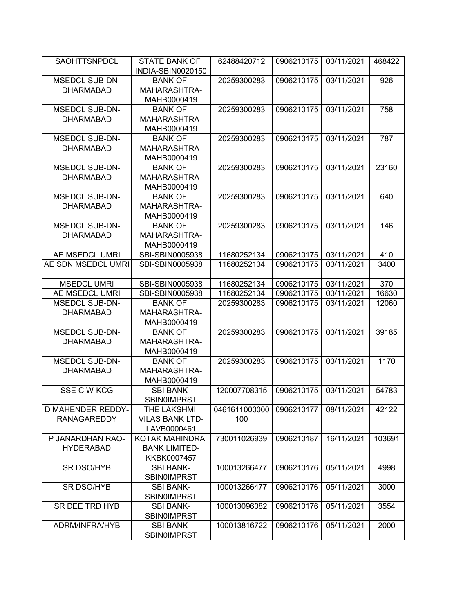| <b>SAOHTTSNPDCL</b>      | <b>STATE BANK OF</b><br>INDIA-SBIN0020150 | 62488420712   | 0906210175 | 03/11/2021 | 468422 |
|--------------------------|-------------------------------------------|---------------|------------|------------|--------|
| <b>MSEDCL SUB-DN-</b>    | <b>BANK OF</b>                            | 20259300283   | 0906210175 | 03/11/2021 | 926    |
| <b>DHARMABAD</b>         | MAHARASHTRA-                              |               |            |            |        |
|                          | MAHB0000419                               |               |            |            |        |
| <b>MSEDCL SUB-DN-</b>    | <b>BANK OF</b>                            | 20259300283   | 0906210175 | 03/11/2021 | 758    |
| <b>DHARMABAD</b>         | MAHARASHTRA-                              |               |            |            |        |
|                          | MAHB0000419                               |               |            |            |        |
| <b>MSEDCL SUB-DN-</b>    | <b>BANK OF</b>                            | 20259300283   | 0906210175 | 03/11/2021 | 787    |
| <b>DHARMABAD</b>         | MAHARASHTRA-                              |               |            |            |        |
|                          | MAHB0000419                               |               |            |            |        |
| <b>MSEDCL SUB-DN-</b>    | <b>BANK OF</b>                            | 20259300283   | 0906210175 | 03/11/2021 | 23160  |
| <b>DHARMABAD</b>         | MAHARASHTRA-                              |               |            |            |        |
|                          | MAHB0000419                               |               |            |            |        |
| <b>MSEDCL SUB-DN-</b>    | <b>BANK OF</b>                            | 20259300283   | 0906210175 | 03/11/2021 | 640    |
| <b>DHARMABAD</b>         | MAHARASHTRA-                              |               |            |            |        |
|                          | MAHB0000419                               |               |            |            |        |
| <b>MSEDCL SUB-DN-</b>    | <b>BANK OF</b>                            | 20259300283   | 0906210175 | 03/11/2021 | 146    |
| <b>DHARMABAD</b>         | MAHARASHTRA-                              |               |            |            |        |
|                          | MAHB0000419                               |               |            |            |        |
| AE MSEDCL UMRI           | SBI-SBIN0005938                           | 11680252134   | 0906210175 | 03/11/2021 | 410    |
| AE SDN MSEDCL UMRI       | SBI-SBIN0005938                           | 11680252134   | 0906210175 | 03/11/2021 | 3400   |
|                          |                                           |               |            |            |        |
| <b>MSEDCL UMRI</b>       | SBI-SBIN0005938                           | 11680252134   | 0906210175 | 03/11/2021 | 370    |
| AE MSEDCL UMRI           | SBI-SBIN0005938                           | 11680252134   | 0906210175 | 03/11/2021 | 16630  |
| <b>MSEDCL SUB-DN-</b>    | <b>BANK OF</b>                            | 20259300283   | 0906210175 | 03/11/2021 | 12060  |
| <b>DHARMABAD</b>         | MAHARASHTRA-                              |               |            |            |        |
|                          | MAHB0000419                               |               |            |            |        |
| <b>MSEDCL SUB-DN-</b>    | <b>BANK OF</b>                            | 20259300283   | 0906210175 | 03/11/2021 | 39185  |
| <b>DHARMABAD</b>         | MAHARASHTRA-                              |               |            |            |        |
|                          | MAHB0000419                               |               |            |            |        |
| <b>MSEDCL SUB-DN-</b>    | <b>BANK OF</b>                            | 20259300283   | 0906210175 | 03/11/2021 | 1170   |
| <b>DHARMABAD</b>         | MAHARASHTRA-                              |               |            |            |        |
|                          | MAHB0000419                               |               |            |            |        |
| SSE C W KCG              | <b>SBI BANK-</b>                          | 120007708315  | 0906210175 | 03/11/2021 | 54783  |
|                          | SBIN0IMPRST                               |               |            |            |        |
| <b>D MAHENDER REDDY-</b> | THE LAKSHMI                               | 0461611000000 | 0906210177 | 08/11/2021 | 42122  |
| <b>RANAGAREDDY</b>       | <b>VILAS BANK LTD-</b>                    | 100           |            |            |        |
|                          | LAVB0000461                               |               |            |            |        |
| P JANARDHAN RAO-         | <b>KOTAK MAHINDRA</b>                     | 730011026939  | 0906210187 | 16/11/2021 | 103691 |
| <b>HYDERABAD</b>         | <b>BANK LIMITED-</b>                      |               |            |            |        |
|                          | KKBK0007457                               |               |            |            |        |
| SR DSO/HYB               | <b>SBI BANK-</b>                          | 100013266477  | 0906210176 | 05/11/2021 | 4998   |
|                          | <b>SBIN0IMPRST</b>                        |               |            |            |        |
| SR DSO/HYB               | <b>SBI BANK-</b>                          | 100013266477  | 0906210176 | 05/11/2021 | 3000   |
|                          | <b>SBIN0IMPRST</b>                        |               |            |            |        |
| SR DEE TRD HYB           | <b>SBI BANK-</b>                          | 100013096082  | 0906210176 | 05/11/2021 | 3554   |
|                          | <b>SBIN0IMPRST</b>                        |               |            |            |        |
| ADRM/INFRA/HYB           | <b>SBI BANK-</b>                          | 100013816722  | 0906210176 | 05/11/2021 | 2000   |
|                          | <b>SBIN0IMPRST</b>                        |               |            |            |        |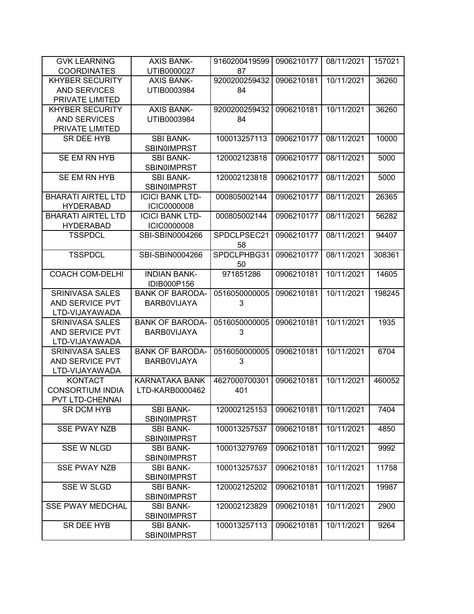| <b>GVK LEARNING</b>       | <b>AXIS BANK-</b>      | 9160200419599 | 0906210177 | 08/11/2021 | 157021 |
|---------------------------|------------------------|---------------|------------|------------|--------|
| <b>COORDINATES</b>        | UTIB0000027            | 87            |            |            |        |
| <b>KHYBER SECURITY</b>    | <b>AXIS BANK-</b>      | 9200200259432 | 0906210181 | 10/11/2021 | 36260  |
| <b>AND SERVICES</b>       | UTIB0003984            | 84            |            |            |        |
| PRIVATE LIMITED           |                        |               |            |            |        |
| <b>KHYBER SECURITY</b>    | <b>AXIS BANK-</b>      | 9200200259432 | 0906210181 | 10/11/2021 | 36260  |
| <b>AND SERVICES</b>       | UTIB0003984            | 84            |            |            |        |
| PRIVATE LIMITED           |                        |               |            |            |        |
| <b>SR DEE HYB</b>         | <b>SBI BANK-</b>       | 100013257113  | 0906210177 | 08/11/2021 | 10000  |
|                           | <b>SBINOIMPRST</b>     |               |            |            |        |
| SE EM RN HYB              | <b>SBI BANK-</b>       | 120002123818  | 0906210177 | 08/11/2021 | 5000   |
|                           | <b>SBIN0IMPRST</b>     |               |            |            |        |
| SE EM RN HYB              | <b>SBI BANK-</b>       | 120002123818  | 0906210177 | 08/11/2021 | 5000   |
|                           | <b>SBIN0IMPRST</b>     |               |            |            |        |
| <b>BHARATI AIRTEL LTD</b> | <b>ICICI BANK LTD-</b> | 000805002144  | 0906210177 | 08/11/2021 | 26365  |
| <b>HYDERABAD</b>          | <b>ICIC0000008</b>     |               |            |            |        |
| <b>BHARATI AIRTEL LTD</b> | <b>ICICI BANK LTD-</b> | 000805002144  | 0906210177 | 08/11/2021 | 56282  |
| <b>HYDERABAD</b>          | <b>ICIC0000008</b>     |               |            |            |        |
| <b>TSSPDCL</b>            | SBI-SBIN0004266        | SPDCLPSEC21   | 0906210177 | 08/11/2021 | 94407  |
|                           |                        | 58            |            |            |        |
| <b>TSSPDCL</b>            | SBI-SBIN0004266        | SPDCLPHBG31   | 0906210177 | 08/11/2021 | 308361 |
|                           |                        | 50            |            |            |        |
| <b>COACH COM-DELHI</b>    | <b>INDIAN BANK-</b>    | 971851286     | 0906210181 | 10/11/2021 | 14605  |
|                           | <b>IDIB000P156</b>     |               |            |            |        |
| <b>SRINIVASA SALES</b>    | <b>BANK OF BARODA-</b> | 0516050000005 | 0906210181 | 10/11/2021 | 198245 |
| AND SERVICE PVT           | <b>BARBOVIJAYA</b>     | 3             |            |            |        |
| LTD-VIJAYAWADA            |                        |               |            |            |        |
| <b>SRINIVASA SALES</b>    | <b>BANK OF BARODA-</b> | 0516050000005 | 0906210181 | 10/11/2021 | 1935   |
| AND SERVICE PVT           | <b>BARBOVIJAYA</b>     | 3             |            |            |        |
| LTD-VIJAYAWADA            |                        |               |            |            |        |
| <b>SRINIVASA SALES</b>    | <b>BANK OF BARODA-</b> | 0516050000005 | 0906210181 | 10/11/2021 | 6704   |
| AND SERVICE PVT           | <b>BARBOVIJAYA</b>     | 3             |            |            |        |
| LTD-VIJAYAWADA            |                        |               |            |            |        |
| <b>KONTACT</b>            | <b>KARNATAKA BANK</b>  | 4627000700301 | 0906210181 | 10/11/2021 | 460052 |
| <b>CONSORTIUM INDIA</b>   | LTD-KARB0000462        | 401           |            |            |        |
| PVT LTD-CHENNAI           |                        |               |            |            |        |
| <b>SR DCM HYB</b>         | <b>SBI BANK-</b>       | 120002125153  | 0906210181 | 10/11/2021 | 7404   |
|                           | <b>SBIN0IMPRST</b>     |               |            |            |        |
| <b>SSE PWAY NZB</b>       | <b>SBI BANK-</b>       | 100013257537  | 0906210181 | 10/11/2021 | 4850   |
|                           | <b>SBIN0IMPRST</b>     |               |            |            |        |
| <b>SSE W NLGD</b>         | <b>SBI BANK-</b>       | 100013279769  | 0906210181 | 10/11/2021 | 9992   |
|                           | <b>SBIN0IMPRST</b>     |               |            |            |        |
| <b>SSE PWAY NZB</b>       | <b>SBI BANK-</b>       | 100013257537  | 0906210181 | 10/11/2021 | 11758  |
|                           | <b>SBIN0IMPRST</b>     |               |            |            |        |
| <b>SSE W SLGD</b>         | <b>SBI BANK-</b>       | 120002125202  | 0906210181 | 10/11/2021 | 19987  |
|                           | <b>SBIN0IMPRST</b>     |               |            |            |        |
| <b>SSE PWAY MEDCHAL</b>   | <b>SBI BANK-</b>       | 120002123829  | 0906210181 | 10/11/2021 | 2900   |
|                           | <b>SBIN0IMPRST</b>     |               |            |            |        |
| SR DEE HYB                | <b>SBI BANK-</b>       | 100013257113  | 0906210181 | 10/11/2021 | 9264   |
|                           | <b>SBIN0IMPRST</b>     |               |            |            |        |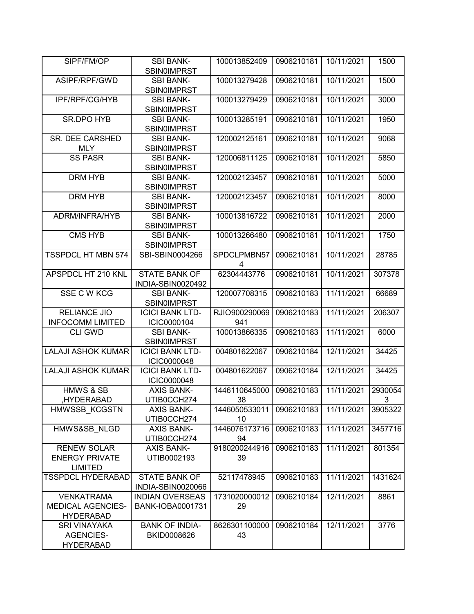| SIPF/FM/OP                                                        | <b>SBI BANK-</b><br><b>SBIN0IMPRST</b>       | 100013852409                           | 0906210181 | 10/11/2021 | 1500         |
|-------------------------------------------------------------------|----------------------------------------------|----------------------------------------|------------|------------|--------------|
| ASIPF/RPF/GWD                                                     | <b>SBI BANK-</b><br><b>SBIN0IMPRST</b>       | 100013279428                           | 0906210181 | 10/11/2021 | 1500         |
| IPF/RPF/CG/HYB                                                    | <b>SBI BANK-</b><br><b>SBIN0IMPRST</b>       | 100013279429                           | 0906210181 | 10/11/2021 | 3000         |
| <b>SR.DPO HYB</b>                                                 | <b>SBI BANK-</b><br><b>SBIN0IMPRST</b>       | 100013285191                           | 0906210181 | 10/11/2021 | 1950         |
| SR. DEE CARSHED<br><b>MLY</b>                                     | <b>SBI BANK-</b><br><b>SBINOIMPRST</b>       | 120002125161                           | 0906210181 | 10/11/2021 | 9068         |
| <b>SS PASR</b>                                                    | <b>SBI BANK-</b><br><b>SBIN0IMPRST</b>       | 120006811125                           | 0906210181 | 10/11/2021 | 5850         |
| <b>DRM HYB</b>                                                    | <b>SBI BANK-</b><br><b>SBIN0IMPRST</b>       | 120002123457                           | 0906210181 | 10/11/2021 | 5000         |
| <b>DRM HYB</b>                                                    | <b>SBI BANK-</b><br><b>SBIN0IMPRST</b>       | 120002123457                           | 0906210181 | 10/11/2021 | 8000         |
| ADRM/INFRA/HYB                                                    | <b>SBI BANK-</b><br><b>SBIN0IMPRST</b>       | 100013816722                           | 0906210181 | 10/11/2021 | 2000         |
| <b>CMS HYB</b>                                                    | <b>SBI BANK-</b><br><b>SBIN0IMPRST</b>       | 100013266480                           | 0906210181 | 10/11/2021 | 1750         |
| <b>TSSPDCL HT MBN 574</b>                                         | SBI-SBIN0004266                              | SPDCLPMBN57<br>$\overline{\mathbf{4}}$ | 0906210181 | 10/11/2021 | 28785        |
| APSPDCL HT 210 KNL                                                | <b>STATE BANK OF</b><br>INDIA-SBIN0020492    | 62304443776                            | 0906210181 | 10/11/2021 | 307378       |
| <b>SSE C W KCG</b>                                                | <b>SBI BANK-</b><br><b>SBIN0IMPRST</b>       | 120007708315                           | 0906210183 | 11/11/2021 | 66689        |
| <b>RELIANCE JIO</b><br><b>INFOCOMM LIMITED</b>                    | <b>ICICI BANK LTD-</b><br>ICIC0000104        | RJIO900290069<br>941                   | 0906210183 | 11/11/2021 | 206307       |
| <b>CLI GWD</b>                                                    | <b>SBI BANK-</b><br><b>SBIN0IMPRST</b>       | 100013866335                           | 0906210183 | 11/11/2021 | 6000         |
| <b>LALAJI ASHOK KUMAR</b>                                         | <b>ICICI BANK LTD-</b><br><b>ICIC0000048</b> | 004801622067                           | 0906210184 | 12/11/2021 | 34425        |
| <b>LALAJI ASHOK KUMAR</b>                                         | <b>ICICI BANK LTD-</b><br><b>ICIC0000048</b> | 004801622067                           | 0906210184 | 12/11/2021 | 34425        |
| <b>HMWS &amp; SB</b><br>HYDERABAD,                                | <b>AXIS BANK-</b><br>UTIB0CCH274             | 1446110645000<br>38                    | 0906210183 | 11/11/2021 | 2930054<br>3 |
| HMWSSB_KCGSTN                                                     | <b>AXIS BANK-</b><br>UTIB0CCH274             | 1446050533011<br>10                    | 0906210183 | 11/11/2021 | 3905322      |
| HMWS&SB NLGD                                                      | <b>AXIS BANK-</b><br>UTIB0CCH274             | 1446076173716<br>94                    | 0906210183 | 11/11/2021 | 3457716      |
| <b>RENEW SOLAR</b><br><b>ENERGY PRIVATE</b><br><b>LIMITED</b>     | <b>AXIS BANK-</b><br>UTIB0002193             | 9180200244916<br>39                    | 0906210183 | 11/11/2021 | 801354       |
| <b>TSSPDCL HYDERABAD</b>                                          | <b>STATE BANK OF</b><br>INDIA-SBIN0020066    | 52117478945                            | 0906210183 | 11/11/2021 | 1431624      |
| <b>VENKATRAMA</b><br><b>MEDICAL AGENCIES-</b><br><b>HYDERABAD</b> | <b>INDIAN OVERSEAS</b><br>BANK-IOBA0001731   | 1731020000012<br>29                    | 0906210184 | 12/11/2021 | 8861         |
| <b>SRI VINAYAKA</b><br><b>AGENCIES-</b><br><b>HYDERABAD</b>       | <b>BANK OF INDIA-</b><br>BKID0008626         | 8626301100000<br>43                    | 0906210184 | 12/11/2021 | 3776         |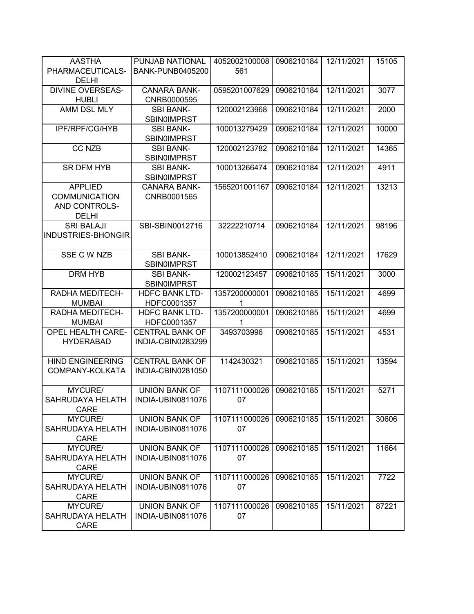| <b>AASTHA</b>            | PUNJAB NATIONAL         | 4052002100008 | 0906210184 | 12/11/2021 | 15105 |
|--------------------------|-------------------------|---------------|------------|------------|-------|
| PHARMACEUTICALS-         | <b>BANK-PUNB0405200</b> | 561           |            |            |       |
| <b>DELHI</b>             |                         |               |            |            |       |
| <b>DIVINE OVERSEAS-</b>  | <b>CANARA BANK-</b>     | 0595201007629 | 0906210184 | 12/11/2021 | 3077  |
| <b>HUBLI</b>             | CNRB0000595             |               |            |            |       |
| AMM DSL MLY              | <b>SBI BANK-</b>        | 120002123968  | 0906210184 | 12/11/2021 | 2000  |
|                          | <b>SBIN0IMPRST</b>      |               |            |            |       |
| IPF/RPF/CG/HYB           | <b>SBI BANK-</b>        | 100013279429  | 0906210184 | 12/11/2021 | 10000 |
|                          | <b>SBIN0IMPRST</b>      |               |            |            |       |
| <b>CC NZB</b>            | <b>SBI BANK-</b>        | 120002123782  | 0906210184 | 12/11/2021 | 14365 |
|                          | <b>SBIN0IMPRST</b>      |               |            |            |       |
| <b>SR DFM HYB</b>        | <b>SBI BANK-</b>        | 100013266474  | 0906210184 | 12/11/2021 | 4911  |
|                          |                         |               |            |            |       |
|                          | <b>SBIN0IMPRST</b>      |               |            |            |       |
| <b>APPLIED</b>           | <b>CANARA BANK-</b>     | 1565201001167 | 0906210184 | 12/11/2021 | 13213 |
| <b>COMMUNICATION</b>     | CNRB0001565             |               |            |            |       |
| AND CONTROLS-            |                         |               |            |            |       |
| <b>DELHI</b>             |                         |               |            |            |       |
| <b>SRI BALAJI</b>        | SBI-SBIN0012716         | 32222210714   | 0906210184 | 12/11/2021 | 98196 |
| INDUSTRIES-BHONGIR       |                         |               |            |            |       |
|                          |                         |               |            |            |       |
| SSE C W NZB              | <b>SBI BANK-</b>        | 100013852410  | 0906210184 | 12/11/2021 | 17629 |
|                          | <b>SBIN0IMPRST</b>      |               |            |            |       |
| <b>DRM HYB</b>           | <b>SBI BANK-</b>        | 120002123457  | 0906210185 | 15/11/2021 | 3000  |
|                          | <b>SBINOIMPRST</b>      |               |            |            |       |
| RADHA MEDITECH-          | <b>HDFC BANK LTD-</b>   | 1357200000001 | 0906210185 | 15/11/2021 | 4699  |
| <b>MUMBAI</b>            | HDFC0001357             |               |            |            |       |
| RADHA MEDITECH-          | <b>HDFC BANK LTD-</b>   | 1357200000001 | 0906210185 | 15/11/2021 | 4699  |
| <b>MUMBAI</b>            | HDFC0001357             | 1             |            |            |       |
| <b>OPEL HEALTH CARE-</b> | <b>CENTRAL BANK OF</b>  | 3493703996    | 0906210185 | 15/11/2021 | 4531  |
| <b>HYDERABAD</b>         | INDIA-CBIN0283299       |               |            |            |       |
|                          |                         |               |            |            |       |
| <b>HIND ENGINEERING</b>  | <b>CENTRAL BANK OF</b>  | 1142430321    | 0906210185 | 15/11/2021 | 13594 |
| COMPANY-KOLKATA          | INDIA-CBIN0281050       |               |            |            |       |
|                          |                         |               |            |            |       |
| MYCURE/                  | <b>UNION BANK OF</b>    | 1107111000026 | 0906210185 | 15/11/2021 | 5271  |
| SAHRUDAYA HELATH         | INDIA-UBIN0811076       | 07            |            |            |       |
| CARE                     |                         |               |            |            |       |
| MYCURE/                  | <b>UNION BANK OF</b>    | 1107111000026 | 0906210185 | 15/11/2021 | 30606 |
| <b>SAHRUDAYA HELATH</b>  | INDIA-UBIN0811076       | 07            |            |            |       |
| <b>CARE</b>              |                         |               |            |            |       |
| MYCURE/                  | <b>UNION BANK OF</b>    | 1107111000026 | 0906210185 | 15/11/2021 | 11664 |
| SAHRUDAYA HELATH         | INDIA-UBIN0811076       | 07            |            |            |       |
| <b>CARE</b>              |                         |               |            |            |       |
| MYCURE/                  | <b>UNION BANK OF</b>    | 1107111000026 | 0906210185 | 15/11/2021 | 7722  |
| SAHRUDAYA HELATH         | INDIA-UBIN0811076       | 07            |            |            |       |
| <b>CARE</b>              |                         |               |            |            |       |
| MYCURE/                  | <b>UNION BANK OF</b>    | 1107111000026 | 0906210185 | 15/11/2021 | 87221 |
| SAHRUDAYA HELATH         | INDIA-UBIN0811076       | 07            |            |            |       |
| CARE                     |                         |               |            |            |       |
|                          |                         |               |            |            |       |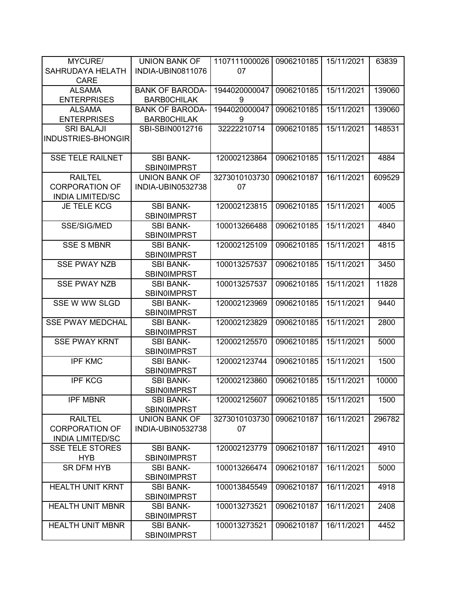| MYCURE/                 | <b>UNION BANK OF</b>   | 1107111000026 | 0906210185 | 15/11/2021 | 63839  |
|-------------------------|------------------------|---------------|------------|------------|--------|
| SAHRUDAYA HELATH        | INDIA-UBIN0811076      | 07            |            |            |        |
| <b>CARE</b>             |                        |               |            |            |        |
| <b>ALSAMA</b>           | <b>BANK OF BARODA-</b> | 1944020000047 | 0906210185 | 15/11/2021 | 139060 |
| <b>ENTERPRISES</b>      | <b>BARBOCHILAK</b>     | 9             |            |            |        |
| <b>ALSAMA</b>           | <b>BANK OF BARODA-</b> | 1944020000047 | 0906210185 | 15/11/2021 | 139060 |
| <b>ENTERPRISES</b>      | <b>BARBOCHILAK</b>     | 9             |            |            |        |
| <b>SRI BALAJI</b>       | SBI-SBIN0012716        | 32222210714   | 0906210185 | 15/11/2021 | 148531 |
| INDUSTRIES-BHONGIR      |                        |               |            |            |        |
|                         |                        |               |            |            |        |
| <b>SSE TELE RAILNET</b> | <b>SBI BANK-</b>       | 120002123864  | 0906210185 | 15/11/2021 | 4884   |
|                         | <b>SBIN0IMPRST</b>     |               |            |            |        |
| <b>RAILTEL</b>          | UNION BANK OF          | 3273010103730 | 0906210187 | 16/11/2021 | 609529 |
| <b>CORPORATION OF</b>   | INDIA-UBIN0532738      | 07            |            |            |        |
| <b>INDIA LIMITED/SC</b> |                        |               |            |            |        |
| <b>JE TELE KCG</b>      | <b>SBI BANK-</b>       | 120002123815  | 0906210185 | 15/11/2021 | 4005   |
|                         |                        |               |            |            |        |
|                         | <b>SBIN0IMPRST</b>     |               |            |            |        |
| SSE/SIG/MED             | <b>SBI BANK-</b>       | 100013266488  | 0906210185 | 15/11/2021 | 4840   |
|                         | <b>SBIN0IMPRST</b>     |               |            |            |        |
| <b>SSE S MBNR</b>       | <b>SBI BANK-</b>       | 120002125109  | 0906210185 | 15/11/2021 | 4815   |
|                         | <b>SBIN0IMPRST</b>     |               |            |            |        |
| <b>SSE PWAY NZB</b>     | <b>SBI BANK-</b>       | 100013257537  | 0906210185 | 15/11/2021 | 3450   |
|                         | <b>SBIN0IMPRST</b>     |               |            |            |        |
| <b>SSE PWAY NZB</b>     | <b>SBI BANK-</b>       | 100013257537  | 0906210185 | 15/11/2021 | 11828  |
|                         | <b>SBINOIMPRST</b>     |               |            |            |        |
| SSE W WW SLGD           | <b>SBI BANK-</b>       | 120002123969  | 0906210185 | 15/11/2021 | 9440   |
|                         | <b>SBIN0IMPRST</b>     |               |            |            |        |
| <b>SSE PWAY MEDCHAL</b> | <b>SBI BANK-</b>       | 120002123829  | 0906210185 | 15/11/2021 | 2800   |
|                         | <b>SBIN0IMPRST</b>     |               |            |            |        |
| <b>SSE PWAY KRNT</b>    | <b>SBI BANK-</b>       | 120002125570  | 0906210185 | 15/11/2021 | 5000   |
|                         | <b>SBINOIMPRST</b>     |               |            |            |        |
| <b>IPF KMC</b>          | <b>SBI BANK-</b>       | 120002123744  | 0906210185 | 15/11/2021 | 1500   |
|                         | <b>SBIN0IMPRST</b>     |               |            |            |        |
| <b>IPF KCG</b>          | <b>SBI BANK-</b>       | 120002123860  | 0906210185 | 15/11/2021 | 10000  |
|                         | <b>SBIN0IMPRST</b>     |               |            |            |        |
| <b>IPF MBNR</b>         | SBI BANK-              | 120002125607  | 0906210185 | 15/11/2021 | 1500   |
|                         | <b>SBIN0IMPRST</b>     |               |            |            |        |
| <b>RAILTEL</b>          | UNION BANK OF          | 3273010103730 | 0906210187 | 16/11/2021 | 296782 |
| <b>CORPORATION OF</b>   | INDIA-UBIN0532738      | 07            |            |            |        |
| <b>INDIA LIMITED/SC</b> |                        |               |            |            |        |
| <b>SSE TELE STORES</b>  | <b>SBI BANK-</b>       | 120002123779  | 0906210187 | 16/11/2021 | 4910   |
| <b>HYB</b>              | <b>SBINOIMPRST</b>     |               |            |            |        |
| <b>SR DFM HYB</b>       | <b>SBI BANK-</b>       | 100013266474  | 0906210187 | 16/11/2021 | 5000   |
|                         | <b>SBIN0IMPRST</b>     |               |            |            |        |
| <b>HEALTH UNIT KRNT</b> | <b>SBI BANK-</b>       | 100013845549  | 0906210187 | 16/11/2021 | 4918   |
|                         | <b>SBIN0IMPRST</b>     |               |            |            |        |
| <b>HEALTH UNIT MBNR</b> | <b>SBI BANK-</b>       | 100013273521  | 0906210187 | 16/11/2021 | 2408   |
|                         | <b>SBIN0IMPRST</b>     |               |            |            |        |
| <b>HEALTH UNIT MBNR</b> | <b>SBI BANK-</b>       | 100013273521  | 0906210187 | 16/11/2021 | 4452   |
|                         |                        |               |            |            |        |
|                         | <b>SBIN0IMPRST</b>     |               |            |            |        |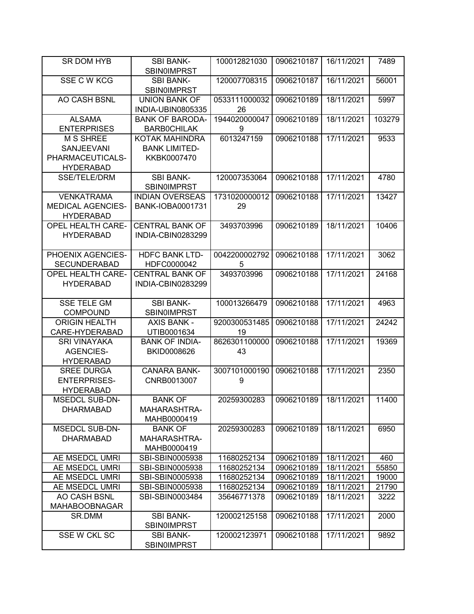| SR DOM HYB               | <b>SBI BANK-</b>                          | 100012821030        | 0906210187 | 16/11/2021 | 7489   |
|--------------------------|-------------------------------------------|---------------------|------------|------------|--------|
|                          | <b>SBIN0IMPRST</b>                        |                     |            |            |        |
| SSE C W KCG              | <b>SBI BANK-</b><br><b>SBIN0IMPRST</b>    | 120007708315        | 0906210187 | 16/11/2021 | 56001  |
| AO CASH BSNL             | <b>UNION BANK OF</b><br>INDIA-UBIN0805335 | 0533111000032<br>26 | 0906210189 | 18/11/2021 | 5997   |
| <b>ALSAMA</b>            | <b>BANK OF BARODA-</b>                    | 1944020000047       | 0906210189 | 18/11/2021 | 103279 |
| <b>ENTERPRISES</b>       | <b>BARBOCHILAK</b>                        | 9                   |            |            |        |
| <b>M S SHREE</b>         | <b>KOTAK MAHINDRA</b>                     | 6013247159          | 0906210188 | 17/11/2021 | 9533   |
| <b>SANJEEVANI</b>        | <b>BANK LIMITED-</b>                      |                     |            |            |        |
| PHARMACEUTICALS-         | KKBK0007470                               |                     |            |            |        |
|                          |                                           |                     |            |            |        |
| <b>HYDERABAD</b>         |                                           |                     |            |            |        |
| <b>SSE/TELE/DRM</b>      | <b>SBI BANK-</b>                          | 120007353064        | 0906210188 | 17/11/2021 | 4780   |
|                          | <b>SBIN0IMPRST</b>                        |                     |            |            |        |
| <b>VENKATRAMA</b>        | <b>INDIAN OVERSEAS</b>                    | 1731020000012       | 0906210188 | 17/11/2021 | 13427  |
| <b>MEDICAL AGENCIES-</b> | <b>BANK-IOBA0001731</b>                   | 29                  |            |            |        |
| <b>HYDERABAD</b>         |                                           |                     |            |            |        |
| <b>OPEL HEALTH CARE-</b> | <b>CENTRAL BANK OF</b>                    | 3493703996          | 0906210189 | 18/11/2021 | 10406  |
| <b>HYDERABAD</b>         | INDIA-CBIN0283299                         |                     |            |            |        |
|                          |                                           |                     |            |            |        |
| PHOENIX AGENCIES-        | <b>HDFC BANK LTD-</b>                     | 0042200002792       | 0906210188 | 17/11/2021 | 3062   |
| <b>SECUNDERABAD</b>      | HDFC0000042                               | 5                   |            |            |        |
| <b>OPEL HEALTH CARE-</b> | <b>CENTRAL BANK OF</b>                    | 3493703996          | 0906210188 | 17/11/2021 | 24168  |
| <b>HYDERABAD</b>         | INDIA-CBIN0283299                         |                     |            |            |        |
|                          |                                           |                     |            |            |        |
| <b>SSE TELE GM</b>       | <b>SBI BANK-</b>                          | 100013266479        | 0906210188 | 17/11/2021 | 4963   |
| <b>COMPOUND</b>          | <b>SBIN0IMPRST</b>                        |                     |            |            |        |
| <b>ORIGIN HEALTH</b>     | <b>AXIS BANK -</b>                        | 9200300531485       | 0906210188 | 17/11/2021 | 24242  |
| CARE-HYDERABAD           | UTIB0001634                               | 19                  |            |            |        |
| <b>SRI VINAYAKA</b>      | <b>BANK OF INDIA-</b>                     | 8626301100000       | 0906210188 | 17/11/2021 | 19369  |
| <b>AGENCIES-</b>         | BKID0008626                               | 43                  |            |            |        |
| <b>HYDERABAD</b>         |                                           |                     |            |            |        |
| <b>SREE DURGA</b>        | <b>CANARA BANK-</b>                       | 3007101000190       | 0906210188 | 17/11/2021 | 2350   |
| <b>ENTERPRISES-</b>      | CNRB0013007                               | 9                   |            |            |        |
| <b>HYDERABAD</b>         |                                           |                     |            |            |        |
| <b>MSEDCL SUB-DN-</b>    | <b>BANK OF</b>                            | 20259300283         | 0906210189 | 18/11/2021 | 11400  |
| <b>DHARMABAD</b>         | MAHARASHTRA-                              |                     |            |            |        |
|                          | MAHB0000419                               |                     |            |            |        |
| <b>MSEDCL SUB-DN-</b>    | <b>BANK OF</b>                            | 20259300283         | 0906210189 | 18/11/2021 | 6950   |
| <b>DHARMABAD</b>         | MAHARASHTRA-                              |                     |            |            |        |
|                          | MAHB0000419                               |                     |            |            |        |
| AE MSEDCL UMRI           | SBI-SBIN0005938                           | 11680252134         | 0906210189 | 18/11/2021 | 460    |
| AE MSEDCL UMRI           | SBI-SBIN0005938                           | 11680252134         | 0906210189 | 18/11/2021 | 55850  |
| AE MSEDCL UMRI           | SBI-SBIN0005938                           | 11680252134         | 0906210189 | 18/11/2021 | 19000  |
| AE MSEDCL UMRI           |                                           |                     |            |            |        |
|                          | SBI-SBIN0005938                           | 11680252134         | 0906210189 | 18/11/2021 | 21790  |
| AO CASH BSNL             | SBI-SBIN0003484                           | 35646771378         | 0906210189 | 18/11/2021 | 3222   |
| <b>MAHABOOBNAGAR</b>     |                                           |                     |            |            |        |
| SR.DMM                   | <b>SBI BANK-</b>                          | 120002125158        | 0906210188 | 17/11/2021 | 2000   |
|                          | <b>SBIN0IMPRST</b>                        |                     |            |            |        |
| SSE W CKL SC             | <b>SBI BANK-</b>                          | 120002123971        | 0906210188 | 17/11/2021 | 9892   |
|                          | <b>SBINOIMPRST</b>                        |                     |            |            |        |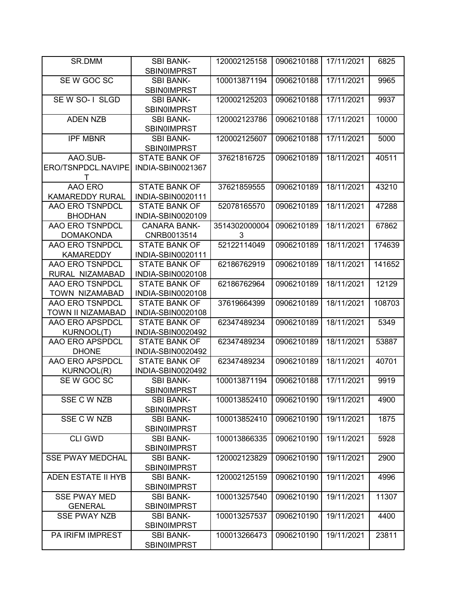| SR.DMM                  | <b>SBI BANK-</b><br><b>SBIN0IMPRST</b> | 120002125158  | 0906210188 | 17/11/2021 | 6825   |
|-------------------------|----------------------------------------|---------------|------------|------------|--------|
|                         |                                        |               |            |            |        |
| SE W GOC SC             | <b>SBI BANK-</b><br><b>SBIN0IMPRST</b> | 100013871194  | 0906210188 | 17/11/2021 | 9965   |
| SEW SO-1 SLGD           | <b>SBI BANK-</b>                       | 120002125203  | 0906210188 | 17/11/2021 | 9937   |
|                         | <b>SBIN0IMPRST</b>                     |               |            |            |        |
| <b>ADEN NZB</b>         | <b>SBI BANK-</b>                       | 120002123786  | 0906210188 | 17/11/2021 | 10000  |
|                         | <b>SBIN0IMPRST</b>                     |               |            |            |        |
| <b>IPF MBNR</b>         | <b>SBI BANK-</b>                       | 120002125607  | 0906210188 | 17/11/2021 | 5000   |
|                         |                                        |               |            |            |        |
|                         | <b>SBIN0IMPRST</b>                     |               |            |            |        |
| AAO.SUB-                | <b>STATE BANK OF</b>                   | 37621816725   | 0906210189 | 18/11/2021 | 40511  |
| ERO/TSNPDCL.NAVIPE      | INDIA-SBIN0021367                      |               |            |            |        |
| Τ                       |                                        |               |            |            |        |
| AAO ERO                 | <b>STATE BANK OF</b>                   | 37621859555   | 0906210189 | 18/11/2021 | 43210  |
| <b>KAMAREDDY RURAL</b>  | INDIA-SBIN0020111                      |               |            |            |        |
| AAO ERO TSNPDCL         | <b>STATE BANK OF</b>                   | 52078165570   | 0906210189 | 18/11/2021 | 47288  |
| <b>BHODHAN</b>          | INDIA-SBIN0020109                      |               |            |            |        |
| AAO ERO TSNPDCL         | <b>CANARA BANK-</b>                    | 3514302000004 | 0906210189 | 18/11/2021 | 67862  |
| <b>DOMAKONDA</b>        | CNRB0013514                            | 3             |            |            |        |
| AAO ERO TSNPDCL         | <b>STATE BANK OF</b>                   | 52122114049   | 0906210189 | 18/11/2021 | 174639 |
| <b>KAMAREDDY</b>        | <b>INDIA-SBIN0020111</b>               |               |            |            |        |
| AAO ERO TSNPDCL         | <b>STATE BANK OF</b>                   | 62186762919   | 0906210189 | 18/11/2021 | 141652 |
| RURAL NIZAMABAD         | INDIA-SBIN0020108                      |               |            |            |        |
| <b>AAO ERO TSNPDCL</b>  | <b>STATE BANK OF</b>                   | 62186762964   | 0906210189 | 18/11/2021 | 12129  |
| TOWN NIZAMABAD          | INDIA-SBIN0020108                      |               |            |            |        |
| <b>AAO ERO TSNPDCL</b>  | <b>STATE BANK OF</b>                   | 37619664399   | 0906210189 | 18/11/2021 | 108703 |
| TOWN II NIZAMABAD       | INDIA-SBIN0020108                      |               |            |            |        |
| <b>AAO ERO APSPDCL</b>  | <b>STATE BANK OF</b>                   | 62347489234   | 0906210189 | 18/11/2021 | 5349   |
|                         |                                        |               |            |            |        |
| KURNOOL(T)              | INDIA-SBIN0020492                      |               |            |            |        |
| AAO ERO APSPDCL         | <b>STATE BANK OF</b>                   | 62347489234   | 0906210189 | 18/11/2021 | 53887  |
| <b>DHONE</b>            | INDIA-SBIN0020492                      |               |            |            |        |
| AAO ERO APSPDCL         | <b>STATE BANK OF</b>                   | 62347489234   | 0906210189 | 18/11/2021 | 40701  |
| <b>KURNOOL(R)</b>       | INDIA-SBIN0020492                      |               |            |            |        |
| SE W GOC SC             | <b>SBI BANK-</b>                       | 100013871194  | 0906210188 | 17/11/2021 | 9919   |
|                         | <b>SBIN0IMPRST</b>                     |               |            |            |        |
| SSE C W NZB             | <b>SBI BANK-</b>                       | 100013852410  | 0906210190 | 19/11/2021 | 4900   |
|                         | <b>SBIN0IMPRST</b>                     |               |            |            |        |
| SSE C W NZB             | <b>SBI BANK-</b>                       | 100013852410  | 0906210190 | 19/11/2021 | 1875   |
|                         | <b>SBIN0IMPRST</b>                     |               |            |            |        |
| <b>CLI GWD</b>          | <b>SBI BANK-</b>                       | 100013866335  | 0906210190 | 19/11/2021 | 5928   |
|                         | <b>SBIN0IMPRST</b>                     |               |            |            |        |
| <b>SSE PWAY MEDCHAL</b> | <b>SBI BANK-</b>                       | 120002123829  | 0906210190 | 19/11/2021 | 2900   |
|                         | <b>SBIN0IMPRST</b>                     |               |            |            |        |
| ADEN ESTATE II HYB      | <b>SBI BANK-</b>                       | 120002125159  | 0906210190 | 19/11/2021 | 4996   |
|                         | <b>SBIN0IMPRST</b>                     |               |            |            |        |
| <b>SSE PWAY MED</b>     | <b>SBI BANK-</b>                       | 100013257540  | 0906210190 | 19/11/2021 | 11307  |
| <b>GENERAL</b>          | <b>SBINOIMPRST</b>                     |               |            |            |        |
| <b>SSE PWAY NZB</b>     | <b>SBI BANK-</b>                       | 100013257537  | 0906210190 | 19/11/2021 | 4400   |
|                         | <b>SBIN0IMPRST</b>                     |               |            |            |        |
| PA IRIFM IMPREST        | <b>SBI BANK-</b>                       | 100013266473  | 0906210190 | 19/11/2021 | 23811  |
|                         | <b>SBIN0IMPRST</b>                     |               |            |            |        |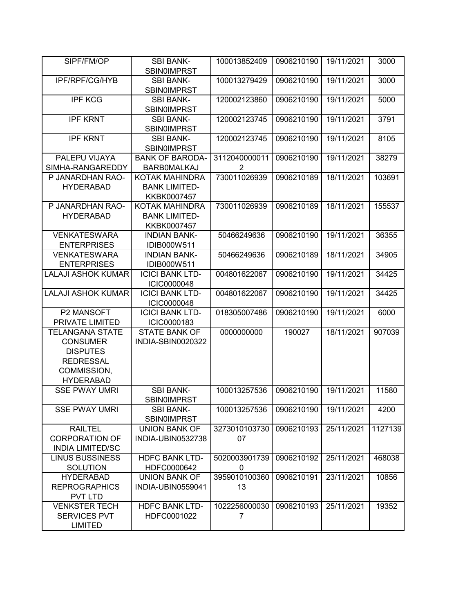| SIPF/FM/OP                | <b>SBI BANK-</b><br><b>SBIN0IMPRST</b> | 100013852409  | 0906210190 | 19/11/2021 | 3000    |
|---------------------------|----------------------------------------|---------------|------------|------------|---------|
| IPF/RPF/CG/HYB            | <b>SBI BANK-</b>                       | 100013279429  | 0906210190 | 19/11/2021 | 3000    |
|                           | <b>SBIN0IMPRST</b>                     |               |            |            |         |
| <b>IPF KCG</b>            | <b>SBI BANK-</b>                       | 120002123860  | 0906210190 | 19/11/2021 | 5000    |
|                           | <b>SBINOIMPRST</b>                     |               |            |            |         |
| <b>IPF KRNT</b>           | <b>SBI BANK-</b>                       | 120002123745  | 0906210190 | 19/11/2021 | 3791    |
|                           | <b>SBIN0IMPRST</b>                     |               |            |            |         |
| <b>IPF KRNT</b>           | <b>SBI BANK-</b>                       | 120002123745  | 0906210190 | 19/11/2021 | 8105    |
|                           | <b>SBIN0IMPRST</b>                     |               |            |            |         |
| PALEPU VIJAYA             | <b>BANK OF BARODA-</b>                 | 3112040000011 | 0906210190 | 19/11/2021 | 38279   |
| SIMHA-RANGAREDDY          | <b>BARBOMALKAJ</b>                     | 2             |            |            |         |
| P JANARDHAN RAO-          | KOTAK MAHINDRA                         | 730011026939  | 0906210189 | 18/11/2021 | 103691  |
| <b>HYDERABAD</b>          | <b>BANK LIMITED-</b>                   |               |            |            |         |
|                           | KKBK0007457                            |               |            |            |         |
| P JANARDHAN RAO-          | KOTAK MAHINDRA                         | 730011026939  | 0906210189 | 18/11/2021 | 155537  |
| <b>HYDERABAD</b>          | <b>BANK LIMITED-</b>                   |               |            |            |         |
|                           | KKBK0007457                            |               |            |            |         |
| <b>VENKATESWARA</b>       | <b>INDIAN BANK-</b>                    | 50466249636   | 0906210190 | 19/11/2021 | 36355   |
| <b>ENTERPRISES</b>        | IDIB000W511                            |               |            |            |         |
| <b>VENKATESWARA</b>       | <b>INDIAN BANK-</b>                    | 50466249636   | 0906210189 | 18/11/2021 | 34905   |
| <b>ENTERPRISES</b>        | IDIB000W511                            |               |            |            |         |
| <b>LALAJI ASHOK KUMAR</b> | <b>ICICI BANK LTD-</b>                 | 004801622067  | 0906210190 | 19/11/2021 | 34425   |
|                           | <b>ICIC0000048</b>                     |               |            |            |         |
| <b>LALAJI ASHOK KUMAR</b> | <b>ICICI BANK LTD-</b>                 | 004801622067  | 0906210190 | 19/11/2021 | 34425   |
|                           | <b>ICIC0000048</b>                     |               |            |            |         |
| P2 MANSOFT                | <b>ICICI BANK LTD-</b>                 | 018305007486  | 0906210190 | 19/11/2021 | 6000    |
| PRIVATE LIMITED           | ICIC0000183                            |               |            |            |         |
| <b>TELANGANA STATE</b>    | <b>STATE BANK OF</b>                   | 0000000000    | 190027     | 18/11/2021 | 907039  |
| <b>CONSUMER</b>           | INDIA-SBIN0020322                      |               |            |            |         |
| <b>DISPUTES</b>           |                                        |               |            |            |         |
| <b>REDRESSAL</b>          |                                        |               |            |            |         |
| COMMISSION,               |                                        |               |            |            |         |
| <b>HYDERABAD</b>          |                                        |               |            |            |         |
| <b>SSE PWAY UMRI</b>      | <b>SBI BANK-</b>                       | 100013257536  | 0906210190 | 19/11/2021 | 11580   |
|                           | <b>SBINOIMPRST</b>                     |               |            |            |         |
| <b>SSE PWAY UMRI</b>      | <b>SBI BANK-</b>                       | 100013257536  | 0906210190 | 19/11/2021 | 4200    |
|                           | <b>SBIN0IMPRST</b>                     |               |            |            |         |
| <b>RAILTEL</b>            | <b>UNION BANK OF</b>                   | 3273010103730 | 0906210193 | 25/11/2021 | 1127139 |
| <b>CORPORATION OF</b>     | INDIA-UBIN0532738                      | 07            |            |            |         |
| <b>INDIA LIMITED/SC</b>   |                                        |               |            |            |         |
| <b>LINUS BUSSINESS</b>    | <b>HDFC BANK LTD-</b>                  | 5020003901739 | 0906210192 | 25/11/2021 | 468038  |
| <b>SOLUTION</b>           | HDFC0000642                            | 0             |            |            |         |
| <b>HYDERABAD</b>          | <b>UNION BANK OF</b>                   | 3959010100360 | 0906210191 | 23/11/2021 | 10856   |
| <b>REPROGRAPHICS</b>      | INDIA-UBIN0559041                      | 13            |            |            |         |
| PVT LTD                   |                                        |               |            |            |         |
| <b>VENKSTER TECH</b>      | <b>HDFC BANK LTD-</b>                  | 1022256000030 | 0906210193 | 25/11/2021 | 19352   |
| <b>SERVICES PVT</b>       | HDFC0001022                            | 7             |            |            |         |
| <b>LIMITED</b>            |                                        |               |            |            |         |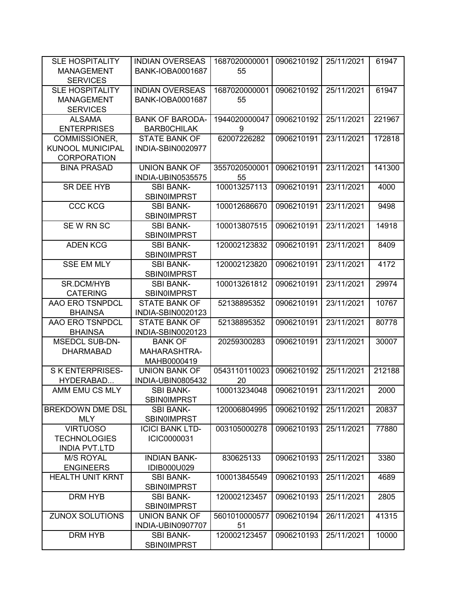| <b>SLE HOSPITALITY</b>  | <b>INDIAN OVERSEAS</b>  | 1687020000001 | 0906210192 | 25/11/2021 | 61947  |
|-------------------------|-------------------------|---------------|------------|------------|--------|
| <b>MANAGEMENT</b>       | <b>BANK-IOBA0001687</b> | 55            |            |            |        |
| <b>SERVICES</b>         |                         |               |            |            |        |
| <b>SLE HOSPITALITY</b>  | <b>INDIAN OVERSEAS</b>  | 1687020000001 | 0906210192 | 25/11/2021 | 61947  |
| <b>MANAGEMENT</b>       | <b>BANK-IOBA0001687</b> | 55            |            |            |        |
| <b>SERVICES</b>         |                         |               |            |            |        |
| <b>ALSAMA</b>           | <b>BANK OF BARODA-</b>  | 1944020000047 | 0906210192 | 25/11/2021 | 221967 |
| <b>ENTERPRISES</b>      | <b>BARBOCHILAK</b>      | 9             |            |            |        |
| COMMISSIONER,           | <b>STATE BANK OF</b>    | 62007226282   | 0906210191 | 23/11/2021 | 172818 |
| <b>KUNOOL MUNICIPAL</b> | INDIA-SBIN0020977       |               |            |            |        |
| <b>CORPORATION</b>      |                         |               |            |            |        |
| <b>BINA PRASAD</b>      | <b>UNION BANK OF</b>    | 3557020500001 | 0906210191 | 23/11/2021 | 141300 |
|                         | INDIA-UBIN0535575       | 55            |            |            |        |
| SR DEE HYB              | <b>SBI BANK-</b>        | 100013257113  | 0906210191 | 23/11/2021 | 4000   |
|                         | <b>SBIN0IMPRST</b>      |               |            |            |        |
| <b>CCC KCG</b>          | <b>SBI BANK-</b>        | 100012686670  | 0906210191 | 23/11/2021 | 9498   |
|                         | <b>SBIN0IMPRST</b>      |               |            |            |        |
| SEW RN SC               | <b>SBI BANK-</b>        | 100013807515  | 0906210191 | 23/11/2021 | 14918  |
|                         | <b>SBIN0IMPRST</b>      |               |            |            |        |
| <b>ADEN KCG</b>         | <b>SBI BANK-</b>        | 120002123832  | 0906210191 | 23/11/2021 | 8409   |
|                         | <b>SBINOIMPRST</b>      |               |            |            |        |
| <b>SSE EM MLY</b>       | <b>SBI BANK-</b>        | 120002123820  | 0906210191 | 23/11/2021 | 4172   |
|                         | <b>SBIN0IMPRST</b>      |               |            |            |        |
| SR.DCM/HYB              | <b>SBI BANK-</b>        | 100013261812  | 0906210191 | 23/11/2021 | 29974  |
| <b>CATERING</b>         | <b>SBIN0IMPRST</b>      |               |            |            |        |
| AAO ERO TSNPDCL         | <b>STATE BANK OF</b>    | 52138895352   | 0906210191 | 23/11/2021 | 10767  |
| <b>BHAINSA</b>          | INDIA-SBIN0020123       |               |            |            |        |
| AAO ERO TSNPDCL         | <b>STATE BANK OF</b>    | 52138895352   | 0906210191 | 23/11/2021 | 80778  |
| <b>BHAINSA</b>          | INDIA-SBIN0020123       |               |            |            |        |
| <b>MSEDCL SUB-DN-</b>   | <b>BANK OF</b>          | 20259300283   | 0906210191 | 23/11/2021 | 30007  |
| <b>DHARMABAD</b>        | MAHARASHTRA-            |               |            |            |        |
|                         | MAHB0000419             |               |            |            |        |
| <b>SKENTERPRISES-</b>   | <b>UNION BANK OF</b>    | 0543110110023 | 0906210192 | 25/11/2021 | 212188 |
| HYDERABAD               | INDIA-UBIN0805432       | 20            |            |            |        |
| AMM EMU CS MLY          | <b>SBI BANK-</b>        | 100013234048  | 0906210191 | 23/11/2021 | 2000   |
|                         | <b>SBINOIMPRST</b>      |               |            |            |        |
| BREKDOWN DME DSL        | <b>SBI BANK-</b>        | 120006804995  | 0906210192 | 25/11/2021 | 20837  |
| <b>MLY</b>              | <b>SBIN0IMPRST</b>      |               |            |            |        |
| <b>VIRTUOSO</b>         | <b>ICICI BANK LTD-</b>  | 003105000278  | 0906210193 | 25/11/2021 | 77880  |
| <b>TECHNOLOGIES</b>     | ICIC0000031             |               |            |            |        |
| <b>INDIA PVT.LTD</b>    |                         |               |            |            |        |
| <b>M/S ROYAL</b>        | <b>INDIAN BANK-</b>     | 830625133     | 0906210193 | 25/11/2021 | 3380   |
| <b>ENGINEERS</b>        | IDIB000U029             |               |            |            |        |
| <b>HEALTH UNIT KRNT</b> | <b>SBI BANK-</b>        | 100013845549  | 0906210193 | 25/11/2021 | 4689   |
|                         | <b>SBIN0IMPRST</b>      |               |            |            |        |
| DRM HYB                 | <b>SBI BANK-</b>        | 120002123457  | 0906210193 | 25/11/2021 | 2805   |
|                         | <b>SBIN0IMPRST</b>      |               |            |            |        |
| <b>ZUNOX SOLUTIONS</b>  | <b>UNION BANK OF</b>    | 5601010000577 | 0906210194 | 26/11/2021 | 41315  |
|                         | INDIA-UBIN0907707       | 51            |            |            |        |
| DRM HYB                 | <b>SBI BANK-</b>        | 120002123457  | 0906210193 | 25/11/2021 | 10000  |
|                         | SBIN0IMPRST             |               |            |            |        |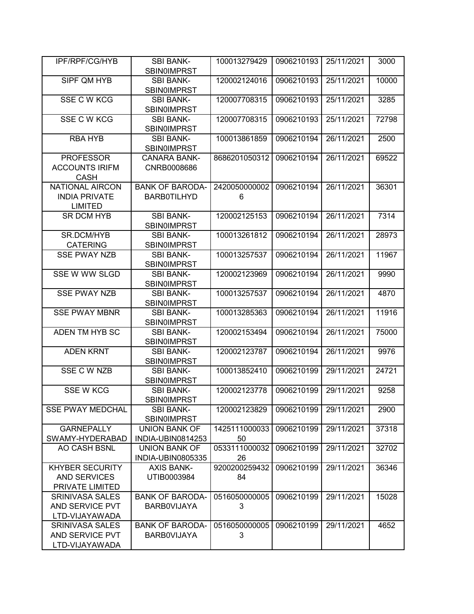| <b>IPF/RPF/CG/HYB</b>   | <b>SBI BANK-</b>                       | 100013279429  | 0906210193 | 25/11/2021 | 3000  |
|-------------------------|----------------------------------------|---------------|------------|------------|-------|
|                         | <b>SBIN0IMPRST</b>                     |               |            |            |       |
| SIPF QM HYB             | <b>SBI BANK-</b>                       | 120002124016  | 0906210193 | 25/11/2021 | 10000 |
|                         | <b>SBIN0IMPRST</b>                     |               |            |            |       |
| SSE C W KCG             | <b>SBI BANK-</b>                       | 120007708315  | 0906210193 | 25/11/2021 | 3285  |
|                         | <b>SBINOIMPRST</b>                     |               |            |            |       |
| SSE C W KCG             | <b>SBI BANK-</b>                       | 120007708315  | 0906210193 | 25/11/2021 | 72798 |
|                         | <b>SBIN0IMPRST</b>                     |               |            |            |       |
| <b>RBA HYB</b>          | <b>SBI BANK-</b>                       | 100013861859  | 0906210194 | 26/11/2021 | 2500  |
|                         | <b>SBIN0IMPRST</b>                     |               |            |            |       |
| <b>PROFESSOR</b>        | <b>CANARA BANK-</b>                    | 8686201050312 | 0906210194 | 26/11/2021 | 69522 |
| <b>ACCOUNTS IRIFM</b>   | CNRB0008686                            |               |            |            |       |
| <b>CASH</b>             |                                        |               |            |            |       |
| <b>NATIONAL AIRCON</b>  | <b>BANK OF BARODA-</b>                 | 2420050000002 | 0906210194 | 26/11/2021 | 36301 |
| <b>INDIA PRIVATE</b>    | <b>BARB0TILHYD</b>                     | 6             |            |            |       |
| <b>LIMITED</b>          |                                        |               |            |            |       |
| <b>SR DCM HYB</b>       | <b>SBI BANK-</b>                       | 120002125153  | 0906210194 | 26/11/2021 | 7314  |
|                         | <b>SBIN0IMPRST</b>                     |               |            |            |       |
| <b>SR.DCM/HYB</b>       | <b>SBI BANK-</b>                       | 100013261812  | 0906210194 | 26/11/2021 | 28973 |
| <b>CATERING</b>         | <b>SBINOIMPRST</b>                     |               |            |            |       |
| <b>SSE PWAY NZB</b>     | <b>SBI BANK-</b>                       | 100013257537  | 0906210194 | 26/11/2021 | 11967 |
|                         | <b>SBIN0IMPRST</b>                     |               |            |            |       |
| SSE W WW SLGD           | <b>SBI BANK-</b>                       | 120002123969  | 0906210194 | 26/11/2021 | 9990  |
|                         | <b>SBIN0IMPRST</b>                     |               |            |            |       |
| <b>SSE PWAY NZB</b>     | <b>SBI BANK-</b>                       | 100013257537  | 0906210194 | 26/11/2021 | 4870  |
| <b>SSE PWAY MBNR</b>    | <b>SBINOIMPRST</b><br><b>SBI BANK-</b> | 100013285363  | 0906210194 | 26/11/2021 | 11916 |
|                         |                                        |               |            |            |       |
| ADEN TM HYB SC          | <b>SBIN0IMPRST</b><br><b>SBI BANK-</b> | 120002153494  | 0906210194 | 26/11/2021 | 75000 |
|                         | <b>SBIN0IMPRST</b>                     |               |            |            |       |
| <b>ADEN KRNT</b>        | <b>SBI BANK-</b>                       | 120002123787  | 0906210194 | 26/11/2021 | 9976  |
|                         | <b>SBINOIMPRST</b>                     |               |            |            |       |
| SSE C W NZB             | <b>SBI BANK-</b>                       | 100013852410  | 0906210199 | 29/11/2021 | 24721 |
|                         | <b>SBIN0IMPRST</b>                     |               |            |            |       |
| <b>SSE W KCG</b>        | <b>SBI BANK-</b>                       | 120002123778  | 0906210199 | 29/11/2021 | 9258  |
|                         | <b>SBIN0IMPRST</b>                     |               |            |            |       |
| <b>SSE PWAY MEDCHAL</b> | <b>SBI BANK-</b>                       | 120002123829  | 0906210199 | 29/11/2021 | 2900  |
|                         | <b>SBIN0IMPRST</b>                     |               |            |            |       |
| <b>GARNEPALLY</b>       | <b>UNION BANK OF</b>                   | 1425111000033 | 0906210199 | 29/11/2021 | 37318 |
| SWAMY-HYDERABAD         | INDIA-UBIN0814253                      | 50            |            |            |       |
| AO CASH BSNL            | <b>UNION BANK OF</b>                   | 0533111000032 | 0906210199 | 29/11/2021 | 32702 |
|                         | INDIA-UBIN0805335                      | 26            |            |            |       |
| <b>KHYBER SECURITY</b>  | <b>AXIS BANK-</b>                      | 9200200259432 | 0906210199 | 29/11/2021 | 36346 |
| <b>AND SERVICES</b>     | UTIB0003984                            | 84            |            |            |       |
| PRIVATE LIMITED         |                                        |               |            |            |       |
| <b>SRINIVASA SALES</b>  | <b>BANK OF BARODA-</b>                 | 0516050000005 | 0906210199 | 29/11/2021 | 15028 |
| AND SERVICE PVT         | <b>BARBOVIJAYA</b>                     | 3             |            |            |       |
| LTD-VIJAYAWADA          |                                        |               |            |            |       |
| <b>SRINIVASA SALES</b>  | <b>BANK OF BARODA-</b>                 | 0516050000005 | 0906210199 | 29/11/2021 | 4652  |
| AND SERVICE PVT         | <b>BARBOVIJAYA</b>                     | 3             |            |            |       |
| LTD-VIJAYAWADA          |                                        |               |            |            |       |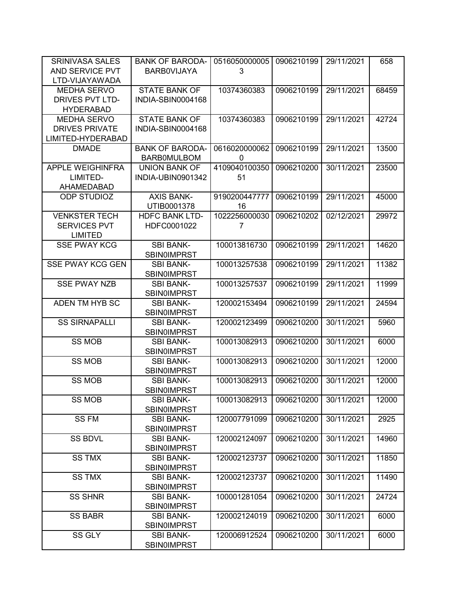| <b>SRINIVASA SALES</b>  | <b>BANK OF BARODA-</b>                 | 0516050000005 | 0906210199 | 29/11/2021 | 658   |
|-------------------------|----------------------------------------|---------------|------------|------------|-------|
| AND SERVICE PVT         | <b>BARBOVIJAYA</b>                     | 3             |            |            |       |
| LTD-VIJAYAWADA          |                                        |               |            |            |       |
| MEDHA SERVO             | <b>STATE BANK OF</b>                   | 10374360383   | 0906210199 | 29/11/2021 | 68459 |
| <b>DRIVES PVT LTD-</b>  | INDIA-SBIN0004168                      |               |            |            |       |
| <b>HYDERABAD</b>        |                                        |               |            |            |       |
| MEDHA SERVO             | <b>STATE BANK OF</b>                   | 10374360383   | 0906210199 | 29/11/2021 | 42724 |
| <b>DRIVES PRIVATE</b>   | INDIA-SBIN0004168                      |               |            |            |       |
| LIMITED-HYDERABAD       |                                        |               |            |            |       |
| <b>DMADE</b>            | <b>BANK OF BARODA-</b>                 | 0616020000062 | 0906210199 | 29/11/2021 | 13500 |
|                         | <b>BARBOMULBOM</b>                     | 0             |            |            |       |
| <b>APPLE WEIGHINFRA</b> | <b>UNION BANK OF</b>                   | 4109040100350 | 0906210200 | 30/11/2021 | 23500 |
| LIMITED-                | INDIA-UBIN0901342                      | 51            |            |            |       |
| AHAMEDABAD              |                                        |               |            |            |       |
| <b>ODP STUDIOZ</b>      | <b>AXIS BANK-</b>                      | 9190200447777 | 0906210199 | 29/11/2021 | 45000 |
|                         | UTIB0001378                            | 16            |            |            |       |
| <b>VENKSTER TECH</b>    | <b>HDFC BANK LTD-</b>                  | 1022256000030 | 0906210202 | 02/12/2021 | 29972 |
| <b>SERVICES PVT</b>     | HDFC0001022                            | 7             |            |            |       |
| <b>LIMITED</b>          |                                        |               |            |            |       |
| <b>SSE PWAY KCG</b>     | <b>SBI BANK-</b>                       | 100013816730  | 0906210199 | 29/11/2021 | 14620 |
|                         | <b>SBIN0IMPRST</b>                     |               |            |            |       |
| <b>SSE PWAY KCG GEN</b> | <b>SBI BANK-</b>                       | 100013257538  | 0906210199 | 29/11/2021 | 11382 |
|                         | <b>SBIN0IMPRST</b>                     |               |            |            |       |
| <b>SSE PWAY NZB</b>     | <b>SBI BANK-</b>                       | 100013257537  | 0906210199 | 29/11/2021 | 11999 |
|                         | <b>SBIN0IMPRST</b>                     |               |            |            |       |
| ADEN TM HYB SC          | <b>SBI BANK-</b><br><b>SBIN0IMPRST</b> | 120002153494  | 0906210199 | 29/11/2021 | 24594 |
| <b>SS SIRNAPALLI</b>    | <b>SBI BANK-</b>                       | 120002123499  | 0906210200 | 30/11/2021 | 5960  |
|                         | <b>SBIN0IMPRST</b>                     |               |            |            |       |
| <b>SS MOB</b>           | <b>SBI BANK-</b>                       | 100013082913  | 0906210200 | 30/11/2021 | 6000  |
|                         | <b>SBINOIMPRST</b>                     |               |            |            |       |
| <b>SS MOB</b>           | <b>SBI BANK-</b>                       | 100013082913  | 0906210200 | 30/11/2021 | 12000 |
|                         | <b>SBIN0IMPRST</b>                     |               |            |            |       |
| <b>SS MOB</b>           | <b>SBI BANK-</b>                       | 100013082913  | 0906210200 | 30/11/2021 | 12000 |
|                         | <b>SBIN0IMPRST</b>                     |               |            |            |       |
| SS MOB                  | <b>SBI BANK-</b>                       | 100013082913  | 0906210200 | 30/11/2021 | 12000 |
|                         | <b>SBINOIMPRST</b>                     |               |            |            |       |
| SS FM                   | <b>SBI BANK-</b>                       | 120007791099  | 0906210200 | 30/11/2021 | 2925  |
|                         | <b>SBIN0IMPRST</b>                     |               |            |            |       |
| <b>SS BDVL</b>          | <b>SBI BANK-</b>                       | 120002124097  | 0906210200 | 30/11/2021 | 14960 |
|                         | <b>SBIN0IMPRST</b>                     |               |            |            |       |
| <b>SS TMX</b>           | <b>SBI BANK-</b>                       | 120002123737  | 0906210200 | 30/11/2021 | 11850 |
|                         | <b>SBIN0IMPRST</b>                     |               |            |            |       |
| <b>SS TMX</b>           | <b>SBI BANK-</b>                       | 120002123737  | 0906210200 | 30/11/2021 | 11490 |
|                         | <b>SBIN0IMPRST</b>                     |               |            |            |       |
| <b>SS SHNR</b>          | <b>SBI BANK-</b>                       | 100001281054  | 0906210200 | 30/11/2021 | 24724 |
|                         | <b>SBIN0IMPRST</b>                     |               |            |            |       |
| <b>SS BABR</b>          | <b>SBI BANK-</b>                       | 120002124019  | 0906210200 | 30/11/2021 | 6000  |
|                         | <b>SBIN0IMPRST</b>                     |               |            |            |       |
| SS GLY                  | <b>SBI BANK-</b>                       | 120006912524  | 0906210200 | 30/11/2021 | 6000  |
|                         | <b>SBINOIMPRST</b>                     |               |            |            |       |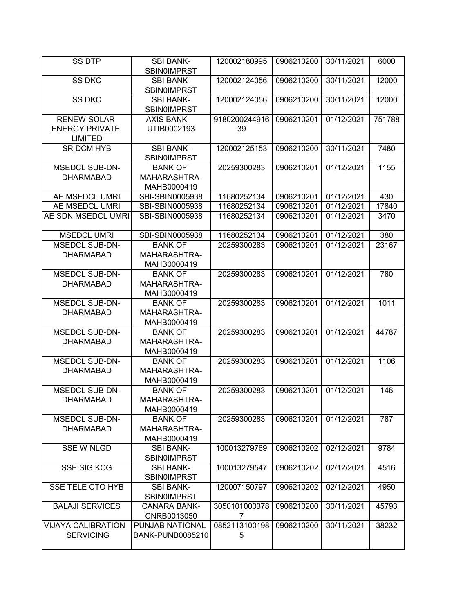| <b>SS DTP</b>             | <b>SBI BANK-</b>                       | 120002180995  | 0906210200 | 30/11/2021 | 6000   |
|---------------------------|----------------------------------------|---------------|------------|------------|--------|
|                           | <b>SBIN0IMPRST</b>                     |               |            |            |        |
| <b>SS DKC</b>             | <b>SBI BANK-</b><br><b>SBIN0IMPRST</b> | 120002124056  | 0906210200 | 30/11/2021 | 12000  |
| <b>SS DKC</b>             | <b>SBI BANK-</b><br><b>SBINOIMPRST</b> | 120002124056  | 0906210200 | 30/11/2021 | 12000  |
| <b>RENEW SOLAR</b>        | <b>AXIS BANK-</b>                      | 9180200244916 | 0906210201 | 01/12/2021 | 751788 |
| <b>ENERGY PRIVATE</b>     | UTIB0002193                            | 39            |            |            |        |
| <b>LIMITED</b>            |                                        |               |            |            |        |
| <b>SR DCM HYB</b>         | <b>SBI BANK-</b>                       | 120002125153  | 0906210200 | 30/11/2021 | 7480   |
|                           | <b>SBIN0IMPRST</b>                     |               |            |            |        |
| <b>MSEDCL SUB-DN-</b>     | <b>BANK OF</b>                         | 20259300283   | 0906210201 | 01/12/2021 | 1155   |
| <b>DHARMABAD</b>          | MAHARASHTRA-                           |               |            |            |        |
|                           | MAHB0000419                            |               |            |            |        |
| AE MSEDCL UMRI            | SBI-SBIN0005938                        | 11680252134   | 0906210201 | 01/12/2021 | 430    |
| AE MSEDCL UMRI            | SBI-SBIN0005938                        | 11680252134   | 0906210201 | 01/12/2021 | 17840  |
| AE SDN MSEDCL UMRI        | SBI-SBIN0005938                        | 11680252134   | 0906210201 | 01/12/2021 | 3470   |
|                           |                                        |               |            |            |        |
| <b>MSEDCL UMRI</b>        | SBI-SBIN0005938                        | 11680252134   | 0906210201 | 01/12/2021 | 380    |
| <b>MSEDCL SUB-DN-</b>     | <b>BANK OF</b>                         | 20259300283   | 0906210201 | 01/12/2021 | 23167  |
| <b>DHARMABAD</b>          | MAHARASHTRA-                           |               |            |            |        |
|                           | MAHB0000419                            |               |            |            |        |
| <b>MSEDCL SUB-DN-</b>     | <b>BANK OF</b>                         | 20259300283   | 0906210201 | 01/12/2021 | 780    |
| <b>DHARMABAD</b>          | MAHARASHTRA-                           |               |            |            |        |
|                           | MAHB0000419                            |               |            |            |        |
| <b>MSEDCL SUB-DN-</b>     | <b>BANK OF</b>                         | 20259300283   | 0906210201 | 01/12/2021 | 1011   |
| <b>DHARMABAD</b>          | MAHARASHTRA-                           |               |            |            |        |
|                           | MAHB0000419                            |               |            |            |        |
| <b>MSEDCL SUB-DN-</b>     | <b>BANK OF</b>                         | 20259300283   | 0906210201 | 01/12/2021 | 44787  |
| <b>DHARMABAD</b>          | MAHARASHTRA-                           |               |            |            |        |
|                           |                                        |               |            |            |        |
| <b>MSEDCL SUB-DN-</b>     | MAHB0000419<br><b>BANK OF</b>          | 20259300283   | 0906210201 | 01/12/2021 | 1106   |
| <b>DHARMABAD</b>          | MAHARASHTRA-                           |               |            |            |        |
|                           | MAHB0000419                            |               |            |            |        |
| <b>MSEDCL SUB-DN-</b>     | <b>BANK OF</b>                         | 20259300283   | 0906210201 | 01/12/2021 | 146    |
|                           |                                        |               |            |            |        |
| <b>DHARMABAD</b>          | MAHARASHTRA-<br>MAHB0000419            |               |            |            |        |
| <b>MSEDCL SUB-DN-</b>     |                                        |               | 0906210201 |            |        |
|                           | <b>BANK OF</b>                         | 20259300283   |            | 01/12/2021 | 787    |
| <b>DHARMABAD</b>          | MAHARASHTRA-                           |               |            |            |        |
| <b>SSE W NLGD</b>         | MAHB0000419<br><b>SBI BANK-</b>        |               |            |            |        |
|                           |                                        | 100013279769  | 0906210202 | 02/12/2021 | 9784   |
|                           | <b>SBIN0IMPRST</b>                     |               |            |            |        |
| <b>SSE SIG KCG</b>        | <b>SBI BANK-</b>                       | 100013279547  | 0906210202 | 02/12/2021 | 4516   |
|                           | <b>SBIN0IMPRST</b>                     |               |            |            |        |
| <b>SSE TELE CTO HYB</b>   | <b>SBI BANK-</b>                       | 120007150797  | 0906210202 | 02/12/2021 | 4950   |
|                           | <b>SBINOIMPRST</b>                     |               |            |            |        |
| <b>BALAJI SERVICES</b>    | <b>CANARA BANK-</b>                    | 3050101000378 | 0906210200 | 30/11/2021 | 45793  |
|                           | CNRB0013050                            | 7             |            |            |        |
| <b>VIJAYA CALIBRATION</b> | PUNJAB NATIONAL                        | 0852113100198 | 0906210200 | 30/11/2021 | 38232  |
| <b>SERVICING</b>          | <b>BANK-PUNB0085210</b>                | 5             |            |            |        |
|                           |                                        |               |            |            |        |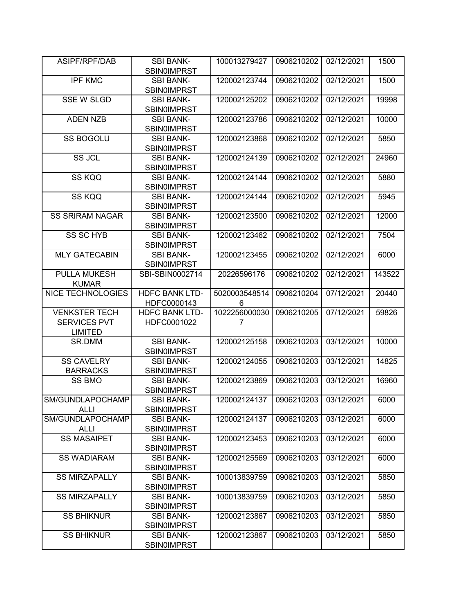| ASIPF/RPF/DAB                                                 | <b>SBI BANK-</b><br><b>SBIN0IMPRST</b> | 100013279427       | 0906210202 | 02/12/2021 | 1500   |
|---------------------------------------------------------------|----------------------------------------|--------------------|------------|------------|--------|
| <b>IPF KMC</b>                                                | <b>SBI BANK-</b><br><b>SBIN0IMPRST</b> | 120002123744       | 0906210202 | 02/12/2021 | 1500   |
| <b>SSE W SLGD</b>                                             | <b>SBI BANK-</b><br><b>SBIN0IMPRST</b> | 120002125202       | 0906210202 | 02/12/2021 | 19998  |
| <b>ADEN NZB</b>                                               | <b>SBI BANK-</b><br><b>SBIN0IMPRST</b> | 120002123786       | 0906210202 | 02/12/2021 | 10000  |
| <b>SS BOGOLU</b>                                              | <b>SBI BANK-</b><br><b>SBIN0IMPRST</b> | 120002123868       | 0906210202 | 02/12/2021 | 5850   |
| SS JCL                                                        | <b>SBI BANK-</b><br><b>SBIN0IMPRST</b> | 120002124139       | 0906210202 | 02/12/2021 | 24960  |
| SS KQQ                                                        | <b>SBI BANK-</b><br><b>SBIN0IMPRST</b> | 120002124144       | 0906210202 | 02/12/2021 | 5880   |
| SS KQQ                                                        | <b>SBI BANK-</b><br><b>SBIN0IMPRST</b> | 120002124144       | 0906210202 | 02/12/2021 | 5945   |
| <b>SS SRIRAM NAGAR</b>                                        | <b>SBI BANK-</b><br><b>SBIN0IMPRST</b> | 120002123500       | 0906210202 | 02/12/2021 | 12000  |
| <b>SS SC HYB</b>                                              | <b>SBI BANK-</b><br><b>SBIN0IMPRST</b> | 120002123462       | 0906210202 | 02/12/2021 | 7504   |
| <b>MLY GATECABIN</b>                                          | <b>SBI BANK-</b><br><b>SBIN0IMPRST</b> | 120002123455       | 0906210202 | 02/12/2021 | 6000   |
| PULLA MUKESH<br><b>KUMAR</b>                                  | SBI-SBIN0002714                        | 20226596176        | 0906210202 | 02/12/2021 | 143522 |
| <b>NICE TECHNOLOGIES</b>                                      | <b>HDFC BANK LTD-</b><br>HDFC0000143   | 5020003548514<br>6 | 0906210204 | 07/12/2021 | 20440  |
| <b>VENKSTER TECH</b><br><b>SERVICES PVT</b><br><b>LIMITED</b> | <b>HDFC BANK LTD-</b><br>HDFC0001022   | 1022256000030<br>7 | 0906210205 | 07/12/2021 | 59826  |
| SR.DMM                                                        | <b>SBI BANK-</b><br><b>SBIN0IMPRST</b> | 120002125158       | 0906210203 | 03/12/2021 | 10000  |
| <b>SS CAVELRY</b><br><b>BARRACKS</b>                          | <b>SBI BANK-</b><br><b>SBIN0IMPRST</b> | 120002124055       | 0906210203 | 03/12/2021 | 14825  |
| SS BMO                                                        | <b>SBI BANK-</b><br><b>SBIN0IMPRST</b> | 120002123869       | 0906210203 | 03/12/2021 | 16960  |
| SM/GUNDLAPOCHAMP<br><b>ALLI</b>                               | <b>SBI BANK-</b><br><b>SBIN0IMPRST</b> | 120002124137       | 0906210203 | 03/12/2021 | 6000   |
| SM/GUNDLAPOCHAMP<br><b>ALLI</b>                               | <b>SBI BANK-</b><br><b>SBIN0IMPRST</b> | 120002124137       | 0906210203 | 03/12/2021 | 6000   |
| <b>SS MASAIPET</b>                                            | <b>SBI BANK-</b><br><b>SBIN0IMPRST</b> | 120002123453       | 0906210203 | 03/12/2021 | 6000   |
| <b>SS WADIARAM</b>                                            | <b>SBI BANK-</b><br><b>SBIN0IMPRST</b> | 120002125569       | 0906210203 | 03/12/2021 | 6000   |
| <b>SS MIRZAPALLY</b>                                          | <b>SBI BANK-</b><br><b>SBIN0IMPRST</b> | 100013839759       | 0906210203 | 03/12/2021 | 5850   |
| <b>SS MIRZAPALLY</b>                                          | <b>SBI BANK-</b><br>SBIN0IMPRST        | 100013839759       | 0906210203 | 03/12/2021 | 5850   |
| <b>SS BHIKNUR</b>                                             | <b>SBI BANK-</b><br><b>SBIN0IMPRST</b> | 120002123867       | 0906210203 | 03/12/2021 | 5850   |
| <b>SS BHIKNUR</b>                                             | <b>SBI BANK-</b><br><b>SBIN0IMPRST</b> | 120002123867       | 0906210203 | 03/12/2021 | 5850   |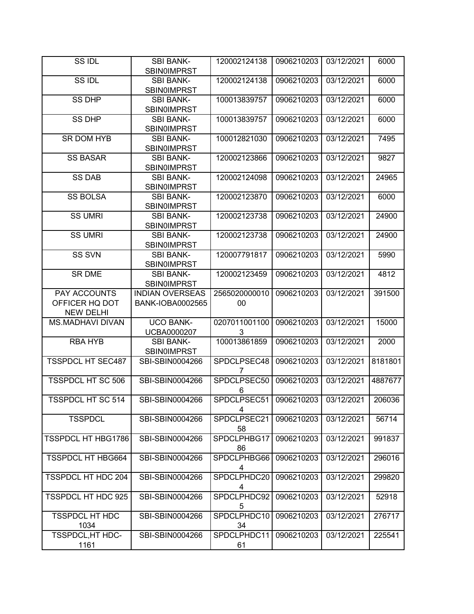| SS IDL                    | <b>SBI BANK-</b><br><b>SBIN0IMPRST</b> | 120002124138           | 0906210203 | 03/12/2021 | 6000    |
|---------------------------|----------------------------------------|------------------------|------------|------------|---------|
|                           |                                        |                        |            |            |         |
| SS IDL                    | <b>SBI BANK-</b><br><b>SBIN0IMPRST</b> | 120002124138           | 0906210203 | 03/12/2021 | 6000    |
| <b>SS DHP</b>             | <b>SBI BANK-</b>                       | 100013839757           | 0906210203 | 03/12/2021 | 6000    |
|                           | <b>SBIN0IMPRST</b>                     |                        |            |            |         |
| <b>SS DHP</b>             | <b>SBI BANK-</b><br><b>SBIN0IMPRST</b> | 100013839757           | 0906210203 | 03/12/2021 | 6000    |
| <b>SR DOM HYB</b>         | <b>SBI BANK-</b>                       | 100012821030           | 0906210203 | 03/12/2021 | 7495    |
|                           | <b>SBIN0IMPRST</b>                     |                        |            |            |         |
| <b>SS BASAR</b>           | <b>SBI BANK-</b>                       | 120002123866           | 0906210203 | 03/12/2021 | 9827    |
|                           | <b>SBIN0IMPRST</b>                     |                        |            |            |         |
|                           |                                        |                        |            |            |         |
| <b>SS DAB</b>             | <b>SBI BANK-</b>                       | 120002124098           | 0906210203 | 03/12/2021 | 24965   |
|                           | <b>SBIN0IMPRST</b>                     |                        |            |            |         |
| <b>SS BOLSA</b>           | <b>SBI BANK-</b>                       | 120002123870           | 0906210203 | 03/12/2021 | 6000    |
|                           | SBIN0IMPRST                            |                        |            |            |         |
| <b>SS UMRI</b>            | <b>SBI BANK-</b>                       | 120002123738           | 0906210203 | 03/12/2021 | 24900   |
|                           | <b>SBIN0IMPRST</b>                     |                        |            |            |         |
| <b>SS UMRI</b>            | <b>SBI BANK-</b>                       | 120002123738           | 0906210203 | 03/12/2021 | 24900   |
|                           | <b>SBIN0IMPRST</b>                     |                        |            |            |         |
|                           |                                        |                        |            |            |         |
| <b>SS SVN</b>             | <b>SBI BANK-</b>                       | 120007791817           | 0906210203 | 03/12/2021 | 5990    |
|                           | <b>SBIN0IMPRST</b>                     |                        |            |            |         |
| SR DME                    | <b>SBI BANK-</b>                       | 120002123459           | 0906210203 | 03/12/2021 | 4812    |
|                           | <b>SBIN0IMPRST</b>                     |                        |            |            |         |
| PAY ACCOUNTS              | <b>INDIAN OVERSEAS</b>                 | 2565020000010          | 0906210203 | 03/12/2021 | 391500  |
| OFFICER HQ DOT            | <b>BANK-IOBA0002565</b>                | 00                     |            |            |         |
| <b>NEW DELHI</b>          |                                        |                        |            |            |         |
|                           | <b>UCO BANK-</b>                       | 0207011001100          | 0906210203 | 03/12/2021 |         |
| <b>MS.MADHAVI DIVAN</b>   |                                        |                        |            |            | 15000   |
|                           | UCBA0000207                            | 3                      |            |            |         |
| <b>RBA HYB</b>            | <b>SBI BANK-</b>                       | 100013861859           | 0906210203 | 03/12/2021 | 2000    |
|                           | <b>SBIN0IMPRST</b>                     |                        |            |            |         |
| <b>TSSPDCL HT SEC487</b>  | SBI-SBIN0004266                        | SPDCLPSEC48            | 0906210203 | 03/12/2021 | 8181801 |
|                           |                                        | 7                      |            |            |         |
| <b>TSSPDCL HT SC 506</b>  | SBI-SBIN0004266                        | SPDCLPSEC50            | 0906210203 | 03/12/2021 | 4887677 |
|                           |                                        | 6                      |            |            |         |
| <b>TSSPDCL HT SC 514</b>  | SBI-SBIN0004266                        | SPDCLPSEC51 0906210203 |            | 03/12/2021 | 206036  |
|                           |                                        |                        |            |            |         |
|                           |                                        | 4                      |            |            |         |
| <b>TSSPDCL</b>            | SBI-SBIN0004266                        | SPDCLPSEC21            | 0906210203 | 03/12/2021 | 56714   |
|                           |                                        | 58                     |            |            |         |
| TSSPDCL HT HBG1786        | SBI-SBIN0004266                        | SPDCLPHBG17            | 0906210203 | 03/12/2021 | 991837  |
|                           |                                        | 86                     |            |            |         |
| <b>TSSPDCL HT HBG664</b>  | SBI-SBIN0004266                        | SPDCLPHBG66            | 0906210203 | 03/12/2021 | 296016  |
|                           |                                        | 4                      |            |            |         |
| <b>TSSPDCL HT HDC 204</b> | SBI-SBIN0004266                        | SPDCLPHDC20            | 0906210203 | 03/12/2021 | 299820  |
|                           |                                        |                        |            |            |         |
|                           |                                        | 4                      |            |            |         |
| <b>TSSPDCL HT HDC 925</b> | SBI-SBIN0004266                        | SPDCLPHDC92            | 0906210203 | 03/12/2021 | 52918   |
|                           |                                        | 5                      |            |            |         |
| <b>TSSPDCL HT HDC</b>     | SBI-SBIN0004266                        | SPDCLPHDC10            | 0906210203 | 03/12/2021 | 276717  |
| 1034                      |                                        | 34                     |            |            |         |
| TSSPDCL, HT HDC-          | SBI-SBIN0004266                        | SPDCLPHDC11            | 0906210203 | 03/12/2021 | 225541  |
| 1161                      |                                        | 61                     |            |            |         |
|                           |                                        |                        |            |            |         |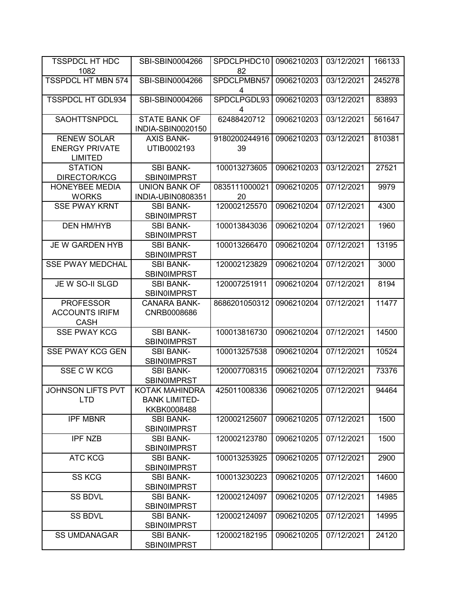| <b>TSSPDCL HT HDC</b>                                         | SBI-SBIN0004266                                              | SPDCLPHDC10         | 0906210203 | 03/12/2021 | 166133 |
|---------------------------------------------------------------|--------------------------------------------------------------|---------------------|------------|------------|--------|
| 1082                                                          |                                                              | 82                  |            |            |        |
| <b>TSSPDCL HT MBN 574</b>                                     | SBI-SBIN0004266                                              | SPDCLPMBN57<br>4    | 0906210203 | 03/12/2021 | 245278 |
| <b>TSSPDCL HT GDL934</b>                                      | SBI-SBIN0004266                                              | SPDCLPGDL93<br>4    | 0906210203 | 03/12/2021 | 83893  |
| SAOHTTSNPDCL                                                  | <b>STATE BANK OF</b><br>INDIA-SBIN0020150                    | 62488420712         | 0906210203 | 03/12/2021 | 561647 |
| <b>RENEW SOLAR</b><br><b>ENERGY PRIVATE</b><br><b>LIMITED</b> | <b>AXIS BANK-</b><br>UTIB0002193                             | 9180200244916<br>39 | 0906210203 | 03/12/2021 | 810381 |
| <b>STATION</b><br><b>DIRECTOR/KCG</b>                         | <b>SBI BANK-</b><br><b>SBIN0IMPRST</b>                       | 100013273605        | 0906210203 | 03/12/2021 | 27521  |
| HONEYBEE MEDIA<br><b>WORKS</b>                                | <b>UNION BANK OF</b><br>INDIA-UBIN0808351                    | 0835111000021<br>20 | 0906210205 | 07/12/2021 | 9979   |
| <b>SSE PWAY KRNT</b>                                          | <b>SBI BANK-</b><br><b>SBIN0IMPRST</b>                       | 120002125570        | 0906210204 | 07/12/2021 | 4300   |
| <b>DEN HM/HYB</b>                                             | <b>SBI BANK-</b><br><b>SBINOIMPRST</b>                       | 100013843036        | 0906210204 | 07/12/2021 | 1960   |
| JE W GARDEN HYB                                               | <b>SBI BANK-</b><br><b>SBIN0IMPRST</b>                       | 100013266470        | 0906210204 | 07/12/2021 | 13195  |
| <b>SSE PWAY MEDCHAL</b>                                       | <b>SBI BANK-</b><br><b>SBIN0IMPRST</b>                       | 120002123829        | 0906210204 | 07/12/2021 | 3000   |
| JE W SO-II SLGD                                               | <b>SBI BANK-</b><br><b>SBIN0IMPRST</b>                       | 120007251911        | 0906210204 | 07/12/2021 | 8194   |
| <b>PROFESSOR</b><br><b>ACCOUNTS IRIFM</b><br><b>CASH</b>      | <b>CANARA BANK-</b><br>CNRB0008686                           | 8686201050312       | 0906210204 | 07/12/2021 | 11477  |
| <b>SSE PWAY KCG</b>                                           | <b>SBI BANK-</b><br><b>SBIN0IMPRST</b>                       | 100013816730        | 0906210204 | 07/12/2021 | 14500  |
| <b>SSE PWAY KCG GEN</b>                                       | <b>SBI BANK-</b><br><b>SBINOIMPRST</b>                       | 100013257538        | 0906210204 | 07/12/2021 | 10524  |
| SSE C W KCG                                                   | <b>SBI BANK-</b><br><b>SBINOIMPRST</b>                       | 120007708315        | 0906210204 | 07/12/2021 | 73376  |
| <b>JOHNSON LIFTS PVT</b><br><b>LTD</b>                        | <b>KOTAK MAHINDRA</b><br><b>BANK LIMITED-</b><br>KKBK0008488 | 425011008336        | 0906210205 | 07/12/2021 | 94464  |
| <b>IPF MBNR</b>                                               | <b>SBI BANK-</b><br><b>SBIN0IMPRST</b>                       | 120002125607        | 0906210205 | 07/12/2021 | 1500   |
| <b>IPF NZB</b>                                                | <b>SBI BANK-</b><br><b>SBINOIMPRST</b>                       | 120002123780        | 0906210205 | 07/12/2021 | 1500   |
| <b>ATC KCG</b>                                                | <b>SBI BANK-</b><br><b>SBINOIMPRST</b>                       | 100013253925        | 0906210205 | 07/12/2021 | 2900   |
| <b>SS KCG</b>                                                 | <b>SBI BANK-</b><br><b>SBIN0IMPRST</b>                       | 100013230223        | 0906210205 | 07/12/2021 | 14600  |
| <b>SS BDVL</b>                                                | <b>SBI BANK-</b><br><b>SBIN0IMPRST</b>                       | 120002124097        | 0906210205 | 07/12/2021 | 14985  |
| <b>SS BDVL</b>                                                | <b>SBI BANK-</b><br><b>SBIN0IMPRST</b>                       | 120002124097        | 0906210205 | 07/12/2021 | 14995  |
| <b>SS UMDANAGAR</b>                                           | <b>SBI BANK-</b><br><b>SBINOIMPRST</b>                       | 120002182195        | 0906210205 | 07/12/2021 | 24120  |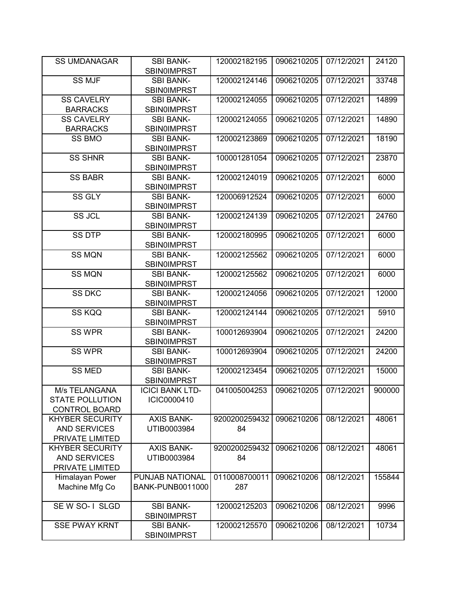| <b>SS UMDANAGAR</b>    | <b>SBI BANK-</b><br><b>SBIN0IMPRST</b> | 120002182195  | 0906210205 | 07/12/2021 | 24120  |
|------------------------|----------------------------------------|---------------|------------|------------|--------|
| <b>SS MJF</b>          | <b>SBI BANK-</b>                       | 120002124146  | 0906210205 | 07/12/2021 | 33748  |
|                        | <b>SBIN0IMPRST</b>                     |               |            |            |        |
| <b>SS CAVELRY</b>      | <b>SBI BANK-</b>                       | 120002124055  | 0906210205 | 07/12/2021 | 14899  |
| <b>BARRACKS</b>        | <b>SBIN0IMPRST</b>                     |               |            |            |        |
| <b>SS CAVELRY</b>      | <b>SBI BANK-</b>                       | 120002124055  | 0906210205 | 07/12/2021 | 14890  |
| <b>BARRACKS</b>        | <b>SBIN0IMPRST</b>                     |               |            |            |        |
| SS BMO                 | <b>SBI BANK-</b>                       | 120002123869  | 0906210205 | 07/12/2021 | 18190  |
| <b>SS SHNR</b>         | SBIN0IMPRST<br><b>SBI BANK-</b>        | 100001281054  | 0906210205 | 07/12/2021 | 23870  |
|                        | <b>SBIN0IMPRST</b>                     |               |            |            |        |
| <b>SS BABR</b>         | <b>SBI BANK-</b>                       | 120002124019  | 0906210205 | 07/12/2021 | 6000   |
|                        | <b>SBIN0IMPRST</b>                     |               |            |            |        |
| SS GLY                 | <b>SBI BANK-</b>                       | 120006912524  | 0906210205 | 07/12/2021 | 6000   |
|                        | <b>SBIN0IMPRST</b>                     |               |            |            |        |
| <b>SS JCL</b>          | <b>SBI BANK-</b>                       | 120002124139  | 0906210205 | 07/12/2021 | 24760  |
|                        | <b>SBIN0IMPRST</b>                     |               |            |            |        |
| <b>SS DTP</b>          | <b>SBI BANK-</b>                       | 120002180995  | 0906210205 | 07/12/2021 | 6000   |
|                        | <b>SBIN0IMPRST</b>                     |               |            |            |        |
| <b>SS MQN</b>          | <b>SBI BANK-</b>                       | 120002125562  | 0906210205 | 07/12/2021 | 6000   |
|                        | <b>SBIN0IMPRST</b>                     |               |            |            |        |
| <b>SS MQN</b>          | <b>SBI BANK-</b>                       | 120002125562  | 0906210205 | 07/12/2021 | 6000   |
|                        | <b>SBIN0IMPRST</b>                     |               |            |            |        |
| <b>SS DKC</b>          | <b>SBI BANK-</b>                       | 120002124056  | 0906210205 | 07/12/2021 | 12000  |
|                        | <b>SBIN0IMPRST</b>                     |               |            |            |        |
| SS KQQ                 | <b>SBI BANK-</b>                       | 120002124144  | 0906210205 | 07/12/2021 | 5910   |
|                        | <b>SBIN0IMPRST</b>                     |               |            |            |        |
| <b>SS WPR</b>          | <b>SBI BANK-</b>                       | 100012693904  | 0906210205 | 07/12/2021 | 24200  |
|                        | <b>SBIN0IMPRST</b>                     |               |            |            |        |
| <b>SS WPR</b>          | <b>SBI BANK-</b>                       | 100012693904  | 0906210205 | 07/12/2021 | 24200  |
|                        | <b>SBIN0IMPRST</b>                     |               |            |            |        |
| <b>SS MED</b>          | <b>SBI BANK-</b>                       | 120002123454  | 0906210205 | 07/12/2021 | 15000  |
|                        | <b>SBIN0IMPRST</b>                     |               |            |            |        |
| M/s TELANGANA          | <b>ICICI BANK LTD-</b>                 | 041005004253  | 0906210205 | 07/12/2021 | 900000 |
| <b>STATE POLLUTION</b> | ICIC0000410                            |               |            |            |        |
| <b>CONTROL BOARD</b>   |                                        |               |            |            |        |
| <b>KHYBER SECURITY</b> | <b>AXIS BANK-</b>                      | 9200200259432 | 0906210206 | 08/12/2021 | 48061  |
| <b>AND SERVICES</b>    | UTIB0003984                            | 84            |            |            |        |
| PRIVATE LIMITED        |                                        |               |            |            |        |
| <b>KHYBER SECURITY</b> | <b>AXIS BANK-</b>                      | 9200200259432 | 0906210206 | 08/12/2021 | 48061  |
| <b>AND SERVICES</b>    | UTIB0003984                            | 84            |            |            |        |
| PRIVATE LIMITED        |                                        |               |            |            |        |
| Himalayan Power        | PUNJAB NATIONAL                        | 0110008700011 | 0906210206 | 08/12/2021 | 155844 |
| Machine Mfg Co         | <b>BANK-PUNB0011000</b>                | 287           |            |            |        |
| SE W SO-1 SLGD         | <b>SBI BANK-</b>                       | 120002125203  | 0906210206 | 08/12/2021 | 9996   |
|                        | <b>SBIN0IMPRST</b>                     |               |            |            |        |
| <b>SSE PWAY KRNT</b>   | <b>SBI BANK-</b>                       | 120002125570  | 0906210206 | 08/12/2021 | 10734  |
|                        | <b>SBIN0IMPRST</b>                     |               |            |            |        |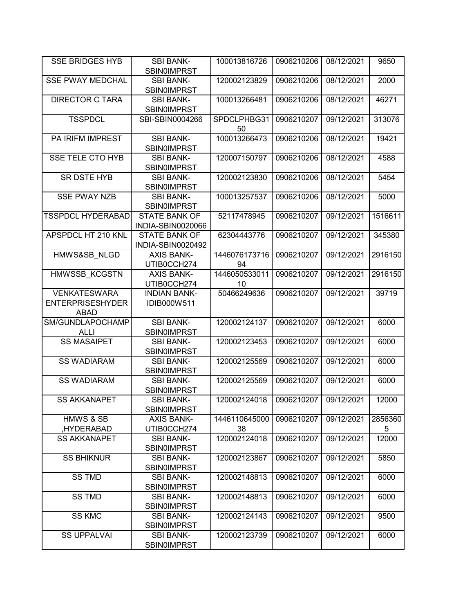| <b>SSE BRIDGES HYB</b>   | <b>SBI BANK-</b><br><b>SBIN0IMPRST</b> | 100013816726      | 0906210206 | 08/12/2021 | 9650       |
|--------------------------|----------------------------------------|-------------------|------------|------------|------------|
|                          | <b>SBI BANK-</b>                       |                   |            |            |            |
| <b>SSE PWAY MEDCHAL</b>  | SBIN0IMPRST                            | 120002123829      | 0906210206 | 08/12/2021 | 2000       |
| <b>DIRECTOR C TARA</b>   | <b>SBI BANK-</b>                       | 100013266481      | 0906210206 | 08/12/2021 | 46271      |
|                          | <b>SBIN0IMPRST</b>                     |                   |            |            |            |
| <b>TSSPDCL</b>           | SBI-SBIN0004266                        | SPDCLPHBG31<br>50 | 0906210207 | 09/12/2021 | 313076     |
| PA IRIFM IMPREST         | <b>SBI BANK-</b>                       | 100013266473      | 0906210206 | 08/12/2021 | 19421      |
|                          | <b>SBINOIMPRST</b>                     |                   |            |            |            |
| <b>SSE TELE CTO HYB</b>  | <b>SBI BANK-</b>                       | 120007150797      | 0906210206 | 08/12/2021 | 4588       |
|                          | SBIN0IMPRST                            |                   |            |            |            |
| <b>SR DSTE HYB</b>       | <b>SBI BANK-</b>                       | 120002123830      | 0906210206 | 08/12/2021 | 5454       |
|                          | SBIN0IMPRST                            |                   |            |            |            |
| <b>SSE PWAY NZB</b>      | <b>SBI BANK-</b>                       | 100013257537      | 0906210206 | 08/12/2021 | 5000       |
|                          | SBIN0IMPRST                            |                   |            |            |            |
| <b>TSSPDCL HYDERABAD</b> | <b>STATE BANK OF</b>                   | 52117478945       | 0906210207 | 09/12/2021 | 1516611    |
|                          | INDIA-SBIN0020066                      |                   |            |            |            |
| APSPDCL HT 210 KNL       | <b>STATE BANK OF</b>                   | 62304443776       | 0906210207 | 09/12/2021 | 345380     |
|                          | INDIA-SBIN0020492                      |                   |            |            |            |
| HMWS&SB NLGD             | <b>AXIS BANK-</b>                      | 1446076173716     | 0906210207 | 09/12/2021 | 2916150    |
|                          | UTIB0CCH274                            | 94                |            |            |            |
|                          | <b>AXIS BANK-</b>                      | 1446050533011     |            |            |            |
| HMWSSB_KCGSTN            |                                        |                   | 0906210207 | 09/12/2021 | 2916150    |
|                          | UTIB0CCH274                            | 10                |            |            |            |
| <b>VENKATESWARA</b>      | <b>INDIAN BANK-</b>                    | 50466249636       | 0906210207 | 09/12/2021 | 39719      |
| <b>ENTERPRISESHYDER</b>  | IDIB000W511                            |                   |            |            |            |
| ABAD                     |                                        |                   |            |            |            |
| SM/GUNDLAPOCHAMP         | <b>SBI BANK-</b>                       | 120002124137      | 0906210207 | 09/12/2021 | 6000       |
| ALLI                     | SBIN0IMPRST                            |                   |            |            |            |
| <b>SS MASAIPET</b>       | <b>SBI BANK-</b>                       | 120002123453      | 0906210207 | 09/12/2021 | 6000       |
|                          | SBIN0IMPRST                            |                   |            |            |            |
| <b>SS WADIARAM</b>       | <b>SBI BANK-</b>                       | 120002125569      | 0906210207 | 09/12/2021 | 6000       |
|                          | <b>SBIN0IMPRST</b>                     |                   |            |            |            |
| <b>SS WADIARAM</b>       | <b>SBI BANK-</b>                       | 120002125569      | 0906210207 | 09/12/2021 | 6000       |
|                          | <b>SBIN0IMPRST</b>                     |                   |            |            |            |
| <b>SS AKKANAPET</b>      | <b>SBI BANK-</b><br><b>SBIN0IMPRST</b> | 120002124018      | 0906210207 | 09/12/2021 | 12000      |
| <b>HMWS &amp; SB</b>     | <b>AXIS BANK-</b>                      | 1446110645000     | 0906210207 | 09/12/2021 | 2856360    |
| HYDERABAD,               | UTIB0CCH274                            | 38                |            |            |            |
| <b>SS AKKANAPET</b>      | <b>SBI BANK-</b>                       | 120002124018      | 0906210207 | 09/12/2021 | 5<br>12000 |
|                          | <b>SBIN0IMPRST</b>                     |                   |            |            |            |
| <b>SS BHIKNUR</b>        |                                        | 120002123867      | 0906210207 | 09/12/2021 | 5850       |
|                          | <b>SBI BANK-</b>                       |                   |            |            |            |
| <b>SS TMD</b>            | <b>SBIN0IMPRST</b>                     | 120002148813      | 0906210207 |            |            |
|                          | <b>SBI BANK-</b>                       |                   |            | 09/12/2021 | 6000       |
|                          | <b>SBINOIMPRST</b>                     |                   |            |            |            |
| <b>SS TMD</b>            | <b>SBI BANK-</b>                       | 120002148813      | 0906210207 | 09/12/2021 | 6000       |
|                          | <b>SBIN0IMPRST</b>                     |                   |            |            |            |
| <b>SS KMC</b>            | <b>SBI BANK-</b>                       | 120002124143      | 0906210207 | 09/12/2021 | 9500       |
|                          | <b>SBIN0IMPRST</b>                     |                   |            |            |            |
| <b>SS UPPALVAI</b>       | <b>SBI BANK-</b>                       | 120002123739      | 0906210207 | 09/12/2021 | 6000       |
|                          | <b>SBIN0IMPRST</b>                     |                   |            |            |            |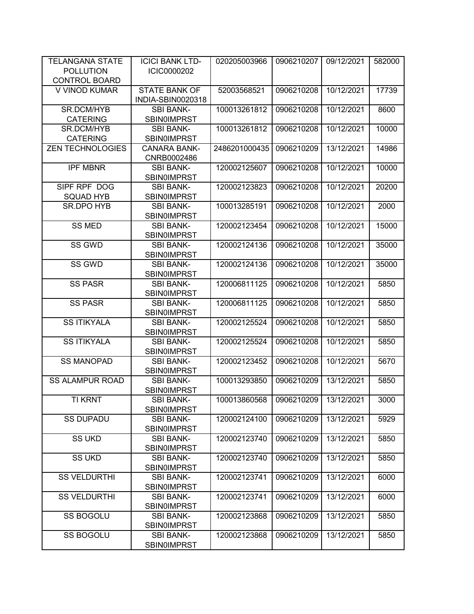| <b>TELANGANA STATE</b>  | <b>ICICI BANK LTD-</b>                           | 020205003966  | 0906210207 | 09/12/2021 | 582000 |
|-------------------------|--------------------------------------------------|---------------|------------|------------|--------|
| <b>POLLUTION</b>        | ICIC0000202                                      |               |            |            |        |
| <b>CONTROL BOARD</b>    |                                                  |               |            |            |        |
| V VINOD KUMAR           | <b>STATE BANK OF</b><br><b>INDIA-SBIN0020318</b> | 52003568521   | 0906210208 | 10/12/2021 | 17739  |
| SR.DCM/HYB              | <b>SBI BANK-</b>                                 | 100013261812  | 0906210208 | 10/12/2021 | 8600   |
| <b>CATERING</b>         | <b>SBIN0IMPRST</b>                               |               |            |            |        |
| SR.DCM/HYB              | <b>SBI BANK-</b>                                 | 100013261812  | 0906210208 | 10/12/2021 | 10000  |
| <b>CATERING</b>         | <b>SBIN0IMPRST</b>                               |               |            |            |        |
| <b>ZEN TECHNOLOGIES</b> | <b>CANARA BANK-</b>                              | 2486201000435 | 0906210209 | 13/12/2021 | 14986  |
|                         | CNRB0002486                                      |               |            |            |        |
| <b>IPF MBNR</b>         | <b>SBI BANK-</b>                                 | 120002125607  | 0906210208 | 10/12/2021 | 10000  |
|                         | <b>SBIN0IMPRST</b>                               |               |            |            |        |
| SIPF RPF DOG            | <b>SBI BANK-</b>                                 | 120002123823  | 0906210208 | 10/12/2021 | 20200  |
| <b>SQUAD HYB</b>        | <b>SBIN0IMPRST</b>                               |               |            |            |        |
| SR.DPO HYB              | <b>SBI BANK-</b>                                 | 100013285191  | 0906210208 | 10/12/2021 | 2000   |
|                         | <b>SBIN0IMPRST</b>                               |               |            |            |        |
| <b>SS MED</b>           | <b>SBI BANK-</b>                                 | 120002123454  | 0906210208 | 10/12/2021 | 15000  |
|                         | <b>SBIN0IMPRST</b>                               |               |            |            |        |
| SS GWD                  | <b>SBI BANK-</b>                                 | 120002124136  | 0906210208 | 10/12/2021 | 35000  |
|                         | SBIN0IMPRST                                      |               |            |            |        |
| SS GWD                  | <b>SBI BANK-</b>                                 | 120002124136  | 0906210208 | 10/12/2021 | 35000  |
|                         | <b>SBIN0IMPRST</b>                               |               |            |            |        |
| <b>SS PASR</b>          | <b>SBI BANK-</b>                                 | 120006811125  | 0906210208 | 10/12/2021 | 5850   |
|                         | <b>SBIN0IMPRST</b>                               |               |            |            |        |
| <b>SS PASR</b>          | <b>SBI BANK-</b>                                 | 120006811125  | 0906210208 | 10/12/2021 | 5850   |
|                         | <b>SBIN0IMPRST</b>                               |               |            |            |        |
| <b>SS ITIKYALA</b>      | <b>SBI BANK-</b>                                 | 120002125524  | 0906210208 | 10/12/2021 | 5850   |
|                         | <b>SBIN0IMPRST</b>                               |               |            |            |        |
| <b>SS ITIKYALA</b>      | <b>SBI BANK-</b>                                 | 120002125524  | 0906210208 | 10/12/2021 | 5850   |
|                         | <b>SBIN0IMPRST</b>                               |               |            |            |        |
| <b>SS MANOPAD</b>       | <b>SBI BANK-</b>                                 | 120002123452  | 0906210208 | 10/12/2021 | 5670   |
|                         | SBIN0IMPRST                                      |               |            |            |        |
| <b>SS ALAMPUR ROAD</b>  | <b>SBI BANK-</b>                                 | 100013293850  | 0906210209 | 13/12/2021 | 5850   |
|                         | <b>SBIN0IMPRST</b>                               |               |            |            |        |
| <b>TI KRNT</b>          | SBI BANK-                                        | 100013860568  | 0906210209 | 13/12/2021 | 3000   |
|                         | SBIN0IMPRST                                      |               |            |            |        |
| <b>SS DUPADU</b>        | <b>SBI BANK-</b><br><b>SBIN0IMPRST</b>           | 120002124100  | 0906210209 | 13/12/2021 | 5929   |
| <b>SS UKD</b>           | <b>SBI BANK-</b>                                 | 120002123740  | 0906210209 | 13/12/2021 | 5850   |
|                         | <b>SBIN0IMPRST</b>                               |               |            |            |        |
| <b>SS UKD</b>           | <b>SBI BANK-</b>                                 | 120002123740  | 0906210209 | 13/12/2021 | 5850   |
|                         | <b>SBIN0IMPRST</b>                               |               |            |            |        |
| <b>SS VELDURTHI</b>     | <b>SBI BANK-</b>                                 | 120002123741  | 0906210209 | 13/12/2021 | 6000   |
|                         | <b>SBINOIMPRST</b>                               |               |            |            |        |
| <b>SS VELDURTHI</b>     | <b>SBI BANK-</b>                                 | 120002123741  | 0906210209 | 13/12/2021 | 6000   |
|                         | <b>SBIN0IMPRST</b>                               |               |            |            |        |
| SS BOGOLU               | <b>SBI BANK-</b>                                 | 120002123868  | 0906210209 | 13/12/2021 | 5850   |
|                         | <b>SBIN0IMPRST</b>                               |               |            |            |        |
| SS BOGOLU               | <b>SBI BANK-</b>                                 | 120002123868  | 0906210209 | 13/12/2021 | 5850   |
|                         | <b>SBIN0IMPRST</b>                               |               |            |            |        |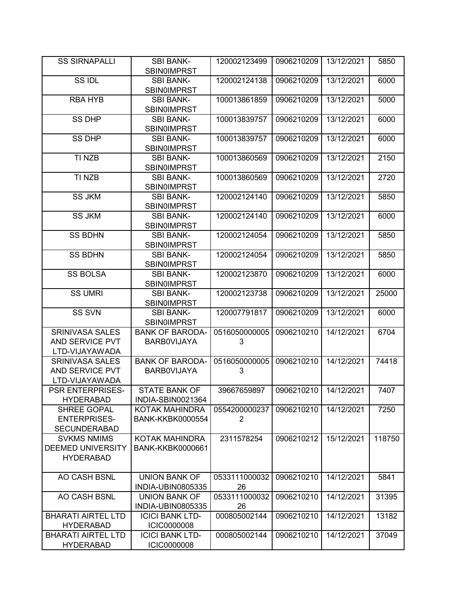| <b>SS SIRNAPALLI</b>                           | <b>SBI BANK-</b>                       | 120002123499       | 0906210209 | 13/12/2021 | 5850   |
|------------------------------------------------|----------------------------------------|--------------------|------------|------------|--------|
|                                                | <b>SBIN0IMPRST</b>                     |                    |            |            |        |
| SS IDL                                         | <b>SBI BANK-</b><br><b>SBIN0IMPRST</b> | 120002124138       | 0906210209 | 13/12/2021 | 6000   |
| <b>RBA HYB</b>                                 | <b>SBI BANK-</b>                       | 100013861859       | 0906210209 | 13/12/2021 | 5000   |
|                                                | <b>SBIN0IMPRST</b>                     |                    |            |            |        |
| <b>SS DHP</b>                                  | <b>SBI BANK-</b>                       | 100013839757       | 0906210209 | 13/12/2021 | 6000   |
|                                                | <b>SBIN0IMPRST</b>                     |                    |            |            |        |
| <b>SS DHP</b>                                  |                                        | 100013839757       | 0906210209 | 13/12/2021 |        |
|                                                | <b>SBI BANK-</b>                       |                    |            |            | 6000   |
|                                                | SBIN0IMPRST                            |                    |            |            |        |
| TI NZB                                         | <b>SBI BANK-</b>                       | 100013860569       | 0906210209 | 13/12/2021 | 2150   |
|                                                | <b>SBIN0IMPRST</b>                     |                    |            |            |        |
| TI NZB                                         | <b>SBI BANK-</b>                       | 100013860569       | 0906210209 | 13/12/2021 | 2720   |
|                                                | <b>SBIN0IMPRST</b>                     |                    |            |            |        |
| <b>SS JKM</b>                                  | <b>SBI BANK-</b>                       | 120002124140       | 0906210209 | 13/12/2021 | 5850   |
|                                                | <b>SBIN0IMPRST</b>                     |                    |            |            |        |
| <b>SS JKM</b>                                  | <b>SBI BANK-</b>                       | 120002124140       | 0906210209 | 13/12/2021 | 6000   |
|                                                | <b>SBIN0IMPRST</b>                     |                    |            |            |        |
| <b>SS BDHN</b>                                 | <b>SBI BANK-</b>                       | 120002124054       | 0906210209 | 13/12/2021 | 5850   |
|                                                | <b>SBIN0IMPRST</b>                     |                    |            |            |        |
| <b>SS BDHN</b>                                 | <b>SBI BANK-</b>                       | 120002124054       | 0906210209 | 13/12/2021 | 5850   |
|                                                | <b>SBIN0IMPRST</b>                     |                    |            |            |        |
| <b>SS BOLSA</b>                                | <b>SBI BANK-</b>                       | 120002123870       | 0906210209 | 13/12/2021 | 6000   |
|                                                | <b>SBIN0IMPRST</b>                     |                    |            |            |        |
| <b>SS UMRI</b>                                 | <b>SBI BANK-</b>                       | 120002123738       | 0906210209 | 13/12/2021 | 25000  |
|                                                | <b>SBIN0IMPRST</b>                     |                    |            |            |        |
| <b>SS SVN</b>                                  | <b>SBI BANK-</b>                       | 120007791817       | 0906210209 | 13/12/2021 | 6000   |
|                                                | <b>SBIN0IMPRST</b>                     |                    |            |            |        |
| <b>SRINIVASA SALES</b>                         | <b>BANK OF BARODA-</b>                 | 0516050000005      | 0906210210 | 14/12/2021 | 6704   |
| AND SERVICE PVT                                | <b>BARBOVIJAYA</b>                     | 3                  |            |            |        |
| LTD-VIJAYAWADA                                 |                                        |                    |            |            |        |
| <b>SRINIVASA SALES</b>                         | <b>BANK OF BARODA-</b>                 | 0516050000005      | 0906210210 | 14/12/2021 | 74418  |
| AND SERVICE PVT                                | <b>BARBOVIJAYA</b>                     | 3                  |            |            |        |
| LTD-VIJAYAWADA                                 |                                        |                    |            |            |        |
| <b>PSR ENTERPRISES-</b>                        | <b>STATE BANK OF</b>                   | 39667659897        | 0906210210 | 14/12/2021 | 7407   |
| <b>HYDERABAD</b>                               | INDIA-SBIN0021364                      |                    |            |            |        |
| SHREE GOPAL                                    | KOTAK MAHINDRA                         | 0554200000237      | 0906210210 | 14/12/2021 | 7250   |
| <b>ENTERPRISES-</b>                            |                                        |                    |            |            |        |
|                                                | <b>BANK-KKBK0000554</b>                | 2                  |            |            |        |
| <b>SECUNDERABAD</b>                            |                                        |                    |            |            |        |
| <b>SVKMS NMIMS</b><br><b>DEEMED UNIVERSITY</b> | KOTAK MAHINDRA                         | 2311578254         | 0906210212 | 15/12/2021 | 118750 |
|                                                | <b>BANK-KKBK0000661</b>                |                    |            |            |        |
| <b>HYDERABAD</b>                               |                                        |                    |            |            |        |
| AO CASH BSNL                                   | <b>UNION BANK OF</b>                   |                    |            |            |        |
|                                                |                                        | 0533111000032      | 0906210210 | 14/12/2021 | 5841   |
|                                                | INDIA-UBIN0805335                      | 26                 |            |            |        |
| AO CASH BSNL                                   | <b>UNION BANK OF</b>                   | 0533111000032      | 0906210210 | 14/12/2021 | 31395  |
| <b>BHARATI AIRTEL LTD</b>                      | INDIA-UBIN0805335                      | 26<br>000805002144 |            |            |        |
|                                                | <b>ICICI BANK LTD-</b>                 |                    | 0906210210 | 14/12/2021 | 13182  |
| <b>HYDERABAD</b>                               | <b>ICIC0000008</b>                     |                    |            |            |        |
| <b>BHARATI AIRTEL LTD</b>                      | <b>ICICI BANK LTD-</b>                 | 000805002144       | 0906210210 | 14/12/2021 | 37049  |
| <b>HYDERABAD</b>                               | <b>ICIC0000008</b>                     |                    |            |            |        |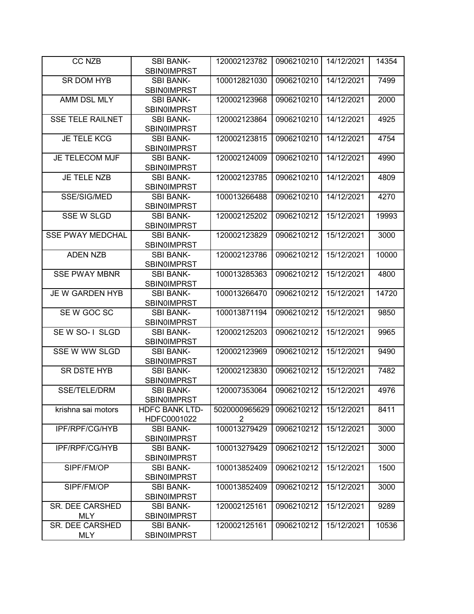| <b>CC NZB</b>                 | <b>SBI BANK-</b>                       | 120002123782  | 0906210210 | 14/12/2021 | 14354 |
|-------------------------------|----------------------------------------|---------------|------------|------------|-------|
|                               | <b>SBIN0IMPRST</b>                     |               |            |            |       |
| <b>SR DOM HYB</b>             | <b>SBI BANK-</b>                       | 100012821030  | 0906210210 | 14/12/2021 | 7499  |
|                               | <b>SBIN0IMPRST</b>                     |               |            |            |       |
| AMM DSL MLY                   | <b>SBI BANK-</b>                       | 120002123968  | 0906210210 | 14/12/2021 | 2000  |
|                               | <b>SBINOIMPRST</b>                     |               |            |            |       |
| <b>SSE TELE RAILNET</b>       | <b>SBI BANK-</b>                       | 120002123864  | 0906210210 | 14/12/2021 | 4925  |
|                               | <b>SBINOIMPRST</b>                     |               |            |            |       |
| <b>JE TELE KCG</b>            | <b>SBI BANK-</b>                       | 120002123815  | 0906210210 | 14/12/2021 | 4754  |
|                               | <b>SBINOIMPRST</b>                     |               |            |            |       |
| <b>JE TELECOM MJF</b>         | <b>SBI BANK-</b>                       | 120002124009  | 0906210210 | 14/12/2021 | 4990  |
|                               | <b>SBIN0IMPRST</b>                     |               |            |            |       |
| <b>JE TELE NZB</b>            | <b>SBI BANK-</b>                       | 120002123785  | 0906210210 | 14/12/2021 | 4809  |
|                               | <b>SBIN0IMPRST</b>                     |               |            |            |       |
| SSE/SIG/MED                   | <b>SBI BANK-</b>                       | 100013266488  | 0906210210 | 14/12/2021 | 4270  |
|                               | <b>SBIN0IMPRST</b>                     |               |            |            |       |
| <b>SSE W SLGD</b>             | <b>SBI BANK-</b>                       | 120002125202  | 0906210212 | 15/12/2021 | 19993 |
| <b>SSE PWAY MEDCHAL</b>       | <b>SBIN0IMPRST</b><br><b>SBI BANK-</b> |               | 0906210212 | 15/12/2021 |       |
|                               | <b>SBINOIMPRST</b>                     | 120002123829  |            |            | 3000  |
| <b>ADEN NZB</b>               | <b>SBI BANK-</b>                       | 120002123786  | 0906210212 | 15/12/2021 | 10000 |
|                               | <b>SBINOIMPRST</b>                     |               |            |            |       |
| <b>SSE PWAY MBNR</b>          | <b>SBI BANK-</b>                       | 100013285363  | 0906210212 | 15/12/2021 | 4800  |
|                               | <b>SBIN0IMPRST</b>                     |               |            |            |       |
| JE W GARDEN HYB               | <b>SBI BANK-</b>                       | 100013266470  | 0906210212 | 15/12/2021 | 14720 |
|                               | <b>SBINOIMPRST</b>                     |               |            |            |       |
| SE W GOC SC                   | <b>SBI BANK-</b>                       | 100013871194  | 0906210212 | 15/12/2021 | 9850  |
|                               | <b>SBIN0IMPRST</b>                     |               |            |            |       |
| SE W SO-1 SLGD                | <b>SBI BANK-</b>                       | 120002125203  | 0906210212 | 15/12/2021 | 9965  |
|                               | <b>SBIN0IMPRST</b>                     |               |            |            |       |
| SSE W WW SLGD                 | <b>SBI BANK-</b>                       | 120002123969  | 0906210212 | 15/12/2021 | 9490  |
|                               | <b>SBINOIMPRST</b>                     |               |            |            |       |
| SR DSTE HYB                   | <b>SBI BANK-</b>                       | 120002123830  | 0906210212 | 15/12/2021 | 7482  |
|                               | <b>SBIN0IMPRST</b>                     |               |            |            |       |
| SSE/TELE/DRM                  | <b>SBI BANK-</b>                       | 120007353064  | 0906210212 | 15/12/2021 | 4976  |
|                               | <b>SBIN0IMPRST</b>                     |               |            |            |       |
| krishna sai motors            | <b>HDFC BANK LTD-</b>                  | 5020000965629 | 0906210212 | 15/12/2021 | 8411  |
|                               | HDFC0001022                            | 2             |            |            |       |
| IPF/RPF/CG/HYB                | <b>SBI BANK-</b>                       | 100013279429  | 0906210212 | 15/12/2021 | 3000  |
|                               | <b>SBIN0IMPRST</b>                     |               |            |            |       |
| IPF/RPF/CG/HYB                | <b>SBI BANK-</b>                       | 100013279429  | 0906210212 | 15/12/2021 | 3000  |
|                               | <b>SBIN0IMPRST</b>                     |               |            |            |       |
| SIPF/FM/OP                    | <b>SBI BANK-</b>                       | 100013852409  | 0906210212 | 15/12/2021 | 1500  |
|                               | <b>SBIN0IMPRST</b>                     |               |            |            |       |
| SIPF/FM/OP                    | <b>SBI BANK-</b>                       | 100013852409  | 0906210212 | 15/12/2021 | 3000  |
|                               | <b>SBIN0IMPRST</b>                     |               |            |            |       |
| SR. DEE CARSHED               | <b>SBI BANK-</b>                       | 120002125161  | 0906210212 | 15/12/2021 | 9289  |
| <b>MLY</b><br>SR. DEE CARSHED | <b>SBIN0IMPRST</b><br><b>SBI BANK-</b> | 120002125161  | 0906210212 | 15/12/2021 | 10536 |
| <b>MLY</b>                    | <b>SBIN0IMPRST</b>                     |               |            |            |       |
|                               |                                        |               |            |            |       |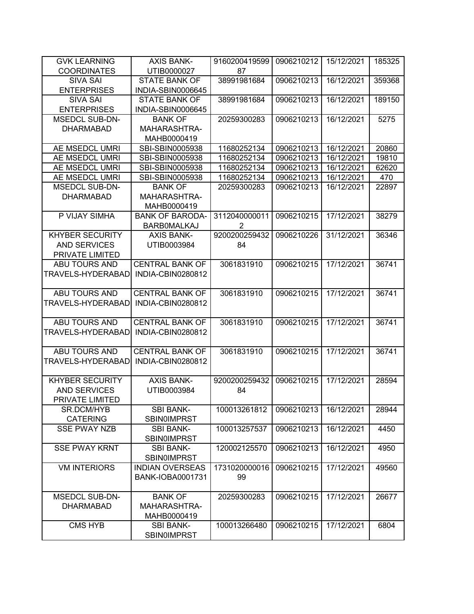| <b>GVK LEARNING</b>      | <b>AXIS BANK-</b>                      | 9160200419599  | 0906210212 | 15/12/2021 | 185325 |
|--------------------------|----------------------------------------|----------------|------------|------------|--------|
| <b>COORDINATES</b>       | UTIB0000027                            | 87             |            |            |        |
| <b>SIVA SAI</b>          | <b>STATE BANK OF</b>                   | 38991981684    | 0906210213 | 16/12/2021 | 359368 |
| <b>ENTERPRISES</b>       | INDIA-SBIN0006645                      |                |            |            |        |
| <b>SIVA SAI</b>          | <b>STATE BANK OF</b>                   | 38991981684    | 0906210213 | 16/12/2021 | 189150 |
| <b>ENTERPRISES</b>       | INDIA-SBIN0006645                      |                |            |            |        |
| <b>MSEDCL SUB-DN-</b>    | <b>BANK OF</b>                         | 20259300283    | 0906210213 | 16/12/2021 | 5275   |
| <b>DHARMABAD</b>         | MAHARASHTRA-                           |                |            |            |        |
|                          | MAHB0000419                            |                |            |            |        |
| AE MSEDCL UMRI           | SBI-SBIN0005938                        | 11680252134    | 0906210213 | 16/12/2021 | 20860  |
| AE MSEDCL UMRI           | SBI-SBIN0005938                        | 11680252134    | 0906210213 | 16/12/2021 | 19810  |
| AE MSEDCL UMRI           | SBI-SBIN0005938                        | 11680252134    | 0906210213 | 16/12/2021 | 62620  |
| AE MSEDCL UMRI           | SBI-SBIN0005938                        | 11680252134    | 0906210213 | 16/12/2021 | 470    |
| <b>MSEDCL SUB-DN-</b>    | <b>BANK OF</b>                         | 20259300283    | 0906210213 | 16/12/2021 | 22897  |
| <b>DHARMABAD</b>         | MAHARASHTRA-                           |                |            |            |        |
|                          | MAHB0000419                            |                |            |            |        |
| P VIJAY SIMHA            | <b>BANK OF BARODA-</b>                 | 3112040000011  | 0906210215 | 17/12/2021 | 38279  |
|                          | <b>BARBOMALKAJ</b>                     | $\overline{2}$ |            |            |        |
| <b>KHYBER SECURITY</b>   | <b>AXIS BANK-</b>                      | 9200200259432  | 0906210226 | 31/12/2021 | 36346  |
| <b>AND SERVICES</b>      | UTIB0003984                            | 84             |            |            |        |
| PRIVATE LIMITED          |                                        |                |            |            |        |
| <b>ABU TOURS AND</b>     | <b>CENTRAL BANK OF</b>                 | 3061831910     | 0906210215 | 17/12/2021 | 36741  |
| TRAVELS-HYDERABAD        | INDIA-CBIN0280812                      |                |            |            |        |
|                          |                                        |                |            |            |        |
| ABU TOURS AND            | <b>CENTRAL BANK OF</b>                 | 3061831910     | 0906210215 | 17/12/2021 | 36741  |
| TRAVELS-HYDERABAD        | INDIA-CBIN0280812                      |                |            |            |        |
|                          |                                        |                |            |            |        |
| ABU TOURS AND            | <b>CENTRAL BANK OF</b>                 | 3061831910     | 0906210215 | 17/12/2021 | 36741  |
| TRAVELS-HYDERABAD        | INDIA-CBIN0280812                      |                |            |            |        |
|                          |                                        |                |            |            |        |
| ABU TOURS AND            | <b>CENTRAL BANK OF</b>                 | 3061831910     | 0906210215 | 17/12/2021 | 36741  |
| <b>TRAVELS-HYDERABAD</b> | INDIA-CBIN0280812                      |                |            |            |        |
|                          |                                        |                |            |            |        |
| <b>KHYBER SECURITY</b>   | <b>AXIS BANK-</b>                      | 9200200259432  | 0906210215 | 17/12/2021 | 28594  |
| <b>AND SERVICES</b>      | UTIB0003984                            | 84             |            |            |        |
| PRIVATE LIMITED          |                                        |                |            |            |        |
| SR.DCM/HYB               | <b>SBI BANK-</b>                       | 100013261812   | 0906210213 | 16/12/2021 | 28944  |
| <b>CATERING</b>          | SBIN0IMPRST                            |                |            |            |        |
| <b>SSE PWAY NZB</b>      | <b>SBI BANK-</b>                       | 100013257537   | 0906210213 | 16/12/2021 | 4450   |
|                          | <b>SBIN0IMPRST</b>                     |                |            |            |        |
| <b>SSE PWAY KRNT</b>     | <b>SBI BANK-</b>                       | 120002125570   | 0906210213 | 16/12/2021 | 4950   |
|                          | <b>SBIN0IMPRST</b>                     |                |            |            |        |
| <b>VM INTERIORS</b>      | <b>INDIAN OVERSEAS</b>                 | 1731020000016  | 0906210215 | 17/12/2021 | 49560  |
|                          | <b>BANK-IOBA0001731</b>                | 99             |            |            |        |
|                          |                                        |                |            |            |        |
| <b>MSEDCL SUB-DN-</b>    | <b>BANK OF</b>                         | 20259300283    | 0906210215 | 17/12/2021 | 26677  |
| <b>DHARMABAD</b>         | MAHARASHTRA-                           |                |            |            |        |
|                          | MAHB0000419                            |                |            |            |        |
| <b>CMS HYB</b>           | <b>SBI BANK-</b><br><b>SBINOIMPRST</b> | 100013266480   | 0906210215 | 17/12/2021 | 6804   |
|                          |                                        |                |            |            |        |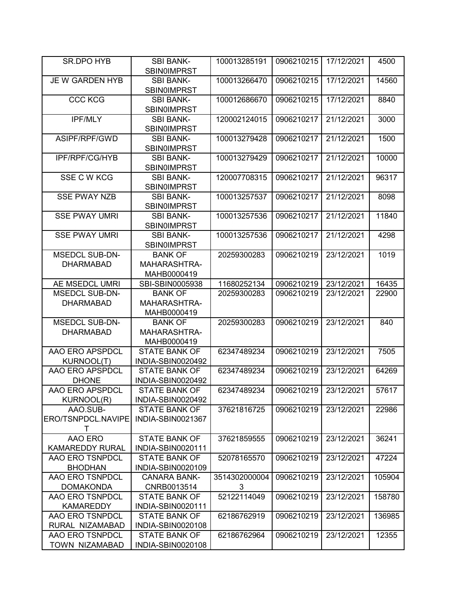| SR.DPO HYB            | <b>SBI BANK-</b><br><b>SBIN0IMPRST</b> | 100013285191  | 0906210215 | 17/12/2021 | 4500   |
|-----------------------|----------------------------------------|---------------|------------|------------|--------|
|                       |                                        |               |            |            |        |
| JE W GARDEN HYB       | <b>SBI BANK-</b><br><b>SBIN0IMPRST</b> | 100013266470  | 0906210215 | 17/12/2021 | 14560  |
| <b>CCC KCG</b>        | <b>SBI BANK-</b>                       | 100012686670  | 0906210215 | 17/12/2021 | 8840   |
|                       | <b>SBIN0IMPRST</b>                     |               |            |            |        |
| IPF/MLY               | <b>SBI BANK-</b>                       | 120002124015  | 0906210217 | 21/12/2021 | 3000   |
|                       | <b>SBIN0IMPRST</b>                     |               |            |            |        |
| ASIPF/RPF/GWD         | <b>SBI BANK-</b>                       | 100013279428  | 0906210217 | 21/12/2021 | 1500   |
|                       |                                        |               |            |            |        |
|                       | <b>SBIN0IMPRST</b>                     |               |            |            |        |
| IPF/RPF/CG/HYB        | <b>SBI BANK-</b>                       | 100013279429  | 0906210217 | 21/12/2021 | 10000  |
|                       | SBIN0IMPRST                            |               |            |            |        |
| SSE C W KCG           | <b>SBI BANK-</b>                       | 120007708315  | 0906210217 | 21/12/2021 | 96317  |
|                       | <b>SBIN0IMPRST</b>                     |               |            |            |        |
| <b>SSE PWAY NZB</b>   | <b>SBI BANK-</b>                       | 100013257537  | 0906210217 | 21/12/2021 | 8098   |
|                       | <b>SBIN0IMPRST</b>                     |               |            |            |        |
| <b>SSE PWAY UMRI</b>  | <b>SBI BANK-</b>                       | 100013257536  | 0906210217 | 21/12/2021 | 11840  |
|                       | <b>SBIN0IMPRST</b>                     |               |            |            |        |
| <b>SSE PWAY UMRI</b>  | <b>SBI BANK-</b>                       | 100013257536  | 0906210217 | 21/12/2021 | 4298   |
|                       | <b>SBINOIMPRST</b>                     |               |            |            |        |
| <b>MSEDCL SUB-DN-</b> | <b>BANK OF</b>                         | 20259300283   | 0906210219 | 23/12/2021 | 1019   |
| <b>DHARMABAD</b>      | MAHARASHTRA-                           |               |            |            |        |
|                       | MAHB0000419                            |               |            |            |        |
| AE MSEDCL UMRI        | SBI-SBIN0005938                        | 11680252134   | 0906210219 | 23/12/2021 | 16435  |
| <b>MSEDCL SUB-DN-</b> | <b>BANK OF</b>                         | 20259300283   | 0906210219 | 23/12/2021 | 22900  |
| <b>DHARMABAD</b>      | MAHARASHTRA-                           |               |            |            |        |
|                       | MAHB0000419                            |               |            |            |        |
| <b>MSEDCL SUB-DN-</b> | <b>BANK OF</b>                         | 20259300283   | 0906210219 | 23/12/2021 |        |
|                       |                                        |               |            |            | 840    |
| <b>DHARMABAD</b>      | MAHARASHTRA-                           |               |            |            |        |
|                       | MAHB0000419                            |               |            |            |        |
| AAO ERO APSPDCL       | <b>STATE BANK OF</b>                   | 62347489234   | 0906210219 | 23/12/2021 | 7505   |
| KURNOOL(T)            | INDIA-SBIN0020492                      |               |            |            |        |
| AAO ERO APSPDCL       | <b>STATE BANK OF</b>                   | 62347489234   | 0906210219 | 23/12/2021 | 64269  |
| <b>DHONE</b>          | INDIA-SBIN0020492                      |               |            |            |        |
| AAO ERO APSPDCL       | <b>STATE BANK OF</b>                   | 62347489234   | 0906210219 | 23/12/2021 | 57617  |
| <b>KURNOOL(R)</b>     | INDIA-SBIN0020492                      |               |            |            |        |
| AAO.SUB-              | <b>STATE BANK OF</b>                   | 37621816725   | 0906210219 | 23/12/2021 | 22986  |
| ERO/TSNPDCL.NAVIPE    | INDIA-SBIN0021367                      |               |            |            |        |
| т                     |                                        |               |            |            |        |
| AAO ERO               | <b>STATE BANK OF</b>                   | 37621859555   | 0906210219 | 23/12/2021 | 36241  |
| KAMAREDDY RURAL       | INDIA-SBIN0020111                      |               |            |            |        |
| AAO ERO TSNPDCL       | <b>STATE BANK OF</b>                   | 52078165570   | 0906210219 | 23/12/2021 | 47224  |
| <b>BHODHAN</b>        | INDIA-SBIN0020109                      |               |            |            |        |
| AAO ERO TSNPDCL       | <b>CANARA BANK-</b>                    | 3514302000004 | 0906210219 | 23/12/2021 | 105904 |
| <b>DOMAKONDA</b>      | CNRB0013514                            | 3             |            |            |        |
| AAO ERO TSNPDCL       | <b>STATE BANK OF</b>                   | 52122114049   | 0906210219 | 23/12/2021 | 158780 |
| <b>KAMAREDDY</b>      |                                        |               |            |            |        |
|                       | INDIA-SBIN0020111                      |               |            |            |        |
| AAO ERO TSNPDCL       | STATE BANK OF                          | 62186762919   | 0906210219 | 23/12/2021 | 136985 |
| RURAL NIZAMABAD       | INDIA-SBIN0020108                      |               |            |            |        |
| AAO ERO TSNPDCL       | <b>STATE BANK OF</b>                   | 62186762964   | 0906210219 | 23/12/2021 | 12355  |
| TOWN NIZAMABAD        | INDIA-SBIN0020108                      |               |            |            |        |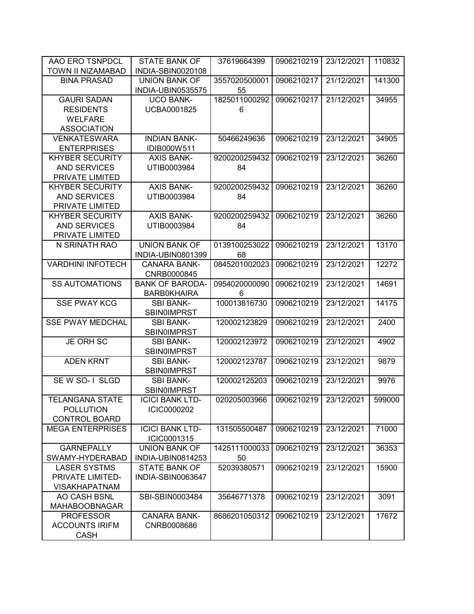| AAO ERO TSNPDCL          | <b>STATE BANK OF</b>                   | 37619664399   | 0906210219 | 23/12/2021 | 110832 |
|--------------------------|----------------------------------------|---------------|------------|------------|--------|
| TOWN II NIZAMABAD        | INDIA-SBIN0020108                      |               |            |            |        |
| <b>BINA PRASAD</b>       | <b>UNION BANK OF</b>                   | 3557020500001 | 0906210217 | 21/12/2021 | 141300 |
|                          | INDIA-UBIN0535575                      | 55            |            |            |        |
| <b>GAURI SADAN</b>       | <b>UCO BANK-</b>                       | 1825011000292 | 0906210217 | 21/12/2021 | 34955  |
| <b>RESIDENTS</b>         | <b>UCBA0001825</b>                     | 6             |            |            |        |
| <b>WELFARE</b>           |                                        |               |            |            |        |
| <b>ASSOCIATION</b>       |                                        |               |            |            |        |
| <b>VENKATESWARA</b>      | <b>INDIAN BANK-</b>                    | 50466249636   | 0906210219 | 23/12/2021 | 34905  |
| <b>ENTERPRISES</b>       | IDIB000W511                            |               |            |            |        |
| <b>KHYBER SECURITY</b>   | <b>AXIS BANK-</b>                      | 9200200259432 | 0906210219 | 23/12/2021 | 36260  |
| <b>AND SERVICES</b>      | UTIB0003984                            | 84            |            |            |        |
| PRIVATE LIMITED          |                                        |               |            |            |        |
| <b>KHYBER SECURITY</b>   | <b>AXIS BANK-</b>                      | 9200200259432 | 0906210219 | 23/12/2021 | 36260  |
| <b>AND SERVICES</b>      | UTIB0003984                            | 84            |            |            |        |
| PRIVATE LIMITED          |                                        |               |            |            |        |
| <b>KHYBER SECURITY</b>   | <b>AXIS BANK-</b>                      | 9200200259432 | 0906210219 | 23/12/2021 | 36260  |
| <b>AND SERVICES</b>      | UTIB0003984                            | 84            |            |            |        |
| PRIVATE LIMITED          |                                        |               |            |            |        |
| N SRINATH RAO            | <b>UNION BANK OF</b>                   | 0139100253022 | 0906210219 | 23/12/2021 | 13170  |
|                          | <b>INDIA-UBIN0801399</b>               | 68            |            |            |        |
| <b>VARDHINI INFOTECH</b> | <b>CANARA BANK-</b>                    | 0845201002023 | 0906210219 | 23/12/2021 | 12272  |
|                          | CNRB0000845                            |               |            |            |        |
| <b>SS AUTOMATIONS</b>    | <b>BANK OF BARODA-</b>                 | 0954020000090 | 0906210219 | 23/12/2021 | 14691  |
|                          | <b>BARBOKHAIRA</b>                     | 6             |            |            |        |
| <b>SSE PWAY KCG</b>      | <b>SBI BANK-</b>                       | 100013816730  | 0906210219 | 23/12/2021 | 14175  |
|                          | <b>SBINOIMPRST</b>                     |               |            |            |        |
| <b>SSE PWAY MEDCHAL</b>  | <b>SBI BANK-</b>                       | 120002123829  | 0906210219 | 23/12/2021 | 2400   |
|                          | <b>SBIN0IMPRST</b>                     |               |            |            |        |
| <b>JE ORH SC</b>         | <b>SBI BANK-</b>                       | 120002123972  | 0906210219 | 23/12/2021 | 4902   |
| <b>ADEN KRNT</b>         | <b>SBINOIMPRST</b><br><b>SBI BANK-</b> | 120002123787  | 0906210219 | 23/12/2021 |        |
|                          | SBIN0IMPRST                            |               |            |            | 9879   |
| SE W SO-1 SLGD           | <b>SBI BANK-</b>                       | 120002125203  | 0906210219 | 23/12/2021 | 9976   |
|                          | <b>SBIN0IMPRST</b>                     |               |            |            |        |
| <b>TELANGANA STATE</b>   | <b>ICICI BANK LTD-</b>                 | 020205003966  | 0906210219 | 23/12/2021 | 599000 |
| <b>POLLUTION</b>         | ICIC0000202                            |               |            |            |        |
| <b>CONTROL BOARD</b>     |                                        |               |            |            |        |
| <b>MEGA ENTERPRISES</b>  | <b>ICICI BANK LTD-</b>                 | 131505500487  | 0906210219 | 23/12/2021 | 71000  |
|                          | ICIC0001315                            |               |            |            |        |
| <b>GARNEPALLY</b>        | <b>UNION BANK OF</b>                   | 1425111000033 | 0906210219 | 23/12/2021 | 36353  |
| SWAMY-HYDERABAD          | INDIA-UBIN0814253                      | 50            |            |            |        |
| <b>LASER SYSTMS</b>      | <b>STATE BANK OF</b>                   | 52039380571   | 0906210219 | 23/12/2021 | 15900  |
| PRIVATE LIMITED-         | INDIA-SBIN0063647                      |               |            |            |        |
| <b>VISAKHAPATNAM</b>     |                                        |               |            |            |        |
| AO CASH BSNL             | SBI-SBIN0003484                        | 35646771378   | 0906210219 | 23/12/2021 | 3091   |
| <b>MAHABOOBNAGAR</b>     |                                        |               |            |            |        |
| <b>PROFESSOR</b>         | <b>CANARA BANK-</b>                    | 8686201050312 | 0906210219 | 23/12/2021 | 17672  |
| <b>ACCOUNTS IRIFM</b>    | CNRB0008686                            |               |            |            |        |
| <b>CASH</b>              |                                        |               |            |            |        |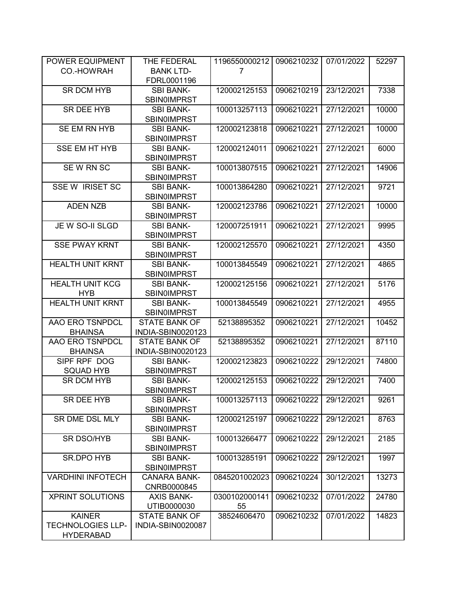| POWER EQUIPMENT          | THE FEDERAL          | 1196550000212 | 0906210232 | 07/01/2022 | 52297 |
|--------------------------|----------------------|---------------|------------|------------|-------|
| CO.-HOWRAH               | <b>BANK LTD-</b>     | 7             |            |            |       |
|                          | FDRL0001196          |               |            |            |       |
| <b>SR DCM HYB</b>        | <b>SBI BANK-</b>     | 120002125153  | 0906210219 | 23/12/2021 | 7338  |
|                          | <b>SBIN0IMPRST</b>   |               |            |            |       |
| <b>SR DEE HYB</b>        | <b>SBI BANK-</b>     | 100013257113  | 0906210221 | 27/12/2021 | 10000 |
|                          | <b>SBIN0IMPRST</b>   |               |            |            |       |
| SE EM RN HYB             | <b>SBI BANK-</b>     | 120002123818  | 0906210221 | 27/12/2021 | 10000 |
|                          | <b>SBIN0IMPRST</b>   |               |            |            |       |
| <b>SSE EM HT HYB</b>     | <b>SBI BANK-</b>     | 120002124011  | 0906210221 | 27/12/2021 | 6000  |
|                          | <b>SBIN0IMPRST</b>   |               |            |            |       |
| SEW RN SC                | <b>SBI BANK-</b>     | 100013807515  | 0906210221 | 27/12/2021 | 14906 |
|                          | <b>SBIN0IMPRST</b>   |               |            |            |       |
| <b>SSE W IRISET SC</b>   | <b>SBI BANK-</b>     | 100013864280  | 0906210221 | 27/12/2021 | 9721  |
|                          | <b>SBIN0IMPRST</b>   |               |            |            |       |
| <b>ADEN NZB</b>          | <b>SBI BANK-</b>     | 120002123786  | 0906210221 | 27/12/2021 | 10000 |
|                          | <b>SBIN0IMPRST</b>   |               |            |            |       |
| JE W SO-II SLGD          | <b>SBI BANK-</b>     | 120007251911  | 0906210221 | 27/12/2021 | 9995  |
|                          | <b>SBINOIMPRST</b>   |               |            |            |       |
| <b>SSE PWAY KRNT</b>     | <b>SBI BANK-</b>     | 120002125570  | 0906210221 | 27/12/2021 | 4350  |
|                          | <b>SBIN0IMPRST</b>   |               |            |            |       |
| <b>HEALTH UNIT KRNT</b>  | <b>SBI BANK-</b>     | 100013845549  | 0906210221 | 27/12/2021 | 4865  |
|                          | <b>SBIN0IMPRST</b>   |               |            |            |       |
| <b>HEALTH UNIT KCG</b>   | <b>SBI BANK-</b>     | 120002125156  | 0906210221 | 27/12/2021 | 5176  |
| <b>HYB</b>               | <b>SBINOIMPRST</b>   |               |            |            |       |
| <b>HEALTH UNIT KRNT</b>  | <b>SBI BANK-</b>     | 100013845549  | 0906210221 | 27/12/2021 | 4955  |
|                          | <b>SBIN0IMPRST</b>   |               |            |            |       |
| AAO ERO TSNPDCL          | <b>STATE BANK OF</b> | 52138895352   | 0906210221 | 27/12/2021 | 10452 |
| <b>BHAINSA</b>           | INDIA-SBIN0020123    |               |            |            |       |
| AAO ERO TSNPDCL          | <b>STATE BANK OF</b> | 52138895352   | 0906210221 | 27/12/2021 | 87110 |
| <b>BHAINSA</b>           | INDIA-SBIN0020123    |               |            |            |       |
| SIPF RPF DOG             | <b>SBI BANK-</b>     | 120002123823  | 0906210222 | 29/12/2021 | 74800 |
| <b>SQUAD HYB</b>         | <b>SBIN0IMPRST</b>   |               |            |            |       |
| <b>SR DCM HYB</b>        | <b>SBI BANK-</b>     | 120002125153  | 0906210222 | 29/12/2021 | 7400  |
|                          | <b>SBIN0IMPRST</b>   |               |            |            |       |
| SR DEE HYB               | SBI BANK-            | 100013257113  | 0906210222 | 29/12/2021 | 9261  |
|                          | <b>SBIN0IMPRST</b>   |               |            |            |       |
| SR DME DSL MLY           | <b>SBI BANK-</b>     | 120002125197  | 0906210222 | 29/12/2021 | 8763  |
|                          | <b>SBIN0IMPRST</b>   |               |            |            |       |
| SR DSO/HYB               | <b>SBI BANK-</b>     | 100013266477  | 0906210222 | 29/12/2021 | 2185  |
|                          | <b>SBIN0IMPRST</b>   |               |            |            |       |
| SR.DPO HYB               | <b>SBI BANK-</b>     | 100013285191  | 0906210222 | 29/12/2021 | 1997  |
|                          | <b>SBINOIMPRST</b>   |               |            |            |       |
| <b>VARDHINI INFOTECH</b> | <b>CANARA BANK-</b>  | 0845201002023 | 0906210224 | 30/12/2021 | 13273 |
|                          | CNRB0000845          |               |            |            |       |
| <b>XPRINT SOLUTIONS</b>  | <b>AXIS BANK-</b>    | 0300102000141 | 0906210232 | 07/01/2022 | 24780 |
|                          | UTIB0000030          | 55            |            |            |       |
| <b>KAINER</b>            | <b>STATE BANK OF</b> | 38524606470   | 0906210232 | 07/01/2022 | 14823 |
| <b>TECHNOLOGIES LLP-</b> | INDIA-SBIN0020087    |               |            |            |       |
| <b>HYDERABAD</b>         |                      |               |            |            |       |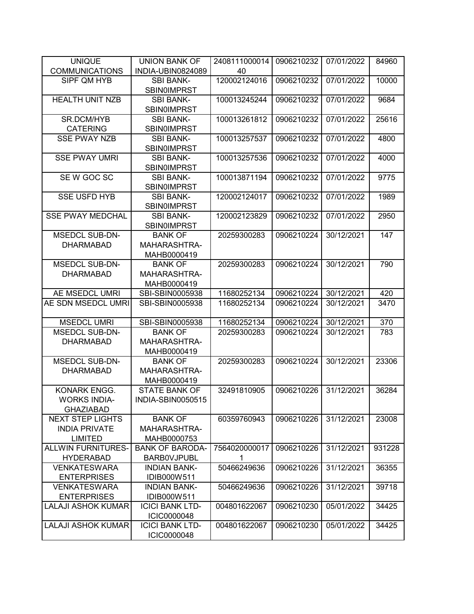| <b>UNIQUE</b>                                   | <b>UNION BANK OF</b>        | 2408111000014 | 0906210232 | 07/01/2022 | 84960  |
|-------------------------------------------------|-----------------------------|---------------|------------|------------|--------|
| <b>COMMUNICATIONS</b>                           | INDIA-UBIN0824089           | 40            |            |            |        |
| SIPF QM HYB                                     | <b>SBI BANK-</b>            | 120002124016  | 0906210232 | 07/01/2022 | 10000  |
|                                                 | <b>SBIN0IMPRST</b>          |               |            |            |        |
| <b>HEALTH UNIT NZB</b>                          | <b>SBI BANK-</b>            | 100013245244  | 0906210232 | 07/01/2022 | 9684   |
|                                                 | <b>SBINOIMPRST</b>          |               |            |            |        |
| SR.DCM/HYB                                      | <b>SBI BANK-</b>            | 100013261812  | 0906210232 | 07/01/2022 | 25616  |
| <b>CATERING</b>                                 | <b>SBINOIMPRST</b>          |               |            |            |        |
| <b>SSE PWAY NZB</b>                             | <b>SBI BANK-</b>            | 100013257537  | 0906210232 | 07/01/2022 | 4800   |
|                                                 | <b>SBIN0IMPRST</b>          |               |            |            |        |
| <b>SSE PWAY UMRI</b>                            | <b>SBI BANK-</b>            | 100013257536  | 0906210232 | 07/01/2022 | 4000   |
|                                                 | SBIN0IMPRST                 |               |            |            |        |
| SE W GOC SC                                     | <b>SBI BANK-</b>            | 100013871194  | 0906210232 | 07/01/2022 | 9775   |
|                                                 | <b>SBIN0IMPRST</b>          |               |            |            |        |
| <b>SSE USFD HYB</b>                             | <b>SBI BANK-</b>            | 120002124017  | 0906210232 | 07/01/2022 | 1989   |
|                                                 | <b>SBIN0IMPRST</b>          |               |            |            |        |
| <b>SSE PWAY MEDCHAL</b>                         | <b>SBI BANK-</b>            | 120002123829  | 0906210232 | 07/01/2022 | 2950   |
|                                                 | <b>SBIN0IMPRST</b>          |               |            |            |        |
| <b>MSEDCL SUB-DN-</b>                           | <b>BANK OF</b>              | 20259300283   | 0906210224 | 30/12/2021 | 147    |
| <b>DHARMABAD</b>                                | MAHARASHTRA-                |               |            |            |        |
|                                                 | MAHB0000419                 |               |            |            |        |
| MSEDCL SUB-DN-                                  | <b>BANK OF</b>              | 20259300283   | 0906210224 | 30/12/2021 | 790    |
| <b>DHARMABAD</b>                                | MAHARASHTRA-                |               |            |            |        |
|                                                 | MAHB0000419                 |               |            |            |        |
| AE MSEDCL UMRI                                  | SBI-SBIN0005938             | 11680252134   | 0906210224 | 30/12/2021 | 420    |
| AE SDN MSEDCL UMRI                              | SBI-SBIN0005938             | 11680252134   | 0906210224 | 30/12/2021 | 3470   |
|                                                 |                             |               |            |            |        |
| <b>MSEDCL UMRI</b>                              | SBI-SBIN0005938             | 11680252134   | 0906210224 | 30/12/2021 | 370    |
| <b>MSEDCL SUB-DN-</b>                           | <b>BANK OF</b>              | 20259300283   | 0906210224 | 30/12/2021 | 783    |
| <b>DHARMABAD</b>                                | MAHARASHTRA-                |               |            |            |        |
|                                                 | MAHB0000419                 |               |            |            |        |
| <b>MSEDCL SUB-DN-</b>                           | <b>BANK OF</b>              | 20259300283   | 0906210224 | 30/12/2021 | 23306  |
| <b>DHARMABAD</b>                                | MAHARASHTRA-                |               |            |            |        |
|                                                 | MAHB0000419                 |               |            |            |        |
| KONARK ENGG.                                    | <b>STATE BANK OF</b>        | 32491810905   | 0906210226 | 31/12/2021 | 36284  |
| <b>WORKS INDIA-</b><br><b>GHAZIABAD</b>         | INDIA-SBIN0050515           |               |            |            |        |
|                                                 |                             |               |            |            |        |
| <b>NEXT STEP LIGHTS</b><br><b>INDIA PRIVATE</b> | <b>BANK OF</b>              | 60359760943   | 0906210226 | 31/12/2021 | 23008  |
| <b>LIMITED</b>                                  | MAHARASHTRA-<br>MAHB0000753 |               |            |            |        |
| <b>ALLWIN FURNITURES-</b>                       | <b>BANK OF BARODA-</b>      | 7564020000017 | 0906210226 | 31/12/2021 | 931228 |
| <b>HYDERABAD</b>                                | <b>BARBOVJPUBL</b>          | 1             |            |            |        |
| <b>VENKATESWARA</b>                             | <b>INDIAN BANK-</b>         | 50466249636   | 0906210226 | 31/12/2021 | 36355  |
| <b>ENTERPRISES</b>                              | IDIB000W511                 |               |            |            |        |
| <b>VENKATESWARA</b>                             | <b>INDIAN BANK-</b>         | 50466249636   | 0906210226 | 31/12/2021 | 39718  |
| <b>ENTERPRISES</b>                              | IDIB000W511                 |               |            |            |        |
| <b>LALAJI ASHOK KUMAR</b>                       | <b>ICICI BANK LTD-</b>      | 004801622067  | 0906210230 | 05/01/2022 | 34425  |
|                                                 | ICIC0000048                 |               |            |            |        |
| <b>LALAJI ASHOK KUMAR</b>                       | <b>ICICI BANK LTD-</b>      | 004801622067  | 0906210230 | 05/01/2022 | 34425  |
|                                                 | ICIC0000048                 |               |            |            |        |
|                                                 |                             |               |            |            |        |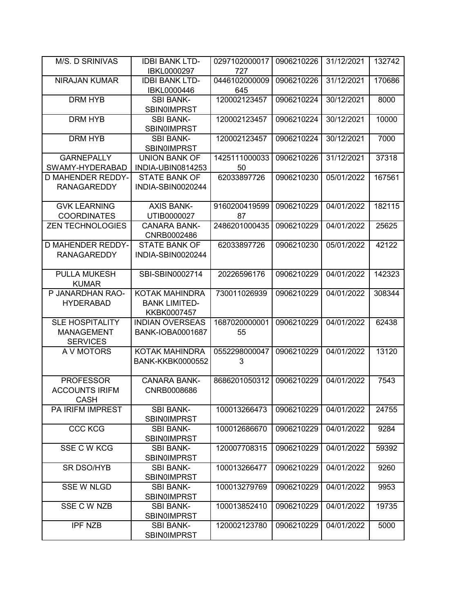| M/S. D SRINIVAS          | <b>IDBI BANK LTD-</b>   | 0297102000017 | 0906210226 | 31/12/2021 | 132742 |
|--------------------------|-------------------------|---------------|------------|------------|--------|
|                          | IBKL0000297             | 727           |            |            |        |
| <b>NIRAJAN KUMAR</b>     | <b>IDBI BANK LTD-</b>   | 0446102000009 | 0906210226 | 31/12/2021 | 170686 |
|                          | IBKL0000446             | 645           |            |            |        |
| DRM HYB                  | <b>SBI BANK-</b>        | 120002123457  | 0906210224 | 30/12/2021 | 8000   |
|                          | <b>SBIN0IMPRST</b>      |               |            |            |        |
| <b>DRM HYB</b>           | <b>SBI BANK-</b>        | 120002123457  | 0906210224 | 30/12/2021 | 10000  |
|                          | <b>SBIN0IMPRST</b>      |               |            |            |        |
| <b>DRM HYB</b>           | <b>SBI BANK-</b>        | 120002123457  | 0906210224 | 30/12/2021 | 7000   |
|                          | <b>SBIN0IMPRST</b>      |               |            |            |        |
| <b>GARNEPALLY</b>        | <b>UNION BANK OF</b>    | 1425111000033 | 0906210226 | 31/12/2021 | 37318  |
| SWAMY-HYDERABAD          | INDIA-UBIN0814253       | 50            |            |            |        |
| D MAHENDER REDDY-        | <b>STATE BANK OF</b>    | 62033897726   | 0906210230 | 05/01/2022 | 167561 |
| <b>RANAGAREDDY</b>       | INDIA-SBIN0020244       |               |            |            |        |
|                          |                         |               |            |            |        |
| <b>GVK LEARNING</b>      | <b>AXIS BANK-</b>       | 9160200419599 | 0906210229 | 04/01/2022 | 182115 |
| <b>COORDINATES</b>       | UTIB0000027             | 87            |            |            |        |
| <b>ZEN TECHNOLOGIES</b>  | <b>CANARA BANK-</b>     | 2486201000435 | 0906210229 | 04/01/2022 | 25625  |
|                          | CNRB0002486             |               |            |            |        |
| <b>D MAHENDER REDDY-</b> | <b>STATE BANK OF</b>    | 62033897726   | 0906210230 | 05/01/2022 | 42122  |
| <b>RANAGAREDDY</b>       | INDIA-SBIN0020244       |               |            |            |        |
| <b>PULLA MUKESH</b>      | SBI-SBIN0002714         | 20226596176   | 0906210229 | 04/01/2022 | 142323 |
| <b>KUMAR</b>             |                         |               |            |            |        |
| P JANARDHAN RAO-         | KOTAK MAHINDRA          | 730011026939  | 0906210229 | 04/01/2022 | 308344 |
| <b>HYDERABAD</b>         | <b>BANK LIMITED-</b>    |               |            |            |        |
|                          | KKBK0007457             |               |            |            |        |
| <b>SLE HOSPITALITY</b>   | <b>INDIAN OVERSEAS</b>  | 1687020000001 | 0906210229 | 04/01/2022 | 62438  |
| <b>MANAGEMENT</b>        | <b>BANK-IOBA0001687</b> | 55            |            |            |        |
| <b>SERVICES</b>          |                         |               |            |            |        |
| A V MOTORS               | KOTAK MAHINDRA          | 0552298000047 | 0906210229 | 04/01/2022 | 13120  |
|                          | <b>BANK-KKBK0000552</b> | 3             |            |            |        |
|                          |                         |               |            |            |        |
| <b>PROFESSOR</b>         | <b>CANARA BANK-</b>     | 8686201050312 | 0906210229 | 04/01/2022 | 7543   |
| <b>ACCOUNTS IRIFM</b>    | CNRB0008686             |               |            |            |        |
| <b>CASH</b>              |                         |               |            |            |        |
| PA IRIFM IMPREST         | <b>SBI BANK-</b>        | 100013266473  | 0906210229 | 04/01/2022 | 24755  |
|                          | <b>SBIN0IMPRST</b>      |               |            |            |        |
| CCC KCG                  | <b>SBI BANK-</b>        | 100012686670  | 0906210229 | 04/01/2022 | 9284   |
|                          | <b>SBIN0IMPRST</b>      |               |            |            |        |
| SSE C W KCG              | <b>SBI BANK-</b>        | 120007708315  | 0906210229 | 04/01/2022 | 59392  |
|                          | <b>SBIN0IMPRST</b>      |               |            |            |        |
| SR DSO/HYB               | <b>SBI BANK-</b>        | 100013266477  | 0906210229 | 04/01/2022 | 9260   |
|                          | <b>SBIN0IMPRST</b>      |               |            |            |        |
| <b>SSE W NLGD</b>        | <b>SBI BANK-</b>        | 100013279769  | 0906210229 | 04/01/2022 | 9953   |
|                          | <b>SBINOIMPRST</b>      |               |            |            |        |
| SSE C W NZB              | <b>SBI BANK-</b>        | 100013852410  | 0906210229 | 04/01/2022 | 19735  |
|                          | <b>SBIN0IMPRST</b>      |               |            |            |        |
| IPF NZB                  | <b>SBI BANK-</b>        | 120002123780  | 0906210229 | 04/01/2022 | 5000   |
|                          | <b>SBIN0IMPRST</b>      |               |            |            |        |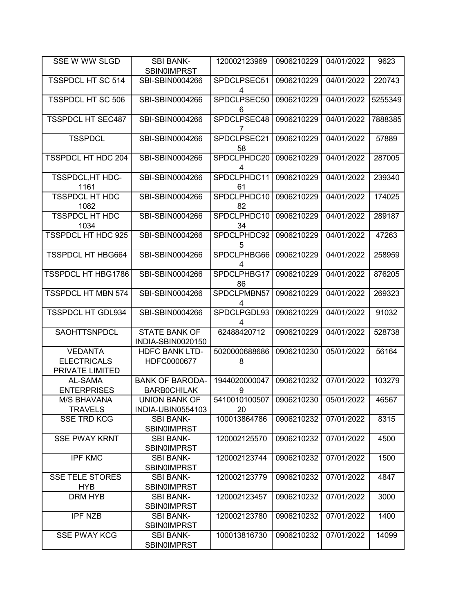| SSE W WW SLGD                                           | <b>SBI BANK-</b><br><b>SBIN0IMPRST</b>    | 120002123969        | 0906210229 | 04/01/2022 | 9623    |
|---------------------------------------------------------|-------------------------------------------|---------------------|------------|------------|---------|
| <b>TSSPDCL HT SC 514</b>                                | SBI-SBIN0004266                           | SPDCLPSEC51<br>4    | 0906210229 | 04/01/2022 | 220743  |
| <b>TSSPDCL HT SC 506</b>                                | SBI-SBIN0004266                           | SPDCLPSEC50<br>6    | 0906210229 | 04/01/2022 | 5255349 |
| <b>TSSPDCL HT SEC487</b>                                | SBI-SBIN0004266                           | SPDCLPSEC48<br>7    | 0906210229 | 04/01/2022 | 7888385 |
| <b>TSSPDCL</b>                                          | SBI-SBIN0004266                           | SPDCLPSEC21<br>58   | 0906210229 | 04/01/2022 | 57889   |
| <b>TSSPDCL HT HDC 204</b>                               | SBI-SBIN0004266                           | SPDCLPHDC20<br>4    | 0906210229 | 04/01/2022 | 287005  |
| <b>TSSPDCL, HT HDC-</b><br>1161                         | SBI-SBIN0004266                           | SPDCLPHDC11<br>61   | 0906210229 | 04/01/2022 | 239340  |
| <b>TSSPDCL HT HDC</b><br>1082                           | SBI-SBIN0004266                           | SPDCLPHDC10<br>82   | 0906210229 | 04/01/2022 | 174025  |
| <b>TSSPDCL HT HDC</b><br>1034                           | SBI-SBIN0004266                           | SPDCLPHDC10<br>34   | 0906210229 | 04/01/2022 | 289187  |
| TSSPDCL HT HDC 925                                      | SBI-SBIN0004266                           | SPDCLPHDC92<br>5    | 0906210229 | 04/01/2022 | 47263   |
| <b>TSSPDCL HT HBG664</b>                                | SBI-SBIN0004266                           | SPDCLPHBG66<br>4    | 0906210229 | 04/01/2022 | 258959  |
| TSSPDCL HT HBG1786                                      | SBI-SBIN0004266                           | SPDCLPHBG17<br>86   | 0906210229 | 04/01/2022 | 876205  |
| <b>TSSPDCL HT MBN 574</b>                               | SBI-SBIN0004266                           | SPDCLPMBN57<br>4    | 0906210229 | 04/01/2022 | 269323  |
| <b>TSSPDCL HT GDL934</b>                                | SBI-SBIN0004266                           | SPDCLPGDL93<br>4    | 0906210229 | 04/01/2022 | 91032   |
| SAOHTTSNPDCL                                            | <b>STATE BANK OF</b><br>INDIA-SBIN0020150 | 62488420712         | 0906210229 | 04/01/2022 | 528738  |
| <b>VEDANTA</b><br><b>ELECTRICALS</b><br>PRIVATE LIMITED | <b>HDFC BANK LTD-</b><br>HDFC0000677      | 5020000688686<br>8  | 0906210230 | 05/01/2022 | 56164   |
| AL-SAMA                                                 | <b>BANK OF BARODA-</b>                    | 1944020000047       | 0906210232 | 07/01/2022 | 103279  |
| <b>ENTERPRISES</b>                                      | <b>BARBOCHILAK</b>                        | 9                   |            |            |         |
| <b>M/S BHAVANA</b><br><b>TRAVELS</b>                    | <b>UNION BANK OF</b><br>INDIA-UBIN0554103 | 5410010100507<br>20 | 0906210230 | 05/01/2022 | 46567   |
| <b>SSE TRD KCG</b>                                      | <b>SBI BANK-</b><br><b>SBIN0IMPRST</b>    | 100013864786        | 0906210232 | 07/01/2022 | 8315    |
| <b>SSE PWAY KRNT</b>                                    | <b>SBI BANK-</b><br><b>SBIN0IMPRST</b>    | 120002125570        | 0906210232 | 07/01/2022 | 4500    |
| <b>IPF KMC</b>                                          | <b>SBI BANK-</b><br><b>SBIN0IMPRST</b>    | 120002123744        | 0906210232 | 07/01/2022 | 1500    |
| <b>SSE TELE STORES</b>                                  | <b>SBI BANK-</b>                          | 120002123779        | 0906210232 | 07/01/2022 | 4847    |
| <b>HYB</b>                                              | <b>SBIN0IMPRST</b>                        |                     |            |            |         |
| <b>DRM HYB</b>                                          | <b>SBI BANK-</b><br><b>SBIN0IMPRST</b>    | 120002123457        | 0906210232 | 07/01/2022 | 3000    |
| <b>IPF NZB</b>                                          | <b>SBI BANK-</b><br><b>SBIN0IMPRST</b>    | 120002123780        | 0906210232 | 07/01/2022 | 1400    |
| <b>SSE PWAY KCG</b>                                     | <b>SBI BANK-</b><br><b>SBINOIMPRST</b>    | 100013816730        | 0906210232 | 07/01/2022 | 14099   |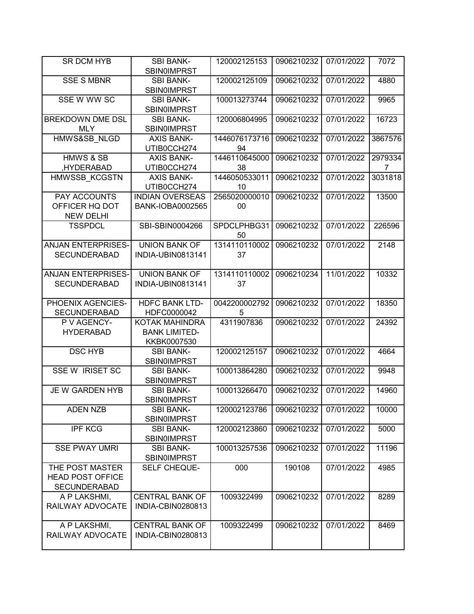| SR DCM HYB                            | <b>SBI BANK-</b><br><b>SBIN0IMPRST</b>     | 120002125153        | 0906210232 | 07/01/2022 | 7072    |
|---------------------------------------|--------------------------------------------|---------------------|------------|------------|---------|
|                                       |                                            |                     |            |            |         |
| <b>SSE S MBNR</b>                     | <b>SBI BANK-</b><br><b>SBIN0IMPRST</b>     | 120002125109        | 0906210232 | 07/01/2022 | 4880    |
| SSE W WW SC                           | <b>SBI BANK-</b><br><b>SBIN0IMPRST</b>     | 100013273744        | 0906210232 | 07/01/2022 | 9965    |
|                                       |                                            |                     |            |            |         |
| <b>BREKDOWN DME DSL</b><br><b>MLY</b> | <b>SBI BANK-</b><br><b>SBIN0IMPRST</b>     | 120006804995        | 0906210232 | 07/01/2022 | 16723   |
| HMWS&SB NLGD                          | <b>AXIS BANK-</b>                          | 1446076173716       | 0906210232 | 07/01/2022 | 3867576 |
|                                       | UTIB0CCH274                                | 94                  |            |            |         |
| <b>HMWS &amp; SB</b>                  | <b>AXIS BANK-</b>                          | 1446110645000       | 0906210232 | 07/01/2022 | 2979334 |
| ,HYDERABAD                            | UTIB0CCH274                                | 38                  |            |            | 7       |
| <b>HMWSSB KCGSTN</b>                  | <b>AXIS BANK-</b>                          | 1446050533011       | 0906210232 | 07/01/2022 | 3031818 |
|                                       | UTIB0CCH274                                | 10                  |            |            |         |
|                                       |                                            |                     |            |            |         |
| PAY ACCOUNTS<br>OFFICER HQ DOT        | <b>INDIAN OVERSEAS</b><br>BANK-IOBA0002565 | 2565020000010<br>00 | 0906210232 | 07/01/2022 | 13500   |
| <b>NEW DELHI</b>                      |                                            |                     |            |            |         |
| <b>TSSPDCL</b>                        | SBI-SBIN0004266                            | SPDCLPHBG31<br>50   | 0906210232 | 07/01/2022 | 226596  |
| <b>ANJAN ENTERPRISES-</b>             | <b>UNION BANK OF</b>                       | 1314110110002       | 0906210232 | 07/01/2022 | 2148    |
| <b>SECUNDERABAD</b>                   | INDIA-UBIN0813141                          | 37                  |            |            |         |
|                                       |                                            |                     |            |            |         |
| <b>ANJAN ENTERPRISES-</b>             | <b>UNION BANK OF</b>                       | 1314110110002       | 0906210234 | 11/01/2022 | 10332   |
| <b>SECUNDERABAD</b>                   | INDIA-UBIN0813141                          | 37                  |            |            |         |
| PHOENIX AGENCIES-                     | <b>HDFC BANK LTD-</b>                      | 0042200002792       | 0906210232 | 07/01/2022 | 18350   |
| <b>SECUNDERABAD</b>                   | HDFC0000042                                | 5                   |            |            |         |
| P V AGENCY-                           | KOTAK MAHINDRA                             | 4311907836          | 0906210232 | 07/01/2022 | 24392   |
| <b>HYDERABAD</b>                      | <b>BANK LIMITED-</b>                       |                     |            |            |         |
|                                       | KKBK0007530                                |                     |            |            |         |
| <b>DSC HYB</b>                        | <b>SBI BANK-</b>                           | 120002125157        | 0906210232 | 07/01/2022 | 4664    |
|                                       | <b>SBIN0IMPRST</b>                         |                     |            |            |         |
| <b>SSE W IRISET SC</b>                | <b>SBI BANK-</b>                           | 100013864280        | 0906210232 | 07/01/2022 | 9948    |
|                                       | <b>SBINOIMPRST</b>                         |                     |            |            |         |
| JE W GARDEN HYB                       | <b>SBI BANK-</b>                           | 100013266470        | 0906210232 | 07/01/2022 | 14960   |
|                                       | <b>SBIN0IMPRST</b>                         |                     |            |            |         |
| <b>ADEN NZB</b>                       | <b>SBI BANK-</b>                           | 120002123786        | 0906210232 | 07/01/2022 | 10000   |
|                                       | <b>SBIN0IMPRST</b>                         |                     |            |            |         |
| <b>IPF KCG</b>                        | <b>SBI BANK-</b>                           | 120002123860        | 0906210232 | 07/01/2022 | 5000    |
|                                       | <b>SBIN0IMPRST</b>                         |                     |            |            |         |
| <b>SSE PWAY UMRI</b>                  | <b>SBI BANK-</b>                           | 100013257536        | 0906210232 | 07/01/2022 | 11196   |
|                                       |                                            |                     |            |            |         |
|                                       | <b>SBIN0IMPRST</b>                         |                     |            |            |         |
| THE POST MASTER                       | SELF CHEQUE-                               | 000                 | 190108     | 07/01/2022 | 4985    |
| <b>HEAD POST OFFICE</b>               |                                            |                     |            |            |         |
| <b>SECUNDERABAD</b>                   |                                            |                     |            |            |         |
| A P LAKSHMI,                          | <b>CENTRAL BANK OF</b>                     | 1009322499          | 0906210232 | 07/01/2022 | 8289    |
| RAILWAY ADVOCATE                      | INDIA-CBIN0280813                          |                     |            |            |         |
|                                       |                                            |                     |            |            |         |
| A P LAKSHMI,                          | <b>CENTRAL BANK OF</b>                     | 1009322499          | 0906210232 | 07/01/2022 | 8469    |
| RAILWAY ADVOCATE                      | INDIA-CBIN0280813                          |                     |            |            |         |
|                                       |                                            |                     |            |            |         |
|                                       |                                            |                     |            |            |         |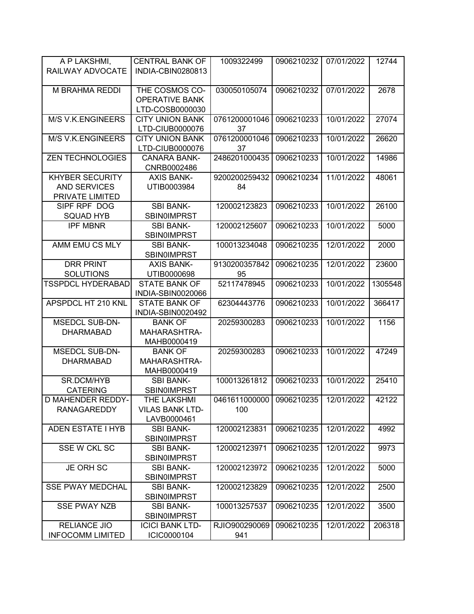| A P LAKSHMI,             | <b>CENTRAL BANK OF</b> | 1009322499    | 0906210232 | 07/01/2022 | 12744   |
|--------------------------|------------------------|---------------|------------|------------|---------|
| RAILWAY ADVOCATE         | INDIA-CBIN0280813      |               |            |            |         |
|                          |                        |               |            |            |         |
| M BRAHMA REDDI           | THE COSMOS CO-         | 030050105074  | 0906210232 | 07/01/2022 | 2678    |
|                          | <b>OPERATIVE BANK</b>  |               |            |            |         |
|                          | LTD-COSB0000030        |               |            |            |         |
| <b>M/S V.K.ENGINEERS</b> | <b>CITY UNION BANK</b> | 0761200001046 | 0906210233 | 10/01/2022 | 27074   |
|                          | LTD-CIUB0000076        | 37            |            |            |         |
| <b>M/S V.K.ENGINEERS</b> | <b>CITY UNION BANK</b> | 0761200001046 | 0906210233 | 10/01/2022 | 26620   |
|                          | LTD-CIUB0000076        | 37            |            |            |         |
| <b>ZEN TECHNOLOGIES</b>  | <b>CANARA BANK-</b>    | 2486201000435 | 0906210233 | 10/01/2022 | 14986   |
|                          | CNRB0002486            |               |            |            |         |
| <b>KHYBER SECURITY</b>   | <b>AXIS BANK-</b>      | 9200200259432 | 0906210234 | 11/01/2022 | 48061   |
| <b>AND SERVICES</b>      | UTIB0003984            | 84            |            |            |         |
| PRIVATE LIMITED          |                        |               |            |            |         |
| SIPF RPF DOG             | <b>SBI BANK-</b>       | 120002123823  | 0906210233 | 10/01/2022 | 26100   |
| <b>SQUAD HYB</b>         | <b>SBIN0IMPRST</b>     |               |            |            |         |
| <b>IPF MBNR</b>          | <b>SBI BANK-</b>       | 120002125607  | 0906210233 | 10/01/2022 | 5000    |
|                          | <b>SBINOIMPRST</b>     |               |            |            |         |
| AMM EMU CS MLY           | <b>SBI BANK-</b>       | 100013234048  | 0906210235 | 12/01/2022 | 2000    |
|                          | <b>SBIN0IMPRST</b>     |               |            |            |         |
| <b>DRR PRINT</b>         | <b>AXIS BANK-</b>      | 9130200357842 | 0906210235 | 12/01/2022 | 23600   |
| <b>SOLUTIONS</b>         | UTIB0000698            | 95            |            |            |         |
| <b>TSSPDCL HYDERABAD</b> | <b>STATE BANK OF</b>   | 52117478945   | 0906210233 | 10/01/2022 | 1305548 |
|                          | INDIA-SBIN0020066      |               |            |            |         |
| APSPDCL HT 210 KNL       | <b>STATE BANK OF</b>   | 62304443776   | 0906210233 | 10/01/2022 | 366417  |
|                          | INDIA-SBIN0020492      |               |            |            |         |
| <b>MSEDCL SUB-DN-</b>    | <b>BANK OF</b>         | 20259300283   | 0906210233 | 10/01/2022 | 1156    |
| <b>DHARMABAD</b>         | MAHARASHTRA-           |               |            |            |         |
|                          | MAHB0000419            |               |            |            |         |
| <b>MSEDCL SUB-DN-</b>    | <b>BANK OF</b>         | 20259300283   | 0906210233 | 10/01/2022 | 47249   |
| <b>DHARMABAD</b>         | MAHARASHTRA-           |               |            |            |         |
|                          | MAHB0000419            |               |            |            |         |
| SR.DCM/HYB               | <b>SBI BANK-</b>       | 100013261812  | 0906210233 | 10/01/2022 | 25410   |
| <b>CATERING</b>          | <b>SBIN0IMPRST</b>     |               |            |            |         |
| D MAHENDER REDDY-        | THE LAKSHMI            | 0461611000000 | 0906210235 | 12/01/2022 | 42122   |
| RANAGAREDDY              | <b>VILAS BANK LTD-</b> | 100           |            |            |         |
|                          | LAVB0000461            |               |            |            |         |
| <b>ADEN ESTATE I HYB</b> | <b>SBI BANK-</b>       | 120002123831  | 0906210235 | 12/01/2022 | 4992    |
|                          | <b>SBIN0IMPRST</b>     |               |            |            |         |
| SSE W CKL SC             | <b>SBI BANK-</b>       | 120002123971  | 0906210235 | 12/01/2022 | 9973    |
|                          | <b>SBIN0IMPRST</b>     |               |            |            |         |
| JE ORH SC                | <b>SBI BANK-</b>       | 120002123972  | 0906210235 | 12/01/2022 | 5000    |
|                          | <b>SBIN0IMPRST</b>     |               |            |            |         |
| <b>SSE PWAY MEDCHAL</b>  | <b>SBI BANK-</b>       | 120002123829  | 0906210235 | 12/01/2022 | 2500    |
|                          | <b>SBIN0IMPRST</b>     |               |            |            |         |
| <b>SSE PWAY NZB</b>      | <b>SBI BANK-</b>       | 100013257537  | 0906210235 | 12/01/2022 | 3500    |
|                          | <b>SBIN0IMPRST</b>     |               |            |            |         |
| <b>RELIANCE JIO</b>      | <b>ICICI BANK LTD-</b> | RJIO900290069 | 0906210235 | 12/01/2022 | 206318  |
| <b>INFOCOMM LIMITED</b>  | ICIC0000104            | 941           |            |            |         |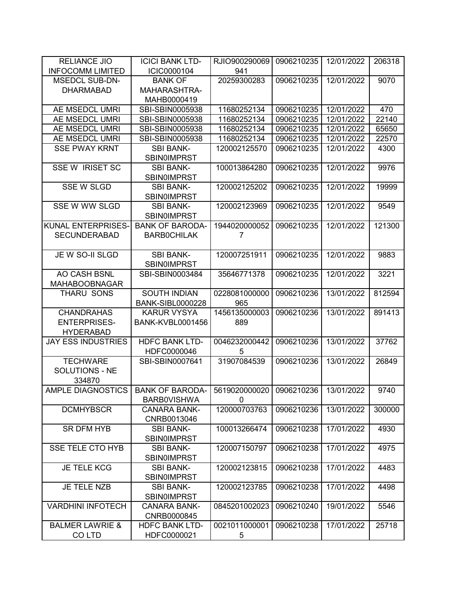| <b>RELIANCE JIO</b>        | <b>ICICI BANK LTD-</b>  | RJIO900290069 | 0906210235 | 12/01/2022 | 206318 |
|----------------------------|-------------------------|---------------|------------|------------|--------|
| <b>INFOCOMM LIMITED</b>    | ICIC0000104             | 941           |            |            |        |
| <b>MSEDCL SUB-DN-</b>      | <b>BANK OF</b>          | 20259300283   | 0906210235 | 12/01/2022 | 9070   |
| <b>DHARMABAD</b>           | MAHARASHTRA-            |               |            |            |        |
|                            | MAHB0000419             |               |            |            |        |
| AE MSEDCL UMRI             | SBI-SBIN0005938         | 11680252134   | 0906210235 | 12/01/2022 | 470    |
| AE MSEDCL UMRI             | SBI-SBIN0005938         | 11680252134   | 0906210235 | 12/01/2022 | 22140  |
| AE MSEDCL UMRI             | SBI-SBIN0005938         | 11680252134   | 0906210235 | 12/01/2022 | 65650  |
| AE MSEDCL UMRI             | SBI-SBIN0005938         | 11680252134   | 0906210235 | 12/01/2022 | 22570  |
| <b>SSE PWAY KRNT</b>       | <b>SBI BANK-</b>        | 120002125570  | 0906210235 | 12/01/2022 | 4300   |
|                            | <b>SBIN0IMPRST</b>      |               |            |            |        |
| <b>SSE W IRISET SC</b>     | <b>SBI BANK-</b>        | 100013864280  | 0906210235 | 12/01/2022 | 9976   |
|                            | <b>SBIN0IMPRST</b>      |               |            |            |        |
| <b>SSE W SLGD</b>          | <b>SBI BANK-</b>        | 120002125202  | 0906210235 | 12/01/2022 | 19999  |
|                            | <b>SBIN0IMPRST</b>      |               |            |            |        |
| SSE W WW SLGD              | <b>SBI BANK-</b>        | 120002123969  | 0906210235 | 12/01/2022 | 9549   |
|                            | <b>SBIN0IMPRST</b>      |               |            |            |        |
| <b>KUNAL ENTERPRISES-</b>  | <b>BANK OF BARODA-</b>  | 1944020000052 | 0906210235 | 12/01/2022 | 121300 |
| <b>SECUNDERABAD</b>        | <b>BARBOCHILAK</b>      | 7             |            |            |        |
|                            |                         |               |            |            |        |
| JE W SO-II SLGD            | <b>SBI BANK-</b>        | 120007251911  | 0906210235 | 12/01/2022 | 9883   |
|                            | <b>SBINOIMPRST</b>      |               |            |            |        |
| AO CASH BSNL               | SBI-SBIN0003484         | 35646771378   | 0906210235 | 12/01/2022 | 3221   |
| <b>MAHABOOBNAGAR</b>       |                         |               |            |            |        |
| THARU SONS                 | <b>SOUTH INDIAN</b>     | 0228081000000 | 0906210236 | 13/01/2022 | 812594 |
|                            | <b>BANK-SIBL0000228</b> | 965           |            |            |        |
| <b>CHANDRAHAS</b>          | <b>KARUR VYSYA</b>      | 1456135000003 | 0906210236 | 13/01/2022 | 891413 |
| <b>ENTERPRISES-</b>        | <b>BANK-KVBL0001456</b> | 889           |            |            |        |
| <b>HYDERABAD</b>           |                         |               |            |            |        |
| <b>JAY ESS INDUSTRIES</b>  | <b>HDFC BANK LTD-</b>   | 0046232000442 | 0906210236 | 13/01/2022 | 37762  |
|                            | HDFC0000046             | 5             |            |            |        |
| <b>TECHWARE</b>            | SBI-SBIN0007641         | 31907084539   | 0906210236 | 13/01/2022 | 26849  |
| <b>SOLUTIONS - NE</b>      |                         |               |            |            |        |
| 334870                     |                         |               |            |            |        |
| <b>AMPLE DIAGNOSTICS</b>   | <b>BANK OF BARODA-</b>  | 5619020000020 | 0906210236 | 13/01/2022 | 9740   |
|                            | <b>BARBOVISHWA</b>      | 0             |            |            |        |
| <b>DCMHYBSCR</b>           | <b>CANARA BANK-</b>     | 120000703763  | 0906210236 | 13/01/2022 | 300000 |
|                            | CNRB0013046             |               |            |            |        |
| SR DFM HYB                 | <b>SBI BANK-</b>        | 100013266474  | 0906210238 | 17/01/2022 | 4930   |
|                            | SBIN0IMPRST             |               |            |            |        |
| <b>SSE TELE CTO HYB</b>    | <b>SBI BANK-</b>        | 120007150797  | 0906210238 | 17/01/2022 | 4975   |
|                            | <b>SBIN0IMPRST</b>      |               |            |            |        |
| <b>JE TELE KCG</b>         | <b>SBI BANK-</b>        | 120002123815  | 0906210238 | 17/01/2022 | 4483   |
|                            | <b>SBIN0IMPRST</b>      |               |            |            |        |
| JE TELE NZB                | <b>SBI BANK-</b>        | 120002123785  | 0906210238 | 17/01/2022 | 4498   |
|                            | <b>SBIN0IMPRST</b>      |               |            |            |        |
| <b>VARDHINI INFOTECH</b>   | <b>CANARA BANK-</b>     | 0845201002023 | 0906210240 | 19/01/2022 | 5546   |
|                            | CNRB0000845             |               |            |            |        |
| <b>BALMER LAWRIE &amp;</b> | <b>HDFC BANK LTD-</b>   | 0021011000001 | 0906210238 | 17/01/2022 | 25718  |
| CO LTD                     | HDFC0000021             | 5             |            |            |        |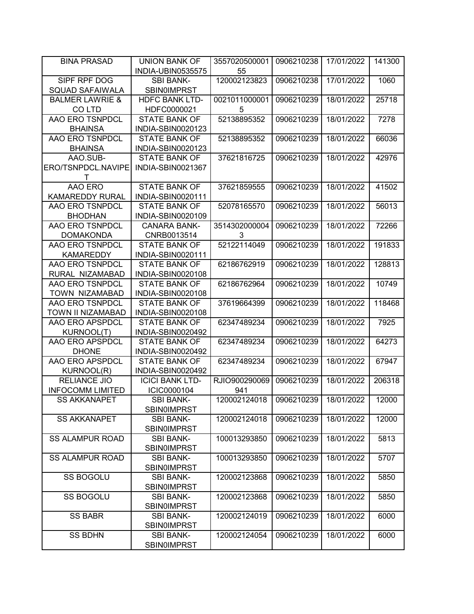| <b>BINA PRASAD</b>                     | <b>UNION BANK OF</b>                   | 3557020500001      | 0906210238 | 17/01/2022 | 141300 |
|----------------------------------------|----------------------------------------|--------------------|------------|------------|--------|
|                                        | INDIA-UBIN0535575                      | 55                 |            |            |        |
| SIPF RPF DOG<br><b>SQUAD SAFAIWALA</b> | <b>SBI BANK-</b><br><b>SBIN0IMPRST</b> | 120002123823       | 0906210238 | 17/01/2022 | 1060   |
| <b>BALMER LAWRIE &amp;</b><br>CO LTD   | <b>HDFC BANK LTD-</b><br>HDFC0000021   | 0021011000001<br>5 | 0906210239 | 18/01/2022 | 25718  |
| AAO ERO TSNPDCL                        | <b>STATE BANK OF</b>                   | 52138895352        | 0906210239 | 18/01/2022 | 7278   |
| <b>BHAINSA</b>                         | INDIA-SBIN0020123                      |                    |            |            |        |
| AAO ERO TSNPDCL                        | <b>STATE BANK OF</b>                   | 52138895352        | 0906210239 | 18/01/2022 | 66036  |
| <b>BHAINSA</b>                         | INDIA-SBIN0020123                      |                    |            |            |        |
| AAO.SUB-                               | <b>STATE BANK OF</b>                   | 37621816725        | 0906210239 | 18/01/2022 | 42976  |
| ERO/TSNPDCL.NAVIPE<br>Т                | INDIA-SBIN0021367                      |                    |            |            |        |
| AAO ERO                                | <b>STATE BANK OF</b>                   | 37621859555        | 0906210239 | 18/01/2022 | 41502  |
| <b>KAMAREDDY RURAL</b>                 | INDIA-SBIN0020111                      |                    |            |            |        |
| AAO ERO TSNPDCL                        | <b>STATE BANK OF</b>                   | 52078165570        | 0906210239 | 18/01/2022 | 56013  |
| <b>BHODHAN</b>                         | INDIA-SBIN0020109                      |                    |            |            |        |
| AAO ERO TSNPDCL                        | <b>CANARA BANK-</b>                    | 3514302000004      | 0906210239 | 18/01/2022 | 72266  |
| <b>DOMAKONDA</b>                       | CNRB0013514                            | 3                  |            |            |        |
| AAO ERO TSNPDCL                        | <b>STATE BANK OF</b>                   | 52122114049        | 0906210239 | 18/01/2022 | 191833 |
| <b>KAMAREDDY</b>                       | INDIA-SBIN0020111                      |                    |            |            |        |
| AAO ERO TSNPDCL                        | <b>STATE BANK OF</b>                   | 62186762919        | 0906210239 | 18/01/2022 | 128813 |
| RURAL NIZAMABAD                        | INDIA-SBIN0020108                      |                    |            |            |        |
| AAO ERO TSNPDCL                        | <b>STATE BANK OF</b>                   | 62186762964        | 0906210239 | 18/01/2022 | 10749  |
| <b>TOWN NIZAMABAD</b>                  | INDIA-SBIN0020108                      |                    |            |            |        |
| AAO ERO TSNPDCL                        | <b>STATE BANK OF</b>                   | 37619664399        | 0906210239 | 18/01/2022 | 118468 |
| TOWN II NIZAMABAD                      | INDIA-SBIN0020108                      |                    |            |            |        |
| AAO ERO APSPDCL                        | <b>STATE BANK OF</b>                   | 62347489234        | 0906210239 | 18/01/2022 | 7925   |
| <b>KURNOOL(T)</b>                      | INDIA-SBIN0020492                      |                    |            |            |        |
| AAO ERO APSPDCL                        | <b>STATE BANK OF</b>                   | 62347489234        | 0906210239 | 18/01/2022 | 64273  |
| <b>DHONE</b>                           | INDIA-SBIN0020492                      |                    |            |            |        |
| AAO ERO APSPDCL                        | <b>STATE BANK OF</b>                   | 62347489234        | 0906210239 | 18/01/2022 | 67947  |
| <b>KURNOOL(R)</b>                      | INDIA-SBIN0020492                      |                    |            |            |        |
| <b>RELIANCE JIO</b>                    | <b>ICICI BANK LTD-</b>                 | RJIO900290069      | 0906210239 | 18/01/2022 | 206318 |
| <b>INFOCOMM LIMITED</b>                | ICIC0000104                            | 941                |            |            |        |
| <b>SS AKKANAPET</b>                    | SBI BANK-<br><b>SBIN0IMPRST</b>        | 120002124018       | 0906210239 | 18/01/2022 | 12000  |
| <b>SS AKKANAPET</b>                    | <b>SBI BANK-</b>                       | 120002124018       | 0906210239 | 18/01/2022 | 12000  |
|                                        | <b>SBIN0IMPRST</b>                     |                    |            |            |        |
| <b>SS ALAMPUR ROAD</b>                 | <b>SBI BANK-</b>                       | 100013293850       | 0906210239 | 18/01/2022 | 5813   |
|                                        | <b>SBIN0IMPRST</b>                     |                    |            |            |        |
| <b>SS ALAMPUR ROAD</b>                 | <b>SBI BANK-</b>                       | 100013293850       | 0906210239 | 18/01/2022 | 5707   |
|                                        | <b>SBINOIMPRST</b>                     |                    |            |            |        |
| SS BOGOLU                              | <b>SBI BANK-</b>                       | 120002123868       | 0906210239 | 18/01/2022 | 5850   |
|                                        | <b>SBIN0IMPRST</b>                     |                    |            |            |        |
| <b>SS BOGOLU</b>                       | <b>SBI BANK-</b>                       | 120002123868       | 0906210239 | 18/01/2022 | 5850   |
|                                        | <b>SBINOIMPRST</b>                     |                    |            |            |        |
| SS BABR                                | <b>SBI BANK-</b>                       | 120002124019       | 0906210239 | 18/01/2022 | 6000   |
|                                        | <b>SBINOIMPRST</b>                     |                    |            |            |        |
| <b>SS BDHN</b>                         | <b>SBI BANK-</b>                       | 120002124054       | 0906210239 | 18/01/2022 | 6000   |
|                                        | <b>SBINOIMPRST</b>                     |                    |            |            |        |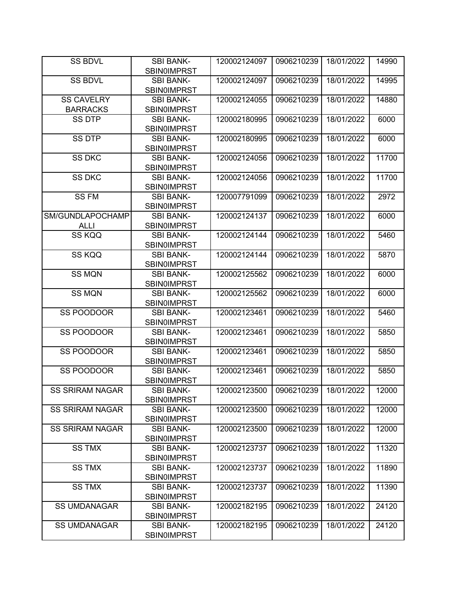| <b>SS BDVL</b>         | <b>SBI BANK-</b>                       | 120002124097 | 0906210239 | 18/01/2022 | 14990 |
|------------------------|----------------------------------------|--------------|------------|------------|-------|
|                        | <b>SBIN0IMPRST</b>                     |              |            |            |       |
| <b>SS BDVL</b>         | <b>SBI BANK-</b>                       | 120002124097 | 0906210239 | 18/01/2022 | 14995 |
|                        | <b>SBIN0IMPRST</b>                     |              |            |            |       |
| <b>SS CAVELRY</b>      | <b>SBI BANK-</b>                       | 120002124055 | 0906210239 | 18/01/2022 | 14880 |
| <b>BARRACKS</b>        | <b>SBIN0IMPRST</b>                     |              |            |            |       |
| <b>SS DTP</b>          | <b>SBI BANK-</b>                       | 120002180995 | 0906210239 | 18/01/2022 | 6000  |
|                        | <b>SBIN0IMPRST</b>                     |              |            |            |       |
| <b>SS DTP</b>          | <b>SBI BANK-</b>                       | 120002180995 | 0906210239 | 18/01/2022 | 6000  |
|                        | <b>SBIN0IMPRST</b>                     |              |            |            |       |
| <b>SS DKC</b>          | <b>SBI BANK-</b>                       | 120002124056 | 0906210239 | 18/01/2022 | 11700 |
|                        | <b>SBIN0IMPRST</b>                     |              |            |            |       |
| <b>SS DKC</b>          | <b>SBI BANK-</b>                       | 120002124056 | 0906210239 | 18/01/2022 | 11700 |
|                        | <b>SBIN0IMPRST</b>                     |              |            |            |       |
| <b>SS FM</b>           | <b>SBI BANK-</b>                       | 120007791099 | 0906210239 | 18/01/2022 | 2972  |
|                        | <b>SBIN0IMPRST</b>                     |              |            |            |       |
| SM/GUNDLAPOCHAMP       | <b>SBI BANK-</b>                       | 120002124137 | 0906210239 | 18/01/2022 | 6000  |
| <b>ALLI</b>            | <b>SBIN0IMPRST</b>                     |              |            |            |       |
| SS KQQ                 | <b>SBI BANK-</b>                       | 120002124144 | 0906210239 | 18/01/2022 | 5460  |
|                        | <b>SBIN0IMPRST</b>                     |              |            |            |       |
| SS KQQ                 | <b>SBI BANK-</b>                       | 120002124144 | 0906210239 | 18/01/2022 | 5870  |
|                        | <b>SBIN0IMPRST</b>                     |              |            |            |       |
| <b>SS MQN</b>          | <b>SBI BANK-</b>                       | 120002125562 | 0906210239 | 18/01/2022 | 6000  |
|                        | <b>SBIN0IMPRST</b>                     |              |            |            |       |
| <b>SS MQN</b>          | <b>SBI BANK-</b>                       | 120002125562 | 0906210239 | 18/01/2022 | 6000  |
| SS POODOOR             | <b>SBIN0IMPRST</b><br><b>SBI BANK-</b> | 120002123461 | 0906210239 | 18/01/2022 | 5460  |
|                        | <b>SBIN0IMPRST</b>                     |              |            |            |       |
| SS POODOOR             | <b>SBI BANK-</b>                       | 120002123461 | 0906210239 | 18/01/2022 | 5850  |
|                        | <b>SBIN0IMPRST</b>                     |              |            |            |       |
| SS POODOOR             | <b>SBI BANK-</b>                       | 120002123461 | 0906210239 | 18/01/2022 | 5850  |
|                        | <b>SBIN0IMPRST</b>                     |              |            |            |       |
| SS POODOOR             | <b>SBI BANK-</b>                       | 120002123461 | 0906210239 | 18/01/2022 | 5850  |
|                        | <b>SBIN0IMPRST</b>                     |              |            |            |       |
| <b>SS SRIRAM NAGAR</b> | <b>SBI BANK-</b>                       | 120002123500 | 0906210239 | 18/01/2022 | 12000 |
|                        | <b>SBIN0IMPRST</b>                     |              |            |            |       |
| <b>SS SRIRAM NAGAR</b> | <b>SBI BANK-</b>                       | 120002123500 | 0906210239 | 18/01/2022 | 12000 |
|                        | <b>SBIN0IMPRST</b>                     |              |            |            |       |
| <b>SS SRIRAM NAGAR</b> | <b>SBI BANK-</b>                       | 120002123500 | 0906210239 | 18/01/2022 | 12000 |
|                        | <b>SBIN0IMPRST</b>                     |              |            |            |       |
| <b>SS TMX</b>          | <b>SBI BANK-</b>                       | 120002123737 | 0906210239 | 18/01/2022 | 11320 |
|                        | <b>SBIN0IMPRST</b>                     |              |            |            |       |
| <b>SS TMX</b>          | <b>SBI BANK-</b>                       | 120002123737 | 0906210239 | 18/01/2022 | 11890 |
|                        | <b>SBINOIMPRST</b>                     |              |            |            |       |
| <b>SS TMX</b>          | <b>SBI BANK-</b>                       | 120002123737 | 0906210239 | 18/01/2022 | 11390 |
|                        | <b>SBIN0IMPRST</b>                     |              |            |            |       |
| <b>SS UMDANAGAR</b>    | SBI BANK-                              | 120002182195 | 0906210239 | 18/01/2022 | 24120 |
|                        | <b>SBIN0IMPRST</b>                     |              |            |            |       |
| <b>SS UMDANAGAR</b>    | <b>SBI BANK-</b>                       | 120002182195 | 0906210239 | 18/01/2022 | 24120 |
|                        | <b>SBIN0IMPRST</b>                     |              |            |            |       |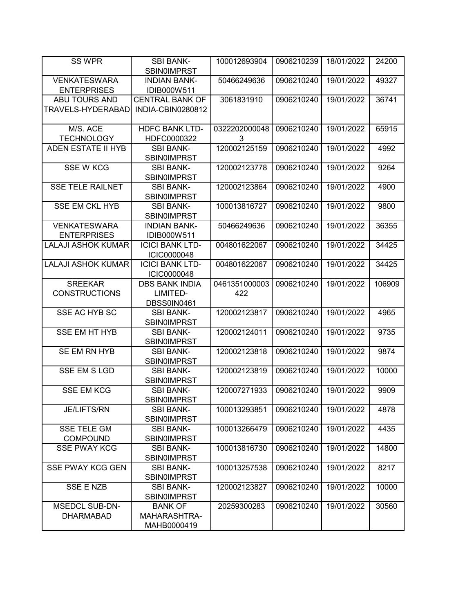| SS WPR                        | <b>SBI BANK-</b>                             | 100012693904       | 0906210239 | 18/01/2022 | 24200  |
|-------------------------------|----------------------------------------------|--------------------|------------|------------|--------|
|                               | <b>SBIN0IMPRST</b>                           |                    |            |            |        |
| <b>VENKATESWARA</b>           | <b>INDIAN BANK-</b>                          | 50466249636        | 0906210240 | 19/01/2022 | 49327  |
| <b>ENTERPRISES</b>            | IDIB000W511                                  |                    |            |            |        |
| <b>ABU TOURS AND</b>          | <b>CENTRAL BANK OF</b>                       | 3061831910         | 0906210240 | 19/01/2022 | 36741  |
| TRAVELS-HYDERABAD             | INDIA-CBIN0280812                            |                    |            |            |        |
|                               |                                              |                    |            |            |        |
| M/S. ACE<br><b>TECHNOLOGY</b> | <b>HDFC BANK LTD-</b><br>HDFC0000322         | 0322202000048<br>3 | 0906210240 | 19/01/2022 | 65915  |
| <b>ADEN ESTATE II HYB</b>     | <b>SBI BANK-</b>                             | 120002125159       | 0906210240 | 19/01/2022 | 4992   |
|                               | <b>SBIN0IMPRST</b>                           |                    |            |            |        |
| <b>SSE W KCG</b>              | <b>SBI BANK-</b>                             | 120002123778       | 0906210240 | 19/01/2022 | 9264   |
|                               | <b>SBIN0IMPRST</b>                           |                    |            |            |        |
| <b>SSE TELE RAILNET</b>       | <b>SBI BANK-</b>                             | 120002123864       | 0906210240 | 19/01/2022 | 4900   |
|                               | <b>SBIN0IMPRST</b>                           |                    |            |            |        |
| <b>SSE EM CKL HYB</b>         | <b>SBI BANK-</b>                             | 100013816727       | 0906210240 | 19/01/2022 | 9800   |
|                               | <b>SBIN0IMPRST</b>                           |                    |            |            |        |
| <b>VENKATESWARA</b>           | <b>INDIAN BANK-</b>                          | 50466249636        | 0906210240 | 19/01/2022 | 36355  |
| <b>ENTERPRISES</b>            | IDIB000W511                                  |                    |            |            |        |
| <b>LALAJI ASHOK KUMAR</b>     | <b>ICICI BANK LTD-</b>                       | 004801622067       | 0906210240 | 19/01/2022 | 34425  |
| <b>LALAJI ASHOK KUMAR</b>     | <b>ICIC0000048</b><br><b>ICICI BANK LTD-</b> | 004801622067       | 0906210240 | 19/01/2022 | 34425  |
|                               | ICIC0000048                                  |                    |            |            |        |
| <b>SREEKAR</b>                | <b>DBS BANK INDIA</b>                        | 0461351000003      | 0906210240 | 19/01/2022 | 106909 |
| <b>CONSTRUCTIONS</b>          | LIMITED-                                     | 422                |            |            |        |
|                               | DBSS0IN0461                                  |                    |            |            |        |
| SSE AC HYB SC                 | <b>SBI BANK-</b>                             | 120002123817       | 0906210240 | 19/01/2022 | 4965   |
|                               | <b>SBIN0IMPRST</b>                           |                    |            |            |        |
| <b>SSE EM HT HYB</b>          | <b>SBI BANK-</b>                             | 120002124011       | 0906210240 | 19/01/2022 | 9735   |
|                               | <b>SBIN0IMPRST</b>                           |                    |            |            |        |
| SE EM RN HYB                  | <b>SBI BANK-</b>                             | 120002123818       | 0906210240 | 19/01/2022 | 9874   |
|                               | <b>SBINOIMPRST</b>                           |                    |            |            |        |
| <b>SSE EM S LGD</b>           | <b>SBI BANK-</b><br><b>SBIN0IMPRST</b>       | 120002123819       | 0906210240 | 19/01/2022 | 10000  |
| <b>SSE EM KCG</b>             | <b>SBI BANK-</b>                             | 120007271933       | 0906210240 | 19/01/2022 | 9909   |
|                               | <b>SBIN0IMPRST</b>                           |                    |            |            |        |
| <b>JE/LIFTS/RN</b>            | <b>SBI BANK-</b>                             | 100013293851       | 0906210240 | 19/01/2022 | 4878   |
|                               | <b>SBINOIMPRST</b>                           |                    |            |            |        |
| <b>SSE TELE GM</b>            | <b>SBI BANK-</b>                             | 100013266479       | 0906210240 | 19/01/2022 | 4435   |
| <b>COMPOUND</b>               | <b>SBIN0IMPRST</b>                           |                    |            |            |        |
| <b>SSE PWAY KCG</b>           | <b>SBI BANK-</b>                             | 100013816730       | 0906210240 | 19/01/2022 | 14800  |
|                               | <b>SBIN0IMPRST</b>                           |                    |            |            |        |
| <b>SSE PWAY KCG GEN</b>       | <b>SBI BANK-</b>                             | 100013257538       | 0906210240 | 19/01/2022 | 8217   |
|                               | <b>SBINOIMPRST</b>                           |                    |            |            |        |
| SSE E NZB                     | <b>SBI BANK-</b>                             | 120002123827       | 0906210240 | 19/01/2022 | 10000  |
| <b>MSEDCL SUB-DN-</b>         | <b>SBINOIMPRST</b><br><b>BANK OF</b>         | 20259300283        | 0906210240 | 19/01/2022 | 30560  |
| <b>DHARMABAD</b>              | MAHARASHTRA-                                 |                    |            |            |        |
|                               | MAHB0000419                                  |                    |            |            |        |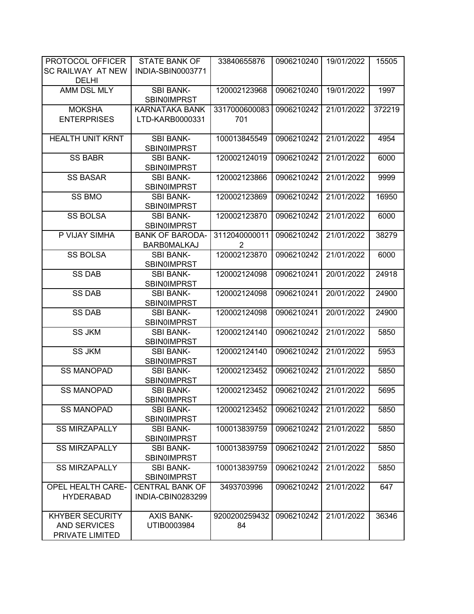| PROTOCOL OFFICER         | <b>STATE BANK OF</b>   | 33840655876    | 0906210240 | 19/01/2022 | 15505  |
|--------------------------|------------------------|----------------|------------|------------|--------|
| SC RAILWAY AT NEW        | INDIA-SBIN0003771      |                |            |            |        |
| <b>DELHI</b>             |                        |                |            |            |        |
| AMM DSL MLY              | <b>SBI BANK-</b>       | 120002123968   | 0906210240 | 19/01/2022 | 1997   |
|                          | SBIN0IMPRST            |                |            |            |        |
| <b>MOKSHA</b>            | KARNATAKA BANK         | 3317000600083  | 0906210242 | 21/01/2022 | 372219 |
| <b>ENTERPRISES</b>       | LTD-KARB0000331        | 701            |            |            |        |
|                          |                        |                |            |            |        |
| <b>HEALTH UNIT KRNT</b>  | <b>SBI BANK-</b>       | 100013845549   | 0906210242 | 21/01/2022 | 4954   |
|                          | <b>SBIN0IMPRST</b>     |                |            |            |        |
| <b>SS BABR</b>           | <b>SBI BANK-</b>       | 120002124019   | 0906210242 | 21/01/2022 | 6000   |
|                          | <b>SBIN0IMPRST</b>     |                |            |            |        |
| <b>SS BASAR</b>          | <b>SBI BANK-</b>       | 120002123866   | 0906210242 | 21/01/2022 | 9999   |
|                          | <b>SBIN0IMPRST</b>     |                |            |            |        |
| <b>SS BMO</b>            | <b>SBI BANK-</b>       | 120002123869   | 0906210242 | 21/01/2022 | 16950  |
|                          | <b>SBIN0IMPRST</b>     |                |            |            |        |
| <b>SS BOLSA</b>          | <b>SBI BANK-</b>       | 120002123870   | 0906210242 | 21/01/2022 | 6000   |
|                          | <b>SBINOIMPRST</b>     |                |            |            |        |
| P VIJAY SIMHA            | <b>BANK OF BARODA-</b> | 3112040000011  | 0906210242 | 21/01/2022 | 38279  |
|                          | <b>BARBOMALKAJ</b>     | $\overline{2}$ |            |            |        |
| <b>SS BOLSA</b>          | <b>SBI BANK-</b>       | 120002123870   | 0906210242 | 21/01/2022 | 6000   |
|                          | <b>SBIN0IMPRST</b>     |                |            |            |        |
| <b>SS DAB</b>            | <b>SBI BANK-</b>       | 120002124098   | 0906210241 | 20/01/2022 | 24918  |
|                          | <b>SBIN0IMPRST</b>     |                |            |            |        |
| <b>SS DAB</b>            | <b>SBI BANK-</b>       | 120002124098   | 0906210241 | 20/01/2022 | 24900  |
|                          | <b>SBIN0IMPRST</b>     |                |            |            |        |
| <b>SS DAB</b>            | <b>SBI BANK-</b>       | 120002124098   | 0906210241 | 20/01/2022 | 24900  |
|                          | SBIN0IMPRST            |                |            |            |        |
| <b>SS JKM</b>            | <b>SBI BANK-</b>       | 120002124140   | 0906210242 | 21/01/2022 | 5850   |
|                          | <b>SBIN0IMPRST</b>     |                |            |            |        |
| <b>SS JKM</b>            | <b>SBI BANK-</b>       | 120002124140   | 0906210242 | 21/01/2022 | 5953   |
|                          | <b>SBIN0IMPRST</b>     |                |            |            |        |
| <b>SS MANOPAD</b>        | <b>SBI BANK-</b>       | 120002123452   | 0906210242 | 21/01/2022 | 5850   |
|                          | <b>SBIN0IMPRST</b>     |                |            |            |        |
| <b>SS MANOPAD</b>        | <b>SBI BANK-</b>       | 120002123452   | 0906210242 | 21/01/2022 | 5695   |
|                          | <b>SBIN0IMPRST</b>     |                |            |            |        |
| <b>SS MANOPAD</b>        | <b>SBI BANK-</b>       | 120002123452   | 0906210242 | 21/01/2022 | 5850   |
|                          | <b>SBIN0IMPRST</b>     |                |            |            |        |
| <b>SS MIRZAPALLY</b>     | <b>SBI BANK-</b>       | 100013839759   | 0906210242 | 21/01/2022 | 5850   |
|                          | <b>SBIN0IMPRST</b>     |                |            |            |        |
| <b>SS MIRZAPALLY</b>     | <b>SBI BANK-</b>       | 100013839759   | 0906210242 | 21/01/2022 | 5850   |
|                          | <b>SBIN0IMPRST</b>     |                |            |            |        |
| <b>SS MIRZAPALLY</b>     | <b>SBI BANK-</b>       | 100013839759   | 0906210242 | 21/01/2022 | 5850   |
|                          | <b>SBIN0IMPRST</b>     |                |            |            |        |
| <b>OPEL HEALTH CARE-</b> | <b>CENTRAL BANK OF</b> | 3493703996     | 0906210242 | 21/01/2022 | 647    |
| <b>HYDERABAD</b>         | INDIA-CBIN0283299      |                |            |            |        |
|                          |                        |                |            |            |        |
| <b>KHYBER SECURITY</b>   | <b>AXIS BANK-</b>      | 9200200259432  | 0906210242 | 21/01/2022 | 36346  |
| <b>AND SERVICES</b>      | UTIB0003984            | 84             |            |            |        |
| PRIVATE LIMITED          |                        |                |            |            |        |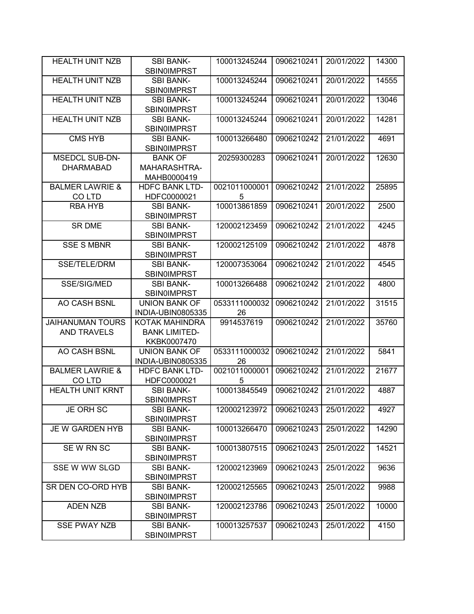| <b>HEALTH UNIT NZB</b>     | <b>SBI BANK-</b>                       | 100013245244  | 0906210241 | 20/01/2022 | 14300 |
|----------------------------|----------------------------------------|---------------|------------|------------|-------|
|                            | <b>SBIN0IMPRST</b>                     |               |            |            |       |
| <b>HEALTH UNIT NZB</b>     | <b>SBI BANK-</b>                       | 100013245244  | 0906210241 | 20/01/2022 | 14555 |
|                            | <b>SBIN0IMPRST</b>                     |               |            |            |       |
| <b>HEALTH UNIT NZB</b>     | <b>SBI BANK-</b>                       | 100013245244  | 0906210241 | 20/01/2022 | 13046 |
|                            | <b>SBINOIMPRST</b>                     |               |            |            |       |
| <b>HEALTH UNIT NZB</b>     | <b>SBI BANK-</b>                       | 100013245244  | 0906210241 | 20/01/2022 | 14281 |
|                            | <b>SBIN0IMPRST</b>                     |               |            |            |       |
| <b>CMS HYB</b>             | <b>SBI BANK-</b>                       | 100013266480  | 0906210242 | 21/01/2022 | 4691  |
|                            | <b>SBIN0IMPRST</b>                     |               |            |            |       |
| <b>MSEDCL SUB-DN-</b>      | <b>BANK OF</b>                         | 20259300283   | 0906210241 | 20/01/2022 | 12630 |
| <b>DHARMABAD</b>           | <b>MAHARASHTRA-</b>                    |               |            |            |       |
|                            | MAHB0000419                            |               |            |            |       |
| <b>BALMER LAWRIE &amp;</b> | <b>HDFC BANK LTD-</b>                  | 0021011000001 | 0906210242 | 21/01/2022 | 25895 |
| CO LTD                     | HDFC0000021                            | 5             |            |            |       |
| <b>RBA HYB</b>             | <b>SBI BANK-</b>                       | 100013861859  | 0906210241 | 20/01/2022 | 2500  |
|                            | <b>SBIN0IMPRST</b>                     |               |            |            |       |
| <b>SR DME</b>              | <b>SBI BANK-</b>                       | 120002123459  | 0906210242 | 21/01/2022 | 4245  |
|                            |                                        |               |            |            |       |
|                            | <b>SBINOIMPRST</b>                     |               |            |            |       |
| <b>SSE S MBNR</b>          | <b>SBI BANK-</b>                       | 120002125109  | 0906210242 | 21/01/2022 | 4878  |
|                            | <b>SBINOIMPRST</b>                     |               |            |            |       |
| <b>SSE/TELE/DRM</b>        | <b>SBI BANK-</b>                       | 120007353064  | 0906210242 | 21/01/2022 | 4545  |
|                            | <b>SBIN0IMPRST</b>                     |               |            |            |       |
| SSE/SIG/MED                | <b>SBI BANK-</b>                       | 100013266488  | 0906210242 | 21/01/2022 | 4800  |
|                            | <b>SBIN0IMPRST</b>                     |               |            |            |       |
| AO CASH BSNL               | <b>UNION BANK OF</b>                   | 0533111000032 | 0906210242 | 21/01/2022 | 31515 |
|                            |                                        |               |            |            |       |
|                            | INDIA-UBIN0805335                      | 26            |            |            |       |
| <b>JAIHANUMAN TOURS</b>    | KOTAK MAHINDRA                         | 9914537619    | 0906210242 | 21/01/2022 | 35760 |
| <b>AND TRAVELS</b>         | <b>BANK LIMITED-</b>                   |               |            |            |       |
|                            | KKBK0007470                            |               |            |            |       |
| AO CASH BSNL               | <b>UNION BANK OF</b>                   | 0533111000032 | 0906210242 | 21/01/2022 | 5841  |
|                            | INDIA-UBIN0805335                      | 26            |            |            |       |
| <b>BALMER LAWRIE &amp;</b> | <b>HDFC BANK LTD-</b>                  | 0021011000001 | 0906210242 | 21/01/2022 | 21677 |
|                            |                                        | 5             |            |            |       |
| <b>COLTD</b>               | HDFC0000021                            |               |            |            |       |
| <b>HEALTH UNIT KRNT</b>    | <b>SBI BANK-</b>                       | 100013845549  | 0906210242 | 21/01/2022 | 4887  |
|                            | <b>SBINOIMPRST</b>                     |               |            |            |       |
| JE ORH SC                  | <b>SBI BANK-</b>                       | 120002123972  | 0906210243 | 25/01/2022 | 4927  |
|                            | <b>SBIN0IMPRST</b>                     |               |            |            |       |
| JE W GARDEN HYB            | <b>SBI BANK-</b>                       | 100013266470  | 0906210243 | 25/01/2022 | 14290 |
|                            | <b>SBIN0IMPRST</b>                     |               |            |            |       |
| SEW RN SC                  | <b>SBI BANK-</b>                       | 100013807515  | 0906210243 | 25/01/2022 | 14521 |
|                            | <b>SBIN0IMPRST</b>                     |               |            |            |       |
| SSE W WW SLGD              | <b>SBI BANK-</b>                       | 120002123969  | 0906210243 | 25/01/2022 | 9636  |
|                            | <b>SBIN0IMPRST</b>                     |               |            |            |       |
| SR DEN CO-ORD HYB          | <b>SBI BANK-</b>                       | 120002125565  | 0906210243 | 25/01/2022 | 9988  |
|                            | <b>SBINOIMPRST</b>                     |               |            |            |       |
| <b>ADEN NZB</b>            | <b>SBI BANK-</b>                       | 120002123786  | 0906210243 | 25/01/2022 | 10000 |
|                            | <b>SBIN0IMPRST</b>                     |               |            |            |       |
| <b>SSE PWAY NZB</b>        | <b>SBI BANK-</b><br><b>SBIN0IMPRST</b> | 100013257537  | 0906210243 | 25/01/2022 | 4150  |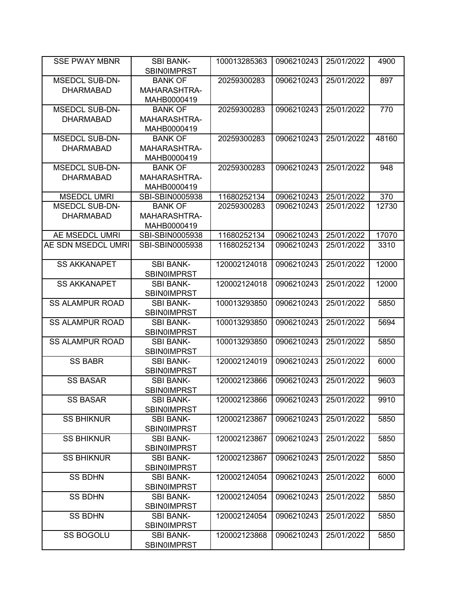| <b>SSE PWAY MBNR</b>   | <b>SBI BANK-</b>   | 100013285363 | 0906210243 | 25/01/2022 | 4900  |
|------------------------|--------------------|--------------|------------|------------|-------|
|                        | <b>SBINOIMPRST</b> |              |            |            |       |
| <b>MSEDCL SUB-DN-</b>  | <b>BANK OF</b>     | 20259300283  | 0906210243 | 25/01/2022 | 897   |
| <b>DHARMABAD</b>       | MAHARASHTRA-       |              |            |            |       |
|                        | MAHB0000419        |              |            |            |       |
| <b>MSEDCL SUB-DN-</b>  | <b>BANK OF</b>     | 20259300283  | 0906210243 | 25/01/2022 | 770   |
| <b>DHARMABAD</b>       | MAHARASHTRA-       |              |            |            |       |
|                        | MAHB0000419        |              |            |            |       |
| <b>MSEDCL SUB-DN-</b>  | <b>BANK OF</b>     | 20259300283  | 0906210243 | 25/01/2022 | 48160 |
| <b>DHARMABAD</b>       | MAHARASHTRA-       |              |            |            |       |
|                        | MAHB0000419        |              |            |            |       |
| <b>MSEDCL SUB-DN-</b>  | <b>BANK OF</b>     | 20259300283  | 0906210243 | 25/01/2022 | 948   |
| <b>DHARMABAD</b>       | MAHARASHTRA-       |              |            |            |       |
|                        | MAHB0000419        |              |            |            |       |
| <b>MSEDCL UMRI</b>     | SBI-SBIN0005938    | 11680252134  | 0906210243 | 25/01/2022 | 370   |
| <b>MSEDCL SUB-DN-</b>  | <b>BANK OF</b>     | 20259300283  | 0906210243 | 25/01/2022 | 12730 |
| <b>DHARMABAD</b>       | MAHARASHTRA-       |              |            |            |       |
|                        | MAHB0000419        |              |            |            |       |
| AE MSEDCL UMRI         | SBI-SBIN0005938    | 11680252134  | 0906210243 | 25/01/2022 | 17070 |
| AE SDN MSEDCL UMRI     | SBI-SBIN0005938    | 11680252134  | 0906210243 | 25/01/2022 | 3310  |
|                        |                    |              |            |            |       |
| <b>SS AKKANAPET</b>    | <b>SBI BANK-</b>   | 120002124018 | 0906210243 | 25/01/2022 | 12000 |
|                        | <b>SBIN0IMPRST</b> |              |            |            |       |
| <b>SS AKKANAPET</b>    | <b>SBI BANK-</b>   | 120002124018 | 0906210243 | 25/01/2022 | 12000 |
|                        | <b>SBIN0IMPRST</b> |              |            |            |       |
| <b>SS ALAMPUR ROAD</b> | <b>SBI BANK-</b>   | 100013293850 | 0906210243 | 25/01/2022 | 5850  |
|                        | <b>SBINOIMPRST</b> |              |            |            |       |
| <b>SS ALAMPUR ROAD</b> | <b>SBI BANK-</b>   | 100013293850 | 0906210243 | 25/01/2022 | 5694  |
|                        | <b>SBINOIMPRST</b> |              |            |            |       |
| <b>SS ALAMPUR ROAD</b> | <b>SBI BANK-</b>   | 100013293850 | 0906210243 | 25/01/2022 | 5850  |
|                        | <b>SBINOIMPRST</b> |              |            |            |       |
| <b>SS BABR</b>         | <b>SBI BANK-</b>   | 120002124019 | 0906210243 | 25/01/2022 | 6000  |
|                        | <b>SBINOIMPRST</b> |              |            |            |       |
| <b>SS BASAR</b>        | <b>SBI BANK-</b>   | 120002123866 | 0906210243 | 25/01/2022 | 9603  |
|                        | <b>SBINOIMPRST</b> |              |            |            |       |
| <b>SS BASAR</b>        | <b>SBI BANK-</b>   | 120002123866 | 0906210243 | 25/01/2022 | 9910  |
|                        | <b>SBIN0IMPRST</b> |              |            |            |       |
| <b>SS BHIKNUR</b>      | <b>SBI BANK-</b>   | 120002123867 | 0906210243 | 25/01/2022 | 5850  |
|                        | <b>SBINOIMPRST</b> |              |            |            |       |
| <b>SS BHIKNUR</b>      | <b>SBI BANK-</b>   | 120002123867 | 0906210243 | 25/01/2022 | 5850  |
|                        | <b>SBIN0IMPRST</b> |              |            |            |       |
| <b>SS BHIKNUR</b>      | <b>SBI BANK-</b>   | 120002123867 | 0906210243 | 25/01/2022 | 5850  |
|                        | <b>SBIN0IMPRST</b> |              |            |            |       |
| <b>SS BDHN</b>         | <b>SBI BANK-</b>   | 120002124054 | 0906210243 | 25/01/2022 | 6000  |
|                        | <b>SBINOIMPRST</b> |              |            |            |       |
| <b>SS BDHN</b>         | <b>SBI BANK-</b>   | 120002124054 | 0906210243 | 25/01/2022 | 5850  |
|                        | <b>SBINOIMPRST</b> |              |            |            |       |
| <b>SS BDHN</b>         | <b>SBI BANK-</b>   | 120002124054 | 0906210243 | 25/01/2022 | 5850  |
|                        | <b>SBIN0IMPRST</b> |              |            |            |       |
| <b>SS BOGOLU</b>       | <b>SBI BANK-</b>   | 120002123868 | 0906210243 | 25/01/2022 | 5850  |
|                        | <b>SBINOIMPRST</b> |              |            |            |       |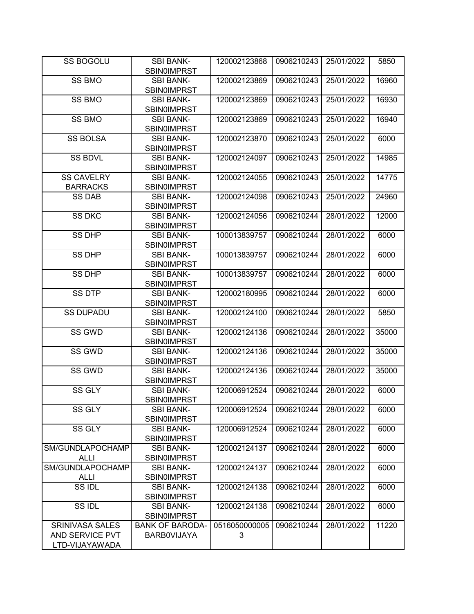| <b>SS BOGOLU</b>                                            | <b>SBI BANK-</b><br><b>SBIN0IMPRST</b>       | 120002123868       | 0906210243 | 25/01/2022 | 5850  |
|-------------------------------------------------------------|----------------------------------------------|--------------------|------------|------------|-------|
| <b>SS BMO</b>                                               | <b>SBI BANK-</b><br><b>SBIN0IMPRST</b>       | 120002123869       | 0906210243 | 25/01/2022 | 16960 |
| SS BMO                                                      | <b>SBI BANK-</b><br><b>SBIN0IMPRST</b>       | 120002123869       | 0906210243 | 25/01/2022 | 16930 |
| <b>SS BMO</b>                                               | <b>SBI BANK-</b><br><b>SBIN0IMPRST</b>       | 120002123869       | 0906210243 | 25/01/2022 | 16940 |
| <b>SS BOLSA</b>                                             | <b>SBI BANK-</b><br><b>SBIN0IMPRST</b>       | 120002123870       | 0906210243 | 25/01/2022 | 6000  |
| <b>SS BDVL</b>                                              | <b>SBI BANK-</b><br><b>SBIN0IMPRST</b>       | 120002124097       | 0906210243 | 25/01/2022 | 14985 |
| SS CAVELRY<br><b>BARRACKS</b>                               | <b>SBI BANK-</b><br><b>SBIN0IMPRST</b>       | 120002124055       | 0906210243 | 25/01/2022 | 14775 |
| <b>SS DAB</b>                                               | <b>SBI BANK-</b><br><b>SBIN0IMPRST</b>       | 120002124098       | 0906210243 | 25/01/2022 | 24960 |
| <b>SS DKC</b>                                               | <b>SBI BANK-</b><br><b>SBIN0IMPRST</b>       | 120002124056       | 0906210244 | 28/01/2022 | 12000 |
| <b>SS DHP</b>                                               | <b>SBI BANK-</b><br><b>SBIN0IMPRST</b>       | 100013839757       | 0906210244 | 28/01/2022 | 6000  |
| <b>SS DHP</b>                                               | <b>SBI BANK-</b><br><b>SBIN0IMPRST</b>       | 100013839757       | 0906210244 | 28/01/2022 | 6000  |
| <b>SS DHP</b>                                               | <b>SBI BANK-</b><br><b>SBIN0IMPRST</b>       | 100013839757       | 0906210244 | 28/01/2022 | 6000  |
| <b>SS DTP</b>                                               | <b>SBI BANK-</b><br><b>SBIN0IMPRST</b>       | 120002180995       | 0906210244 | 28/01/2022 | 6000  |
| <b>SS DUPADU</b>                                            | <b>SBI BANK-</b><br><b>SBIN0IMPRST</b>       | 120002124100       | 0906210244 | 28/01/2022 | 5850  |
| SS GWD                                                      | <b>SBI BANK-</b><br><b>SBIN0IMPRST</b>       | 120002124136       | 0906210244 | 28/01/2022 | 35000 |
| SS GWD                                                      | <b>SBI BANK-</b><br><b>SBIN0IMPRST</b>       | 120002124136       | 0906210244 | 28/01/2022 | 35000 |
| SS GWD                                                      | <b>SBI BANK-</b><br><b>SBIN0IMPRST</b>       | 120002124136       | 0906210244 | 28/01/2022 | 35000 |
| SS GLY                                                      | <b>SBI BANK-</b><br><b>SBIN0IMPRST</b>       | 120006912524       | 0906210244 | 28/01/2022 | 6000  |
| SS GLY                                                      | <b>SBI BANK-</b><br>SBIN0IMPRST              | 120006912524       | 0906210244 | 28/01/2022 | 6000  |
| SS GLY                                                      | <b>SBI BANK-</b><br><b>SBIN0IMPRST</b>       | 120006912524       | 0906210244 | 28/01/2022 | 6000  |
| SM/GUNDLAPOCHAMP<br><b>ALLI</b>                             | <b>SBI BANK-</b><br>SBIN0IMPRST              | 120002124137       | 0906210244 | 28/01/2022 | 6000  |
| SM/GUNDLAPOCHAMP<br><b>ALLI</b>                             | <b>SBI BANK-</b><br><b>SBIN0IMPRST</b>       | 120002124137       | 0906210244 | 28/01/2022 | 6000  |
| SS IDL                                                      | <b>SBI BANK-</b><br><b>SBIN0IMPRST</b>       | 120002124138       | 0906210244 | 28/01/2022 | 6000  |
| SS IDL                                                      | <b>SBI BANK-</b><br><b>SBIN0IMPRST</b>       | 120002124138       | 0906210244 | 28/01/2022 | 6000  |
| <b>SRINIVASA SALES</b><br>AND SERVICE PVT<br>LTD-VIJAYAWADA | <b>BANK OF BARODA-</b><br><b>BARBOVIJAYA</b> | 0516050000005<br>3 | 0906210244 | 28/01/2022 | 11220 |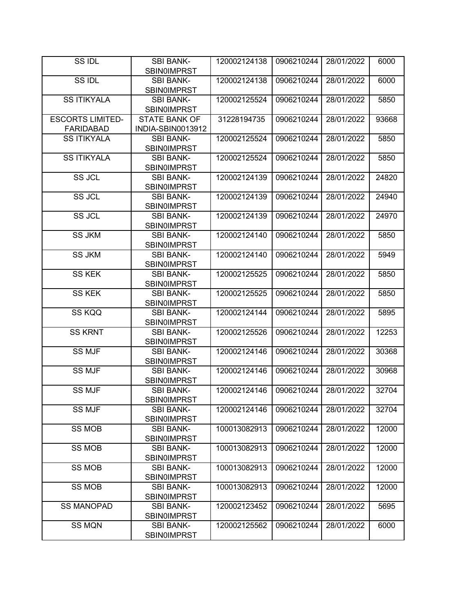| SS IDL                  | <b>SBI BANK-</b>                       | 120002124138 | 0906210244 | 28/01/2022 | 6000  |
|-------------------------|----------------------------------------|--------------|------------|------------|-------|
|                         | <b>SBIN0IMPRST</b>                     |              |            |            |       |
| SS IDL                  | <b>SBI BANK-</b>                       | 120002124138 | 0906210244 | 28/01/2022 | 6000  |
|                         | <b>SBIN0IMPRST</b>                     |              |            |            |       |
| <b>SS ITIKYALA</b>      | <b>SBI BANK-</b>                       | 120002125524 | 0906210244 | 28/01/2022 | 5850  |
|                         | <b>SBIN0IMPRST</b>                     |              |            |            |       |
| <b>ESCORTS LIMITED-</b> | <b>STATE BANK OF</b>                   | 31228194735  | 0906210244 | 28/01/2022 | 93668 |
| <b>FARIDABAD</b>        | INDIA-SBIN0013912                      |              |            |            |       |
| <b>SS ITIKYALA</b>      | <b>SBI BANK-</b>                       | 120002125524 | 0906210244 | 28/01/2022 | 5850  |
|                         | <b>SBIN0IMPRST</b>                     |              |            |            |       |
| <b>SS ITIKYALA</b>      | <b>SBI BANK-</b>                       | 120002125524 | 0906210244 | 28/01/2022 | 5850  |
|                         | <b>SBIN0IMPRST</b>                     |              |            |            |       |
| <b>SS JCL</b>           | <b>SBI BANK-</b>                       | 120002124139 | 0906210244 | 28/01/2022 | 24820 |
|                         | <b>SBIN0IMPRST</b>                     |              |            |            |       |
| <b>SS JCL</b>           | <b>SBI BANK-</b>                       | 120002124139 | 0906210244 | 28/01/2022 | 24940 |
|                         | <b>SBIN0IMPRST</b>                     |              |            |            |       |
| SS JCL                  | <b>SBI BANK-</b>                       | 120002124139 | 0906210244 | 28/01/2022 | 24970 |
|                         | <b>SBIN0IMPRST</b>                     |              |            |            |       |
| <b>SS JKM</b>           | <b>SBI BANK-</b>                       | 120002124140 | 0906210244 | 28/01/2022 | 5850  |
|                         | <b>SBIN0IMPRST</b>                     |              |            |            |       |
| <b>SS JKM</b>           | <b>SBI BANK-</b>                       | 120002124140 | 0906210244 | 28/01/2022 | 5949  |
|                         | <b>SBIN0IMPRST</b>                     |              |            |            |       |
| <b>SS KEK</b>           | <b>SBI BANK-</b>                       | 120002125525 | 0906210244 | 28/01/2022 | 5850  |
|                         | <b>SBIN0IMPRST</b>                     |              |            |            |       |
| <b>SS KEK</b>           | <b>SBI BANK-</b>                       | 120002125525 | 0906210244 | 28/01/2022 | 5850  |
|                         | <b>SBIN0IMPRST</b>                     |              |            |            |       |
| SS KQQ                  | <b>SBI BANK-</b>                       | 120002124144 | 0906210244 | 28/01/2022 | 5895  |
| <b>SS KRNT</b>          | <b>SBIN0IMPRST</b><br><b>SBI BANK-</b> | 120002125526 | 0906210244 | 28/01/2022 |       |
|                         | <b>SBIN0IMPRST</b>                     |              |            |            | 12253 |
| <b>SS MJF</b>           | <b>SBI BANK-</b>                       | 120002124146 | 0906210244 | 28/01/2022 | 30368 |
|                         | <b>SBIN0IMPRST</b>                     |              |            |            |       |
| <b>SS MJF</b>           | <b>SBI BANK-</b>                       | 120002124146 | 0906210244 | 28/01/2022 | 30968 |
|                         | <b>SBIN0IMPRST</b>                     |              |            |            |       |
| <b>SS MJF</b>           | <b>SBI BANK-</b>                       | 120002124146 | 0906210244 | 28/01/2022 | 32704 |
|                         | SBIN0IMPRST                            |              |            |            |       |
| <b>SS MJF</b>           | <b>SBI BANK-</b>                       | 120002124146 | 0906210244 | 28/01/2022 | 32704 |
|                         | <b>SBIN0IMPRST</b>                     |              |            |            |       |
| <b>SS MOB</b>           | <b>SBI BANK-</b>                       | 100013082913 | 0906210244 | 28/01/2022 | 12000 |
|                         | <b>SBIN0IMPRST</b>                     |              |            |            |       |
| <b>SS MOB</b>           | <b>SBI BANK-</b>                       | 100013082913 | 0906210244 | 28/01/2022 | 12000 |
|                         | <b>SBIN0IMPRST</b>                     |              |            |            |       |
| <b>SS MOB</b>           | <b>SBI BANK-</b>                       | 100013082913 | 0906210244 | 28/01/2022 | 12000 |
|                         | <b>SBIN0IMPRST</b>                     |              |            |            |       |
| <b>SS MOB</b>           | <b>SBI BANK-</b>                       | 100013082913 | 0906210244 | 28/01/2022 | 12000 |
|                         | <b>SBIN0IMPRST</b>                     |              |            |            |       |
| <b>SS MANOPAD</b>       | <b>SBI BANK-</b>                       | 120002123452 | 0906210244 | 28/01/2022 | 5695  |
|                         | <b>SBIN0IMPRST</b>                     |              |            |            |       |
| <b>SS MQN</b>           | <b>SBI BANK-</b>                       | 120002125562 | 0906210244 | 28/01/2022 | 6000  |
|                         | <b>SBIN0IMPRST</b>                     |              |            |            |       |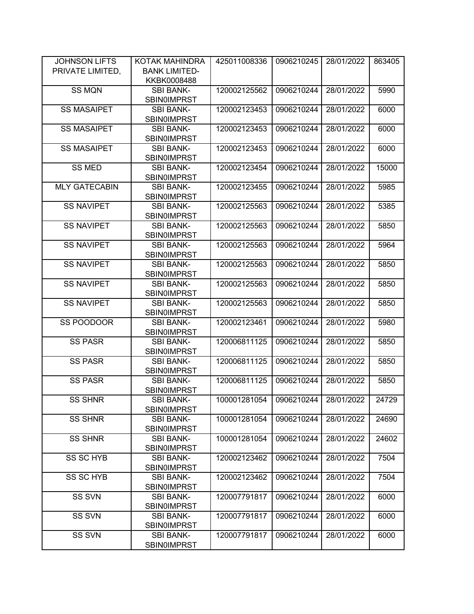| <b>JOHNSON LIFTS</b> | KOTAK MAHINDRA                         | 425011008336 | 0906210245 | 28/01/2022 | 863405 |
|----------------------|----------------------------------------|--------------|------------|------------|--------|
| PRIVATE LIMITED,     | <b>BANK LIMITED-</b>                   |              |            |            |        |
|                      | KKBK0008488                            |              |            |            |        |
| <b>SS MQN</b>        | <b>SBI BANK-</b>                       | 120002125562 | 0906210244 | 28/01/2022 | 5990   |
|                      | <b>SBIN0IMPRST</b>                     |              |            |            |        |
| <b>SS MASAIPET</b>   | <b>SBI BANK-</b>                       | 120002123453 | 0906210244 | 28/01/2022 | 6000   |
|                      | <b>SBIN0IMPRST</b>                     |              |            |            |        |
| <b>SS MASAIPET</b>   | <b>SBI BANK-</b>                       | 120002123453 | 0906210244 | 28/01/2022 | 6000   |
|                      | <b>SBIN0IMPRST</b>                     |              |            |            |        |
| <b>SS MASAIPET</b>   | <b>SBI BANK-</b>                       | 120002123453 | 0906210244 | 28/01/2022 | 6000   |
|                      | <b>SBIN0IMPRST</b>                     |              |            |            |        |
| <b>SS MED</b>        | <b>SBI BANK-</b>                       | 120002123454 | 0906210244 | 28/01/2022 | 15000  |
|                      | <b>SBIN0IMPRST</b>                     |              |            |            |        |
| <b>MLY GATECABIN</b> | <b>SBI BANK-</b>                       | 120002123455 | 0906210244 | 28/01/2022 | 5985   |
|                      | <b>SBIN0IMPRST</b>                     |              |            |            |        |
| <b>SS NAVIPET</b>    | <b>SBI BANK-</b>                       | 120002125563 | 0906210244 | 28/01/2022 | 5385   |
|                      | <b>SBIN0IMPRST</b>                     |              |            |            |        |
| <b>SS NAVIPET</b>    | <b>SBI BANK-</b>                       | 120002125563 | 0906210244 | 28/01/2022 | 5850   |
|                      | <b>SBIN0IMPRST</b>                     |              |            |            |        |
| <b>SS NAVIPET</b>    | <b>SBI BANK-</b>                       | 120002125563 | 0906210244 | 28/01/2022 | 5964   |
|                      | <b>SBIN0IMPRST</b>                     |              |            |            |        |
| <b>SS NAVIPET</b>    | <b>SBI BANK-</b>                       | 120002125563 | 0906210244 | 28/01/2022 | 5850   |
|                      | <b>SBIN0IMPRST</b>                     |              |            |            |        |
| <b>SS NAVIPET</b>    | <b>SBI BANK-</b>                       | 120002125563 | 0906210244 | 28/01/2022 | 5850   |
|                      | <b>SBIN0IMPRST</b>                     |              |            |            |        |
| <b>SS NAVIPET</b>    | <b>SBI BANK-</b>                       | 120002125563 | 0906210244 | 28/01/2022 | 5850   |
|                      | <b>SBIN0IMPRST</b>                     |              |            |            |        |
| SS POODOOR           | <b>SBI BANK-</b>                       | 120002123461 | 0906210244 | 28/01/2022 | 5980   |
|                      | <b>SBIN0IMPRST</b>                     |              |            |            |        |
| SS PASR              | <b>SBI BANK-</b>                       | 120006811125 | 0906210244 | 28/01/2022 | 5850   |
|                      | <b>SBIN0IMPRST</b>                     |              |            |            |        |
| <b>SS PASR</b>       | <b>SBI BANK-</b>                       | 120006811125 | 0906210244 | 28/01/2022 | 5850   |
| <b>SS PASR</b>       | <b>SBIN0IMPRST</b><br><b>SBI BANK-</b> | 120006811125 | 0906210244 | 28/01/2022 | 5850   |
|                      | <b>SBIN0IMPRST</b>                     |              |            |            |        |
| <b>SS SHNR</b>       | SBI BANK-                              | 100001281054 | 0906210244 | 28/01/2022 | 24729  |
|                      | <b>SBIN0IMPRST</b>                     |              |            |            |        |
| <b>SS SHNR</b>       | <b>SBI BANK-</b>                       | 100001281054 | 0906210244 | 28/01/2022 | 24690  |
|                      | <b>SBIN0IMPRST</b>                     |              |            |            |        |
| <b>SS SHNR</b>       | <b>SBI BANK-</b>                       | 100001281054 | 0906210244 | 28/01/2022 | 24602  |
|                      | <b>SBIN0IMPRST</b>                     |              |            |            |        |
| SS SC HYB            | <b>SBI BANK-</b>                       | 120002123462 | 0906210244 | 28/01/2022 | 7504   |
|                      | <b>SBIN0IMPRST</b>                     |              |            |            |        |
| <b>SS SC HYB</b>     | <b>SBI BANK-</b>                       | 120002123462 | 0906210244 | 28/01/2022 | 7504   |
|                      | <b>SBIN0IMPRST</b>                     |              |            |            |        |
| <b>SS SVN</b>        | <b>SBI BANK-</b>                       | 120007791817 | 0906210244 | 28/01/2022 | 6000   |
|                      | SBIN0IMPRST                            |              |            |            |        |
| SS SVN               | <b>SBI BANK-</b>                       | 120007791817 | 0906210244 | 28/01/2022 | 6000   |
|                      | <b>SBIN0IMPRST</b>                     |              |            |            |        |
| SS SVN               | <b>SBI BANK-</b>                       | 120007791817 | 0906210244 | 28/01/2022 | 6000   |
|                      | <b>SBIN0IMPRST</b>                     |              |            |            |        |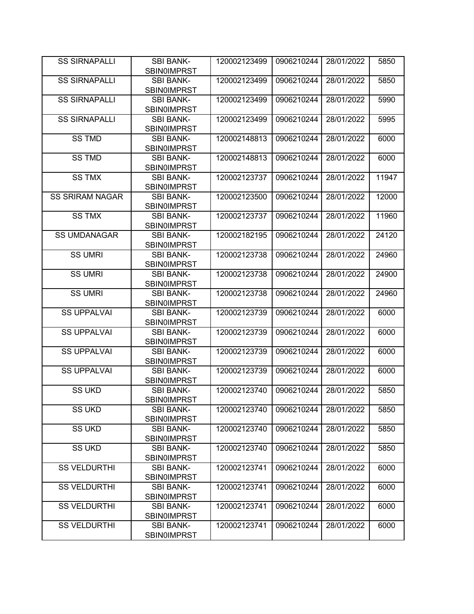| <b>SS SIRNAPALLI</b>   | <b>SBI BANK-</b>                       | 120002123499 | 0906210244 | 28/01/2022 | 5850  |
|------------------------|----------------------------------------|--------------|------------|------------|-------|
|                        | <b>SBIN0IMPRST</b>                     |              |            |            |       |
| <b>SS SIRNAPALLI</b>   | <b>SBI BANK-</b><br><b>SBIN0IMPRST</b> | 120002123499 | 0906210244 | 28/01/2022 | 5850  |
| <b>SS SIRNAPALLI</b>   | <b>SBI BANK-</b><br><b>SBIN0IMPRST</b> | 120002123499 | 0906210244 | 28/01/2022 | 5990  |
| <b>SS SIRNAPALLI</b>   | <b>SBI BANK-</b>                       | 120002123499 | 0906210244 | 28/01/2022 |       |
|                        | <b>SBIN0IMPRST</b>                     |              |            |            | 5995  |
| <b>SS TMD</b>          | <b>SBI BANK-</b><br><b>SBIN0IMPRST</b> | 120002148813 | 0906210244 | 28/01/2022 | 6000  |
| <b>SS TMD</b>          | <b>SBI BANK-</b><br><b>SBIN0IMPRST</b> | 120002148813 | 0906210244 | 28/01/2022 | 6000  |
| <b>SS TMX</b>          | <b>SBI BANK-</b>                       | 120002123737 | 0906210244 | 28/01/2022 | 11947 |
|                        | <b>SBIN0IMPRST</b>                     |              |            |            |       |
| <b>SS SRIRAM NAGAR</b> | <b>SBI BANK-</b>                       | 120002123500 | 0906210244 | 28/01/2022 | 12000 |
|                        | <b>SBIN0IMPRST</b>                     |              |            |            |       |
| <b>SS TMX</b>          | <b>SBI BANK-</b>                       | 120002123737 | 0906210244 | 28/01/2022 | 11960 |
|                        | <b>SBIN0IMPRST</b>                     |              |            |            |       |
| <b>SS UMDANAGAR</b>    | <b>SBI BANK-</b>                       | 120002182195 | 0906210244 | 28/01/2022 | 24120 |
|                        | <b>SBIN0IMPRST</b>                     |              |            |            |       |
| SS UMRI                | <b>SBI BANK-</b>                       | 120002123738 | 0906210244 | 28/01/2022 | 24960 |
|                        | <b>SBIN0IMPRST</b>                     |              |            |            |       |
| <b>SS UMRI</b>         | <b>SBI BANK-</b>                       | 120002123738 | 0906210244 | 28/01/2022 | 24900 |
|                        | <b>SBIN0IMPRST</b>                     |              |            |            |       |
| <b>SS UMRI</b>         | <b>SBI BANK-</b>                       | 120002123738 | 0906210244 | 28/01/2022 | 24960 |
|                        | <b>SBIN0IMPRST</b>                     |              |            |            |       |
| <b>SS UPPALVAI</b>     | <b>SBI BANK-</b>                       | 120002123739 | 0906210244 | 28/01/2022 | 6000  |
|                        | <b>SBIN0IMPRST</b>                     |              |            |            |       |
| <b>SS UPPALVAI</b>     | <b>SBI BANK-</b>                       | 120002123739 | 0906210244 | 28/01/2022 | 6000  |
|                        | <b>SBIN0IMPRST</b>                     |              |            |            |       |
| <b>SS UPPALVAI</b>     | <b>SBI BANK-</b><br><b>SBINOIMPRST</b> | 120002123739 | 0906210244 | 28/01/2022 | 6000  |
| <b>SS UPPALVAI</b>     | <b>SBI BANK-</b>                       | 120002123739 | 0906210244 | 28/01/2022 | 6000  |
|                        | <b>SBIN0IMPRST</b>                     |              |            |            |       |
| SS UKD                 | <b>SBI BANK-</b>                       | 120002123740 | 0906210244 | 28/01/2022 | 5850  |
|                        | SBIN0IMPRST                            |              |            |            |       |
| <b>SS UKD</b>          | <b>SBI BANK-</b>                       | 120002123740 | 0906210244 | 28/01/2022 | 5850  |
|                        | <b>SBIN0IMPRST</b>                     |              |            |            |       |
| <b>SS UKD</b>          | <b>SBI BANK-</b>                       | 120002123740 | 0906210244 | 28/01/2022 | 5850  |
|                        | <b>SBIN0IMPRST</b>                     |              |            |            |       |
| <b>SS UKD</b>          | <b>SBI BANK-</b>                       | 120002123740 | 0906210244 | 28/01/2022 | 5850  |
|                        | <b>SBIN0IMPRST</b>                     |              |            |            |       |
| <b>SS VELDURTHI</b>    | <b>SBI BANK-</b>                       | 120002123741 | 0906210244 | 28/01/2022 | 6000  |
|                        | <b>SBIN0IMPRST</b>                     |              |            |            |       |
| <b>SS VELDURTHI</b>    | <b>SBI BANK-</b>                       | 120002123741 | 0906210244 | 28/01/2022 | 6000  |
|                        | <b>SBINOIMPRST</b>                     |              |            |            |       |
| <b>SS VELDURTHI</b>    | <b>SBI BANK-</b>                       | 120002123741 | 0906210244 | 28/01/2022 | 6000  |
|                        | <b>SBIN0IMPRST</b>                     |              |            |            |       |
| <b>SS VELDURTHI</b>    | <b>SBI BANK-</b>                       | 120002123741 | 0906210244 | 28/01/2022 | 6000  |
|                        | <b>SBIN0IMPRST</b>                     |              |            |            |       |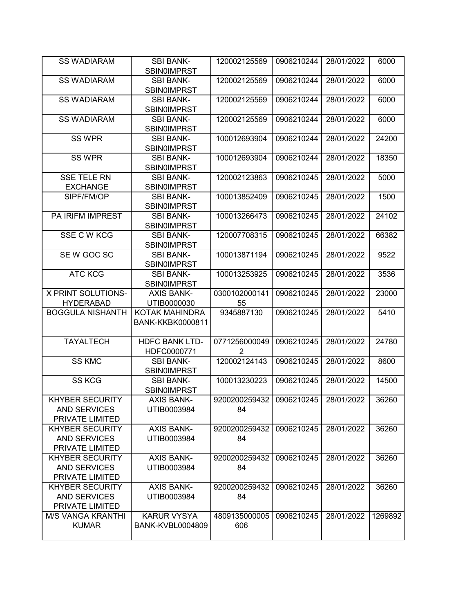| <b>SS WADIARAM</b>                                               | <b>SBI BANK-</b><br><b>SBIN0IMPRST</b>        | 120002125569                    | 0906210244 | 28/01/2022 | 6000    |
|------------------------------------------------------------------|-----------------------------------------------|---------------------------------|------------|------------|---------|
| <b>SS WADIARAM</b>                                               | <b>SBI BANK-</b><br><b>SBIN0IMPRST</b>        | 120002125569                    | 0906210244 | 28/01/2022 | 6000    |
| <b>SS WADIARAM</b>                                               | <b>SBI BANK-</b><br><b>SBINOIMPRST</b>        | 120002125569                    | 0906210244 | 28/01/2022 | 6000    |
| <b>SS WADIARAM</b>                                               | <b>SBI BANK-</b><br><b>SBIN0IMPRST</b>        | 120002125569                    | 0906210244 | 28/01/2022 | 6000    |
| <b>SS WPR</b>                                                    | <b>SBI BANK-</b><br>SBIN0IMPRST               | 100012693904                    | 0906210244 | 28/01/2022 | 24200   |
| <b>SS WPR</b>                                                    | <b>SBI BANK-</b><br>SBIN0IMPRST               | 100012693904                    | 0906210244 | 28/01/2022 | 18350   |
| <b>SSE TELE RN</b><br><b>EXCHANGE</b>                            | <b>SBI BANK-</b><br>SBIN0IMPRST               | 120002123863                    | 0906210245 | 28/01/2022 | 5000    |
| SIPF/FM/OP                                                       | <b>SBI BANK-</b><br>SBIN0IMPRST               | 100013852409                    | 0906210245 | 28/01/2022 | 1500    |
| PA IRIFM IMPREST                                                 | <b>SBI BANK-</b><br><b>SBIN0IMPRST</b>        | 100013266473                    | 0906210245 | 28/01/2022 | 24102   |
| SSE C W KCG                                                      | <b>SBI BANK-</b><br><b>SBIN0IMPRST</b>        | 120007708315                    | 0906210245 | 28/01/2022 | 66382   |
| SE W GOC SC                                                      | <b>SBI BANK-</b><br><b>SBINOIMPRST</b>        | 100013871194                    | 0906210245 | 28/01/2022 | 9522    |
| <b>ATC KCG</b>                                                   | <b>SBI BANK-</b><br>SBIN0IMPRST               | 100013253925                    | 0906210245 | 28/01/2022 | 3536    |
| X PRINT SOLUTIONS-                                               | <b>AXIS BANK-</b>                             | 0300102000141                   | 0906210245 | 28/01/2022 | 23000   |
| <b>HYDERABAD</b>                                                 | UTIB0000030                                   | 55                              |            |            |         |
| <b>BOGGULA NISHANTH</b>                                          | KOTAK MAHINDRA<br><b>BANK-KKBK0000811</b>     | 9345887130                      | 0906210245 | 28/01/2022 | 5410    |
| <b>TAYALTECH</b>                                                 | <b>HDFC BANK LTD-</b><br>HDFC0000771          | 0771256000049<br>$\overline{2}$ | 0906210245 | 28/01/2022 | 24780   |
| <b>SS KMC</b>                                                    | <b>SBI BANK-</b><br><b>SBIN0IMPRST</b>        | 120002124143                    | 0906210245 | 28/01/2022 | 8600    |
| <b>SS KCG</b>                                                    | <b>SBI BANK-</b><br><b>SBINOIMPRST</b>        | 100013230223                    | 0906210245 | 28/01/2022 | 14500   |
| <b>KHYBER SECURITY</b><br><b>AND SERVICES</b><br>PRIVATE LIMITED | <b>AXIS BANK-</b><br>UTIB0003984              | 9200200259432<br>84             | 0906210245 | 28/01/2022 | 36260   |
| <b>KHYBER SECURITY</b><br><b>AND SERVICES</b><br>PRIVATE LIMITED | <b>AXIS BANK-</b><br>UTIB0003984              | 9200200259432<br>84             | 0906210245 | 28/01/2022 | 36260   |
| <b>KHYBER SECURITY</b><br><b>AND SERVICES</b><br>PRIVATE LIMITED | <b>AXIS BANK-</b><br>UTIB0003984              | 9200200259432<br>84             | 0906210245 | 28/01/2022 | 36260   |
| <b>KHYBER SECURITY</b><br><b>AND SERVICES</b><br>PRIVATE LIMITED | <b>AXIS BANK-</b><br>UTIB0003984              | 9200200259432<br>84             | 0906210245 | 28/01/2022 | 36260   |
| <b>M/S VANGA KRANTHI</b><br><b>KUMAR</b>                         | <b>KARUR VYSYA</b><br><b>BANK-KVBL0004809</b> | 4809135000005<br>606            | 0906210245 | 28/01/2022 | 1269892 |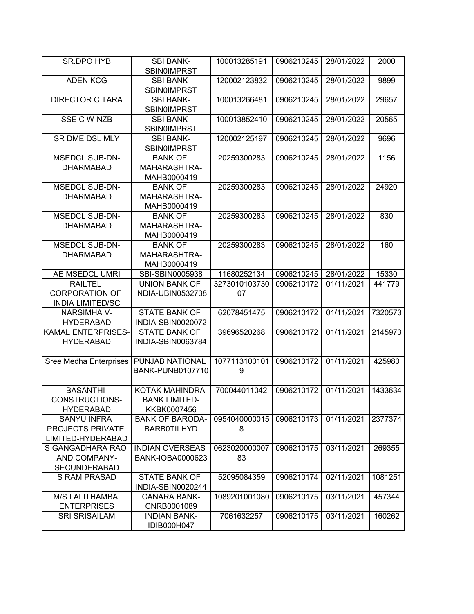| <b>SR.DPO HYB</b>             | <b>SBI BANK-</b><br><b>SBIN0IMPRST</b> | 100013285191  | 0906210245 | 28/01/2022 | 2000    |
|-------------------------------|----------------------------------------|---------------|------------|------------|---------|
|                               |                                        |               | 0906210245 |            |         |
| <b>ADEN KCG</b>               | <b>SBI BANK-</b><br><b>SBIN0IMPRST</b> | 120002123832  |            | 28/01/2022 | 9899    |
| <b>DIRECTOR C TARA</b>        | <b>SBI BANK-</b>                       | 100013266481  | 0906210245 | 28/01/2022 | 29657   |
|                               | <b>SBINOIMPRST</b>                     |               |            |            |         |
| <b>SSE C W NZB</b>            | <b>SBI BANK-</b>                       | 100013852410  | 0906210245 | 28/01/2022 | 20565   |
|                               | <b>SBIN0IMPRST</b>                     |               |            |            |         |
| SR DME DSL MLY                | <b>SBI BANK-</b>                       | 120002125197  | 0906210245 | 28/01/2022 | 9696    |
|                               | <b>SBINOIMPRST</b>                     |               |            |            |         |
| <b>MSEDCL SUB-DN-</b>         | <b>BANK OF</b>                         | 20259300283   | 0906210245 | 28/01/2022 | 1156    |
| <b>DHARMABAD</b>              | MAHARASHTRA-                           |               |            |            |         |
|                               | MAHB0000419                            |               |            |            |         |
| <b>MSEDCL SUB-DN-</b>         | <b>BANK OF</b>                         | 20259300283   | 0906210245 | 28/01/2022 | 24920   |
| <b>DHARMABAD</b>              | MAHARASHTRA-                           |               |            |            |         |
|                               | MAHB0000419                            |               |            |            |         |
| <b>MSEDCL SUB-DN-</b>         | <b>BANK OF</b>                         | 20259300283   | 0906210245 | 28/01/2022 | 830     |
| <b>DHARMABAD</b>              | <b>MAHARASHTRA-</b>                    |               |            |            |         |
|                               | MAHB0000419                            |               |            |            |         |
| <b>MSEDCL SUB-DN-</b>         | <b>BANK OF</b>                         | 20259300283   | 0906210245 | 28/01/2022 | 160     |
| <b>DHARMABAD</b>              | MAHARASHTRA-                           |               |            |            |         |
|                               | MAHB0000419                            |               |            |            |         |
| AE MSEDCL UMRI                | SBI-SBIN0005938                        | 11680252134   | 0906210245 | 28/01/2022 | 15330   |
| <b>RAILTEL</b>                | UNION BANK OF                          | 3273010103730 | 0906210172 | 01/11/2021 | 441779  |
| <b>CORPORATION OF</b>         | INDIA-UBIN0532738                      | 07            |            |            |         |
| <b>INDIA LIMITED/SC</b>       |                                        |               |            |            |         |
| <b>NARSIMHA V-</b>            | <b>STATE BANK OF</b>                   | 62078451475   | 0906210172 | 01/11/2021 | 7320573 |
| <b>HYDERABAD</b>              | INDIA-SBIN0020072                      |               |            |            |         |
| <b>KAMAL ENTERPRISES-</b>     | <b>STATE BANK OF</b>                   | 39696520268   | 0906210172 | 01/11/2021 | 2145973 |
| <b>HYDERABAD</b>              | INDIA-SBIN0063784                      |               |            |            |         |
|                               |                                        |               |            |            |         |
| <b>Sree Medha Enterprises</b> | PUNJAB NATIONAL                        | 1077113100101 | 0906210172 | 01/11/2021 | 425980  |
|                               | <b>BANK-PUNB0107710</b>                | 9             |            |            |         |
|                               |                                        |               |            |            |         |
| <b>BASANTHI</b>               | <b>KOTAK MAHINDRA</b>                  | 700044011042  | 0906210172 | 01/11/2021 | 1433634 |
| CONSTRUCTIONS-                | <b>BANK LIMITED-</b>                   |               |            |            |         |
| <b>HYDERABAD</b>              | KKBK0007456                            |               |            |            |         |
| <b>SANYU INFRA</b>            | <b>BANK OF BARODA-</b>                 | 0954040000015 | 0906210173 | 01/11/2021 | 2377374 |
| PROJECTS PRIVATE              | <b>BARBOTILHYD</b>                     | 8             |            |            |         |
| LIMITED-HYDERABAD             |                                        |               |            |            |         |
| S GANGADHARA RAO              | <b>INDIAN OVERSEAS</b>                 | 0623020000007 | 0906210175 | 03/11/2021 | 269355  |
| AND COMPANY-                  | BANK-IOBA0000623                       | 83            |            |            |         |
| <b>SECUNDERABAD</b>           |                                        |               |            |            |         |
| <b>S RAM PRASAD</b>           | <b>STATE BANK OF</b>                   | 52095084359   | 0906210174 | 02/11/2021 | 1081251 |
|                               | INDIA-SBIN0020244                      |               |            |            |         |
| <b>M/S LALITHAMBA</b>         | <b>CANARA BANK-</b>                    | 1089201001080 | 0906210175 | 03/11/2021 | 457344  |
| <b>ENTERPRISES</b>            | CNRB0001089                            |               |            |            |         |
| <b>SRI SRISAILAM</b>          | <b>INDIAN BANK-</b>                    | 7061632257    | 0906210175 | 03/11/2021 | 160262  |
|                               | IDIB000H047                            |               |            |            |         |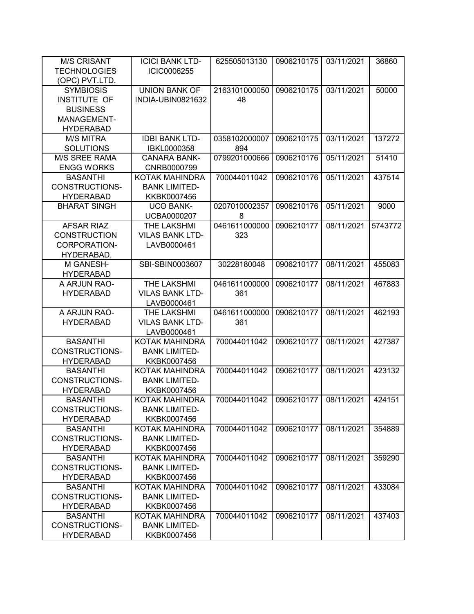| <b>M/S CRISANT</b>    | <b>ICICI BANK LTD-</b> | 625505013130  | 0906210175 | 03/11/2021 | 36860   |
|-----------------------|------------------------|---------------|------------|------------|---------|
| <b>TECHNOLOGIES</b>   | ICIC0006255            |               |            |            |         |
| (OPC) PVT.LTD.        |                        |               |            |            |         |
| <b>SYMBIOSIS</b>      | <b>UNION BANK OF</b>   | 2163101000050 | 0906210175 | 03/11/2021 | 50000   |
| INSTITUTE OF          | INDIA-UBIN0821632      | 48            |            |            |         |
| <b>BUSINESS</b>       |                        |               |            |            |         |
| MANAGEMENT-           |                        |               |            |            |         |
| <b>HYDERABAD</b>      |                        |               |            |            |         |
| <b>M/S MITRA</b>      | <b>IDBI BANK LTD-</b>  | 0358102000007 | 0906210175 | 03/11/2021 | 137272  |
| <b>SOLUTIONS</b>      | IBKL0000358            | 894           |            |            |         |
| <b>M/S SREE RAMA</b>  | <b>CANARA BANK-</b>    | 0799201000666 | 0906210176 | 05/11/2021 | 51410   |
| <b>ENGG WORKS</b>     | CNRB0000799            |               |            |            |         |
| <b>BASANTHI</b>       | KOTAK MAHINDRA         | 700044011042  | 0906210176 | 05/11/2021 | 437514  |
| CONSTRUCTIONS-        | <b>BANK LIMITED-</b>   |               |            |            |         |
| <b>HYDERABAD</b>      | KKBK0007456            |               |            |            |         |
| <b>BHARAT SINGH</b>   | <b>UCO BANK-</b>       | 0207010002357 | 0906210176 | 05/11/2021 | 9000    |
|                       | UCBA0000207            | 8             |            |            |         |
| <b>AFSAR RIAZ</b>     | THE LAKSHMI            | 0461611000000 | 0906210177 | 08/11/2021 | 5743772 |
| <b>CONSTRUCTION</b>   | <b>VILAS BANK LTD-</b> | 323           |            |            |         |
| CORPORATION-          | LAVB0000461            |               |            |            |         |
| HYDERABAD.            |                        |               |            |            |         |
| M GANESH-             | SBI-SBIN0003607        | 30228180048   | 0906210177 | 08/11/2021 | 455083  |
| <b>HYDERABAD</b>      |                        |               |            |            |         |
| A ARJUN RAO-          | THE LAKSHMI            | 0461611000000 | 0906210177 | 08/11/2021 | 467883  |
| <b>HYDERABAD</b>      | <b>VILAS BANK LTD-</b> | 361           |            |            |         |
|                       | LAVB0000461            |               |            |            |         |
| A ARJUN RAO-          | THE LAKSHMI            | 0461611000000 | 0906210177 | 08/11/2021 | 462193  |
| <b>HYDERABAD</b>      | <b>VILAS BANK LTD-</b> | 361           |            |            |         |
|                       | LAVB0000461            |               |            |            |         |
| <b>BASANTHI</b>       | KOTAK MAHINDRA         | 700044011042  | 0906210177 | 08/11/2021 | 427387  |
| CONSTRUCTIONS-        | <b>BANK LIMITED-</b>   |               |            |            |         |
| <b>HYDERABAD</b>      | KKBK0007456            |               |            |            |         |
| <b>BASANTHI</b>       | KOTAK MAHINDRA         | 700044011042  | 0906210177 | 08/11/2021 | 423132  |
| CONSTRUCTIONS-        | <b>BANK LIMITED-</b>   |               |            |            |         |
| <b>HYDERABAD</b>      | KKBK0007456            |               |            |            |         |
| <b>BASANTHI</b>       | KOTAK MAHINDRA         | 700044011042  | 0906210177 | 08/11/2021 | 424151  |
| CONSTRUCTIONS-        | <b>BANK LIMITED-</b>   |               |            |            |         |
| <b>HYDERABAD</b>      | KKBK0007456            |               |            |            |         |
| <b>BASANTHI</b>       | KOTAK MAHINDRA         | 700044011042  | 0906210177 | 08/11/2021 | 354889  |
| <b>CONSTRUCTIONS-</b> | <b>BANK LIMITED-</b>   |               |            |            |         |
| <b>HYDERABAD</b>      | KKBK0007456            |               |            |            |         |
| <b>BASANTHI</b>       | KOTAK MAHINDRA         | 700044011042  | 0906210177 | 08/11/2021 | 359290  |
| CONSTRUCTIONS-        | <b>BANK LIMITED-</b>   |               |            |            |         |
| <b>HYDERABAD</b>      | KKBK0007456            |               |            |            |         |
| <b>BASANTHI</b>       | KOTAK MAHINDRA         | 700044011042  | 0906210177 | 08/11/2021 | 433084  |
| CONSTRUCTIONS-        | <b>BANK LIMITED-</b>   |               |            |            |         |
| <b>HYDERABAD</b>      | KKBK0007456            |               |            |            |         |
| <b>BASANTHI</b>       | KOTAK MAHINDRA         | 700044011042  | 0906210177 | 08/11/2021 | 437403  |
| CONSTRUCTIONS-        | <b>BANK LIMITED-</b>   |               |            |            |         |
| <b>HYDERABAD</b>      | KKBK0007456            |               |            |            |         |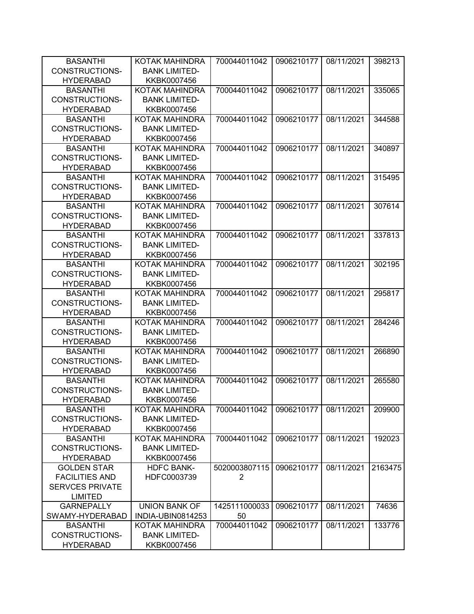| <b>BASANTHI</b>        | <b>KOTAK MAHINDRA</b> | 700044011042   | 0906210177 | 08/11/2021 | 398213  |
|------------------------|-----------------------|----------------|------------|------------|---------|
| <b>CONSTRUCTIONS-</b>  | <b>BANK LIMITED-</b>  |                |            |            |         |
| <b>HYDERABAD</b>       | KKBK0007456           |                |            |            |         |
| <b>BASANTHI</b>        | <b>KOTAK MAHINDRA</b> | 700044011042   | 0906210177 | 08/11/2021 | 335065  |
| <b>CONSTRUCTIONS-</b>  | <b>BANK LIMITED-</b>  |                |            |            |         |
| <b>HYDERABAD</b>       | KKBK0007456           |                |            |            |         |
| <b>BASANTHI</b>        | <b>KOTAK MAHINDRA</b> | 700044011042   | 0906210177 | 08/11/2021 | 344588  |
| <b>CONSTRUCTIONS-</b>  | <b>BANK LIMITED-</b>  |                |            |            |         |
| <b>HYDERABAD</b>       | KKBK0007456           |                |            |            |         |
| <b>BASANTHI</b>        | <b>KOTAK MAHINDRA</b> | 700044011042   | 0906210177 | 08/11/2021 | 340897  |
| <b>CONSTRUCTIONS-</b>  | <b>BANK LIMITED-</b>  |                |            |            |         |
| <b>HYDERABAD</b>       | KKBK0007456           |                |            |            |         |
| <b>BASANTHI</b>        | KOTAK MAHINDRA        | 700044011042   | 0906210177 | 08/11/2021 | 315495  |
| <b>CONSTRUCTIONS-</b>  | <b>BANK LIMITED-</b>  |                |            |            |         |
| <b>HYDERABAD</b>       | KKBK0007456           |                |            |            |         |
| <b>BASANTHI</b>        | <b>KOTAK MAHINDRA</b> | 700044011042   | 0906210177 | 08/11/2021 | 307614  |
| <b>CONSTRUCTIONS-</b>  | <b>BANK LIMITED-</b>  |                |            |            |         |
| <b>HYDERABAD</b>       | KKBK0007456           |                |            |            |         |
| <b>BASANTHI</b>        | <b>KOTAK MAHINDRA</b> | 700044011042   | 0906210177 | 08/11/2021 | 337813  |
| <b>CONSTRUCTIONS-</b>  | <b>BANK LIMITED-</b>  |                |            |            |         |
| <b>HYDERABAD</b>       | KKBK0007456           |                |            |            |         |
| <b>BASANTHI</b>        | <b>KOTAK MAHINDRA</b> | 700044011042   | 0906210177 | 08/11/2021 | 302195  |
| <b>CONSTRUCTIONS-</b>  | <b>BANK LIMITED-</b>  |                |            |            |         |
| <b>HYDERABAD</b>       | KKBK0007456           |                |            |            |         |
| <b>BASANTHI</b>        | KOTAK MAHINDRA        | 700044011042   | 0906210177 | 08/11/2021 | 295817  |
| <b>CONSTRUCTIONS-</b>  | <b>BANK LIMITED-</b>  |                |            |            |         |
| <b>HYDERABAD</b>       | KKBK0007456           |                |            |            |         |
| <b>BASANTHI</b>        | <b>KOTAK MAHINDRA</b> | 700044011042   | 0906210177 | 08/11/2021 | 284246  |
| <b>CONSTRUCTIONS-</b>  | <b>BANK LIMITED-</b>  |                |            |            |         |
| <b>HYDERABAD</b>       | KKBK0007456           |                |            |            |         |
| <b>BASANTHI</b>        | <b>KOTAK MAHINDRA</b> | 700044011042   | 0906210177 | 08/11/2021 | 266890  |
| <b>CONSTRUCTIONS-</b>  | <b>BANK LIMITED-</b>  |                |            |            |         |
| <b>HYDERABAD</b>       | KKBK0007456           |                |            |            |         |
| <b>BASANTHI</b>        | <b>KOTAK MAHINDRA</b> | 700044011042   | 0906210177 | 08/11/2021 | 265580  |
| <b>CONSTRUCTIONS-</b>  | <b>BANK LIMITED-</b>  |                |            |            |         |
| <b>HYDERABAD</b>       | KKBK0007456           |                |            |            |         |
| <b>BASANTHI</b>        | KOTAK MAHINDRA        | 700044011042   | 0906210177 | 08/11/2021 | 209900  |
| CONSTRUCTIONS-         | <b>BANK LIMITED-</b>  |                |            |            |         |
| <b>HYDERABAD</b>       | KKBK0007456           |                |            |            |         |
| <b>BASANTHI</b>        | KOTAK MAHINDRA        | 700044011042   | 0906210177 | 08/11/2021 | 192023  |
| <b>CONSTRUCTIONS-</b>  | <b>BANK LIMITED-</b>  |                |            |            |         |
| <b>HYDERABAD</b>       | KKBK0007456           |                |            |            |         |
| <b>GOLDEN STAR</b>     | <b>HDFC BANK-</b>     | 5020003807115  | 0906210177 | 08/11/2021 | 2163475 |
| <b>FACILITIES AND</b>  | HDFC0003739           | $\overline{2}$ |            |            |         |
| <b>SERVCES PRIVATE</b> |                       |                |            |            |         |
| <b>LIMITED</b>         |                       |                |            |            |         |
| <b>GARNEPALLY</b>      | <b>UNION BANK OF</b>  | 1425111000033  | 0906210177 | 08/11/2021 | 74636   |
| SWAMY-HYDERABAD        | INDIA-UBIN0814253     | 50             |            |            |         |
| <b>BASANTHI</b>        | KOTAK MAHINDRA        | 700044011042   | 0906210177 | 08/11/2021 | 133776  |
| CONSTRUCTIONS-         | <b>BANK LIMITED-</b>  |                |            |            |         |
| <b>HYDERABAD</b>       | KKBK0007456           |                |            |            |         |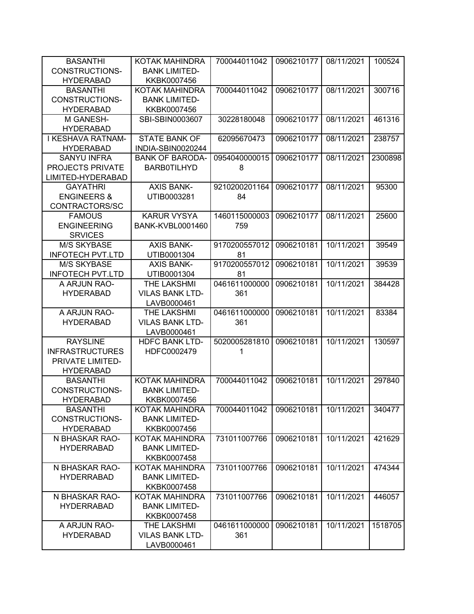| <b>BASANTHI</b>         | KOTAK MAHINDRA          | 700044011042  | 0906210177 | 08/11/2021 | 100524  |
|-------------------------|-------------------------|---------------|------------|------------|---------|
| <b>CONSTRUCTIONS-</b>   | <b>BANK LIMITED-</b>    |               |            |            |         |
| <b>HYDERABAD</b>        | KKBK0007456             |               |            |            |         |
| <b>BASANTHI</b>         | KOTAK MAHINDRA          | 700044011042  | 0906210177 | 08/11/2021 | 300716  |
| CONSTRUCTIONS-          | <b>BANK LIMITED-</b>    |               |            |            |         |
| <b>HYDERABAD</b>        | KKBK0007456             |               |            |            |         |
| M GANESH-               | SBI-SBIN0003607         | 30228180048   | 0906210177 | 08/11/2021 | 461316  |
| <b>HYDERABAD</b>        |                         |               |            |            |         |
| I KESHAVA RATNAM-       | <b>STATE BANK OF</b>    | 62095670473   | 0906210177 | 08/11/2021 | 238757  |
| <b>HYDERABAD</b>        | INDIA-SBIN0020244       |               |            |            |         |
| <b>SANYU INFRA</b>      | <b>BANK OF BARODA-</b>  | 0954040000015 | 0906210177 | 08/11/2021 | 2300898 |
| PROJECTS PRIVATE        | <b>BARB0TILHYD</b>      | 8             |            |            |         |
| LIMITED-HYDERABAD       |                         |               |            |            |         |
| <b>GAYATHRI</b>         | <b>AXIS BANK-</b>       | 9210200201164 | 0906210177 | 08/11/2021 | 95300   |
| <b>ENGINEERS &amp;</b>  | UTIB0003281             | 84            |            |            |         |
| CONTRACTORS/SC          |                         |               |            |            |         |
| <b>FAMOUS</b>           | <b>KARUR VYSYA</b>      | 1460115000003 | 0906210177 | 08/11/2021 | 25600   |
| <b>ENGINEERING</b>      | <b>BANK-KVBL0001460</b> | 759           |            |            |         |
| <b>SRVICES</b>          |                         |               |            |            |         |
| <b>M/S SKYBASE</b>      | <b>AXIS BANK-</b>       | 9170200557012 | 0906210181 | 10/11/2021 | 39549   |
| <b>INFOTECH PVT.LTD</b> | UTIB0001304             | 81            |            |            |         |
| <b>M/S SKYBASE</b>      | <b>AXIS BANK-</b>       | 9170200557012 | 0906210181 | 10/11/2021 | 39539   |
| <b>INFOTECH PVT.LTD</b> | UTIB0001304             | 81            |            |            |         |
| A ARJUN RAO-            | THE LAKSHMI             | 0461611000000 | 0906210181 | 10/11/2021 | 384428  |
| <b>HYDERABAD</b>        | <b>VILAS BANK LTD-</b>  | 361           |            |            |         |
|                         | LAVB0000461             |               |            |            |         |
| A ARJUN RAO-            | THE LAKSHMI             | 0461611000000 | 0906210181 | 10/11/2021 | 83384   |
| <b>HYDERABAD</b>        | <b>VILAS BANK LTD-</b>  | 361           |            |            |         |
|                         | LAVB0000461             |               |            |            |         |
| <b>RAYSLINE</b>         | <b>HDFC BANK LTD-</b>   | 5020005281810 | 0906210181 | 10/11/2021 | 130597  |
| <b>INFRASTRUCTURES</b>  | HDFC0002479             | 1             |            |            |         |
| PRIVATE LIMITED-        |                         |               |            |            |         |
| <b>HYDERABAD</b>        |                         |               |            |            |         |
| <b>BASANTHI</b>         | KOTAK MAHINDRA          | 700044011042  | 0906210181 | 10/11/2021 | 297840  |
| <b>CONSTRUCTIONS-</b>   | <b>BANK LIMITED-</b>    |               |            |            |         |
| <b>HYDERABAD</b>        | KKBK0007456             |               |            |            |         |
| <b>BASANTHI</b>         | KOTAK MAHINDRA          | 700044011042  | 0906210181 | 10/11/2021 | 340477  |
| CONSTRUCTIONS-          | <b>BANK LIMITED-</b>    |               |            |            |         |
| <b>HYDERABAD</b>        | KKBK0007456             |               |            |            |         |
| N BHASKAR RAO-          | KOTAK MAHINDRA          | 731011007766  | 0906210181 | 10/11/2021 | 421629  |
| <b>HYDERRABAD</b>       | <b>BANK LIMITED-</b>    |               |            |            |         |
|                         | KKBK0007458             |               |            |            |         |
| N BHASKAR RAO-          | KOTAK MAHINDRA          | 731011007766  | 0906210181 | 10/11/2021 | 474344  |
| <b>HYDERRABAD</b>       | <b>BANK LIMITED-</b>    |               |            |            |         |
|                         | KKBK0007458             |               |            |            |         |
| N BHASKAR RAO-          | KOTAK MAHINDRA          | 731011007766  | 0906210181 | 10/11/2021 | 446057  |
|                         |                         |               |            |            |         |
| <b>HYDERRABAD</b>       | <b>BANK LIMITED-</b>    |               |            |            |         |
|                         | KKBK0007458             |               |            |            |         |
| A ARJUN RAO-            | THE LAKSHMI             | 0461611000000 | 0906210181 | 10/11/2021 | 1518705 |
| <b>HYDERABAD</b>        | <b>VILAS BANK LTD-</b>  | 361           |            |            |         |
|                         | LAVB0000461             |               |            |            |         |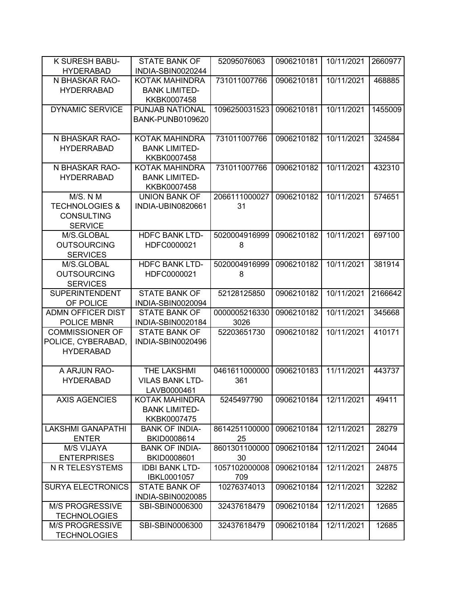| K SURESH BABU-            | <b>STATE BANK OF</b>    | 52095076063   | 0906210181 | 10/11/2021 | 2660977 |
|---------------------------|-------------------------|---------------|------------|------------|---------|
| <b>HYDERABAD</b>          | INDIA-SBIN0020244       |               |            |            |         |
| N BHASKAR RAO-            | KOTAK MAHINDRA          | 731011007766  | 0906210181 | 10/11/2021 | 468885  |
| <b>HYDERRABAD</b>         | <b>BANK LIMITED-</b>    |               |            |            |         |
|                           | KKBK0007458             |               |            |            |         |
| <b>DYNAMIC SERVICE</b>    | PUNJAB NATIONAL         | 1096250031523 | 0906210181 | 10/11/2021 | 1455009 |
|                           | <b>BANK-PUNB0109620</b> |               |            |            |         |
|                           |                         |               |            |            |         |
| N BHASKAR RAO-            | <b>KOTAK MAHINDRA</b>   | 731011007766  | 0906210182 | 10/11/2021 | 324584  |
| <b>HYDERRABAD</b>         | <b>BANK LIMITED-</b>    |               |            |            |         |
|                           | KKBK0007458             |               |            |            |         |
| N BHASKAR RAO-            | KOTAK MAHINDRA          | 731011007766  | 0906210182 | 10/11/2021 | 432310  |
| <b>HYDERRABAD</b>         | <b>BANK LIMITED-</b>    |               |            |            |         |
|                           | KKBK0007458             |               |            |            |         |
| M/S. N M                  | <b>UNION BANK OF</b>    | 2066111000027 | 0906210182 | 10/11/2021 | 574651  |
| <b>TECHNOLOGIES &amp;</b> | INDIA-UBIN0820661       | 31            |            |            |         |
| <b>CONSULTING</b>         |                         |               |            |            |         |
| <b>SERVICE</b>            |                         |               |            |            |         |
| M/S.GLOBAL                | <b>HDFC BANK LTD-</b>   | 5020004916999 | 0906210182 | 10/11/2021 | 697100  |
| <b>OUTSOURCING</b>        | HDFC0000021             | 8             |            |            |         |
| <b>SERVICES</b>           |                         |               |            |            |         |
| M/S.GLOBAL                | <b>HDFC BANK LTD-</b>   | 5020004916999 | 0906210182 | 10/11/2021 | 381914  |
| <b>OUTSOURCING</b>        | HDFC0000021             | 8             |            |            |         |
| <b>SERVICES</b>           |                         |               |            |            |         |
| <b>SUPERINTENDENT</b>     | <b>STATE BANK OF</b>    | 52128125850   | 0906210182 | 10/11/2021 | 2166642 |
| OF POLICE                 | INDIA-SBIN0020094       |               |            |            |         |
| <b>ADMN OFFICER DIST</b>  | <b>STATE BANK OF</b>    | 0000005216330 | 0906210182 | 10/11/2021 | 345668  |
| POLICE MBNR               | INDIA-SBIN0020184       | 3026          |            |            |         |
| <b>COMMISSIONER OF</b>    | <b>STATE BANK OF</b>    | 52203651730   | 0906210182 | 10/11/2021 | 410171  |
| POLICE, CYBERABAD,        | INDIA-SBIN0020496       |               |            |            |         |
| <b>HYDERABAD</b>          |                         |               |            |            |         |
|                           |                         |               |            |            |         |
| A ARJUN RAO-              | THE LAKSHMI             | 0461611000000 | 0906210183 | 11/11/2021 | 443737  |
| <b>HYDERABAD</b>          | <b>VILAS BANK LTD-</b>  | 361           |            |            |         |
|                           | LAVB0000461             |               |            |            |         |
| <b>AXIS AGENCIES</b>      | KOTAK MAHINDRA          | 5245497790    | 0906210184 | 12/11/2021 | 49411   |
|                           | <b>BANK LIMITED-</b>    |               |            |            |         |
|                           | KKBK0007475             |               |            |            |         |
| <b>LAKSHMI GANAPATHI</b>  | <b>BANK OF INDIA-</b>   | 8614251100000 | 0906210184 | 12/11/2021 | 28279   |
| <b>ENTER</b>              | BKID0008614             | 25            |            |            |         |
| <b>M/S VIJAYA</b>         | <b>BANK OF INDIA-</b>   | 8601301100000 | 0906210184 | 12/11/2021 | 24044   |
| <b>ENTERPRISES</b>        | BKID0008601             | 30            |            |            |         |
| <b>N R TELESYSTEMS</b>    | <b>IDBI BANK LTD-</b>   | 1057102000008 | 0906210184 | 12/11/2021 | 24875   |
|                           | IBKL0001057             | 709           |            |            |         |
| <b>SURYA ELECTRONICS</b>  | <b>STATE BANK OF</b>    | 10276374013   | 0906210184 | 12/11/2021 | 32282   |
|                           | INDIA-SBIN0020085       |               |            |            |         |
| <b>M/S PROGRESSIVE</b>    | SBI-SBIN0006300         | 32437618479   | 0906210184 | 12/11/2021 | 12685   |
| <b>TECHNOLOGIES</b>       |                         |               |            |            |         |
| <b>M/S PROGRESSIVE</b>    | SBI-SBIN0006300         | 32437618479   | 0906210184 | 12/11/2021 | 12685   |
| <b>TECHNOLOGIES</b>       |                         |               |            |            |         |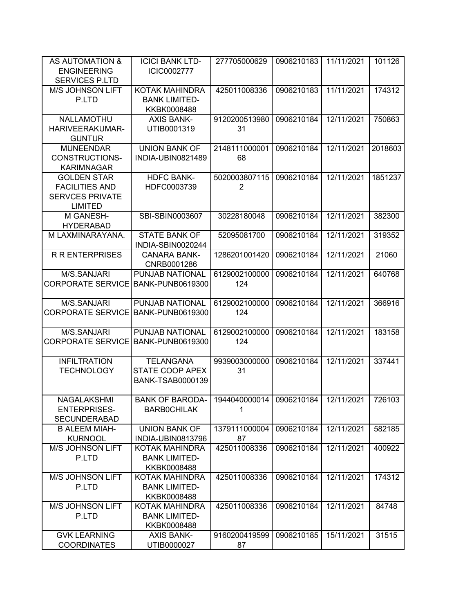| AS AUTOMATION &<br><b>ENGINEERING</b> | <b>ICICI BANK LTD-</b><br>ICIC0002777 | 277705000629             | 0906210183 | 11/11/2021 | 101126  |
|---------------------------------------|---------------------------------------|--------------------------|------------|------------|---------|
| <b>SERVICES P.LTD</b>                 |                                       |                          |            |            |         |
| <b>M/S JOHNSON LIFT</b>               | KOTAK MAHINDRA                        | 425011008336             | 0906210183 | 11/11/2021 | 174312  |
| P.LTD                                 | <b>BANK LIMITED-</b>                  |                          |            |            |         |
|                                       | KKBK0008488                           |                          |            |            |         |
| NALLAMOTHU                            | <b>AXIS BANK-</b>                     | 9120200513980            | 0906210184 | 12/11/2021 | 750863  |
| HARIVEERAKUMAR-                       | UTIB0001319                           | 31                       |            |            |         |
| <b>GUNTUR</b>                         |                                       |                          |            |            |         |
| <b>MUNEENDAR</b>                      | <b>UNION BANK OF</b>                  | 2148111000001            | 0906210184 | 12/11/2021 | 2018603 |
| <b>CONSTRUCTIONS-</b>                 | INDIA-UBIN0821489                     | 68                       |            |            |         |
| <b>KARIMNAGAR</b>                     |                                       |                          |            |            |         |
| <b>GOLDEN STAR</b>                    | <b>HDFC BANK-</b>                     | 5020003807115            | 0906210184 | 12/11/2021 | 1851237 |
| <b>FACILITIES AND</b>                 | HDFC0003739                           | $\overline{2}$           |            |            |         |
| <b>SERVCES PRIVATE</b>                |                                       |                          |            |            |         |
| <b>LIMITED</b>                        |                                       |                          |            |            |         |
| M GANESH-                             | SBI-SBIN0003607                       | 30228180048              | 0906210184 | 12/11/2021 | 382300  |
| <b>HYDERABAD</b>                      |                                       |                          |            |            |         |
| M LAXMINARAYANA.                      | <b>STATE BANK OF</b>                  | 52095081700              | 0906210184 | 12/11/2021 | 319352  |
|                                       | INDIA-SBIN0020244                     |                          |            |            |         |
| <b>R R ENTERPRISES</b>                | <b>CANARA BANK-</b>                   | 1286201001420            | 0906210184 | 12/11/2021 | 21060   |
|                                       | CNRB0001286                           |                          |            |            |         |
| M/S.SANJARI                           | PUNJAB NATIONAL                       | 6129002100000            | 0906210184 | 12/11/2021 | 640768  |
| <b>CORPORATE SERVICE</b>              | <b>BANK-PUNB0619300</b>               | 124                      |            |            |         |
|                                       |                                       |                          |            |            |         |
| M/S.SANJARI                           | PUNJAB NATIONAL                       | 6129002100000            | 0906210184 | 12/11/2021 | 366916  |
| <b>CORPORATE SERVICE</b>              | <b>BANK-PUNB0619300</b>               | 124                      |            |            |         |
|                                       |                                       |                          |            |            |         |
| M/S.SANJARI                           | PUNJAB NATIONAL                       | 6129002100000            | 0906210184 | 12/11/2021 | 183158  |
| <b>CORPORATE SERVICE</b>              | <b>BANK-PUNB0619300</b>               | 124                      |            |            |         |
|                                       |                                       |                          |            |            |         |
| <b>INFILTRATION</b>                   | <b>TELANGANA</b>                      | 9939003000000            | 0906210184 | 12/11/2021 | 337441  |
| <b>TECHNOLOGY</b>                     | STATE COOP APEX                       | 31                       |            |            |         |
|                                       | <b>BANK-TSAB0000139</b>               |                          |            |            |         |
|                                       |                                       |                          |            |            |         |
| NAGALAKSHMI                           | <b>BANK OF BARODA-</b>                | 1944040000014 0906210184 |            | 12/11/2021 | 726103  |
| <b>ENTERPRISES-</b>                   | <b>BARBOCHILAK</b>                    | 1                        |            |            |         |
| <b>SECUNDERABAD</b>                   |                                       |                          |            |            |         |
| <b>B ALEEM MIAH-</b>                  | <b>UNION BANK OF</b>                  | 1379111000004            | 0906210184 | 12/11/2021 | 582185  |
| <b>KURNOOL</b>                        | INDIA-UBIN0813796                     | 87                       |            |            |         |
| M/S JOHNSON LIFT                      | <b>KOTAK MAHINDRA</b>                 | 425011008336             | 0906210184 | 12/11/2021 | 400922  |
| P.LTD                                 | <b>BANK LIMITED-</b>                  |                          |            |            |         |
|                                       | KKBK0008488                           |                          |            |            |         |
| M/S JOHNSON LIFT                      | KOTAK MAHINDRA                        | 425011008336             | 0906210184 | 12/11/2021 | 174312  |
| P.LTD                                 | <b>BANK LIMITED-</b>                  |                          |            |            |         |
|                                       | KKBK0008488                           |                          |            |            |         |
| M/S JOHNSON LIFT                      | KOTAK MAHINDRA                        | 425011008336             | 0906210184 | 12/11/2021 | 84748   |
| P.LTD                                 | <b>BANK LIMITED-</b>                  |                          |            |            |         |
|                                       | KKBK0008488                           |                          |            |            |         |
| <b>GVK LEARNING</b>                   | <b>AXIS BANK-</b>                     | 9160200419599            | 0906210185 | 15/11/2021 | 31515   |
| <b>COORDINATES</b>                    | UTIB0000027                           | 87                       |            |            |         |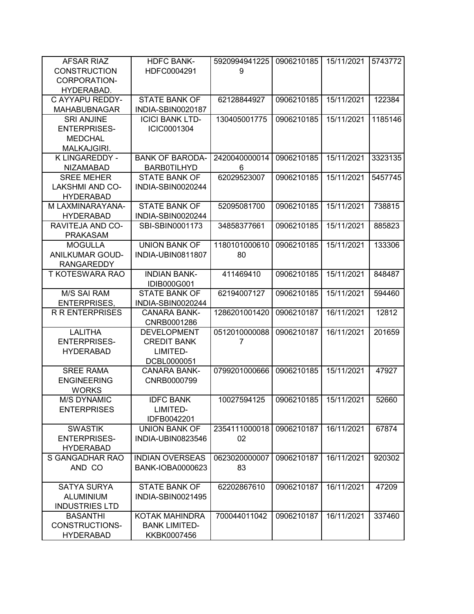| AFSAR RIAZ             | <b>HDFC BANK-</b>       | 5920994941225 | 0906210185 | 15/11/2021 | 5743772 |
|------------------------|-------------------------|---------------|------------|------------|---------|
| <b>CONSTRUCTION</b>    | HDFC0004291             | 9             |            |            |         |
| CORPORATION-           |                         |               |            |            |         |
| HYDERABAD.             |                         |               |            |            |         |
| C AYYAPU REDDY-        | <b>STATE BANK OF</b>    | 62128844927   | 0906210185 | 15/11/2021 | 122384  |
| <b>MAHABUBNAGAR</b>    | INDIA-SBIN0020187       |               |            |            |         |
| <b>SRI ANJINE</b>      | <b>ICICI BANK LTD-</b>  | 130405001775  | 0906210185 | 15/11/2021 | 1185146 |
| <b>ENTERPRISES-</b>    | ICIC0001304             |               |            |            |         |
| <b>MEDCHAL</b>         |                         |               |            |            |         |
| MALKAJGIRI.            |                         |               |            |            |         |
| K LINGAREDDY -         | <b>BANK OF BARODA-</b>  | 2420040000014 | 0906210185 | 15/11/2021 | 3323135 |
| <b>NIZAMABAD</b>       | <b>BARB0TILHYD</b>      | 6             |            |            |         |
| <b>SREE MEHER</b>      | <b>STATE BANK OF</b>    | 62029523007   | 0906210185 | 15/11/2021 | 5457745 |
| <b>LAKSHMI AND CO-</b> | INDIA-SBIN0020244       |               |            |            |         |
| <b>HYDERABAD</b>       |                         |               |            |            |         |
| M LAXMINARAYANA-       | <b>STATE BANK OF</b>    | 52095081700   | 0906210185 | 15/11/2021 | 738815  |
| <b>HYDERABAD</b>       | INDIA-SBIN0020244       |               |            |            |         |
| RAVITEJA AND CO-       | SBI-SBIN0001173         | 34858377661   | 0906210185 | 15/11/2021 | 885823  |
| <b>PRAKASAM</b>        |                         |               |            |            |         |
| <b>MOGULLA</b>         | <b>UNION BANK OF</b>    | 1180101000610 | 0906210185 | 15/11/2021 | 133306  |
| <b>ANILKUMAR GOUD-</b> | INDIA-UBIN0811807       | 80            |            |            |         |
| <b>RANGAREDDY</b>      |                         |               |            |            |         |
| T KOTESWARA RAO        | <b>INDIAN BANK-</b>     | 411469410     | 0906210185 | 15/11/2021 | 848487  |
|                        | IDIB000G001             |               |            |            |         |
| <b>M/S SAI RAM</b>     | <b>STATE BANK OF</b>    | 62194007127   | 0906210185 | 15/11/2021 | 594460  |
| <b>ENTERPRISES,</b>    | INDIA-SBIN0020244       |               |            |            |         |
| <b>R R ENTERPRISES</b> | <b>CANARA BANK-</b>     | 1286201001420 | 0906210187 | 16/11/2021 | 12812   |
|                        | CNRB0001286             |               |            |            |         |
| <b>LALITHA</b>         | <b>DEVELOPMENT</b>      | 0512010000088 | 0906210187 | 16/11/2021 | 201659  |
| <b>ENTERPRISES-</b>    | <b>CREDIT BANK</b>      | 7             |            |            |         |
| <b>HYDERABAD</b>       | LIMITED-                |               |            |            |         |
|                        | DCBL0000051             |               |            |            |         |
| <b>SREE RAMA</b>       | <b>CANARA BANK-</b>     | 0799201000666 | 0906210185 | 15/11/2021 | 47927   |
| <b>ENGINEERING</b>     | CNRB0000799             |               |            |            |         |
| <b>WORKS</b>           |                         |               |            |            |         |
| <b>M/S DYNAMIC</b>     | <b>IDFC BANK</b>        | 10027594125   | 0906210185 | 15/11/2021 | 52660   |
| <b>ENTERPRISES</b>     | LIMITED-                |               |            |            |         |
|                        | IDFB0042201             |               |            |            |         |
| <b>SWASTIK</b>         | <b>UNION BANK OF</b>    | 2354111000018 | 0906210187 | 16/11/2021 | 67874   |
| <b>ENTERPRISES-</b>    | INDIA-UBIN0823546       | 02            |            |            |         |
| <b>HYDERABAD</b>       |                         |               |            |            |         |
| S GANGADHAR RAO        | <b>INDIAN OVERSEAS</b>  | 0623020000007 | 0906210187 | 16/11/2021 | 920302  |
| AND CO                 | <b>BANK-IOBA0000623</b> | 83            |            |            |         |
|                        |                         |               |            |            |         |
| <b>SATYA SURYA</b>     | <b>STATE BANK OF</b>    | 62202867610   | 0906210187 | 16/11/2021 | 47209   |
| <b>ALUMINIUM</b>       | INDIA-SBIN0021495       |               |            |            |         |
| <b>INDUSTRIES LTD</b>  |                         |               |            |            |         |
| <b>BASANTHI</b>        | KOTAK MAHINDRA          | 700044011042  | 0906210187 | 16/11/2021 | 337460  |
| CONSTRUCTIONS-         | <b>BANK LIMITED-</b>    |               |            |            |         |
| <b>HYDERABAD</b>       | KKBK0007456             |               |            |            |         |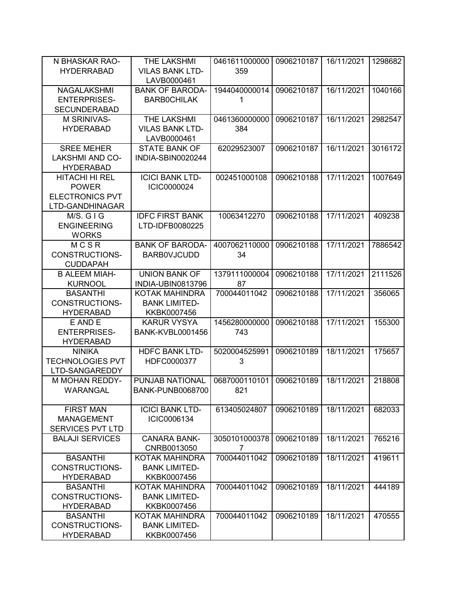| N BHASKAR RAO-                    | THE LAKSHMI                                   | 0461611000000 | 0906210187 | 16/11/2021 | 1298682 |
|-----------------------------------|-----------------------------------------------|---------------|------------|------------|---------|
| <b>HYDERRABAD</b>                 | <b>VILAS BANK LTD-</b>                        | 359           |            |            |         |
|                                   | LAVB0000461                                   |               |            |            |         |
| <b>NAGALAKSHMI</b>                | <b>BANK OF BARODA-</b>                        | 1944040000014 | 0906210187 | 16/11/2021 | 1040166 |
| <b>ENTERPRISES-</b>               | <b>BARBOCHILAK</b>                            | 1             |            |            |         |
| <b>SECUNDERABAD</b>               |                                               |               |            |            |         |
| M SRINIVAS-                       | <b>THE LAKSHMI</b>                            | 0461360000000 | 0906210187 | 16/11/2021 | 2982547 |
| <b>HYDERABAD</b>                  | <b>VILAS BANK LTD-</b>                        | 384           |            |            |         |
|                                   | LAVB0000461                                   |               |            |            |         |
| <b>SREE MEHER</b>                 | <b>STATE BANK OF</b>                          | 62029523007   | 0906210187 | 16/11/2021 | 3016172 |
| <b>LAKSHMI AND CO-</b>            | INDIA-SBIN0020244                             |               |            |            |         |
| <b>HYDERABAD</b>                  |                                               |               |            |            |         |
| HITACHI HI REL                    | <b>ICICI BANK LTD-</b>                        | 002451000108  | 0906210188 | 17/11/2021 | 1007649 |
| <b>POWER</b>                      | ICIC0000024                                   |               |            |            |         |
| <b>ELECTRONICS PVT</b>            |                                               |               |            |            |         |
| LTD-GANDHINAGAR                   |                                               |               |            |            |         |
| M/S. GIG                          | <b>IDFC FIRST BANK</b>                        | 10063412270   | 0906210188 | 17/11/2021 | 409238  |
| <b>ENGINEERING</b>                | LTD-IDFB0080225                               |               |            |            |         |
| <b>WORKS</b>                      |                                               |               |            |            |         |
| MCSR                              | <b>BANK OF BARODA-</b>                        | 4007062110000 | 0906210188 | 17/11/2021 | 7886542 |
| <b>CONSTRUCTIONS-</b>             | <b>BARBOVJCUDD</b>                            | 34            |            |            |         |
| <b>CUDDAPAH</b>                   |                                               |               |            |            |         |
| <b>B ALEEM MIAH-</b>              | <b>UNION BANK OF</b>                          | 1379111000004 | 0906210188 | 17/11/2021 | 2111526 |
| <b>KURNOOL</b>                    | <b>INDIA-UBIN0813796</b>                      | 87            |            | 17/11/2021 |         |
| <b>BASANTHI</b><br>CONSTRUCTIONS- | <b>KOTAK MAHINDRA</b><br><b>BANK LIMITED-</b> | 700044011042  | 0906210188 |            | 356065  |
| <b>HYDERABAD</b>                  | KKBK0007456                                   |               |            |            |         |
| E AND E                           | <b>KARUR VYSYA</b>                            | 1456280000000 | 0906210188 | 17/11/2021 | 155300  |
| <b>ENTERPRISES-</b>               | BANK-KVBL0001456                              | 743           |            |            |         |
| <b>HYDERABAD</b>                  |                                               |               |            |            |         |
| <b>NINIKA</b>                     | <b>HDFC BANK LTD-</b>                         | 5020004525991 | 0906210189 | 18/11/2021 | 175657  |
| <b>TECHNOLOGIES PVT</b>           | HDFC0000377                                   | 3             |            |            |         |
| LTD-SANGAREDDY                    |                                               |               |            |            |         |
| <b>M MOHAN REDDY-</b>             | PUNJAB NATIONAL                               | 0687000110101 | 0906210189 | 18/11/2021 | 218808  |
| WARANGAL                          | <b>BANK-PUNB0068700</b>                       | 821           |            |            |         |
|                                   |                                               |               |            |            |         |
| <b>FIRST MAN</b>                  | <b>ICICI BANK LTD-</b>                        | 613405024807  | 0906210189 | 18/11/2021 | 682033  |
| <b>MANAGEMENT</b>                 | ICIC0006134                                   |               |            |            |         |
| SERVICES PVT LTD                  |                                               |               |            |            |         |
| <b>BALAJI SERVICES</b>            | <b>CANARA BANK-</b>                           | 3050101000378 | 0906210189 | 18/11/2021 | 765216  |
|                                   | CNRB0013050                                   | 7             |            |            |         |
| <b>BASANTHI</b>                   | <b>KOTAK MAHINDRA</b>                         | 700044011042  | 0906210189 | 18/11/2021 | 419611  |
| <b>CONSTRUCTIONS-</b>             | <b>BANK LIMITED-</b>                          |               |            |            |         |
| <b>HYDERABAD</b>                  | KKBK0007456                                   |               |            |            |         |
| <b>BASANTHI</b>                   | <b>KOTAK MAHINDRA</b>                         | 700044011042  | 0906210189 | 18/11/2021 | 444189  |
| <b>CONSTRUCTIONS-</b>             | <b>BANK LIMITED-</b>                          |               |            |            |         |
| <b>HYDERABAD</b>                  | KKBK0007456                                   |               |            |            |         |
| <b>BASANTHI</b>                   | KOTAK MAHINDRA                                | 700044011042  | 0906210189 | 18/11/2021 | 470555  |
| CONSTRUCTIONS-                    | <b>BANK LIMITED-</b>                          |               |            |            |         |
| <b>HYDERABAD</b>                  | KKBK0007456                                   |               |            |            |         |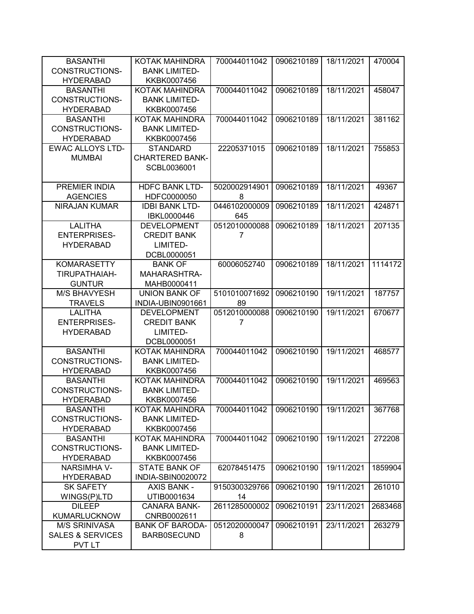| <b>BASANTHI</b>                  | KOTAK MAHINDRA                          | 700044011042        | 0906210189 | 18/11/2021 | 470004  |
|----------------------------------|-----------------------------------------|---------------------|------------|------------|---------|
| <b>CONSTRUCTIONS-</b>            | <b>BANK LIMITED-</b>                    |                     |            |            |         |
| <b>HYDERABAD</b>                 | KKBK0007456                             |                     |            |            |         |
| <b>BASANTHI</b>                  | KOTAK MAHINDRA                          | 700044011042        | 0906210189 | 18/11/2021 | 458047  |
| CONSTRUCTIONS-                   | <b>BANK LIMITED-</b>                    |                     |            |            |         |
| <b>HYDERABAD</b>                 | KKBK0007456                             |                     |            |            |         |
| <b>BASANTHI</b>                  | KOTAK MAHINDRA                          | 700044011042        | 0906210189 | 18/11/2021 | 381162  |
| CONSTRUCTIONS-                   | <b>BANK LIMITED-</b>                    |                     |            |            |         |
| <b>HYDERABAD</b>                 | KKBK0007456                             |                     |            |            |         |
| <b>EWAC ALLOYS LTD-</b>          | <b>STANDARD</b>                         | 22205371015         | 0906210189 | 18/11/2021 | 755853  |
| <b>MUMBAI</b>                    | <b>CHARTERED BANK-</b>                  |                     |            |            |         |
|                                  | SCBL0036001                             |                     |            |            |         |
|                                  |                                         |                     |            |            |         |
| PREMIER INDIA                    | <b>HDFC BANK LTD-</b>                   | 5020002914901       | 0906210189 | 18/11/2021 | 49367   |
| <b>AGENCIES</b>                  | HDFC0000050                             | 8                   |            |            |         |
| <b>NIRAJAN KUMAR</b>             | <b>IDBI BANK LTD-</b>                   | 0446102000009       | 0906210189 | 18/11/2021 | 424871  |
|                                  | IBKL0000446                             | 645                 |            |            |         |
| <b>LALITHA</b>                   | <b>DEVELOPMENT</b>                      | 0512010000088       | 0906210189 | 18/11/2021 | 207135  |
| <b>ENTERPRISES-</b>              | <b>CREDIT BANK</b>                      | 7                   |            |            |         |
| <b>HYDERABAD</b>                 | LIMITED-                                |                     |            |            |         |
|                                  | DCBL0000051                             |                     |            |            |         |
| <b>KOMARASETTY</b>               | <b>BANK OF</b>                          | 60006052740         | 0906210189 | 18/11/2021 | 1114172 |
| TIRUPATHAIAH-                    | MAHARASHTRA-                            |                     |            |            |         |
| <b>GUNTUR</b>                    | MAHB0000411                             |                     |            |            |         |
| <b>M/S BHAVYESH</b>              | <b>UNION BANK OF</b>                    | 5101010071692       | 0906210190 | 19/11/2021 | 187757  |
| <b>TRAVELS</b><br><b>LALITHA</b> | INDIA-UBIN0901661<br><b>DEVELOPMENT</b> | 89<br>0512010000088 | 0906210190 | 19/11/2021 | 670677  |
| <b>ENTERPRISES-</b>              | <b>CREDIT BANK</b>                      | 7                   |            |            |         |
| <b>HYDERABAD</b>                 | LIMITED-                                |                     |            |            |         |
|                                  | DCBL0000051                             |                     |            |            |         |
| <b>BASANTHI</b>                  | <b>KOTAK MAHINDRA</b>                   | 700044011042        | 0906210190 | 19/11/2021 | 468577  |
| <b>CONSTRUCTIONS-</b>            | <b>BANK LIMITED-</b>                    |                     |            |            |         |
| <b>HYDERABAD</b>                 | KKBK0007456                             |                     |            |            |         |
| <b>BASANTHI</b>                  | KOTAK MAHINDRA                          | 700044011042        | 0906210190 | 19/11/2021 | 469563  |
| CONSTRUCTIONS-                   | <b>BANK LIMITED-</b>                    |                     |            |            |         |
| <b>HYDERABAD</b>                 | KKBK0007456                             |                     |            |            |         |
| <b>BASANTHI</b>                  | KOTAK MAHINDRA                          | 700044011042        | 0906210190 | 19/11/2021 | 367768  |
| CONSTRUCTIONS-                   | <b>BANK LIMITED-</b>                    |                     |            |            |         |
| <b>HYDERABAD</b>                 | KKBK0007456                             |                     |            |            |         |
| <b>BASANTHI</b>                  | <b>KOTAK MAHINDRA</b>                   | 700044011042        | 0906210190 | 19/11/2021 | 272208  |
| CONSTRUCTIONS-                   | <b>BANK LIMITED-</b>                    |                     |            |            |         |
| <b>HYDERABAD</b>                 | KKBK0007456                             |                     |            |            |         |
| <b>NARSIMHA V-</b>               | <b>STATE BANK OF</b>                    | 62078451475         | 0906210190 | 19/11/2021 | 1859904 |
| <b>HYDERABAD</b>                 | INDIA-SBIN0020072                       |                     |            |            |         |
| <b>SK SAFETY</b>                 | <b>AXIS BANK -</b>                      | 9150300329766       | 0906210190 | 19/11/2021 | 261010  |
| WINGS(P)LTD                      | UTIB0001634                             | 14                  |            |            |         |
| <b>DILEEP</b>                    | <b>CANARA BANK-</b>                     | 2611285000002       | 0906210191 | 23/11/2021 | 2683468 |
| KUMARLUCKNOW                     | CNRB0002611                             |                     |            |            |         |
| <b>M/S SRINIVASA</b>             | <b>BANK OF BARODA-</b>                  | 0512020000047       | 0906210191 | 23/11/2021 | 263279  |
| <b>SALES &amp; SERVICES</b>      | <b>BARB0SECUND</b>                      | 8                   |            |            |         |
| <b>PVT LT</b>                    |                                         |                     |            |            |         |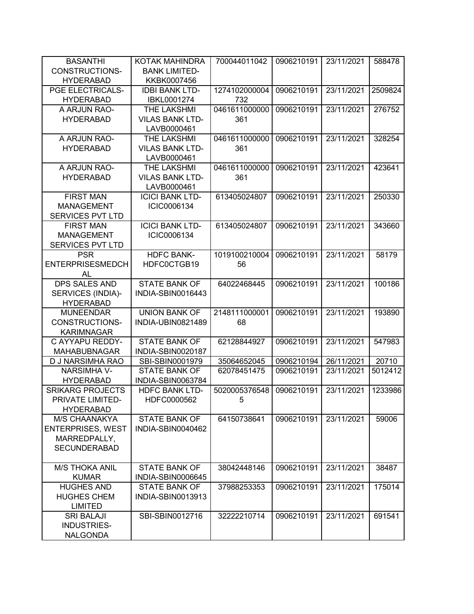| <b>BASANTHI</b>          | <b>KOTAK MAHINDRA</b>  | 700044011042  | 0906210191 | 23/11/2021 | 588478  |
|--------------------------|------------------------|---------------|------------|------------|---------|
| <b>CONSTRUCTIONS-</b>    | <b>BANK LIMITED-</b>   |               |            |            |         |
| <b>HYDERABAD</b>         | KKBK0007456            |               |            |            |         |
| PGE ELECTRICALS-         | <b>IDBI BANK LTD-</b>  | 1274102000004 | 0906210191 | 23/11/2021 | 2509824 |
| <b>HYDERABAD</b>         | IBKL0001274            | 732           |            |            |         |
| A ARJUN RAO-             | THE LAKSHMI            | 0461611000000 | 0906210191 | 23/11/2021 | 276752  |
| <b>HYDERABAD</b>         | <b>VILAS BANK LTD-</b> | 361           |            |            |         |
|                          | LAVB0000461            |               |            |            |         |
| A ARJUN RAO-             | THE LAKSHMI            | 0461611000000 | 0906210191 | 23/11/2021 | 328254  |
| <b>HYDERABAD</b>         | <b>VILAS BANK LTD-</b> | 361           |            |            |         |
|                          | LAVB0000461            |               |            |            |         |
| A ARJUN RAO-             | <b>THE LAKSHMI</b>     | 0461611000000 | 0906210191 | 23/11/2021 | 423641  |
|                          |                        |               |            |            |         |
| <b>HYDERABAD</b>         | <b>VILAS BANK LTD-</b> | 361           |            |            |         |
|                          | LAVB0000461            |               |            |            |         |
| <b>FIRST MAN</b>         | <b>ICICI BANK LTD-</b> | 613405024807  | 0906210191 | 23/11/2021 | 250330  |
| <b>MANAGEMENT</b>        | ICIC0006134            |               |            |            |         |
| SERVICES PVT LTD         |                        |               |            |            |         |
| <b>FIRST MAN</b>         | <b>ICICI BANK LTD-</b> | 613405024807  | 0906210191 | 23/11/2021 | 343660  |
| <b>MANAGEMENT</b>        | ICIC0006134            |               |            |            |         |
| <b>SERVICES PVT LTD</b>  |                        |               |            |            |         |
| <b>PSR</b>               | <b>HDFC BANK-</b>      | 1019100210004 | 0906210191 | 23/11/2021 | 58179   |
| <b>ENTERPRISESMEDCH</b>  | HDFC0CTGB19            | 56            |            |            |         |
| AL                       |                        |               |            |            |         |
| <b>DPS SALES AND</b>     | <b>STATE BANK OF</b>   | 64022468445   | 0906210191 | 23/11/2021 | 100186  |
| SERVICES (INDIA)-        | INDIA-SBIN0016443      |               |            |            |         |
| <b>HYDERABAD</b>         |                        |               |            |            |         |
| <b>MUNEENDAR</b>         | <b>UNION BANK OF</b>   | 2148111000001 | 0906210191 | 23/11/2021 | 193890  |
| <b>CONSTRUCTIONS-</b>    | INDIA-UBIN0821489      | 68            |            |            |         |
| <b>KARIMNAGAR</b>        |                        |               |            |            |         |
| C AYYAPU REDDY-          | <b>STATE BANK OF</b>   | 62128844927   | 0906210191 | 23/11/2021 | 547983  |
| <b>MAHABUBNAGAR</b>      | INDIA-SBIN0020187      |               |            |            |         |
| D J NARSIMHA RAO         | SBI-SBIN0001979        | 35064652045   | 0906210194 | 26/11/2021 | 20710   |
| <b>NARSIMHA V-</b>       | <b>STATE BANK OF</b>   | 62078451475   | 0906210191 | 23/11/2021 | 5012412 |
| <b>HYDERABAD</b>         | INDIA-SBIN0063784      |               |            |            |         |
| <b>SRIKARG PROJECTS</b>  | <b>HDFC BANK LTD-</b>  | 5020005376548 | 0906210191 | 23/11/2021 | 1233986 |
| PRIVATE LIMITED-         | HDFC0000562            | 5             |            |            |         |
| <b>HYDERABAD</b>         |                        |               |            |            |         |
| <b>M/S CHAANAKYA</b>     | <b>STATE BANK OF</b>   | 64150738641   | 0906210191 | 23/11/2021 | 59006   |
| <b>ENTERPRISES, WEST</b> | INDIA-SBIN0040462      |               |            |            |         |
| MARREDPALLY,             |                        |               |            |            |         |
| <b>SECUNDERABAD</b>      |                        |               |            |            |         |
|                          |                        |               |            |            |         |
| <b>M/S THOKA ANIL</b>    | <b>STATE BANK OF</b>   | 38042448146   | 0906210191 | 23/11/2021 | 38487   |
| <b>KUMAR</b>             | INDIA-SBIN0006645      |               |            |            |         |
| <b>HUGHES AND</b>        | <b>STATE BANK OF</b>   | 37988253353   | 0906210191 | 23/11/2021 | 175014  |
| <b>HUGHES CHEM</b>       | INDIA-SBIN0013913      |               |            |            |         |
| <b>LIMITED</b>           |                        |               |            |            |         |
| <b>SRI BALAJI</b>        | SBI-SBIN0012716        | 32222210714   | 0906210191 | 23/11/2021 | 691541  |
| INDUSTRIES-              |                        |               |            |            |         |
| <b>NALGONDA</b>          |                        |               |            |            |         |
|                          |                        |               |            |            |         |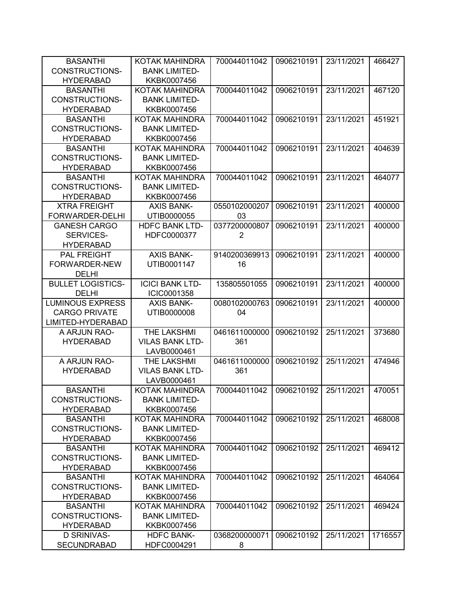| <b>BASANTHI</b>          | KOTAK MAHINDRA         | 700044011042   | 0906210191 | 23/11/2021 | 466427  |
|--------------------------|------------------------|----------------|------------|------------|---------|
| <b>CONSTRUCTIONS-</b>    | <b>BANK LIMITED-</b>   |                |            |            |         |
| <b>HYDERABAD</b>         | KKBK0007456            |                |            |            |         |
| <b>BASANTHI</b>          | KOTAK MAHINDRA         | 700044011042   | 0906210191 | 23/11/2021 | 467120  |
| <b>CONSTRUCTIONS-</b>    | <b>BANK LIMITED-</b>   |                |            |            |         |
| <b>HYDERABAD</b>         | KKBK0007456            |                |            |            |         |
| <b>BASANTHI</b>          | KOTAK MAHINDRA         | 700044011042   | 0906210191 | 23/11/2021 | 451921  |
| <b>CONSTRUCTIONS-</b>    | <b>BANK LIMITED-</b>   |                |            |            |         |
| <b>HYDERABAD</b>         | KKBK0007456            |                |            |            |         |
| <b>BASANTHI</b>          | KOTAK MAHINDRA         | 700044011042   | 0906210191 | 23/11/2021 | 404639  |
| <b>CONSTRUCTIONS-</b>    | <b>BANK LIMITED-</b>   |                |            |            |         |
| <b>HYDERABAD</b>         | KKBK0007456            |                |            |            |         |
| <b>BASANTHI</b>          | KOTAK MAHINDRA         | 700044011042   | 0906210191 | 23/11/2021 | 464077  |
| <b>CONSTRUCTIONS-</b>    | <b>BANK LIMITED-</b>   |                |            |            |         |
| <b>HYDERABAD</b>         | KKBK0007456            |                |            |            |         |
| <b>XTRA FREIGHT</b>      | <b>AXIS BANK-</b>      | 0550102000207  | 0906210191 | 23/11/2021 | 400000  |
| FORWARDER-DELHI          | UTIB0000055            | 03             |            |            |         |
| <b>GANESH CARGO</b>      | <b>HDFC BANK LTD-</b>  | 0377200000807  | 0906210191 | 23/11/2021 | 400000  |
| SERVICES-                | HDFC0000377            | $\overline{2}$ |            |            |         |
| <b>HYDERABAD</b>         |                        |                |            |            |         |
| <b>PAL FREIGHT</b>       | <b>AXIS BANK-</b>      | 9140200369913  | 0906210191 | 23/11/2021 | 400000  |
| FORWARDER-NEW            | UTIB0001147            | 16             |            |            |         |
| <b>DELHI</b>             |                        |                |            |            |         |
| <b>BULLET LOGISTICS-</b> | <b>ICICI BANK LTD-</b> | 135805501055   | 0906210191 | 23/11/2021 | 400000  |
| <b>DELHI</b>             | ICIC0001358            |                |            |            |         |
| <b>LUMINOUS EXPRESS</b>  | <b>AXIS BANK-</b>      | 0080102000763  | 0906210191 | 23/11/2021 | 400000  |
| <b>CARGO PRIVATE</b>     | UTIB0000008            | 04             |            |            |         |
| LIMITED-HYDERABAD        |                        |                |            |            |         |
| A ARJUN RAO-             | THE LAKSHMI            | 0461611000000  | 0906210192 | 25/11/2021 | 373680  |
| <b>HYDERABAD</b>         | <b>VILAS BANK LTD-</b> | 361            |            |            |         |
|                          | LAVB0000461            |                |            |            |         |
| A ARJUN RAO-             | THE LAKSHMI            | 0461611000000  | 0906210192 | 25/11/2021 | 474946  |
| <b>HYDERABAD</b>         | <b>VILAS BANK LTD-</b> | 361            |            |            |         |
|                          | LAVB0000461            |                |            |            |         |
| <b>BASANTHI</b>          | KOTAK MAHINDRA         | 700044011042   | 0906210192 | 25/11/2021 | 470051  |
| <b>CONSTRUCTIONS-</b>    | <b>BANK LIMITED-</b>   |                |            |            |         |
| <b>HYDERABAD</b>         | KKBK0007456            |                |            |            |         |
| <b>BASANTHI</b>          | KOTAK MAHINDRA         | 700044011042   | 0906210192 | 25/11/2021 | 468008  |
| <b>CONSTRUCTIONS-</b>    | <b>BANK LIMITED-</b>   |                |            |            |         |
| <b>HYDERABAD</b>         | KKBK0007456            |                |            |            |         |
| <b>BASANTHI</b>          | KOTAK MAHINDRA         | 700044011042   | 0906210192 | 25/11/2021 | 469412  |
| CONSTRUCTIONS-           | <b>BANK LIMITED-</b>   |                |            |            |         |
| <b>HYDERABAD</b>         | KKBK0007456            |                |            |            |         |
| <b>BASANTHI</b>          | KOTAK MAHINDRA         | 700044011042   | 0906210192 | 25/11/2021 | 464064  |
| CONSTRUCTIONS-           | <b>BANK LIMITED-</b>   |                |            |            |         |
| <b>HYDERABAD</b>         | KKBK0007456            |                |            |            |         |
| <b>BASANTHI</b>          | KOTAK MAHINDRA         | 700044011042   | 0906210192 | 25/11/2021 | 469424  |
| <b>CONSTRUCTIONS-</b>    | <b>BANK LIMITED-</b>   |                |            |            |         |
| <b>HYDERABAD</b>         | KKBK0007456            |                |            |            |         |
| <b>D SRINIVAS-</b>       | <b>HDFC BANK-</b>      | 0368200000071  | 0906210192 | 25/11/2021 | 1716557 |
| <b>SECUNDRABAD</b>       | HDFC0004291            | 8              |            |            |         |
|                          |                        |                |            |            |         |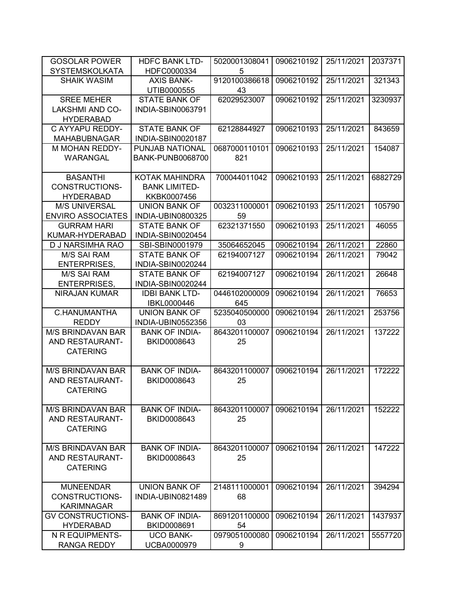| <b>GOSOLAR POWER</b>                       | <b>HDFC BANK LTD-</b>            | 5020001308041       | 0906210192 | 25/11/2021 | 2037371 |
|--------------------------------------------|----------------------------------|---------------------|------------|------------|---------|
| <b>SYSTEMSKOLKATA</b>                      | HDFC0000334                      | 5                   |            |            |         |
| <b>SHAIK WASIM</b>                         | <b>AXIS BANK-</b><br>UTIB0000555 | 9120100386618<br>43 | 0906210192 | 25/11/2021 | 321343  |
| <b>SREE MEHER</b>                          | <b>STATE BANK OF</b>             | 62029523007         | 0906210192 | 25/11/2021 | 3230937 |
| <b>LAKSHMI AND CO-</b><br><b>HYDERABAD</b> | INDIA-SBIN0063791                |                     |            |            |         |
| C AYYAPU REDDY-                            | <b>STATE BANK OF</b>             | 62128844927         | 0906210193 | 25/11/2021 | 843659  |
| <b>MAHABUBNAGAR</b>                        | INDIA-SBIN0020187                |                     |            |            |         |
| M MOHAN REDDY-                             | PUNJAB NATIONAL                  | 0687000110101       | 0906210193 | 25/11/2021 | 154087  |
| <b>WARANGAL</b>                            | <b>BANK-PUNB0068700</b>          | 821                 |            |            |         |
|                                            |                                  |                     |            |            |         |
| <b>BASANTHI</b>                            | KOTAK MAHINDRA                   | 700044011042        | 0906210193 | 25/11/2021 | 6882729 |
| CONSTRUCTIONS-                             | <b>BANK LIMITED-</b>             |                     |            |            |         |
| <b>HYDERABAD</b>                           | KKBK0007456                      |                     |            |            |         |
| <b>M/S UNIVERSAL</b>                       | <b>UNION BANK OF</b>             | 0032311000001       | 0906210193 | 25/11/2021 | 105790  |
| <b>ENVIRO ASSOCIATES</b>                   | INDIA-UBIN0800325                | 59                  |            |            |         |
| <b>GURRAM HARI</b>                         | <b>STATE BANK OF</b>             | 62321371550         | 0906210193 | 25/11/2021 | 46055   |
| KUMAR-HYDERABAD                            | INDIA-SBIN0020454                |                     |            |            |         |
| D J NARSIMHA RAO                           | SBI-SBIN0001979                  | 35064652045         | 0906210194 | 26/11/2021 | 22860   |
| <b>M/S SAI RAM</b>                         | <b>STATE BANK OF</b>             | 62194007127         | 0906210194 | 26/11/2021 | 79042   |
| <b>ENTERPRISES,</b>                        | INDIA-SBIN0020244                |                     |            |            |         |
| <b>M/S SAI RAM</b>                         | <b>STATE BANK OF</b>             | 62194007127         | 0906210194 | 26/11/2021 | 26648   |
| <b>ENTERPRISES,</b>                        | INDIA-SBIN0020244                |                     |            |            |         |
| NIRAJAN KUMAR                              | <b>IDBI BANK LTD-</b>            | 0446102000009       | 0906210194 | 26/11/2021 | 76653   |
|                                            | IBKL0000446                      | 645                 |            |            |         |
| C.HANUMANTHA                               | <b>UNION BANK OF</b>             | 5235040500000       | 0906210194 | 26/11/2021 | 253756  |
| <b>REDDY</b>                               | INDIA-UBIN0552356                | 03                  |            |            |         |
| <b>M/S BRINDAVAN BAR</b>                   | <b>BANK OF INDIA-</b>            | 8643201100007       | 0906210194 | 26/11/2021 | 137222  |
| AND RESTAURANT-                            | BKID0008643                      | 25                  |            |            |         |
| <b>CATERING</b>                            |                                  |                     |            |            |         |
| <b>M/S BRINDAVAN BAR</b>                   | <b>BANK OF INDIA-</b>            | 8643201100007       | 0906210194 | 26/11/2021 | 172222  |
| AND RESTAURANT-                            | BKID0008643                      | 25                  |            |            |         |
| <b>CATERING</b>                            |                                  |                     |            |            |         |
|                                            |                                  |                     |            |            |         |
| <b>M/S BRINDAVAN BAR</b>                   | <b>BANK OF INDIA-</b>            | 8643201100007       | 0906210194 | 26/11/2021 | 152222  |
| AND RESTAURANT-                            | BKID0008643                      | 25                  |            |            |         |
| <b>CATERING</b>                            |                                  |                     |            |            |         |
|                                            |                                  |                     |            |            |         |
| <b>M/S BRINDAVAN BAR</b>                   | <b>BANK OF INDIA-</b>            | 8643201100007       | 0906210194 | 26/11/2021 | 147222  |
| AND RESTAURANT-                            | BKID0008643                      | 25                  |            |            |         |
| <b>CATERING</b>                            |                                  |                     |            |            |         |
|                                            |                                  |                     |            |            |         |
| <b>MUNEENDAR</b>                           | <b>UNION BANK OF</b>             | 2148111000001       | 0906210194 | 26/11/2021 | 394294  |
| <b>CONSTRUCTIONS-</b>                      | INDIA-UBIN0821489                | 68                  |            |            |         |
| <b>KARIMNAGAR</b>                          |                                  |                     |            |            |         |
| <b>GV CONSTRUCTIONS-</b>                   | <b>BANK OF INDIA-</b>            | 8691201100000       | 0906210194 | 26/11/2021 | 1437937 |
| <b>HYDERABAD</b>                           | BKID0008691                      | 54                  |            |            |         |
| N R EQUIPMENTS-                            | <b>UCO BANK-</b>                 | 0979051000080       | 0906210194 | 26/11/2021 | 5557720 |
| RANGA REDDY                                | UCBA0000979                      | 9                   |            |            |         |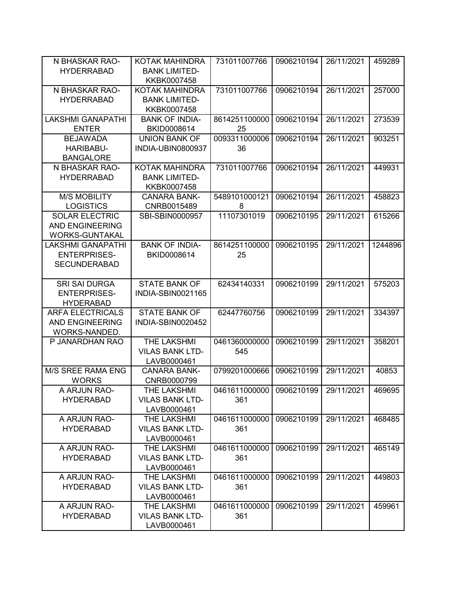| N BHASKAR RAO-           | KOTAK MAHINDRA         | 731011007766  | 0906210194 | 26/11/2021 | 459289  |
|--------------------------|------------------------|---------------|------------|------------|---------|
| <b>HYDERRABAD</b>        | <b>BANK LIMITED-</b>   |               |            |            |         |
|                          | KKBK0007458            |               |            |            |         |
| N BHASKAR RAO-           | KOTAK MAHINDRA         | 731011007766  | 0906210194 | 26/11/2021 | 257000  |
| <b>HYDERRABAD</b>        | <b>BANK LIMITED-</b>   |               |            |            |         |
|                          | KKBK0007458            |               |            |            |         |
| <b>LAKSHMI GANAPATHI</b> | <b>BANK OF INDIA-</b>  | 8614251100000 | 0906210194 | 26/11/2021 | 273539  |
| <b>ENTER</b>             | BKID0008614            | 25            |            |            |         |
| <b>BEJAWADA</b>          | <b>UNION BANK OF</b>   | 0093311000006 | 0906210194 | 26/11/2021 | 903251  |
| HARIBABU-                | INDIA-UBIN0800937      | 36            |            |            |         |
| <b>BANGALORE</b>         |                        |               |            |            |         |
| N BHASKAR RAO-           | <b>KOTAK MAHINDRA</b>  | 731011007766  | 0906210194 | 26/11/2021 | 449931  |
| <b>HYDERRABAD</b>        | <b>BANK LIMITED-</b>   |               |            |            |         |
|                          | KKBK0007458            |               |            |            |         |
| <b>M/S MOBILITY</b>      | <b>CANARA BANK-</b>    | 5489101000121 | 0906210194 | 26/11/2021 | 458823  |
| <b>LOGISTICS</b>         | CNRB0015489            | 8             |            |            |         |
| <b>SOLAR ELECTRIC</b>    | SBI-SBIN0000957        | 11107301019   | 0906210195 | 29/11/2021 | 615266  |
| <b>AND ENGINEERING</b>   |                        |               |            |            |         |
| <b>WORKS-GUNTAKAL</b>    |                        |               |            |            |         |
| <b>LAKSHMI GANAPATHI</b> | <b>BANK OF INDIA-</b>  | 8614251100000 | 0906210195 | 29/11/2021 | 1244896 |
| <b>ENTERPRISES-</b>      | BKID0008614            | 25            |            |            |         |
| <b>SECUNDERABAD</b>      |                        |               |            |            |         |
|                          |                        |               |            |            |         |
| <b>SRI SAI DURGA</b>     | <b>STATE BANK OF</b>   | 62434140331   | 0906210199 | 29/11/2021 | 575203  |
| <b>ENTERPRISES-</b>      | INDIA-SBIN0021165      |               |            |            |         |
| <b>HYDERABAD</b>         |                        |               |            |            |         |
| <b>ARFA ELECTRICALS</b>  | <b>STATE BANK OF</b>   | 62447760756   | 0906210199 | 29/11/2021 | 334397  |
| <b>AND ENGINEERING</b>   | INDIA-SBIN0020452      |               |            |            |         |
| WORKS-NANDED.            |                        |               |            |            |         |
| P JANARDHAN RAO          | THE LAKSHMI            | 0461360000000 | 0906210199 | 29/11/2021 | 358201  |
|                          | <b>VILAS BANK LTD-</b> | 545           |            |            |         |
|                          | LAVB0000461            |               |            |            |         |
| M/S SREE RAMA ENG        | <b>CANARA BANK-</b>    | 0799201000666 | 0906210199 | 29/11/2021 | 40853   |
| <b>WORKS</b>             | CNRB0000799            |               |            |            |         |
| A ARJUN RAO-             | <b>THE LAKSHMI</b>     | 0461611000000 | 0906210199 | 29/11/2021 | 469695  |
| <b>HYDERABAD</b>         | <b>VILAS BANK LTD-</b> | 361           |            |            |         |
|                          | LAVB0000461            |               |            |            |         |
| A ARJUN RAO-             | <b>THE LAKSHMI</b>     | 0461611000000 | 0906210199 | 29/11/2021 | 468485  |
| <b>HYDERABAD</b>         | <b>VILAS BANK LTD-</b> | 361           |            |            |         |
|                          | LAVB0000461            |               |            |            |         |
| A ARJUN RAO-             | THE LAKSHMI            | 0461611000000 | 0906210199 | 29/11/2021 | 465149  |
| <b>HYDERABAD</b>         | <b>VILAS BANK LTD-</b> | 361           |            |            |         |
|                          | LAVB0000461            |               |            |            |         |
| A ARJUN RAO-             | <b>THE LAKSHMI</b>     | 0461611000000 | 0906210199 | 29/11/2021 | 449803  |
| <b>HYDERABAD</b>         | <b>VILAS BANK LTD-</b> | 361           |            |            |         |
|                          | LAVB0000461            |               |            |            |         |
| A ARJUN RAO-             | THE LAKSHMI            | 0461611000000 | 0906210199 | 29/11/2021 | 459961  |
| <b>HYDERABAD</b>         | <b>VILAS BANK LTD-</b> | 361           |            |            |         |
|                          | LAVB0000461            |               |            |            |         |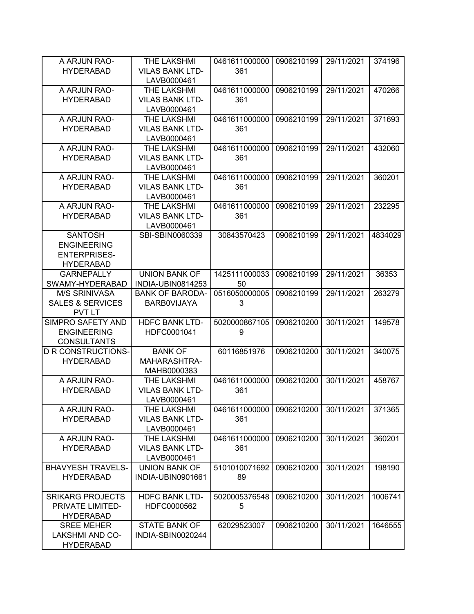| A ARJUN RAO-                | THE LAKSHMI            | 0461611000000 | 0906210199 | 29/11/2021 | 374196  |
|-----------------------------|------------------------|---------------|------------|------------|---------|
| <b>HYDERABAD</b>            | <b>VILAS BANK LTD-</b> | 361           |            |            |         |
|                             | LAVB0000461            |               |            |            |         |
| A ARJUN RAO-                | THE LAKSHMI            | 0461611000000 | 0906210199 | 29/11/2021 | 470266  |
| <b>HYDERABAD</b>            | <b>VILAS BANK LTD-</b> | 361           |            |            |         |
|                             | LAVB0000461            |               |            |            |         |
| A ARJUN RAO-                | THE LAKSHMI            | 0461611000000 | 0906210199 | 29/11/2021 | 371693  |
| <b>HYDERABAD</b>            | <b>VILAS BANK LTD-</b> | 361           |            |            |         |
|                             | LAVB0000461            |               |            |            |         |
| A ARJUN RAO-                | THE LAKSHMI            | 0461611000000 | 0906210199 | 29/11/2021 | 432060  |
| <b>HYDERABAD</b>            | <b>VILAS BANK LTD-</b> | 361           |            |            |         |
|                             | LAVB0000461            |               |            |            |         |
| A ARJUN RAO-                | THE LAKSHMI            | 0461611000000 | 0906210199 | 29/11/2021 | 360201  |
| <b>HYDERABAD</b>            | <b>VILAS BANK LTD-</b> | 361           |            |            |         |
|                             | LAVB0000461            |               |            |            |         |
| A ARJUN RAO-                | THE LAKSHMI            | 0461611000000 | 0906210199 | 29/11/2021 | 232295  |
| <b>HYDERABAD</b>            | <b>VILAS BANK LTD-</b> | 361           |            |            |         |
|                             | LAVB0000461            |               |            |            |         |
| <b>SANTOSH</b>              | SBI-SBIN0060339        | 30843570423   | 0906210199 | 29/11/2021 | 4834029 |
| <b>ENGINEERING</b>          |                        |               |            |            |         |
| <b>ENTERPRISES-</b>         |                        |               |            |            |         |
| <b>HYDERABAD</b>            |                        |               |            |            |         |
| <b>GARNEPALLY</b>           | <b>UNION BANK OF</b>   | 1425111000033 | 0906210199 | 29/11/2021 | 36353   |
| SWAMY-HYDERABAD             | INDIA-UBIN0814253      | 50            |            |            |         |
| <b>M/S SRINIVASA</b>        | <b>BANK OF BARODA-</b> | 0516050000005 | 0906210199 | 29/11/2021 | 263279  |
| <b>SALES &amp; SERVICES</b> | <b>BARBOVIJAYA</b>     | 3             |            |            |         |
| <b>PVT LT</b>               |                        |               |            |            |         |
| SIMPRO SAFETY AND           | <b>HDFC BANK LTD-</b>  | 5020000867105 | 0906210200 | 30/11/2021 | 149578  |
| <b>ENGINEERING</b>          | HDFC0001041            | 9             |            |            |         |
| <b>CONSULTANTS</b>          |                        |               |            |            |         |
| <b>D R CONSTRUCTIONS-</b>   | <b>BANK OF</b>         | 60116851976   | 0906210200 | 30/11/2021 | 340075  |
| <b>HYDERABAD</b>            | MAHARASHTRA-           |               |            |            |         |
|                             | MAHB0000383            |               |            |            |         |
| A ARJUN RAO-                | THE LAKSHMI            | 0461611000000 | 0906210200 | 30/11/2021 | 458767  |
| <b>HYDERABAD</b>            | <b>VILAS BANK LTD-</b> | 361           |            |            |         |
|                             | LAVB0000461            |               |            |            |         |
| A ARJUN RAO-                | THE LAKSHMI            | 0461611000000 | 0906210200 | 30/11/2021 | 371365  |
| <b>HYDERABAD</b>            | <b>VILAS BANK LTD-</b> | 361           |            |            |         |
|                             | LAVB0000461            |               |            |            |         |
| A ARJUN RAO-                | THE LAKSHMI            | 0461611000000 | 0906210200 | 30/11/2021 | 360201  |
| <b>HYDERABAD</b>            | <b>VILAS BANK LTD-</b> | 361           |            |            |         |
|                             | LAVB0000461            |               |            |            |         |
| <b>BHAVYESH TRAVELS-</b>    | <b>UNION BANK OF</b>   | 5101010071692 | 0906210200 | 30/11/2021 | 198190  |
| <b>HYDERABAD</b>            | INDIA-UBIN0901661      | 89            |            |            |         |
|                             |                        |               |            |            |         |
| <b>SRIKARG PROJECTS</b>     | <b>HDFC BANK LTD-</b>  | 5020005376548 | 0906210200 | 30/11/2021 | 1006741 |
| PRIVATE LIMITED-            | HDFC0000562            | 5             |            |            |         |
| <b>HYDERABAD</b>            |                        |               |            |            |         |
| <b>SREE MEHER</b>           | <b>STATE BANK OF</b>   | 62029523007   | 0906210200 | 30/11/2021 | 1646555 |
| LAKSHMI AND CO-             | INDIA-SBIN0020244      |               |            |            |         |
| <b>HYDERABAD</b>            |                        |               |            |            |         |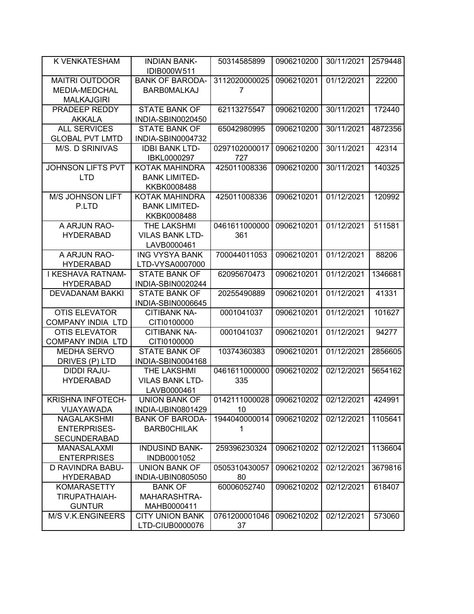| K VENKATESHAM                                    | <b>INDIAN BANK-</b><br>IDIB000W511 | 50314585899              | 0906210200 | 30/11/2021 | 2579448 |
|--------------------------------------------------|------------------------------------|--------------------------|------------|------------|---------|
| <b>MAITRI OUTDOOR</b>                            | <b>BANK OF BARODA-</b>             | 3112020000025            | 0906210201 | 01/12/2021 | 22200   |
| MEDIA-MEDCHAL                                    | <b>BARBOMALKAJ</b>                 | 7                        |            |            |         |
| <b>MALKAJGIRI</b>                                |                                    |                          |            |            |         |
| PRADEEP REDDY                                    | <b>STATE BANK OF</b>               | 62113275547              | 0906210200 | 30/11/2021 | 172440  |
| <b>AKKALA</b>                                    | INDIA-SBIN0020450                  |                          |            |            |         |
| <b>ALL SERVICES</b>                              | <b>STATE BANK OF</b>               | 65042980995              | 0906210200 | 30/11/2021 | 4872356 |
| <b>GLOBAL PVT LMTD</b>                           | INDIA-SBIN0004732                  |                          |            |            |         |
| <b>M/S. D SRINIVAS</b>                           | <b>IDBI BANK LTD-</b>              | 0297102000017            | 0906210200 | 30/11/2021 | 42314   |
|                                                  | IBKL0000297                        | 727                      |            |            |         |
| <b>JOHNSON LIFTS PVT</b>                         | KOTAK MAHINDRA                     | 425011008336             | 0906210200 | 30/11/2021 | 140325  |
| <b>LTD</b>                                       | <b>BANK LIMITED-</b>               |                          |            |            |         |
|                                                  | KKBK0008488                        |                          |            |            |         |
| M/S JOHNSON LIFT                                 | <b>KOTAK MAHINDRA</b>              | 425011008336             | 0906210201 | 01/12/2021 | 120992  |
| P.LTD                                            | <b>BANK LIMITED-</b>               |                          |            |            |         |
|                                                  | KKBK0008488                        |                          |            |            |         |
| A ARJUN RAO-                                     | THE LAKSHMI                        | 0461611000000            | 0906210201 | 01/12/2021 | 511581  |
| <b>HYDERABAD</b>                                 | <b>VILAS BANK LTD-</b>             | 361                      |            |            |         |
|                                                  | LAVB0000461                        |                          |            |            |         |
| A ARJUN RAO-                                     | <b>ING VYSYA BANK</b>              | 700044011053             | 0906210201 | 01/12/2021 | 88206   |
| <b>HYDERABAD</b>                                 | LTD-VYSA0007000                    |                          |            |            |         |
| I KESHAVA RATNAM-                                | <b>STATE BANK OF</b>               | 62095670473              | 0906210201 | 01/12/2021 | 1346681 |
| <b>HYDERABAD</b>                                 | INDIA-SBIN0020244                  |                          |            |            |         |
| <b>DEVADANAM BAKKI</b>                           | <b>STATE BANK OF</b>               | 20255490889              | 0906210201 | 01/12/2021 | 41331   |
|                                                  | INDIA-SBIN0006645                  |                          |            |            |         |
| <b>OTIS ELEVATOR</b>                             | <b>CITIBANK NA-</b>                | 0001041037               | 0906210201 | 01/12/2021 | 101627  |
| <b>COMPANY INDIA LTD</b><br><b>OTIS ELEVATOR</b> | CITI0100000<br><b>CITIBANK NA-</b> | 0001041037               | 0906210201 | 01/12/2021 | 94277   |
| <b>COMPANY INDIA LTD</b>                         | CITI0100000                        |                          |            |            |         |
| <b>MEDHA SERVO</b>                               | <b>STATE BANK OF</b>               | 10374360383              | 0906210201 | 01/12/2021 | 2856605 |
| DRIVES (P) LTD                                   | INDIA-SBIN0004168                  |                          |            |            |         |
| <b>DIDDI RAJU-</b>                               | THE LAKSHMI                        | 0461611000000            | 0906210202 | 02/12/2021 | 5654162 |
| <b>HYDERABAD</b>                                 | <b>VILAS BANK LTD-</b>             | 335                      |            |            |         |
|                                                  | LAVB0000461                        |                          |            |            |         |
| <b>KRISHNA INFOTECH-</b>                         | <b>UNION BANK OF</b>               | 0142111000028 0906210202 |            | 02/12/2021 | 424991  |
| VIJAYAWADA                                       | INDIA-UBIN0801429                  | 10                       |            |            |         |
| <b>NAGALAKSHMI</b>                               | <b>BANK OF BARODA-</b>             | 1944040000014            | 0906210202 | 02/12/2021 | 1105641 |
| <b>ENTERPRISES-</b>                              | <b>BARBOCHILAK</b>                 | 1                        |            |            |         |
| <b>SECUNDERABAD</b>                              |                                    |                          |            |            |         |
| <b>MANASALAXMI</b>                               | <b>INDUSIND BANK-</b>              | 259396230324             | 0906210202 | 02/12/2021 | 1136604 |
| <b>ENTERPRISES</b>                               | INDB0001052                        |                          |            |            |         |
| D RAVINDRA BABU-                                 | <b>UNION BANK OF</b>               | 0505310430057            | 0906210202 | 02/12/2021 | 3679816 |
| <b>HYDERABAD</b>                                 | INDIA-UBIN0805050                  | 80                       |            |            |         |
| <b>KOMARASETTY</b>                               | <b>BANK OF</b>                     | 60006052740              | 0906210202 | 02/12/2021 | 618407  |
| TIRUPATHAIAH-                                    | MAHARASHTRA-                       |                          |            |            |         |
| <b>GUNTUR</b>                                    | MAHB0000411                        |                          |            |            |         |
| <b>M/S V.K.ENGINEERS</b>                         | <b>CITY UNION BANK</b>             | 0761200001046            | 0906210202 | 02/12/2021 | 573060  |
|                                                  | LTD-CIUB0000076                    | 37                       |            |            |         |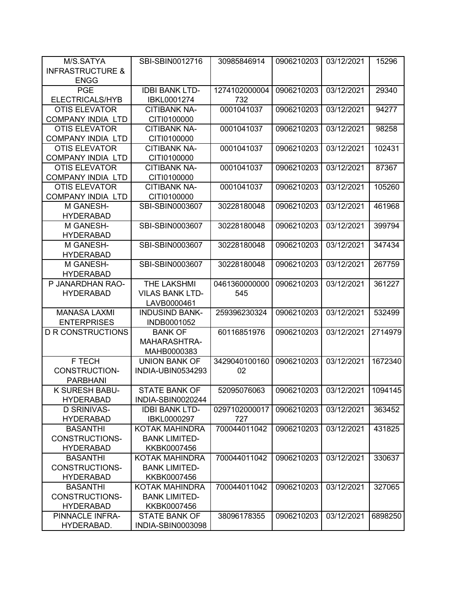| M/S.SATYA                   | SBI-SBIN0012716        | 30985846914   | 0906210203 | 03/12/2021 | 15296   |
|-----------------------------|------------------------|---------------|------------|------------|---------|
| <b>INFRASTRUCTURE &amp;</b> |                        |               |            |            |         |
| <b>ENGG</b>                 |                        |               |            |            |         |
| <b>PGE</b>                  | <b>IDBI BANK LTD-</b>  | 1274102000004 | 0906210203 | 03/12/2021 | 29340   |
| <b>ELECTRICALS/HYB</b>      | IBKL0001274            | 732           |            |            |         |
| <b>OTIS ELEVATOR</b>        | <b>CITIBANK NA-</b>    | 0001041037    | 0906210203 | 03/12/2021 | 94277   |
| <b>COMPANY INDIA LTD</b>    | CITI0100000            |               |            |            |         |
| <b>OTIS ELEVATOR</b>        | <b>CITIBANK NA-</b>    | 0001041037    | 0906210203 | 03/12/2021 | 98258   |
| <b>COMPANY INDIA LTD</b>    | CITI0100000            |               |            |            |         |
| <b>OTIS ELEVATOR</b>        | <b>CITIBANK NA-</b>    | 0001041037    | 0906210203 | 03/12/2021 | 102431  |
| <b>COMPANY INDIA LTD</b>    | CITI0100000            |               |            |            |         |
| <b>OTIS ELEVATOR</b>        | <b>CITIBANK NA-</b>    | 0001041037    | 0906210203 | 03/12/2021 | 87367   |
| <b>COMPANY INDIA LTD</b>    | CITI0100000            |               |            |            |         |
| <b>OTIS ELEVATOR</b>        | <b>CITIBANK NA-</b>    | 0001041037    | 0906210203 | 03/12/2021 | 105260  |
| <b>COMPANY INDIA LTD</b>    | CITI0100000            |               |            |            |         |
| M GANESH-                   | SBI-SBIN0003607        | 30228180048   | 0906210203 | 03/12/2021 | 461968  |
| <b>HYDERABAD</b>            |                        |               |            |            |         |
| M GANESH-                   | SBI-SBIN0003607        | 30228180048   | 0906210203 | 03/12/2021 | 399794  |
| <b>HYDERABAD</b>            |                        |               |            |            |         |
| M GANESH-                   | SBI-SBIN0003607        | 30228180048   | 0906210203 | 03/12/2021 | 347434  |
| <b>HYDERABAD</b>            |                        |               |            |            |         |
| M GANESH-                   | SBI-SBIN0003607        | 30228180048   | 0906210203 | 03/12/2021 | 267759  |
| <b>HYDERABAD</b>            |                        |               |            |            |         |
| P JANARDHAN RAO-            | THE LAKSHMI            | 0461360000000 | 0906210203 | 03/12/2021 | 361227  |
| <b>HYDERABAD</b>            | <b>VILAS BANK LTD-</b> | 545           |            |            |         |
|                             | LAVB0000461            |               |            |            |         |
| <b>MANASA LAXMI</b>         | <b>INDUSIND BANK-</b>  | 259396230324  | 0906210203 | 03/12/2021 | 532499  |
| <b>ENTERPRISES</b>          | INDB0001052            |               |            |            |         |
| <b>D R CONSTRUCTIONS</b>    | <b>BANK OF</b>         | 60116851976   | 0906210203 | 03/12/2021 | 2714979 |
|                             | MAHARASHTRA-           |               |            |            |         |
|                             | MAHB0000383            |               |            |            |         |
| F TECH                      | <b>UNION BANK OF</b>   | 3429040100160 | 0906210203 | 03/12/2021 | 1672340 |
| CONSTRUCTION-               | INDIA-UBIN0534293      | 02            |            |            |         |
| <b>PARBHANI</b>             |                        |               |            |            |         |
| K SURESH BABU-              | <b>STATE BANK OF</b>   | 52095076063   | 0906210203 | 03/12/2021 | 1094145 |
| <b>HYDERABAD</b>            | INDIA-SBIN0020244      |               |            |            |         |
| <b>D SRINIVAS-</b>          | <b>IDBI BANK LTD-</b>  | 0297102000017 | 0906210203 | 03/12/2021 | 363452  |
| <b>HYDERABAD</b>            | IBKL0000297            | 727           |            |            |         |
| <b>BASANTHI</b>             | KOTAK MAHINDRA         | 700044011042  | 0906210203 | 03/12/2021 | 431825  |
| CONSTRUCTIONS-              | <b>BANK LIMITED-</b>   |               |            |            |         |
| <b>HYDERABAD</b>            | KKBK0007456            |               |            |            |         |
| <b>BASANTHI</b>             | KOTAK MAHINDRA         | 700044011042  | 0906210203 | 03/12/2021 | 330637  |
| CONSTRUCTIONS-              | <b>BANK LIMITED-</b>   |               |            |            |         |
| <b>HYDERABAD</b>            | KKBK0007456            |               |            |            |         |
| <b>BASANTHI</b>             | KOTAK MAHINDRA         | 700044011042  | 0906210203 | 03/12/2021 | 327065  |
| CONSTRUCTIONS-              | <b>BANK LIMITED-</b>   |               |            |            |         |
| <b>HYDERABAD</b>            | KKBK0007456            |               |            |            |         |
| PINNACLE INFRA-             | <b>STATE BANK OF</b>   | 38096178355   | 0906210203 | 03/12/2021 | 6898250 |
| HYDERABAD.                  | INDIA-SBIN0003098      |               |            |            |         |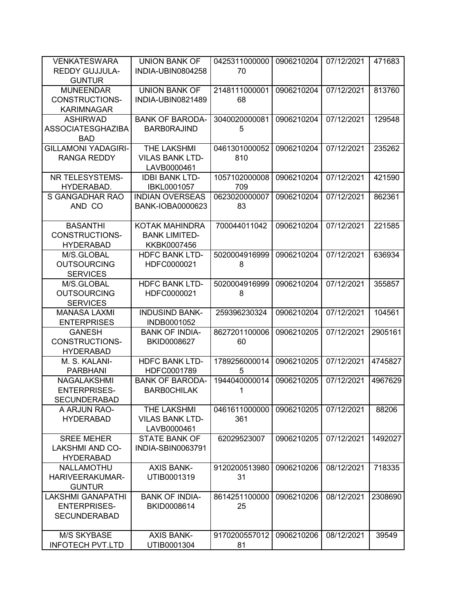| <b>VENKATESWARA</b>        | <b>UNION BANK OF</b>    | 0425311000000 | 0906210204 | 07/12/2021 | 471683  |
|----------------------------|-------------------------|---------------|------------|------------|---------|
| <b>REDDY GUJJULA-</b>      | INDIA-UBIN0804258       | 70            |            |            |         |
| <b>GUNTUR</b>              |                         |               |            |            |         |
| <b>MUNEENDAR</b>           | <b>UNION BANK OF</b>    | 2148111000001 | 0906210204 | 07/12/2021 | 813760  |
| <b>CONSTRUCTIONS-</b>      | INDIA-UBIN0821489       | 68            |            |            |         |
| <b>KARIMNAGAR</b>          |                         |               |            |            |         |
| <b>ASHIRWAD</b>            | <b>BANK OF BARODA-</b>  | 3040020000081 | 0906210204 | 07/12/2021 | 129548  |
| <b>ASSOCIATESGHAZIBA</b>   | <b>BARB0RAJIND</b>      | 5             |            |            |         |
|                            |                         |               |            |            |         |
| <b>BAD</b>                 |                         |               |            |            |         |
| <b>GILLAMONI YADAGIRI-</b> | <b>THE LAKSHMI</b>      | 0461301000052 | 0906210204 | 07/12/2021 | 235262  |
| <b>RANGA REDDY</b>         | <b>VILAS BANK LTD-</b>  | 810           |            |            |         |
|                            | LAVB0000461             |               |            |            |         |
| NR TELESYSTEMS-            | <b>IDBI BANK LTD-</b>   | 1057102000008 | 0906210204 | 07/12/2021 | 421590  |
| HYDERABAD.                 | IBKL0001057             | 709           |            |            |         |
| S GANGADHAR RAO            | <b>INDIAN OVERSEAS</b>  | 0623020000007 | 0906210204 | 07/12/2021 | 862361  |
| AND CO                     | <b>BANK-IOBA0000623</b> | 83            |            |            |         |
|                            |                         |               |            |            |         |
| <b>BASANTHI</b>            | <b>KOTAK MAHINDRA</b>   | 700044011042  | 0906210204 | 07/12/2021 | 221585  |
| <b>CONSTRUCTIONS-</b>      | <b>BANK LIMITED-</b>    |               |            |            |         |
| <b>HYDERABAD</b>           | KKBK0007456             |               |            |            |         |
| M/S.GLOBAL                 | <b>HDFC BANK LTD-</b>   | 5020004916999 | 0906210204 | 07/12/2021 | 636934  |
| <b>OUTSOURCING</b>         | HDFC0000021             | 8             |            |            |         |
| <b>SERVICES</b>            |                         |               |            |            |         |
| M/S.GLOBAL                 | <b>HDFC BANK LTD-</b>   | 5020004916999 | 0906210204 | 07/12/2021 | 355857  |
| <b>OUTSOURCING</b>         |                         |               |            |            |         |
|                            | HDFC0000021             | 8             |            |            |         |
| <b>SERVICES</b>            |                         |               |            |            |         |
| <b>MANASA LAXMI</b>        | <b>INDUSIND BANK-</b>   | 259396230324  | 0906210204 | 07/12/2021 | 104561  |
| <b>ENTERPRISES</b>         | INDB0001052             |               |            |            |         |
| <b>GANESH</b>              | <b>BANK OF INDIA-</b>   | 8627201100006 | 0906210205 | 07/12/2021 | 2905161 |
| <b>CONSTRUCTIONS-</b>      | BKID0008627             | 60            |            |            |         |
| <b>HYDERABAD</b>           |                         |               |            |            |         |
| M. S. KALANI-              | <b>HDFC BANK LTD-</b>   | 1789256000014 | 0906210205 | 07/12/2021 | 4745827 |
| <b>PARBHANI</b>            | HDFC0001789             | 5             |            |            |         |
| <b>NAGALAKSHMI</b>         | <b>BANK OF BARODA-</b>  | 1944040000014 | 0906210205 | 07/12/2021 | 4967629 |
| <b>ENTERPRISES-</b>        | <b>BARBOCHILAK</b>      | 1             |            |            |         |
| SECUNDERABAD               |                         |               |            |            |         |
| A ARJUN RAO-               | THE LAKSHMI             | 0461611000000 | 0906210205 | 07/12/2021 | 88206   |
| <b>HYDERABAD</b>           | <b>VILAS BANK LTD-</b>  | 361           |            |            |         |
|                            | LAVB0000461             |               |            |            |         |
| <b>SREE MEHER</b>          | <b>STATE BANK OF</b>    | 62029523007   | 0906210205 | 07/12/2021 | 1492027 |
| <b>LAKSHMI AND CO-</b>     | INDIA-SBIN0063791       |               |            |            |         |
| <b>HYDERABAD</b>           |                         |               |            |            |         |
| NALLAMOTHU                 | <b>AXIS BANK-</b>       | 9120200513980 | 0906210206 | 08/12/2021 | 718335  |
|                            | UTIB0001319             | 31            |            |            |         |
| HARIVEERAKUMAR-            |                         |               |            |            |         |
| <b>GUNTUR</b>              |                         |               |            |            |         |
| <b>LAKSHMI GANAPATHI</b>   | <b>BANK OF INDIA-</b>   | 8614251100000 | 0906210206 | 08/12/2021 | 2308690 |
| <b>ENTERPRISES-</b>        | BKID0008614             | 25            |            |            |         |
| <b>SECUNDERABAD</b>        |                         |               |            |            |         |
|                            |                         |               |            |            |         |
| <b>M/S SKYBASE</b>         | <b>AXIS BANK-</b>       | 9170200557012 | 0906210206 | 08/12/2021 | 39549   |
| <b>INFOTECH PVT.LTD</b>    | UTIB0001304             | 81            |            |            |         |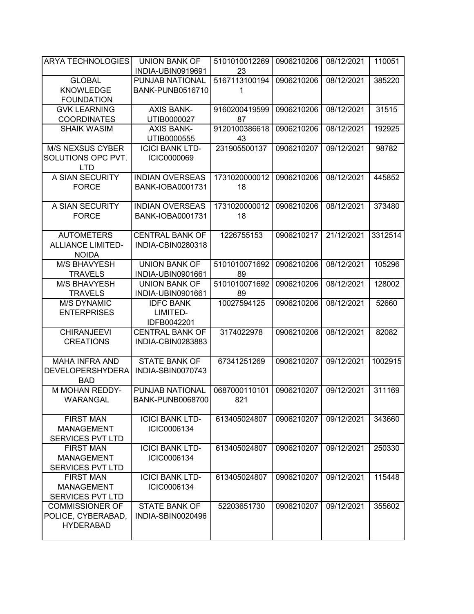| <b>ARYA TECHNOLOGIES</b> | <b>UNION BANK OF</b>    | 5101010012269 | 0906210206 | 08/12/2021 | 110051  |
|--------------------------|-------------------------|---------------|------------|------------|---------|
|                          | INDIA-UBIN0919691       | 23            |            |            |         |
| <b>GLOBAL</b>            | <b>PUNJAB NATIONAL</b>  | 5167113100194 | 0906210206 | 08/12/2021 | 385220  |
| <b>KNOWLEDGE</b>         | <b>BANK-PUNB0516710</b> | 1             |            |            |         |
| <b>FOUNDATION</b>        |                         |               |            |            |         |
| <b>GVK LEARNING</b>      | <b>AXIS BANK-</b>       | 9160200419599 | 0906210206 | 08/12/2021 | 31515   |
| <b>COORDINATES</b>       | UTIB0000027             | 87            |            |            |         |
| <b>SHAIK WASIM</b>       | <b>AXIS BANK-</b>       | 9120100386618 | 0906210206 | 08/12/2021 | 192925  |
|                          | UTIB0000555             | 43            |            |            |         |
| <b>M/S NEXSUS CYBER</b>  | <b>ICICI BANK LTD-</b>  | 231905500137  | 0906210207 | 09/12/2021 | 98782   |
| SOLUTIONS OPC PVT.       | <b>ICIC0000069</b>      |               |            |            |         |
| <b>LTD</b>               |                         |               |            |            |         |
| A SIAN SECURITY          | <b>INDIAN OVERSEAS</b>  | 1731020000012 | 0906210206 | 08/12/2021 | 445852  |
| <b>FORCE</b>             | <b>BANK-IOBA0001731</b> | 18            |            |            |         |
|                          |                         |               |            |            |         |
| A SIAN SECURITY          | <b>INDIAN OVERSEAS</b>  | 1731020000012 | 0906210206 | 08/12/2021 | 373480  |
| <b>FORCE</b>             | <b>BANK-IOBA0001731</b> | 18            |            |            |         |
|                          |                         |               |            |            |         |
| <b>AUTOMETERS</b>        | <b>CENTRAL BANK OF</b>  | 1226755153    | 0906210217 | 21/12/2021 | 3312514 |
| <b>ALLIANCE LIMITED-</b> | INDIA-CBIN0280318       |               |            |            |         |
| <b>NOIDA</b>             |                         |               |            |            |         |
| <b>M/S BHAVYESH</b>      | <b>UNION BANK OF</b>    | 5101010071692 | 0906210206 | 08/12/2021 | 105296  |
| <b>TRAVELS</b>           | INDIA-UBIN0901661       | 89            |            |            |         |
| <b>M/S BHAVYESH</b>      | <b>UNION BANK OF</b>    | 5101010071692 | 0906210206 | 08/12/2021 | 128002  |
| <b>TRAVELS</b>           | INDIA-UBIN0901661       | 89            |            |            |         |
| <b>M/S DYNAMIC</b>       | <b>IDFC BANK</b>        | 10027594125   | 0906210206 | 08/12/2021 | 52660   |
| <b>ENTERPRISES</b>       | LIMITED-                |               |            |            |         |
|                          | IDFB0042201             |               |            |            |         |
| <b>CHIRANJEEVI</b>       | <b>CENTRAL BANK OF</b>  | 3174022978    | 0906210206 | 08/12/2021 | 82082   |
| <b>CREATIONS</b>         | INDIA-CBIN0283883       |               |            |            |         |
|                          |                         |               |            |            |         |
| <b>MAHA INFRA AND</b>    | <b>STATE BANK OF</b>    | 67341251269   | 0906210207 | 09/12/2021 | 1002915 |
| <b>DEVELOPERSHYDERA</b>  | INDIA-SBIN0070743       |               |            |            |         |
| <b>BAD</b>               |                         |               |            |            |         |
| <b>M MOHAN REDDY-</b>    | PUNJAB NATIONAL         | 0687000110101 | 0906210207 | 09/12/2021 | 311169  |
| WARANGAL                 | <b>BANK-PUNB0068700</b> | 821           |            |            |         |
|                          |                         |               |            |            |         |
| <b>FIRST MAN</b>         | <b>ICICI BANK LTD-</b>  | 613405024807  | 0906210207 | 09/12/2021 | 343660  |
| <b>MANAGEMENT</b>        | ICIC0006134             |               |            |            |         |
| <b>SERVICES PVT LTD</b>  |                         |               |            |            |         |
| <b>FIRST MAN</b>         | <b>ICICI BANK LTD-</b>  | 613405024807  | 0906210207 | 09/12/2021 | 250330  |
| <b>MANAGEMENT</b>        |                         |               |            |            |         |
| <b>SERVICES PVT LTD</b>  | ICIC0006134             |               |            |            |         |
|                          |                         |               |            |            |         |
| <b>FIRST MAN</b>         | <b>ICICI BANK LTD-</b>  | 613405024807  | 0906210207 | 09/12/2021 | 115448  |
| <b>MANAGEMENT</b>        | ICIC0006134             |               |            |            |         |
| <b>SERVICES PVT LTD</b>  |                         |               |            |            |         |
| <b>COMMISSIONER OF</b>   | <b>STATE BANK OF</b>    | 52203651730   | 0906210207 | 09/12/2021 | 355602  |
| POLICE, CYBERABAD,       | INDIA-SBIN0020496       |               |            |            |         |
| <b>HYDERABAD</b>         |                         |               |            |            |         |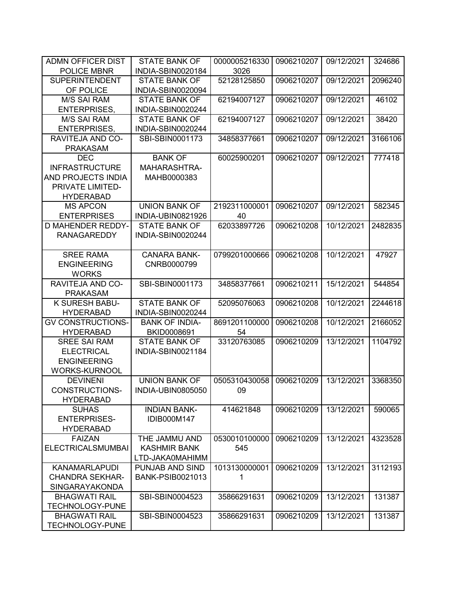| <b>ADMN OFFICER DIST</b> | <b>STATE BANK OF</b>    | 0000005216330 | 0906210207 | 09/12/2021 | 324686  |
|--------------------------|-------------------------|---------------|------------|------------|---------|
| POLICE MBNR              | INDIA-SBIN0020184       | 3026          |            |            |         |
| <b>SUPERINTENDENT</b>    | <b>STATE BANK OF</b>    | 52128125850   | 0906210207 | 09/12/2021 | 2096240 |
| OF POLICE                | INDIA-SBIN0020094       |               |            |            |         |
| <b>M/S SAI RAM</b>       | <b>STATE BANK OF</b>    | 62194007127   | 0906210207 | 09/12/2021 | 46102   |
| <b>ENTERPRISES,</b>      | INDIA-SBIN0020244       |               |            |            |         |
| <b>M/S SAI RAM</b>       | <b>STATE BANK OF</b>    | 62194007127   | 0906210207 | 09/12/2021 | 38420   |
| <b>ENTERPRISES,</b>      | INDIA-SBIN0020244       |               |            |            |         |
| RAVITEJA AND CO-         | SBI-SBIN0001173         | 34858377661   | 0906210207 | 09/12/2021 | 3166106 |
| <b>PRAKASAM</b>          |                         |               |            |            |         |
| <b>DEC</b>               | <b>BANK OF</b>          | 60025900201   | 0906210207 | 09/12/2021 | 777418  |
| <b>INFRASTRUCTURE</b>    | MAHARASHTRA-            |               |            |            |         |
| AND PROJECTS INDIA       | MAHB0000383             |               |            |            |         |
| PRIVATE LIMITED-         |                         |               |            |            |         |
| <b>HYDERABAD</b>         |                         |               |            |            |         |
| <b>MS APCON</b>          | <b>UNION BANK OF</b>    | 2192311000001 | 0906210207 | 09/12/2021 | 582345  |
| <b>ENTERPRISES</b>       | INDIA-UBIN0821926       | 40            |            |            |         |
| <b>D MAHENDER REDDY-</b> | <b>STATE BANK OF</b>    | 62033897726   | 0906210208 | 10/12/2021 | 2482835 |
| <b>RANAGAREDDY</b>       | INDIA-SBIN0020244       |               |            |            |         |
|                          |                         |               |            |            |         |
| <b>SREE RAMA</b>         | <b>CANARA BANK-</b>     | 0799201000666 | 0906210208 | 10/12/2021 | 47927   |
| <b>ENGINEERING</b>       | CNRB0000799             |               |            |            |         |
| <b>WORKS</b>             |                         |               |            |            |         |
| RAVITEJA AND CO-         | SBI-SBIN0001173         | 34858377661   | 0906210211 | 15/12/2021 | 544854  |
| <b>PRAKASAM</b>          |                         |               |            |            |         |
| K SURESH BABU-           | <b>STATE BANK OF</b>    | 52095076063   | 0906210208 | 10/12/2021 | 2244618 |
| <b>HYDERABAD</b>         | INDIA-SBIN0020244       |               |            |            |         |
| <b>GV CONSTRUCTIONS-</b> | <b>BANK OF INDIA-</b>   | 8691201100000 | 0906210208 | 10/12/2021 | 2166052 |
| <b>HYDERABAD</b>         | BKID0008691             | 54            |            |            |         |
| <b>SREE SAI RAM</b>      | <b>STATE BANK OF</b>    | 33120763085   | 0906210209 | 13/12/2021 | 1104792 |
| <b>ELECTRICAL</b>        | INDIA-SBIN0021184       |               |            |            |         |
| <b>ENGINEERING</b>       |                         |               |            |            |         |
| <b>WORKS-KURNOOL</b>     |                         |               |            |            |         |
| <b>DEVINENI</b>          | <b>UNION BANK OF</b>    | 0505310430058 | 0906210209 | 13/12/2021 | 3368350 |
| <b>CONSTRUCTIONS-</b>    | INDIA-UBIN0805050       | 09            |            |            |         |
| <b>HYDERABAD</b>         |                         |               |            |            |         |
| <b>SUHAS</b>             | <b>INDIAN BANK-</b>     | 414621848     | 0906210209 | 13/12/2021 | 590065  |
| <b>ENTERPRISES-</b>      | IDIB000M147             |               |            |            |         |
| <b>HYDERABAD</b>         |                         |               |            |            |         |
| <b>FAIZAN</b>            | THE JAMMU AND           | 0530010100000 | 0906210209 | 13/12/2021 | 4323528 |
| <b>ELECTRICALSMUMBAI</b> | <b>KASHMIR BANK</b>     | 545           |            |            |         |
|                          | LTD-JAKA0MAHIMM         |               |            |            |         |
| <b>KANAMARLAPUDI</b>     | PUNJAB AND SIND         | 1013130000001 | 0906210209 | 13/12/2021 | 3112193 |
| <b>CHANDRA SEKHAR-</b>   | <b>BANK-PSIB0021013</b> | 1             |            |            |         |
| SINGARAYAKONDA           |                         |               |            |            |         |
| <b>BHAGWATI RAIL</b>     | SBI-SBIN0004523         | 35866291631   | 0906210209 | 13/12/2021 | 131387  |
| <b>TECHNOLOGY-PUNE</b>   |                         |               |            |            |         |
| <b>BHAGWATI RAIL</b>     | SBI-SBIN0004523         | 35866291631   | 0906210209 | 13/12/2021 | 131387  |
| TECHNOLOGY-PUNE          |                         |               |            |            |         |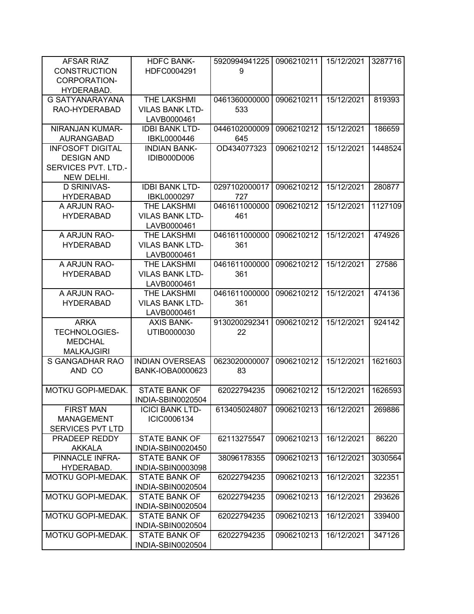| <b>AFSAR RIAZ</b>                               | <b>HDFC BANK-</b>      | 5920994941225 | 0906210211 | 15/12/2021 | 3287716 |
|-------------------------------------------------|------------------------|---------------|------------|------------|---------|
| <b>CONSTRUCTION</b>                             | HDFC0004291            | 9             |            |            |         |
| CORPORATION-                                    |                        |               |            |            |         |
| HYDERABAD.                                      |                        |               |            |            |         |
| <b>G SATYANARAYANA</b>                          | <b>THE LAKSHMI</b>     | 0461360000000 | 0906210211 | 15/12/2021 | 819393  |
| RAO-HYDERABAD                                   | <b>VILAS BANK LTD-</b> | 533           |            |            |         |
|                                                 | LAVB0000461            |               |            |            |         |
| NIRANJAN KUMAR-                                 | <b>IDBI BANK LTD-</b>  | 0446102000009 | 0906210212 | 15/12/2021 | 186659  |
| <b>AURANGABAD</b>                               | IBKL0000446            | 645           |            |            |         |
| <b>INFOSOFT DIGITAL</b>                         | <b>INDIAN BANK-</b>    | OD434077323   | 0906210212 | 15/12/2021 | 1448524 |
| <b>DESIGN AND</b><br><b>SERVICES PVT. LTD.-</b> | IDIB000D006            |               |            |            |         |
|                                                 |                        |               |            |            |         |
| NEW DELHI.<br>D SRINIVAS-                       | <b>IDBI BANK LTD-</b>  | 0297102000017 | 0906210212 | 15/12/2021 | 280877  |
| <b>HYDERABAD</b>                                | IBKL0000297            | 727           |            |            |         |
| A ARJUN RAO-                                    | THE LAKSHMI            | 0461611000000 | 0906210212 | 15/12/2021 | 1127109 |
| <b>HYDERABAD</b>                                | <b>VILAS BANK LTD-</b> | 461           |            |            |         |
|                                                 | LAVB0000461            |               |            |            |         |
| A ARJUN RAO-                                    | THE LAKSHMI            | 0461611000000 | 0906210212 | 15/12/2021 | 474926  |
| <b>HYDERABAD</b>                                | <b>VILAS BANK LTD-</b> | 361           |            |            |         |
|                                                 | LAVB0000461            |               |            |            |         |
| A ARJUN RAO-                                    | THE LAKSHMI            | 0461611000000 | 0906210212 | 15/12/2021 | 27586   |
| <b>HYDERABAD</b>                                | <b>VILAS BANK LTD-</b> | 361           |            |            |         |
|                                                 | LAVB0000461            |               |            |            |         |
| A ARJUN RAO-                                    | THE LAKSHMI            | 0461611000000 | 0906210212 | 15/12/2021 | 474136  |
| <b>HYDERABAD</b>                                | <b>VILAS BANK LTD-</b> | 361           |            |            |         |
|                                                 | LAVB0000461            |               |            |            |         |
| <b>ARKA</b>                                     | <b>AXIS BANK-</b>      | 9130200292341 | 0906210212 | 15/12/2021 | 924142  |
| <b>TECHNOLOGIES-</b>                            | UTIB0000030            | 22            |            |            |         |
| <b>MEDCHAL</b>                                  |                        |               |            |            |         |
| <b>MALKAJGIRI</b>                               |                        |               |            |            |         |
| S GANGADHAR RAO                                 | <b>INDIAN OVERSEAS</b> | 0623020000007 | 0906210212 | 15/12/2021 | 1621603 |
| AND CO                                          | BANK-IOBA0000623       | 83            |            |            |         |
| MOTKU GOPI-MEDAK.                               | <b>STATE BANK OF</b>   | 62022794235   | 0906210212 | 15/12/2021 | 1626593 |
|                                                 | INDIA-SBIN0020504      |               |            |            |         |
| <b>FIRST MAN</b>                                | <b>ICICI BANK LTD-</b> | 613405024807  | 0906210213 | 16/12/2021 | 269886  |
| <b>MANAGEMENT</b>                               | ICIC0006134            |               |            |            |         |
| SERVICES PVT LTD                                |                        |               |            |            |         |
| PRADEEP REDDY                                   | <b>STATE BANK OF</b>   | 62113275547   | 0906210213 | 16/12/2021 | 86220   |
| <b>AKKALA</b>                                   | INDIA-SBIN0020450      |               |            |            |         |
| PINNACLE INFRA-                                 | <b>STATE BANK OF</b>   | 38096178355   | 0906210213 | 16/12/2021 | 3030564 |
| HYDERABAD.                                      | INDIA-SBIN0003098      |               |            |            |         |
| MOTKU GOPI-MEDAK.                               | <b>STATE BANK OF</b>   | 62022794235   | 0906210213 | 16/12/2021 | 322351  |
|                                                 | INDIA-SBIN0020504      |               |            |            |         |
| MOTKU GOPI-MEDAK.                               | <b>STATE BANK OF</b>   | 62022794235   | 0906210213 | 16/12/2021 | 293626  |
|                                                 | INDIA-SBIN0020504      |               |            |            |         |
| MOTKU GOPI-MEDAK.                               | <b>STATE BANK OF</b>   | 62022794235   | 0906210213 | 16/12/2021 | 339400  |
|                                                 | INDIA-SBIN0020504      |               |            |            |         |
| MOTKU GOPI-MEDAK.                               | <b>STATE BANK OF</b>   | 62022794235   | 0906210213 | 16/12/2021 | 347126  |
|                                                 | INDIA-SBIN0020504      |               |            |            |         |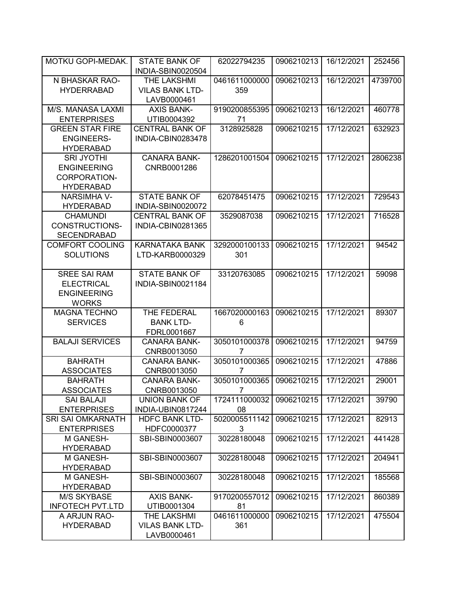| MOTKU GOPI-MEDAK.        | <b>STATE BANK OF</b><br>INDIA-SBIN0020504 | 62022794235              | 0906210213 | 16/12/2021 | 252456  |
|--------------------------|-------------------------------------------|--------------------------|------------|------------|---------|
| N BHASKAR RAO-           | THE LAKSHMI                               | 0461611000000            | 0906210213 | 16/12/2021 | 4739700 |
|                          |                                           |                          |            |            |         |
| <b>HYDERRABAD</b>        | <b>VILAS BANK LTD-</b>                    | 359                      |            |            |         |
|                          | LAVB0000461                               |                          |            |            |         |
| M/S. MANASA LAXMI        | <b>AXIS BANK-</b>                         | 9190200855395            | 0906210213 | 16/12/2021 | 460778  |
| <b>ENTERPRISES</b>       | UTIB0004392                               | 71                       |            |            |         |
| <b>GREEN STAR FIRE</b>   | <b>CENTRAL BANK OF</b>                    | 3128925828               | 0906210215 | 17/12/2021 | 632923  |
| <b>ENGINEERS-</b>        | INDIA-CBIN0283478                         |                          |            |            |         |
|                          |                                           |                          |            |            |         |
| <b>HYDERABAD</b>         |                                           |                          |            |            |         |
| <b>SRI JYOTHI</b>        | <b>CANARA BANK-</b>                       | 1286201001504            | 0906210215 | 17/12/2021 | 2806238 |
| <b>ENGINEERING</b>       | CNRB0001286                               |                          |            |            |         |
| CORPORATION-             |                                           |                          |            |            |         |
| <b>HYDERABAD</b>         |                                           |                          |            |            |         |
| <b>NARSIMHA V-</b>       | <b>STATE BANK OF</b>                      | 62078451475              | 0906210215 | 17/12/2021 | 729543  |
| <b>HYDERABAD</b>         | INDIA-SBIN0020072                         |                          |            |            |         |
|                          |                                           |                          |            |            |         |
| <b>CHAMUNDI</b>          | <b>CENTRAL BANK OF</b>                    | 3529087038               | 0906210215 | 17/12/2021 | 716528  |
| CONSTRUCTIONS-           | INDIA-CBIN0281365                         |                          |            |            |         |
| <b>SECENDRABAD</b>       |                                           |                          |            |            |         |
| <b>COMFORT COOLING</b>   | <b>KARNATAKA BANK</b>                     | 3292000100133            | 0906210215 | 17/12/2021 | 94542   |
| <b>SOLUTIONS</b>         | LTD-KARB0000329                           | 301                      |            |            |         |
|                          |                                           |                          |            |            |         |
| <b>SREE SAI RAM</b>      | <b>STATE BANK OF</b>                      | 33120763085              | 0906210215 | 17/12/2021 | 59098   |
|                          |                                           |                          |            |            |         |
| <b>ELECTRICAL</b>        | INDIA-SBIN0021184                         |                          |            |            |         |
| <b>ENGINEERING</b>       |                                           |                          |            |            |         |
| <b>WORKS</b>             |                                           |                          |            |            |         |
| <b>MAGNA TECHNO</b>      | THE FEDERAL                               | 1667020000163            | 0906210215 | 17/12/2021 | 89307   |
| <b>SERVICES</b>          | <b>BANK LTD-</b>                          | 6                        |            |            |         |
|                          | FDRL0001667                               |                          |            |            |         |
| <b>BALAJI SERVICES</b>   | <b>CANARA BANK-</b>                       | 3050101000378            | 0906210215 | 17/12/2021 | 94759   |
|                          |                                           |                          |            |            |         |
|                          | CNRB0013050                               | 7                        |            |            |         |
| <b>BAHRATH</b>           | <b>CANARA BANK-</b>                       | 3050101000365            | 0906210215 | 17/12/2021 | 47886   |
| <b>ASSOCIATES</b>        | CNRB0013050                               | 7                        |            |            |         |
| <b>BAHRATH</b>           | <b>CANARA BANK-</b>                       | 3050101000365            | 0906210215 | 17/12/2021 | 29001   |
| <b>ASSOCIATES</b>        | CNRB0013050                               | 7                        |            |            |         |
| <b>SAI BALAJI</b>        | <b>UNION BANK OF</b>                      | 1724111000032 0906210215 |            | 17/12/2021 | 39790   |
| <b>ENTERPRISES</b>       | INDIA-UBIN0817244                         | 08                       |            |            |         |
| <b>SRI SAI OMKARNATH</b> |                                           | 5020005511142            |            |            |         |
|                          | <b>HDFC BANK LTD-</b>                     |                          | 0906210215 | 17/12/2021 | 82913   |
| <b>ENTERPRISES</b>       | HDFC0000377                               | 3                        |            |            |         |
| M GANESH-                | SBI-SBIN0003607                           | 30228180048              | 0906210215 | 17/12/2021 | 441428  |
| <b>HYDERABAD</b>         |                                           |                          |            |            |         |
| M GANESH-                | SBI-SBIN0003607                           | 30228180048              | 0906210215 | 17/12/2021 | 204941  |
| <b>HYDERABAD</b>         |                                           |                          |            |            |         |
| M GANESH-                | SBI-SBIN0003607                           | 30228180048              | 0906210215 | 17/12/2021 | 185568  |
| <b>HYDERABAD</b>         |                                           |                          |            |            |         |
|                          |                                           |                          |            |            |         |
| <b>M/S SKYBASE</b>       | <b>AXIS BANK-</b>                         | 9170200557012            | 0906210215 | 17/12/2021 | 860389  |
| <b>INFOTECH PVT.LTD</b>  | UTIB0001304                               | 81                       |            |            |         |
| A ARJUN RAO-             | THE LAKSHMI                               | 0461611000000            | 0906210215 | 17/12/2021 | 475504  |
| <b>HYDERABAD</b>         | <b>VILAS BANK LTD-</b>                    | 361                      |            |            |         |
|                          | LAVB0000461                               |                          |            |            |         |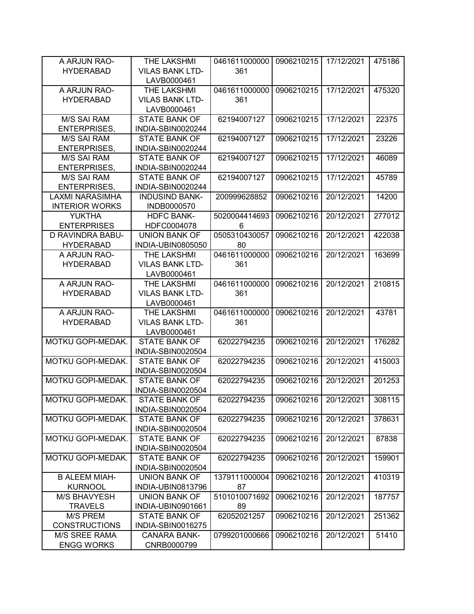| A ARJUN RAO-           | THE LAKSHMI                               | 0461611000000 | 0906210215 | 17/12/2021 | 475186 |
|------------------------|-------------------------------------------|---------------|------------|------------|--------|
| <b>HYDERABAD</b>       | <b>VILAS BANK LTD-</b>                    | 361           |            |            |        |
|                        | LAVB0000461                               |               |            |            |        |
| A ARJUN RAO-           | THE LAKSHMI                               | 0461611000000 | 0906210215 | 17/12/2021 | 475320 |
| <b>HYDERABAD</b>       | <b>VILAS BANK LTD-</b>                    | 361           |            |            |        |
|                        | LAVB0000461                               |               |            |            |        |
| <b>M/S SAI RAM</b>     | <b>STATE BANK OF</b>                      | 62194007127   | 0906210215 | 17/12/2021 | 22375  |
| <b>ENTERPRISES,</b>    | INDIA-SBIN0020244                         |               |            |            |        |
| <b>M/S SAI RAM</b>     | <b>STATE BANK OF</b>                      | 62194007127   | 0906210215 | 17/12/2021 | 23226  |
| <b>ENTERPRISES,</b>    | INDIA-SBIN0020244                         |               |            |            |        |
| <b>M/S SAI RAM</b>     | STATE BANK OF                             | 62194007127   | 0906210215 | 17/12/2021 | 46089  |
| <b>ENTERPRISES,</b>    | INDIA-SBIN0020244                         |               |            |            |        |
| <b>M/S SAI RAM</b>     | <b>STATE BANK OF</b>                      | 62194007127   | 0906210215 | 17/12/2021 | 45789  |
| <b>ENTERPRISES,</b>    | INDIA-SBIN0020244                         |               |            |            |        |
| <b>LAXMI NARASIMHA</b> | <b>INDUSIND BANK-</b>                     | 200999628852  | 0906210216 | 20/12/2021 | 14200  |
| <b>INTERIOR WORKS</b>  | INDB0000570                               |               |            |            |        |
| <b>YUKTHA</b>          | <b>HDFC BANK-</b>                         | 5020004414693 | 0906210216 | 20/12/2021 | 277012 |
| <b>ENTERPRISES</b>     | HDFC0004078                               | 6             |            |            |        |
| D RAVINDRA BABU-       | <b>UNION BANK OF</b>                      | 0505310430057 | 0906210216 | 20/12/2021 | 422038 |
| <b>HYDERABAD</b>       | INDIA-UBIN0805050                         | 80            |            |            |        |
| A ARJUN RAO-           | THE LAKSHMI                               | 0461611000000 | 0906210216 | 20/12/2021 | 163699 |
| <b>HYDERABAD</b>       | <b>VILAS BANK LTD-</b>                    | 361           |            |            |        |
|                        | LAVB0000461                               |               |            |            |        |
| A ARJUN RAO-           | THE LAKSHMI                               | 0461611000000 | 0906210216 | 20/12/2021 | 210815 |
| <b>HYDERABAD</b>       | <b>VILAS BANK LTD-</b>                    | 361           |            |            |        |
|                        | LAVB0000461                               |               |            |            |        |
| A ARJUN RAO-           | THE LAKSHMI                               | 0461611000000 | 0906210216 | 20/12/2021 | 43781  |
| <b>HYDERABAD</b>       | <b>VILAS BANK LTD-</b>                    | 361           |            |            |        |
|                        | LAVB0000461                               |               |            |            |        |
| MOTKU GOPI-MEDAK.      | <b>STATE BANK OF</b>                      | 62022794235   | 0906210216 | 20/12/2021 | 176282 |
|                        | INDIA-SBIN0020504                         |               |            |            |        |
| MOTKU GOPI-MEDAK.      | <b>STATE BANK OF</b>                      | 62022794235   | 0906210216 | 20/12/2021 | 415003 |
|                        | INDIA-SBIN0020504                         |               |            |            |        |
| MOTKU GOPI-MEDAK.      | <b>STATE BANK OF</b>                      | 62022794235   | 0906210216 | 20/12/2021 | 201253 |
|                        | INDIA-SBIN0020504                         |               |            |            |        |
| MOTKU GOPI-MEDAK.      | <b>STATE BANK OF</b>                      | 62022794235   | 0906210216 | 20/12/2021 | 308115 |
|                        | INDIA-SBIN0020504                         |               |            |            |        |
| MOTKU GOPI-MEDAK.      | <b>STATE BANK OF</b>                      | 62022794235   | 0906210216 | 20/12/2021 | 378631 |
|                        | INDIA-SBIN0020504                         |               |            |            |        |
| MOTKU GOPI-MEDAK.      | <b>STATE BANK OF</b><br>INDIA-SBIN0020504 | 62022794235   | 0906210216 | 20/12/2021 | 87838  |
| MOTKU GOPI-MEDAK.      | <b>STATE BANK OF</b>                      | 62022794235   | 0906210216 | 20/12/2021 | 159901 |
|                        | INDIA-SBIN0020504                         |               |            |            |        |
| <b>B ALEEM MIAH-</b>   | <b>UNION BANK OF</b>                      | 1379111000004 | 0906210216 | 20/12/2021 | 410319 |
| <b>KURNOOL</b>         | INDIA-UBIN0813796                         | 87            |            |            |        |
| <b>M/S BHAVYESH</b>    | <b>UNION BANK OF</b>                      | 5101010071692 | 0906210216 | 20/12/2021 | 187757 |
| <b>TRAVELS</b>         | INDIA-UBIN0901661                         | 89            |            |            |        |
| M/S PREM               | <b>STATE BANK OF</b>                      | 62052021257   | 0906210216 | 20/12/2021 | 251362 |
| <b>CONSTRUCTIONS</b>   | INDIA-SBIN0016275                         |               |            |            |        |
| <b>M/S SREE RAMA</b>   | <b>CANARA BANK-</b>                       | 0799201000666 | 0906210216 | 20/12/2021 | 51410  |
| <b>ENGG WORKS</b>      | CNRB0000799                               |               |            |            |        |
|                        |                                           |               |            |            |        |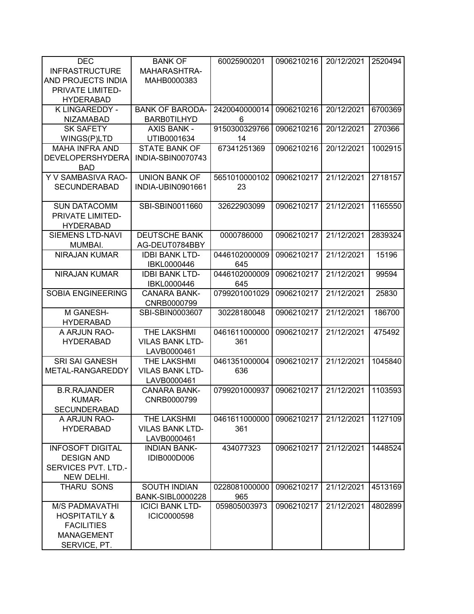| <b>DEC</b>                         | <b>BANK OF</b>                         | 60025900201   | 0906210216 | 20/12/2021 | 2520494 |
|------------------------------------|----------------------------------------|---------------|------------|------------|---------|
| <b>INFRASTRUCTURE</b>              | MAHARASHTRA-                           |               |            |            |         |
| AND PROJECTS INDIA                 | MAHB0000383                            |               |            |            |         |
| PRIVATE LIMITED-                   |                                        |               |            |            |         |
| <b>HYDERABAD</b>                   |                                        |               |            |            |         |
| K LINGAREDDY -                     | <b>BANK OF BARODA-</b>                 | 2420040000014 | 0906210216 | 20/12/2021 | 6700369 |
| <b>NIZAMABAD</b>                   | <b>BARB0TILHYD</b>                     | 6             |            |            |         |
| <b>SK SAFETY</b>                   | <b>AXIS BANK -</b>                     | 9150300329766 | 0906210216 | 20/12/2021 | 270366  |
| WINGS(P)LTD                        | UTIB0001634                            | 14            |            |            |         |
| <b>MAHA INFRA AND</b>              | <b>STATE BANK OF</b>                   | 67341251369   | 0906210216 | 20/12/2021 | 1002915 |
| <b>DEVELOPERSHYDERA</b>            | INDIA-SBIN0070743                      |               |            |            |         |
| <b>BAD</b>                         |                                        |               |            |            |         |
| Y V SAMBASIVA RAO-                 | <b>UNION BANK OF</b>                   | 5651010000102 | 0906210217 | 21/12/2021 | 2718157 |
| <b>SECUNDERABAD</b>                | INDIA-UBIN0901661                      | 23            |            |            |         |
|                                    |                                        |               |            |            |         |
| <b>SUN DATACOMM</b>                | SBI-SBIN0011660                        | 32622903099   | 0906210217 | 21/12/2021 | 1165550 |
| PRIVATE LIMITED-                   |                                        |               |            |            |         |
| <b>HYDERABAD</b>                   |                                        |               |            |            |         |
| <b>SIEMENS LTD-NAVI</b><br>MUMBAI. | <b>DEUTSCHE BANK</b><br>AG-DEUT0784BBY | 0000786000    | 0906210217 | 21/12/2021 | 2839324 |
| <b>NIRAJAN KUMAR</b>               | <b>IDBI BANK LTD-</b>                  | 0446102000009 | 0906210217 | 21/12/2021 | 15196   |
|                                    | IBKL0000446                            | 645           |            |            |         |
| <b>NIRAJAN KUMAR</b>               | <b>IDBI BANK LTD-</b>                  | 0446102000009 | 0906210217 | 21/12/2021 | 99594   |
|                                    | IBKL0000446                            | 645           |            |            |         |
| <b>SOBIA ENGINEERING</b>           | <b>CANARA BANK-</b>                    | 0799201001029 | 0906210217 | 21/12/2021 | 25830   |
|                                    | CNRB0000799                            |               |            |            |         |
| M GANESH-                          | SBI-SBIN0003607                        | 30228180048   | 0906210217 | 21/12/2021 | 186700  |
| <b>HYDERABAD</b>                   |                                        |               |            |            |         |
| A ARJUN RAO-                       | THE LAKSHMI                            | 0461611000000 | 0906210217 | 21/12/2021 | 475492  |
| <b>HYDERABAD</b>                   | <b>VILAS BANK LTD-</b>                 | 361           |            |            |         |
|                                    | LAVB0000461                            |               |            |            |         |
| <b>SRI SAI GANESH</b>              | THE LAKSHMI                            | 0461351000004 | 0906210217 | 21/12/2021 | 1045840 |
| METAL-RANGAREDDY                   | <b>VILAS BANK LTD-</b>                 | 636           |            |            |         |
|                                    | LAVB0000461                            |               |            |            |         |
| <b>B.R.RAJANDER</b>                | <b>CANARA BANK-</b>                    | 0799201000937 | 0906210217 | 21/12/2021 | 1103593 |
| <b>KUMAR-</b>                      | CNRB0000799                            |               |            |            |         |
| <b>SECUNDERABAD</b>                |                                        |               |            |            |         |
| A ARJUN RAO-                       | THE LAKSHMI                            | 0461611000000 | 0906210217 | 21/12/2021 | 1127109 |
| <b>HYDERABAD</b>                   | <b>VILAS BANK LTD-</b>                 | 361           |            |            |         |
|                                    | LAVB0000461                            |               |            |            |         |
| <b>INFOSOFT DIGITAL</b>            | <b>INDIAN BANK-</b>                    | 434077323     | 0906210217 | 21/12/2021 | 1448524 |
| <b>DESIGN AND</b>                  | IDIB000D006                            |               |            |            |         |
| SERVICES PVT. LTD.-                |                                        |               |            |            |         |
| NEW DELHI.                         |                                        |               |            |            |         |
| <b>THARU SONS</b>                  | <b>SOUTH INDIAN</b>                    | 0228081000000 | 0906210217 | 21/12/2021 | 4513169 |
|                                    | <b>BANK-SIBL0000228</b>                | 965           |            |            |         |
| <b>M/S PADMAVATHI</b>              | <b>ICICI BANK LTD-</b>                 | 059805003973  | 0906210217 | 21/12/2021 | 4802899 |
| <b>HOSPITATILY &amp;</b>           | ICIC0000598                            |               |            |            |         |
| <b>FACILITIES</b>                  |                                        |               |            |            |         |
| <b>MANAGEMENT</b>                  |                                        |               |            |            |         |
| SERVICE, PT.                       |                                        |               |            |            |         |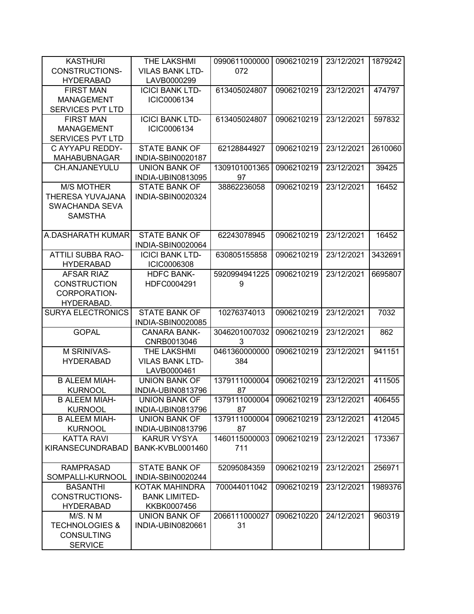| <b>KASTHURI</b>           | THE LAKSHMI             | 0990611000000            | 0906210219 | 23/12/2021 | 1879242 |
|---------------------------|-------------------------|--------------------------|------------|------------|---------|
| CONSTRUCTIONS-            | <b>VILAS BANK LTD-</b>  | 072                      |            |            |         |
| <b>HYDERABAD</b>          | LAVB0000299             |                          |            |            |         |
| <b>FIRST MAN</b>          | <b>ICICI BANK LTD-</b>  | 613405024807             | 0906210219 | 23/12/2021 | 474797  |
| <b>MANAGEMENT</b>         | ICIC0006134             |                          |            |            |         |
| <b>SERVICES PVT LTD</b>   |                         |                          |            |            |         |
| <b>FIRST MAN</b>          | <b>ICICI BANK LTD-</b>  | 613405024807             | 0906210219 | 23/12/2021 | 597832  |
| <b>MANAGEMENT</b>         | ICIC0006134             |                          |            |            |         |
| <b>SERVICES PVT LTD</b>   |                         |                          |            |            |         |
|                           |                         |                          |            |            |         |
| C AYYAPU REDDY-           | <b>STATE BANK OF</b>    | 62128844927              | 0906210219 | 23/12/2021 | 2610060 |
| <b>MAHABUBNAGAR</b>       | INDIA-SBIN0020187       |                          |            |            |         |
| CH.ANJANEYULU             | <b>UNION BANK OF</b>    | 1309101001365            | 0906210219 | 23/12/2021 | 39425   |
|                           | INDIA-UBIN0813095       | 97                       |            |            |         |
| <b>M/S MOTHER</b>         | <b>STATE BANK OF</b>    | 38862236058              | 0906210219 | 23/12/2021 | 16452   |
| THERESA YUVAJANA          | INDIA-SBIN0020324       |                          |            |            |         |
| SWACHANDA SEVA            |                         |                          |            |            |         |
| <b>SAMSTHA</b>            |                         |                          |            |            |         |
|                           |                         |                          |            |            |         |
| A.DASHARATH KUMAR         | <b>STATE BANK OF</b>    | 62243078945              | 0906210219 | 23/12/2021 | 16452   |
|                           | INDIA-SBIN0020064       |                          |            |            |         |
| <b>ATTILI SUBBA RAO-</b>  | <b>ICICI BANK LTD-</b>  | 630805155858             | 0906210219 | 23/12/2021 | 3432691 |
| <b>HYDERABAD</b>          | <b>ICIC0006308</b>      |                          |            |            |         |
| <b>AFSAR RIAZ</b>         | <b>HDFC BANK-</b>       | 5920994941225            | 0906210219 | 23/12/2021 | 6695807 |
| <b>CONSTRUCTION</b>       | HDFC0004291             | 9                        |            |            |         |
|                           |                         |                          |            |            |         |
| CORPORATION-              |                         |                          |            |            |         |
| HYDERABAD.                |                         |                          |            |            |         |
| <b>SURYA ELECTRONICS</b>  | <b>STATE BANK OF</b>    | 10276374013              | 0906210219 | 23/12/2021 | 7032    |
|                           | INDIA-SBIN0020085       |                          |            |            |         |
| <b>GOPAL</b>              | <b>CANARA BANK-</b>     | 3046201007032            | 0906210219 | 23/12/2021 | 862     |
|                           | CNRB0013046             | 3                        |            |            |         |
| M SRINIVAS-               | THE LAKSHMI             | 0461360000000            | 0906210219 | 23/12/2021 | 941151  |
| <b>HYDERABAD</b>          | <b>VILAS BANK LTD-</b>  | 384                      |            |            |         |
|                           | LAVB0000461             |                          |            |            |         |
| <b>B ALEEM MIAH-</b>      | <b>UNION BANK OF</b>    | 1379111000004            | 0906210219 | 23/12/2021 | 411505  |
| <b>KURNOOL</b>            | INDIA-UBIN0813796       | 87                       |            |            |         |
| <b>B ALEEM MIAH-</b>      | <b>UNION BANK OF</b>    | 1379111000004 0906210219 |            | 23/12/2021 | 406455  |
| <b>KURNOOL</b>            | INDIA-UBIN0813796       | 87                       |            |            |         |
| <b>B ALEEM MIAH-</b>      | UNION BANK OF           | 1379111000004            | 0906210219 | 23/12/2021 | 412045  |
| <b>KURNOOL</b>            | INDIA-UBIN0813796       | 87                       |            |            |         |
| <b>KATTA RAVI</b>         | <b>KARUR VYSYA</b>      | 1460115000003            | 0906210219 | 23/12/2021 | 173367  |
| <b>KIRANSECUNDRABAD</b>   | <b>BANK-KVBL0001460</b> | 711                      |            |            |         |
|                           |                         |                          |            |            |         |
|                           |                         |                          |            |            |         |
| <b>RAMPRASAD</b>          | <b>STATE BANK OF</b>    | 52095084359              | 0906210219 | 23/12/2021 | 256971  |
| SOMPALLI-KURNOOL          | INDIA-SBIN0020244       |                          |            |            |         |
| <b>BASANTHI</b>           | KOTAK MAHINDRA          | 700044011042             | 0906210219 | 23/12/2021 | 1989376 |
| <b>CONSTRUCTIONS-</b>     | <b>BANK LIMITED-</b>    |                          |            |            |         |
| <b>HYDERABAD</b>          | KKBK0007456             |                          |            |            |         |
| M/S. N M                  | <b>UNION BANK OF</b>    | 2066111000027            | 0906210220 | 24/12/2021 | 960319  |
| <b>TECHNOLOGIES &amp;</b> | INDIA-UBIN0820661       | 31                       |            |            |         |
| <b>CONSULTING</b>         |                         |                          |            |            |         |
| <b>SERVICE</b>            |                         |                          |            |            |         |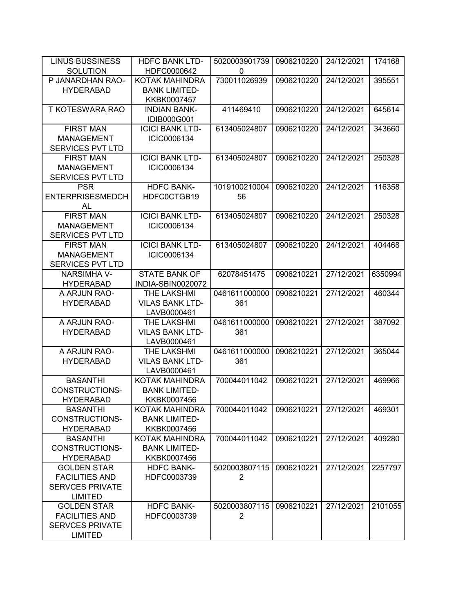| <b>LINUS BUSSINESS</b>                 | <b>HDFC BANK LTD-</b>                         | 5020003901739  | 0906210220 | 24/12/2021 | 174168  |
|----------------------------------------|-----------------------------------------------|----------------|------------|------------|---------|
| <b>SOLUTION</b>                        | HDFC0000642                                   | 0              |            |            |         |
| P JANARDHAN RAO-                       | <b>KOTAK MAHINDRA</b>                         | 730011026939   | 0906210220 | 24/12/2021 | 395551  |
| <b>HYDERABAD</b>                       | <b>BANK LIMITED-</b>                          |                |            |            |         |
|                                        | KKBK0007457                                   |                |            |            |         |
| <b>T KOTESWARA RAO</b>                 | <b>INDIAN BANK-</b>                           | 411469410      | 0906210220 | 24/12/2021 | 645614  |
|                                        | IDIB000G001                                   |                |            |            |         |
| <b>FIRST MAN</b>                       | <b>ICICI BANK LTD-</b>                        | 613405024807   | 0906210220 | 24/12/2021 | 343660  |
| <b>MANAGEMENT</b>                      | ICIC0006134                                   |                |            |            |         |
| <b>SERVICES PVT LTD</b>                |                                               |                |            |            |         |
| <b>FIRST MAN</b>                       | <b>ICICI BANK LTD-</b>                        | 613405024807   | 0906210220 | 24/12/2021 | 250328  |
| <b>MANAGEMENT</b>                      | ICIC0006134                                   |                |            |            |         |
| <b>SERVICES PVT LTD</b>                |                                               |                |            |            |         |
| <b>PSR</b>                             | <b>HDFC BANK-</b>                             | 1019100210004  | 0906210220 | 24/12/2021 | 116358  |
| <b>ENTERPRISESMEDCH</b>                | HDFC0CTGB19                                   | 56             |            |            |         |
| AL                                     |                                               |                |            |            |         |
| <b>FIRST MAN</b>                       | <b>ICICI BANK LTD-</b>                        | 613405024807   | 0906210220 | 24/12/2021 | 250328  |
| <b>MANAGEMENT</b>                      | ICIC0006134                                   |                |            |            |         |
| <b>SERVICES PVT LTD</b>                |                                               |                |            |            |         |
| <b>FIRST MAN</b>                       | <b>ICICI BANK LTD-</b>                        | 613405024807   | 0906210220 | 24/12/2021 | 404468  |
| <b>MANAGEMENT</b>                      | ICIC0006134                                   |                |            |            |         |
| <b>SERVICES PVT LTD</b>                |                                               |                |            |            |         |
| <b>NARSIMHA V-</b>                     | <b>STATE BANK OF</b>                          | 62078451475    | 0906210221 | 27/12/2021 | 6350994 |
| <b>HYDERABAD</b>                       | INDIA-SBIN0020072                             |                |            |            |         |
| A ARJUN RAO-                           | THE LAKSHMI                                   | 0461611000000  | 0906210221 | 27/12/2021 | 460344  |
| <b>HYDERABAD</b>                       | <b>VILAS BANK LTD-</b>                        | 361            |            |            |         |
|                                        | LAVB0000461                                   |                |            |            |         |
| A ARJUN RAO-                           | THE LAKSHMI                                   | 0461611000000  | 0906210221 | 27/12/2021 | 387092  |
| <b>HYDERABAD</b>                       | <b>VILAS BANK LTD-</b>                        | 361            |            |            |         |
|                                        | LAVB0000461                                   |                |            |            |         |
| A ARJUN RAO-                           | THE LAKSHMI                                   | 0461611000000  | 0906210221 | 27/12/2021 | 365044  |
| <b>HYDERABAD</b>                       | <b>VILAS BANK LTD-</b>                        | 361            |            |            |         |
|                                        | LAVB0000461                                   |                |            |            |         |
| <b>BASANTHI</b>                        | <b>KOTAK MAHINDRA</b>                         | 700044011042   | 0906210221 | 27/12/2021 | 469966  |
| <b>CONSTRUCTIONS-</b>                  | <b>BANK LIMITED-</b>                          |                |            |            |         |
| <b>HYDERABAD</b>                       | KKBK0007456                                   |                |            |            |         |
| <b>BASANTHI</b>                        | KOTAK MAHINDRA                                | 700044011042   | 0906210221 | 27/12/2021 | 469301  |
| <b>CONSTRUCTIONS-</b>                  | <b>BANK LIMITED-</b>                          |                |            |            |         |
| <b>HYDERABAD</b>                       | KKBK0007456                                   |                |            |            |         |
| <b>BASANTHI</b>                        | <b>KOTAK MAHINDRA</b><br><b>BANK LIMITED-</b> | 700044011042   | 0906210221 | 27/12/2021 | 409280  |
| <b>CONSTRUCTIONS-</b>                  |                                               |                |            |            |         |
| <b>HYDERABAD</b><br><b>GOLDEN STAR</b> | KKBK0007456<br><b>HDFC BANK-</b>              | 5020003807115  | 0906210221 | 27/12/2021 | 2257797 |
| <b>FACILITIES AND</b>                  | HDFC0003739                                   | $\overline{2}$ |            |            |         |
| <b>SERVCES PRIVATE</b>                 |                                               |                |            |            |         |
| <b>LIMITED</b>                         |                                               |                |            |            |         |
| <b>GOLDEN STAR</b>                     | <b>HDFC BANK-</b>                             | 5020003807115  | 0906210221 | 27/12/2021 | 2101055 |
| <b>FACILITIES AND</b>                  | HDFC0003739                                   | 2              |            |            |         |
| <b>SERVCES PRIVATE</b>                 |                                               |                |            |            |         |
| <b>LIMITED</b>                         |                                               |                |            |            |         |
|                                        |                                               |                |            |            |         |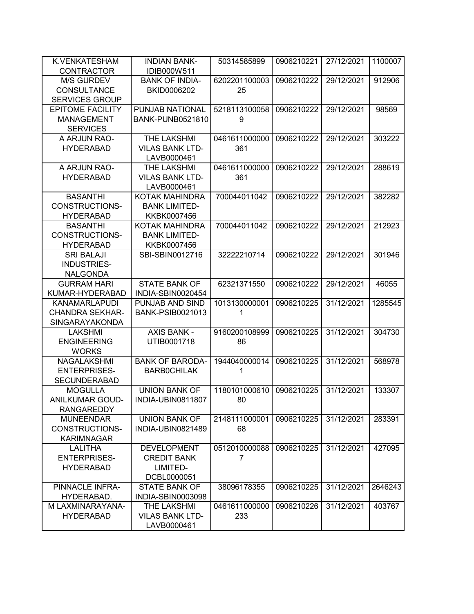| K.VENKATESHAM                       | <b>INDIAN BANK-</b>                 | 50314585899   | 0906210221 | 27/12/2021 | 1100007 |
|-------------------------------------|-------------------------------------|---------------|------------|------------|---------|
| <b>CONTRACTOR</b>                   | IDIB000W511                         |               |            |            |         |
| <b>M/S GURDEV</b>                   | <b>BANK OF INDIA-</b>               | 6202201100003 | 0906210222 | 29/12/2021 | 912906  |
| <b>CONSULTANCE</b>                  | BKID0006202                         | 25            |            |            |         |
| <b>SERVICES GROUP</b>               |                                     |               |            |            |         |
| <b>EPITOME FACILITY</b>             | PUNJAB NATIONAL                     | 5218113100058 | 0906210222 | 29/12/2021 | 98569   |
| <b>MANAGEMENT</b>                   | <b>BANK-PUNB0521810</b>             | 9             |            |            |         |
| <b>SERVICES</b>                     |                                     |               |            |            |         |
| A ARJUN RAO-                        | THE LAKSHMI                         | 0461611000000 | 0906210222 | 29/12/2021 | 303222  |
| <b>HYDERABAD</b>                    | <b>VILAS BANK LTD-</b>              | 361           |            |            |         |
|                                     | LAVB0000461                         |               |            |            |         |
| A ARJUN RAO-                        | <b>THE LAKSHMI</b>                  | 0461611000000 | 0906210222 | 29/12/2021 | 288619  |
| <b>HYDERABAD</b>                    | <b>VILAS BANK LTD-</b>              | 361           |            |            |         |
|                                     | LAVB0000461                         |               |            |            |         |
| <b>BASANTHI</b>                     | <b>KOTAK MAHINDRA</b>               | 700044011042  | 0906210222 | 29/12/2021 | 382282  |
| <b>CONSTRUCTIONS-</b>               | <b>BANK LIMITED-</b>                |               |            |            |         |
| <b>HYDERABAD</b>                    | KKBK0007456                         |               |            |            |         |
| <b>BASANTHI</b>                     | <b>KOTAK MAHINDRA</b>               | 700044011042  | 0906210222 | 29/12/2021 | 212923  |
| <b>CONSTRUCTIONS-</b>               | <b>BANK LIMITED-</b>                |               |            |            |         |
| <b>HYDERABAD</b>                    | KKBK0007456                         |               |            |            |         |
| <b>SRI BALAJI</b>                   | SBI-SBIN0012716                     | 32222210714   | 0906210222 | 29/12/2021 | 301946  |
| INDUSTRIES-                         |                                     |               |            |            |         |
| <b>NALGONDA</b>                     |                                     |               |            |            |         |
| <b>GURRAM HARI</b>                  | <b>STATE BANK OF</b>                | 62321371550   | 0906210222 | 29/12/2021 | 46055   |
| KUMAR-HYDERABAD                     | INDIA-SBIN0020454                   |               |            |            |         |
| <b>KANAMARLAPUDI</b>                | PUNJAB AND SIND                     | 1013130000001 | 0906210225 | 31/12/2021 | 1285545 |
| <b>CHANDRA SEKHAR-</b>              | <b>BANK-PSIB0021013</b>             | 1             |            |            |         |
| SINGARAYAKONDA                      |                                     |               |            |            |         |
| <b>LAKSHMI</b>                      | <b>AXIS BANK -</b>                  | 9160200108999 | 0906210225 | 31/12/2021 | 304730  |
| <b>ENGINEERING</b>                  | UTIB0001718                         | 86            |            |            |         |
| <b>WORKS</b>                        |                                     |               |            |            |         |
| <b>NAGALAKSHMI</b>                  | <b>BANK OF BARODA-</b>              | 1944040000014 | 0906210225 | 31/12/2021 | 568978  |
| <b>ENTERPRISES-</b>                 | <b>BARBOCHILAK</b>                  | 1             |            |            |         |
| <b>SECUNDERABAD</b>                 |                                     |               |            |            |         |
| <b>MOGULLA</b>                      | <b>UNION BANK OF</b>                | 1180101000610 | 0906210225 | 31/12/2021 | 133307  |
| ANILKUMAR GOUD-                     | INDIA-UBIN0811807                   | 80            |            |            |         |
| <b>RANGAREDDY</b>                   |                                     |               |            |            |         |
| <b>MUNEENDAR</b>                    | <b>UNION BANK OF</b>                | 2148111000001 | 0906210225 | 31/12/2021 | 283391  |
| CONSTRUCTIONS-                      | INDIA-UBIN0821489                   | 68            |            |            |         |
| <b>KARIMNAGAR</b><br><b>LALITHA</b> |                                     |               |            |            | 427095  |
|                                     | <b>DEVELOPMENT</b>                  | 0512010000088 | 0906210225 | 31/12/2021 |         |
| <b>ENTERPRISES-</b>                 | <b>CREDIT BANK</b><br>LIMITED-      | 7             |            |            |         |
| <b>HYDERABAD</b>                    |                                     |               |            |            |         |
| PINNACLE INFRA-                     | DCBL0000051<br><b>STATE BANK OF</b> | 38096178355   | 0906210225 | 31/12/2021 |         |
| HYDERABAD.                          |                                     |               |            |            | 2646243 |
| M LAXMINARAYANA-                    | INDIA-SBIN0003098<br>THE LAKSHMI    | 0461611000000 | 0906210226 | 31/12/2021 | 403767  |
| <b>HYDERABAD</b>                    | <b>VILAS BANK LTD-</b>              | 233           |            |            |         |
|                                     | LAVB0000461                         |               |            |            |         |
|                                     |                                     |               |            |            |         |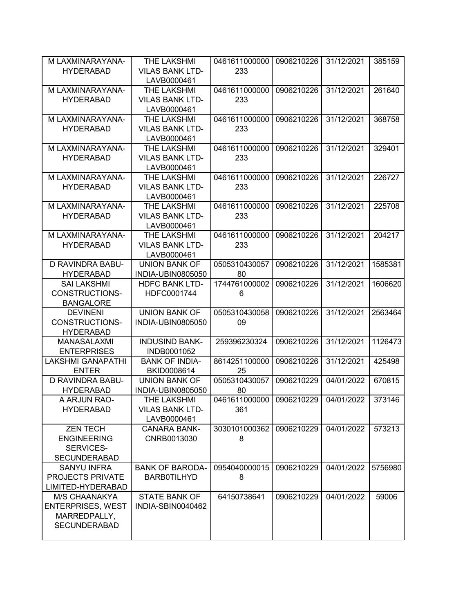| M LAXMINARAYANA-         | THE LAKSHMI              | 0461611000000            | 0906210226 | 31/12/2021 | 385159  |
|--------------------------|--------------------------|--------------------------|------------|------------|---------|
| <b>HYDERABAD</b>         | <b>VILAS BANK LTD-</b>   | 233                      |            |            |         |
|                          | LAVB0000461              |                          |            |            |         |
| M LAXMINARAYANA-         | THE LAKSHMI              | 0461611000000            | 0906210226 | 31/12/2021 | 261640  |
| <b>HYDERABAD</b>         | <b>VILAS BANK LTD-</b>   | 233                      |            |            |         |
|                          | LAVB0000461              |                          |            |            |         |
| M LAXMINARAYANA-         | THE LAKSHMI              | 0461611000000            | 0906210226 | 31/12/2021 | 368758  |
| <b>HYDERABAD</b>         | <b>VILAS BANK LTD-</b>   | 233                      |            |            |         |
|                          | LAVB0000461              |                          |            |            |         |
| M LAXMINARAYANA-         | THE LAKSHMI              | 0461611000000            | 0906210226 | 31/12/2021 | 329401  |
| <b>HYDERABAD</b>         | <b>VILAS BANK LTD-</b>   | 233                      |            |            |         |
|                          | LAVB0000461              |                          |            |            |         |
| M LAXMINARAYANA-         | <b>THE LAKSHMI</b>       | 0461611000000            | 0906210226 | 31/12/2021 | 226727  |
| <b>HYDERABAD</b>         | <b>VILAS BANK LTD-</b>   | 233                      |            |            |         |
|                          | LAVB0000461              |                          |            |            |         |
| M LAXMINARAYANA-         | THE LAKSHMI              | 0461611000000            | 0906210226 | 31/12/2021 | 225708  |
| <b>HYDERABAD</b>         | <b>VILAS BANK LTD-</b>   | 233                      |            |            |         |
|                          |                          |                          |            |            |         |
| M LAXMINARAYANA-         | LAVB0000461              |                          |            | 31/12/2021 |         |
|                          | THE LAKSHMI              | 0461611000000            | 0906210226 |            | 204217  |
| <b>HYDERABAD</b>         | <b>VILAS BANK LTD-</b>   | 233                      |            |            |         |
|                          | LAVB0000461              |                          |            |            |         |
| D RAVINDRA BABU-         | <b>UNION BANK OF</b>     | 0505310430057            | 0906210226 | 31/12/2021 | 1585381 |
| <b>HYDERABAD</b>         | <b>INDIA-UBIN0805050</b> | 80                       |            |            |         |
| <b>SAI LAKSHMI</b>       | <b>HDFC BANK LTD-</b>    | 1744761000002            | 0906210226 | 31/12/2021 | 1606620 |
| <b>CONSTRUCTIONS-</b>    | HDFC0001744              | 6                        |            |            |         |
| <b>BANGALORE</b>         |                          |                          |            |            |         |
| <b>DEVINENI</b>          | <b>UNION BANK OF</b>     | 0505310430058            | 0906210226 | 31/12/2021 | 2563464 |
| <b>CONSTRUCTIONS-</b>    | INDIA-UBIN0805050        | 09                       |            |            |         |
| <b>HYDERABAD</b>         |                          |                          |            |            |         |
| <b>MANASALAXMI</b>       | <b>INDUSIND BANK-</b>    | 259396230324             | 0906210226 | 31/12/2021 | 1126473 |
| <b>ENTERPRISES</b>       | INDB0001052              |                          |            |            |         |
| <b>LAKSHMI GANAPATHI</b> | <b>BANK OF INDIA-</b>    | 8614251100000            | 0906210226 | 31/12/2021 | 425498  |
| <b>ENTER</b>             | BKID0008614              | 25                       |            |            |         |
| <b>D RAVINDRA BABU-</b>  | <b>UNION BANK OF</b>     | 0505310430057            | 0906210229 | 04/01/2022 | 670815  |
| <b>HYDERABAD</b>         | INDIA-UBIN0805050        | 80                       |            |            |         |
| A ARJUN RAO-             | THE LAKSHMI              | 0461611000000 0906210229 |            | 04/01/2022 | 373146  |
| <b>HYDERABAD</b>         | <b>VILAS BANK LTD-</b>   | 361                      |            |            |         |
|                          | LAVB0000461              |                          |            |            |         |
| <b>ZEN TECH</b>          | <b>CANARA BANK-</b>      | 3030101000362            | 0906210229 | 04/01/2022 | 573213  |
| <b>ENGINEERING</b>       | CNRB0013030              | 8                        |            |            |         |
| <b>SERVICES-</b>         |                          |                          |            |            |         |
| <b>SECUNDERABAD</b>      |                          |                          |            |            |         |
| <b>SANYU INFRA</b>       | <b>BANK OF BARODA-</b>   | 0954040000015            | 0906210229 | 04/01/2022 | 5756980 |
| PROJECTS PRIVATE         | <b>BARBOTILHYD</b>       | 8                        |            |            |         |
| LIMITED-HYDERABAD        |                          |                          |            |            |         |
| <b>M/S CHAANAKYA</b>     | <b>STATE BANK OF</b>     | 64150738641              | 0906210229 | 04/01/2022 | 59006   |
| <b>ENTERPRISES, WEST</b> | INDIA-SBIN0040462        |                          |            |            |         |
| MARREDPALLY,             |                          |                          |            |            |         |
| <b>SECUNDERABAD</b>      |                          |                          |            |            |         |
|                          |                          |                          |            |            |         |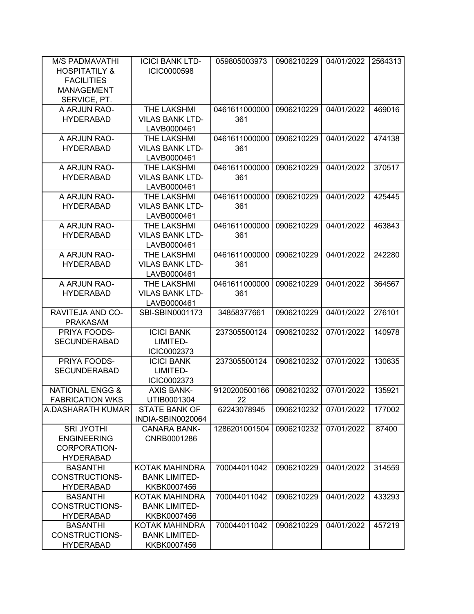| <b>M/S PADMAVATHI</b>      | <b>ICICI BANK LTD-</b> | 059805003973  | 0906210229 | 04/01/2022 | 2564313 |
|----------------------------|------------------------|---------------|------------|------------|---------|
| <b>HOSPITATILY &amp;</b>   | <b>ICIC0000598</b>     |               |            |            |         |
| <b>FACILITIES</b>          |                        |               |            |            |         |
| <b>MANAGEMENT</b>          |                        |               |            |            |         |
| SERVICE, PT.               |                        |               |            |            |         |
| A ARJUN RAO-               | THE LAKSHMI            | 0461611000000 | 0906210229 | 04/01/2022 | 469016  |
| <b>HYDERABAD</b>           | <b>VILAS BANK LTD-</b> | 361           |            |            |         |
|                            | LAVB0000461            |               |            |            |         |
| A ARJUN RAO-               | THE LAKSHMI            | 0461611000000 | 0906210229 | 04/01/2022 | 474138  |
| <b>HYDERABAD</b>           | <b>VILAS BANK LTD-</b> | 361           |            |            |         |
|                            | LAVB0000461            |               |            |            |         |
| A ARJUN RAO-               | THE LAKSHMI            | 0461611000000 | 0906210229 | 04/01/2022 | 370517  |
| <b>HYDERABAD</b>           | <b>VILAS BANK LTD-</b> | 361           |            |            |         |
|                            | LAVB0000461            |               |            |            |         |
| A ARJUN RAO-               | THE LAKSHMI            | 0461611000000 | 0906210229 | 04/01/2022 | 425445  |
| <b>HYDERABAD</b>           | <b>VILAS BANK LTD-</b> | 361           |            |            |         |
|                            | LAVB0000461            |               |            |            |         |
| A ARJUN RAO-               | THE LAKSHMI            | 0461611000000 | 0906210229 | 04/01/2022 | 463843  |
| <b>HYDERABAD</b>           | <b>VILAS BANK LTD-</b> | 361           |            |            |         |
|                            | LAVB0000461            |               |            |            |         |
| A ARJUN RAO-               | THE LAKSHMI            | 0461611000000 | 0906210229 | 04/01/2022 | 242280  |
| <b>HYDERABAD</b>           | <b>VILAS BANK LTD-</b> | 361           |            |            |         |
|                            | LAVB0000461            |               |            |            |         |
| A ARJUN RAO-               | THE LAKSHMI            | 0461611000000 | 0906210229 | 04/01/2022 | 364567  |
| <b>HYDERABAD</b>           | <b>VILAS BANK LTD-</b> | 361           |            |            |         |
|                            | LAVB0000461            |               |            |            |         |
| RAVITEJA AND CO-           | SBI-SBIN0001173        | 34858377661   | 0906210229 | 04/01/2022 | 276101  |
| <b>PRAKASAM</b>            |                        |               |            |            |         |
| PRIYA FOODS-               | <b>ICICI BANK</b>      | 237305500124  | 0906210232 | 07/01/2022 | 140978  |
| <b>SECUNDERABAD</b>        | LIMITED-               |               |            |            |         |
|                            | ICIC0002373            |               |            |            |         |
| PRIYA FOODS-               | <b>ICICI BANK</b>      | 237305500124  | 0906210232 | 07/01/2022 | 130635  |
| <b>SECUNDERABAD</b>        | LIMITED-               |               |            |            |         |
|                            | ICIC0002373            |               |            |            |         |
| <b>NATIONAL ENGG &amp;</b> | <b>AXIS BANK-</b>      | 9120200500166 | 0906210232 | 07/01/2022 | 135921  |
| <b>FABRICATION WKS</b>     | UTIB0001304            | 22            |            |            |         |
| A.DASHARATH KUMAR          | <b>STATE BANK OF</b>   | 62243078945   | 0906210232 | 07/01/2022 | 177002  |
|                            | INDIA-SBIN0020064      |               |            |            |         |
| <b>SRI JYOTHI</b>          | <b>CANARA BANK-</b>    | 1286201001504 | 0906210232 | 07/01/2022 | 87400   |
| <b>ENGINEERING</b>         | CNRB0001286            |               |            |            |         |
| CORPORATION-               |                        |               |            |            |         |
| <b>HYDERABAD</b>           |                        |               |            |            |         |
| <b>BASANTHI</b>            | KOTAK MAHINDRA         | 700044011042  | 0906210229 | 04/01/2022 | 314559  |
| CONSTRUCTIONS-             | <b>BANK LIMITED-</b>   |               |            |            |         |
| <b>HYDERABAD</b>           | KKBK0007456            |               |            |            |         |
| <b>BASANTHI</b>            | KOTAK MAHINDRA         | 700044011042  | 0906210229 | 04/01/2022 | 433293  |
| CONSTRUCTIONS-             | <b>BANK LIMITED-</b>   |               |            |            |         |
| <b>HYDERABAD</b>           | KKBK0007456            |               |            |            |         |
| <b>BASANTHI</b>            | KOTAK MAHINDRA         | 700044011042  | 0906210229 | 04/01/2022 | 457219  |
| CONSTRUCTIONS-             | <b>BANK LIMITED-</b>   |               |            |            |         |
| <b>HYDERABAD</b>           | KKBK0007456            |               |            |            |         |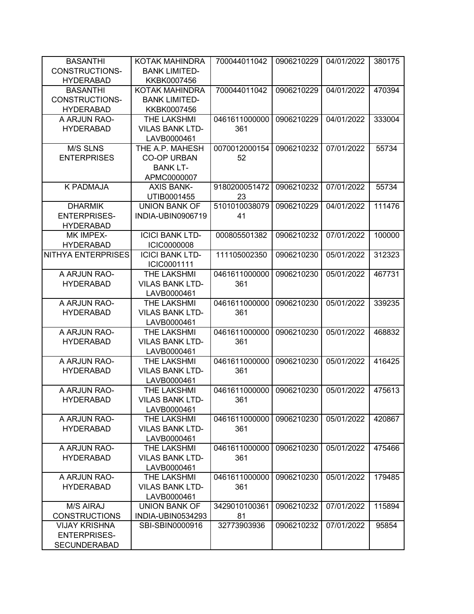| <b>BASANTHI</b>           | <b>KOTAK MAHINDRA</b>                        | 700044011042  | 0906210229 | 04/01/2022 | 380175 |
|---------------------------|----------------------------------------------|---------------|------------|------------|--------|
| <b>CONSTRUCTIONS-</b>     | <b>BANK LIMITED-</b>                         |               |            |            |        |
| <b>HYDERABAD</b>          | KKBK0007456                                  |               |            |            |        |
| <b>BASANTHI</b>           | KOTAK MAHINDRA                               | 700044011042  | 0906210229 | 04/01/2022 | 470394 |
| CONSTRUCTIONS-            | <b>BANK LIMITED-</b>                         |               |            |            |        |
| <b>HYDERABAD</b>          | KKBK0007456                                  |               |            |            |        |
| A ARJUN RAO-              | THE LAKSHMI                                  | 0461611000000 | 0906210229 | 04/01/2022 | 333004 |
| <b>HYDERABAD</b>          | <b>VILAS BANK LTD-</b>                       | 361           |            |            |        |
|                           | LAVB0000461                                  |               |            |            |        |
| <b>M/S SLNS</b>           | THE A.P. MAHESH                              | 0070012000154 | 0906210232 | 07/01/2022 | 55734  |
| <b>ENTERPRISES</b>        | <b>CO-OP URBAN</b>                           | 52            |            |            |        |
|                           | <b>BANK LT-</b>                              |               |            |            |        |
|                           | APMC0000007                                  |               |            |            |        |
| <b>K PADMAJA</b>          | <b>AXIS BANK-</b>                            | 9180200051472 | 0906210232 | 07/01/2022 | 55734  |
|                           | UTIB0001455                                  | 23            |            |            |        |
| <b>DHARMIK</b>            | <b>UNION BANK OF</b>                         | 5101010038079 | 0906210229 | 04/01/2022 | 111476 |
| <b>ENTERPRISES-</b>       | INDIA-UBIN0906719                            | 41            |            |            |        |
| <b>HYDERABAD</b>          |                                              |               |            |            |        |
| MK IMPEX-                 | <b>ICICI BANK LTD-</b>                       | 000805501382  | 0906210232 | 07/01/2022 | 100000 |
| <b>HYDERABAD</b>          | <b>ICIC0000008</b>                           |               |            |            |        |
| <b>NITHYA ENTERPRISES</b> | <b>ICICI BANK LTD-</b>                       | 111105002350  | 0906210230 | 05/01/2022 | 312323 |
|                           | ICIC0001111                                  |               |            |            |        |
| A ARJUN RAO-              | THE LAKSHMI                                  | 0461611000000 | 0906210230 | 05/01/2022 | 467731 |
| <b>HYDERABAD</b>          | <b>VILAS BANK LTD-</b>                       | 361           |            |            |        |
|                           | LAVB0000461                                  |               |            |            |        |
| A ARJUN RAO-              |                                              | 0461611000000 | 0906210230 | 05/01/2022 |        |
| <b>HYDERABAD</b>          | <b>THE LAKSHMI</b><br><b>VILAS BANK LTD-</b> | 361           |            |            | 339235 |
|                           |                                              |               |            |            |        |
|                           | LAVB0000461                                  |               |            |            |        |
| A ARJUN RAO-              | THE LAKSHMI                                  | 0461611000000 | 0906210230 | 05/01/2022 | 468832 |
| <b>HYDERABAD</b>          | <b>VILAS BANK LTD-</b>                       | 361           |            |            |        |
|                           | LAVB0000461                                  |               |            |            |        |
| A ARJUN RAO-              | THE LAKSHMI                                  | 0461611000000 | 0906210230 | 05/01/2022 | 416425 |
| <b>HYDERABAD</b>          | <b>VILAS BANK LTD-</b>                       | 361           |            |            |        |
|                           | LAVB0000461                                  |               |            |            |        |
| A ARJUN RAO-              | THE LAKSHMI                                  | 0461611000000 | 0906210230 | 05/01/2022 | 475613 |
| <b>HYDERABAD</b>          | <b>VILAS BANK LTD-</b>                       | 361           |            |            |        |
|                           | LAVB0000461                                  |               |            |            |        |
| A ARJUN RAO-              | THE LAKSHMI                                  | 0461611000000 | 0906210230 | 05/01/2022 | 420867 |
| <b>HYDERABAD</b>          | <b>VILAS BANK LTD-</b>                       | 361           |            |            |        |
|                           | LAVB0000461                                  |               |            |            |        |
| A ARJUN RAO-              | THE LAKSHMI                                  | 0461611000000 | 0906210230 | 05/01/2022 | 475466 |
| <b>HYDERABAD</b>          | <b>VILAS BANK LTD-</b>                       | 361           |            |            |        |
|                           | LAVB0000461                                  |               |            |            |        |
| A ARJUN RAO-              | THE LAKSHMI                                  | 0461611000000 | 0906210230 | 05/01/2022 | 179485 |
| <b>HYDERABAD</b>          | <b>VILAS BANK LTD-</b>                       | 361           |            |            |        |
|                           | LAVB0000461                                  |               |            |            |        |
| <b>M/S AIRAJ</b>          | <b>UNION BANK OF</b>                         | 3429010100361 | 0906210232 | 07/01/2022 | 115894 |
| <b>CONSTRUCTIONS</b>      | INDIA-UBIN0534293                            | 81            |            |            |        |
| <b>VIJAY KRISHNA</b>      | SBI-SBIN0000916                              | 32773903936   | 0906210232 | 07/01/2022 | 95854  |
| <b>ENTERPRISES-</b>       |                                              |               |            |            |        |
| <b>SECUNDERABAD</b>       |                                              |               |            |            |        |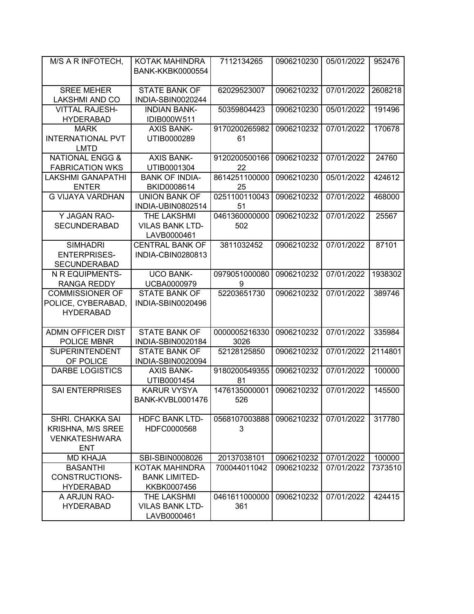| M/S A R INFOTECH,                                                                  | KOTAK MAHINDRA<br><b>BANK-KKBK0000554</b>            | 7112134265            | 0906210230 | 05/01/2022 | 952476  |
|------------------------------------------------------------------------------------|------------------------------------------------------|-----------------------|------------|------------|---------|
| <b>SREE MEHER</b><br><b>LAKSHMI AND CO</b>                                         | <b>STATE BANK OF</b><br>INDIA-SBIN0020244            | 62029523007           | 0906210232 | 07/01/2022 | 2608218 |
| <b>VITTAL RAJESH-</b><br><b>HYDERABAD</b>                                          | <b>INDIAN BANK-</b><br>IDIB000W511                   | 50359804423           | 0906210230 | 05/01/2022 | 191496  |
| <b>MARK</b>                                                                        | <b>AXIS BANK-</b>                                    | 9170200265982         | 0906210232 | 07/01/2022 | 170678  |
| <b>INTERNATIONAL PVT</b><br><b>LMTD</b>                                            | UTIB0000289                                          | 61                    |            |            |         |
| <b>NATIONAL ENGG &amp;</b><br><b>FABRICATION WKS</b>                               | <b>AXIS BANK-</b><br>UTIB0001304                     | 9120200500166<br>22   | 0906210232 | 07/01/2022 | 24760   |
| <b>LAKSHMI GANAPATHI</b><br><b>ENTER</b>                                           | <b>BANK OF INDIA-</b><br>BKID0008614                 | 8614251100000<br>25   | 0906210230 | 05/01/2022 | 424612  |
| <b>G VIJAYA VARDHAN</b>                                                            | <b>UNION BANK OF</b><br>INDIA-UBIN0802514            | 0251100110043<br>51   | 0906210232 | 07/01/2022 | 468000  |
| Y JAGAN RAO-<br><b>SECUNDERABAD</b>                                                | THE LAKSHMI<br><b>VILAS BANK LTD-</b><br>LAVB0000461 | 0461360000000<br>502  | 0906210232 | 07/01/2022 | 25567   |
| <b>SIMHADRI</b><br><b>ENTERPRISES-</b><br><b>SECUNDERABAD</b>                      | <b>CENTRAL BANK OF</b><br>INDIA-CBIN0280813          | 3811032452            | 0906210232 | 07/01/2022 | 87101   |
| N R EQUIPMENTS-<br><b>RANGA REDDY</b>                                              | <b>UCO BANK-</b><br>UCBA0000979                      | 0979051000080<br>9    | 0906210232 | 07/01/2022 | 1938302 |
| <b>COMMISSIONER OF</b><br>POLICE, CYBERABAD,<br><b>HYDERABAD</b>                   | <b>STATE BANK OF</b><br>INDIA-SBIN0020496            | 52203651730           | 0906210232 | 07/01/2022 | 389746  |
| <b>ADMN OFFICER DIST</b><br>POLICE MBNR                                            | <b>STATE BANK OF</b><br>INDIA-SBIN0020184            | 0000005216330<br>3026 | 0906210232 | 07/01/2022 | 335984  |
| <b>SUPERINTENDENT</b><br>OF POLICE                                                 | <b>STATE BANK OF</b><br>INDIA-SBIN0020094            | 52128125850           | 0906210232 | 07/01/2022 | 2114801 |
| <b>DARBE LOGISTICS</b>                                                             | <b>AXIS BANK-</b><br>UTIB0001454                     | 9180200549355<br>81   | 0906210232 | 07/01/2022 | 100000  |
| <b>SAI ENTERPRISES</b>                                                             | <b>KARUR VYSYA</b><br>BANK-KVBL0001476               | 1476135000001<br>526  | 0906210232 | 07/01/2022 | 145500  |
| SHRI. CHAKKA SAI<br><b>KRISHNA, M/S SREE</b><br><b>VENKATESHWARA</b><br><b>ENT</b> | <b>HDFC BANK LTD-</b><br>HDFC0000568                 | 0568107003888<br>3    | 0906210232 | 07/01/2022 | 317780  |
| <b>MD KHAJA</b>                                                                    | SBI-SBIN0008026                                      | 20137038101           | 0906210232 | 07/01/2022 | 100000  |
| <b>BASANTHI</b><br>CONSTRUCTIONS-<br><b>HYDERABAD</b>                              | <b>KOTAK MAHINDRA</b><br><b>BANK LIMITED-</b>        | 700044011042          | 0906210232 | 07/01/2022 | 7373510 |
|                                                                                    | KKBK0007456                                          | 0461611000000         | 0906210232 | 07/01/2022 |         |
| A ARJUN RAO-<br><b>HYDERABAD</b>                                                   | THE LAKSHMI<br><b>VILAS BANK LTD-</b><br>LAVB0000461 | 361                   |            |            | 424415  |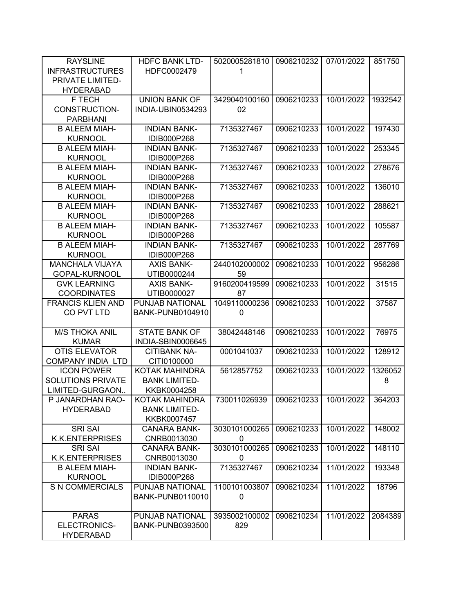| <b>RAYSLINE</b>          | <b>HDFC BANK LTD-</b>   | 5020005281810 | 0906210232 | 07/01/2022 | 851750  |
|--------------------------|-------------------------|---------------|------------|------------|---------|
| <b>INFRASTRUCTURES</b>   | HDFC0002479             | 1             |            |            |         |
| PRIVATE LIMITED-         |                         |               |            |            |         |
| <b>HYDERABAD</b>         |                         |               |            |            |         |
| F TECH                   | <b>UNION BANK OF</b>    | 3429040100160 | 0906210233 | 10/01/2022 | 1932542 |
| <b>CONSTRUCTION-</b>     | INDIA-UBIN0534293       | 02            |            |            |         |
| <b>PARBHANI</b>          |                         |               |            |            |         |
| <b>B ALEEM MIAH-</b>     | <b>INDIAN BANK-</b>     | 7135327467    | 0906210233 | 10/01/2022 | 197430  |
| <b>KURNOOL</b>           | <b>IDIB000P268</b>      |               |            |            |         |
| <b>B ALEEM MIAH-</b>     | <b>INDIAN BANK-</b>     | 7135327467    | 0906210233 | 10/01/2022 | 253345  |
| <b>KURNOOL</b>           | IDIB000P268             |               |            |            |         |
| <b>B ALEEM MIAH-</b>     | <b>INDIAN BANK-</b>     | 7135327467    | 0906210233 | 10/01/2022 | 278676  |
| <b>KURNOOL</b>           | IDIB000P268             |               |            |            |         |
| <b>B ALEEM MIAH-</b>     | <b>INDIAN BANK-</b>     | 7135327467    | 0906210233 | 10/01/2022 | 136010  |
| <b>KURNOOL</b>           | IDIB000P268             |               |            |            |         |
| <b>B ALEEM MIAH-</b>     | <b>INDIAN BANK-</b>     | 7135327467    | 0906210233 | 10/01/2022 | 288621  |
| <b>KURNOOL</b>           | IDIB000P268             |               |            |            |         |
| <b>B ALEEM MIAH-</b>     | <b>INDIAN BANK-</b>     | 7135327467    | 0906210233 | 10/01/2022 | 105587  |
| <b>KURNOOL</b>           | IDIB000P268             |               |            |            |         |
| <b>B ALEEM MIAH-</b>     | <b>INDIAN BANK-</b>     | 7135327467    | 0906210233 | 10/01/2022 | 287769  |
| <b>KURNOOL</b>           | IDIB000P268             |               |            |            |         |
| <b>MANCHALA VIJAYA</b>   | <b>AXIS BANK-</b>       | 2440102000002 | 0906210233 | 10/01/2022 | 956286  |
| GOPAL-KURNOOL            | UTIB0000244             | 59            |            |            |         |
| <b>GVK LEARNING</b>      | <b>AXIS BANK-</b>       | 9160200419599 | 0906210233 | 10/01/2022 | 31515   |
| <b>COORDINATES</b>       | UTIB0000027             | 87            |            |            |         |
| <b>FRANCIS KLIEN AND</b> | PUNJAB NATIONAL         | 1049110000236 | 0906210233 | 10/01/2022 | 37587   |
| CO PVT LTD               | BANK-PUNB0104910        | 0             |            |            |         |
|                          |                         |               |            |            |         |
| <b>M/S THOKA ANIL</b>    | <b>STATE BANK OF</b>    | 38042448146   | 0906210233 | 10/01/2022 | 76975   |
| <b>KUMAR</b>             | INDIA-SBIN0006645       |               |            |            |         |
| <b>OTIS ELEVATOR</b>     | <b>CITIBANK NA-</b>     | 0001041037    | 0906210233 | 10/01/2022 | 128912  |
| <b>COMPANY INDIA LTD</b> | CITI0100000             |               |            |            |         |
| <b>ICON POWER</b>        | <b>KOTAK MAHINDRA</b>   | 5612857752    | 0906210233 | 10/01/2022 | 1326052 |
| <b>SOLUTIONS PRIVATE</b> | <b>BANK LIMITED-</b>    |               |            |            | 8       |
| LIMITED-GURGAON          | KKBK0004258             |               |            |            |         |
| P JANARDHAN RAO-         | <b>KOTAK MAHINDRA</b>   | 730011026939  | 0906210233 | 10/01/2022 | 364203  |
| <b>HYDERABAD</b>         | <b>BANK LIMITED-</b>    |               |            |            |         |
|                          | KKBK0007457             |               |            |            |         |
| <b>SRI SAI</b>           | <b>CANARA BANK-</b>     | 3030101000265 | 0906210233 | 10/01/2022 | 148002  |
| <b>K.K.ENTERPRISES</b>   | CNRB0013030             | 0             |            |            |         |
| <b>SRI SAI</b>           | <b>CANARA BANK-</b>     | 3030101000265 | 0906210233 | 10/01/2022 | 148110  |
| <b>K.K.ENTERPRISES</b>   | CNRB0013030             | 0             |            |            |         |
| <b>B ALEEM MIAH-</b>     | <b>INDIAN BANK-</b>     | 7135327467    | 0906210234 | 11/01/2022 | 193348  |
| <b>KURNOOL</b>           | IDIB000P268             |               |            |            |         |
| <b>S N COMMERCIALS</b>   | PUNJAB NATIONAL         | 1100101003807 | 0906210234 | 11/01/2022 | 18796   |
|                          | <b>BANK-PUNB0110010</b> | 0             |            |            |         |
|                          |                         |               |            |            |         |
| <b>PARAS</b>             | PUNJAB NATIONAL         | 3935002100002 | 0906210234 | 11/01/2022 | 2084389 |
| ELECTRONICS-             | <b>BANK-PUNB0393500</b> | 829           |            |            |         |
| <b>HYDERABAD</b>         |                         |               |            |            |         |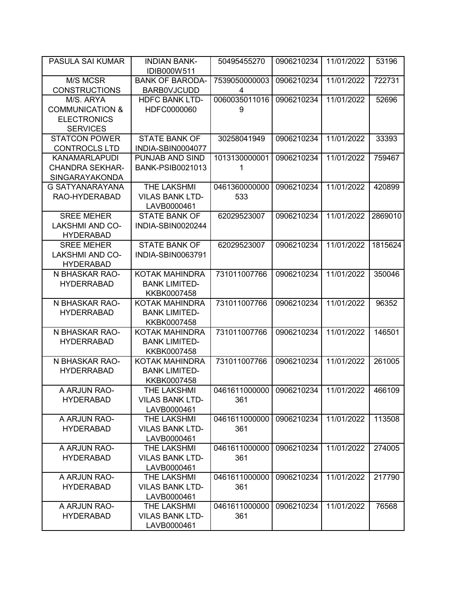| PASULA SAI KUMAR           | <b>INDIAN BANK-</b><br>IDIB000W511 | 50495455270   | 0906210234 | 11/01/2022 | 53196   |
|----------------------------|------------------------------------|---------------|------------|------------|---------|
| M/S MCSR                   | <b>BANK OF BARODA-</b>             | 7539050000003 | 0906210234 | 11/01/2022 | 722731  |
| <b>CONSTRUCTIONS</b>       | <b>BARB0VJCUDD</b>                 | 4             |            |            |         |
| M/S. ARYA                  | <b>HDFC BANK LTD-</b>              | 0060035011016 | 0906210234 | 11/01/2022 | 52696   |
| <b>COMMUNICATION &amp;</b> | HDFC0000060                        | 9             |            |            |         |
| <b>ELECTRONICS</b>         |                                    |               |            |            |         |
| <b>SERVICES</b>            |                                    |               |            |            |         |
| <b>STATCON POWER</b>       | <b>STATE BANK OF</b>               | 30258041949   | 0906210234 | 11/01/2022 | 33393   |
| <b>CONTROCLS LTD</b>       | INDIA-SBIN0004077                  |               |            |            |         |
| <b>KANAMARLAPUDI</b>       | PUNJAB AND SIND                    | 1013130000001 | 0906210234 | 11/01/2022 | 759467  |
| <b>CHANDRA SEKHAR-</b>     | <b>BANK-PSIB0021013</b>            | 1             |            |            |         |
| SINGARAYAKONDA             |                                    |               |            |            |         |
| G SATYANARAYANA            | <b>THE LAKSHMI</b>                 | 0461360000000 | 0906210234 | 11/01/2022 | 420899  |
| RAO-HYDERABAD              | <b>VILAS BANK LTD-</b>             | 533           |            |            |         |
|                            | LAVB0000461                        |               |            |            |         |
| <b>SREE MEHER</b>          | <b>STATE BANK OF</b>               | 62029523007   | 0906210234 | 11/01/2022 | 2869010 |
| <b>LAKSHMI AND CO-</b>     | INDIA-SBIN0020244                  |               |            |            |         |
| <b>HYDERABAD</b>           |                                    |               |            |            |         |
| <b>SREE MEHER</b>          | <b>STATE BANK OF</b>               | 62029523007   | 0906210234 | 11/01/2022 | 1815624 |
| <b>LAKSHMI AND CO-</b>     | <b>INDIA-SBIN0063791</b>           |               |            |            |         |
| <b>HYDERABAD</b>           |                                    |               |            |            |         |
| N BHASKAR RAO-             | <b>KOTAK MAHINDRA</b>              | 731011007766  | 0906210234 | 11/01/2022 | 350046  |
| <b>HYDERRABAD</b>          | <b>BANK LIMITED-</b>               |               |            |            |         |
|                            | KKBK0007458                        |               |            |            |         |
| N BHASKAR RAO-             | KOTAK MAHINDRA                     | 731011007766  | 0906210234 | 11/01/2022 | 96352   |
| <b>HYDERRABAD</b>          | <b>BANK LIMITED-</b>               |               |            |            |         |
|                            | KKBK0007458                        |               |            |            |         |
| N BHASKAR RAO-             | KOTAK MAHINDRA                     | 731011007766  | 0906210234 | 11/01/2022 | 146501  |
| <b>HYDERRABAD</b>          | <b>BANK LIMITED-</b>               |               |            |            |         |
|                            | KKBK0007458                        |               |            |            |         |
| N BHASKAR RAO-             | <b>KOTAK MAHINDRA</b>              | 731011007766  | 0906210234 | 11/01/2022 | 261005  |
| <b>HYDERRABAD</b>          | <b>BANK LIMITED-</b>               |               |            |            |         |
|                            | KKBK0007458                        |               |            |            |         |
| A ARJUN RAO-               | THE LAKSHMI                        | 0461611000000 | 0906210234 | 11/01/2022 | 466109  |
| <b>HYDERABAD</b>           | <b>VILAS BANK LTD-</b>             | 361           |            |            |         |
|                            | LAVB0000461                        |               |            |            |         |
| A ARJUN RAO-               | <b>THE LAKSHMI</b>                 | 0461611000000 | 0906210234 | 11/01/2022 | 113508  |
| <b>HYDERABAD</b>           | <b>VILAS BANK LTD-</b>             | 361           |            |            |         |
|                            | LAVB0000461                        |               |            |            |         |
| A ARJUN RAO-               | THE LAKSHMI                        | 0461611000000 | 0906210234 | 11/01/2022 | 274005  |
| <b>HYDERABAD</b>           | <b>VILAS BANK LTD-</b>             | 361           |            |            |         |
|                            | LAVB0000461                        |               |            |            |         |
| A ARJUN RAO-               | THE LAKSHMI                        | 0461611000000 | 0906210234 | 11/01/2022 | 217790  |
| <b>HYDERABAD</b>           | <b>VILAS BANK LTD-</b>             | 361           |            |            |         |
|                            | LAVB0000461                        |               |            |            |         |
| A ARJUN RAO-               | THE LAKSHMI                        | 0461611000000 | 0906210234 | 11/01/2022 | 76568   |
| <b>HYDERABAD</b>           | <b>VILAS BANK LTD-</b>             | 361           |            |            |         |
|                            | LAVB0000461                        |               |            |            |         |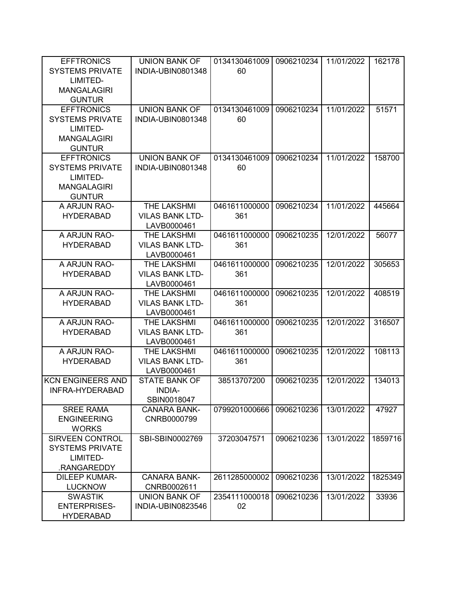| <b>EFFTRONICS</b>                                | <b>UNION BANK OF</b>   | 0134130461009 | 0906210234 | 11/01/2022 | 162178  |
|--------------------------------------------------|------------------------|---------------|------------|------------|---------|
| <b>SYSTEMS PRIVATE</b>                           | INDIA-UBIN0801348      | 60            |            |            |         |
| LIMITED-                                         |                        |               |            |            |         |
| <b>MANGALAGIRI</b>                               |                        |               |            |            |         |
| <b>GUNTUR</b>                                    |                        |               |            |            |         |
| <b>EFFTRONICS</b>                                | <b>UNION BANK OF</b>   | 0134130461009 | 0906210234 | 11/01/2022 | 51571   |
| <b>SYSTEMS PRIVATE</b>                           | INDIA-UBIN0801348      | 60            |            |            |         |
| LIMITED-<br><b>MANGALAGIRI</b>                   |                        |               |            |            |         |
|                                                  |                        |               |            |            |         |
| <b>GUNTUR</b><br><b>EFFTRONICS</b>               | <b>UNION BANK OF</b>   | 0134130461009 | 0906210234 | 11/01/2022 | 158700  |
| <b>SYSTEMS PRIVATE</b>                           | INDIA-UBIN0801348      | 60            |            |            |         |
| LIMITED-                                         |                        |               |            |            |         |
| <b>MANGALAGIRI</b>                               |                        |               |            |            |         |
| <b>GUNTUR</b>                                    |                        |               |            |            |         |
| A ARJUN RAO-                                     | THE LAKSHMI            | 0461611000000 | 0906210234 | 11/01/2022 | 445664  |
| <b>HYDERABAD</b>                                 | <b>VILAS BANK LTD-</b> | 361           |            |            |         |
|                                                  | LAVB0000461            |               |            |            |         |
| A ARJUN RAO-                                     | THE LAKSHMI            | 0461611000000 | 0906210235 | 12/01/2022 | 56077   |
| <b>HYDERABAD</b>                                 | <b>VILAS BANK LTD-</b> | 361           |            |            |         |
|                                                  | LAVB0000461            |               |            |            |         |
| A ARJUN RAO-                                     | <b>THE LAKSHMI</b>     | 0461611000000 | 0906210235 | 12/01/2022 | 305653  |
| <b>HYDERABAD</b>                                 | <b>VILAS BANK LTD-</b> | 361           |            |            |         |
|                                                  | LAVB0000461            |               |            |            |         |
| A ARJUN RAO-                                     | THE LAKSHMI            | 0461611000000 | 0906210235 | 12/01/2022 | 408519  |
| <b>HYDERABAD</b>                                 | <b>VILAS BANK LTD-</b> | 361           |            |            |         |
|                                                  | LAVB0000461            |               |            |            |         |
| A ARJUN RAO-                                     | THE LAKSHMI            | 0461611000000 | 0906210235 | 12/01/2022 | 316507  |
| <b>HYDERABAD</b>                                 | <b>VILAS BANK LTD-</b> | 361           |            |            |         |
|                                                  | LAVB0000461            |               |            |            |         |
| A ARJUN RAO-                                     | THE LAKSHMI            | 0461611000000 | 0906210235 | 12/01/2022 | 108113  |
| <b>HYDERABAD</b>                                 | <b>VILAS BANK LTD-</b> | 361           |            |            |         |
|                                                  | LAVB0000461            |               |            |            |         |
| <b>KCN ENGINEERS AND</b>                         | <b>STATE BANK OF</b>   | 38513707200   | 0906210235 | 12/01/2022 | 134013  |
| INFRA-HYDERABAD                                  | <b>INDIA-</b>          |               |            |            |         |
|                                                  | SBIN0018047            |               |            |            |         |
| <b>SREE RAMA</b>                                 | <b>CANARA BANK-</b>    | 0799201000666 | 0906210236 | 13/01/2022 | 47927   |
| <b>ENGINEERING</b>                               | CNRB0000799            |               |            |            |         |
| <b>WORKS</b>                                     |                        |               |            | 13/01/2022 |         |
| <b>SIRVEEN CONTROL</b><br><b>SYSTEMS PRIVATE</b> | SBI-SBIN0002769        | 37203047571   | 0906210236 |            | 1859716 |
| LIMITED-                                         |                        |               |            |            |         |
| .RANGAREDDY                                      |                        |               |            |            |         |
| <b>DILEEP KUMAR-</b>                             | <b>CANARA BANK-</b>    | 2611285000002 | 0906210236 | 13/01/2022 | 1825349 |
| <b>LUCKNOW</b>                                   | CNRB0002611            |               |            |            |         |
| <b>SWASTIK</b>                                   | <b>UNION BANK OF</b>   | 2354111000018 | 0906210236 | 13/01/2022 | 33936   |
| <b>ENTERPRISES-</b>                              | INDIA-UBIN0823546      | 02            |            |            |         |
| <b>HYDERABAD</b>                                 |                        |               |            |            |         |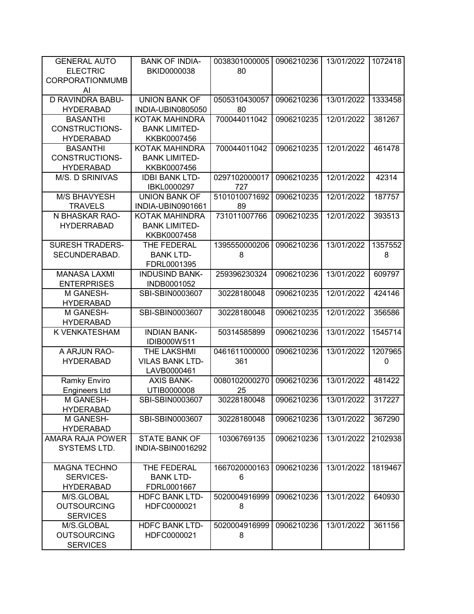| <b>GENERAL AUTO</b>     | <b>BANK OF INDIA-</b>           | 0038301000005 | 0906210236 | 13/01/2022 | 1072418 |
|-------------------------|---------------------------------|---------------|------------|------------|---------|
| <b>ELECTRIC</b>         | BKID0000038                     | 80            |            |            |         |
| CORPORATIONMUMB         |                                 |               |            |            |         |
| AI                      |                                 |               |            |            |         |
| <b>D RAVINDRA BABU-</b> | <b>UNION BANK OF</b>            | 0505310430057 | 0906210236 | 13/01/2022 | 1333458 |
| <b>HYDERABAD</b>        | INDIA-UBIN0805050               | 80            |            |            |         |
| <b>BASANTHI</b>         | <b>KOTAK MAHINDRA</b>           | 700044011042  | 0906210235 | 12/01/2022 | 381267  |
| <b>CONSTRUCTIONS-</b>   | <b>BANK LIMITED-</b>            |               |            |            |         |
| <b>HYDERABAD</b>        | KKBK0007456                     |               |            |            |         |
| <b>BASANTHI</b>         | <b>KOTAK MAHINDRA</b>           | 700044011042  | 0906210235 | 12/01/2022 | 461478  |
| CONSTRUCTIONS-          | <b>BANK LIMITED-</b>            |               |            |            |         |
| <b>HYDERABAD</b>        | KKBK0007456                     |               |            |            |         |
| M/S. D SRINIVAS         | <b>IDBI BANK LTD-</b>           | 0297102000017 | 0906210235 | 12/01/2022 | 42314   |
|                         | IBKL0000297                     | 727           |            |            |         |
| <b>M/S BHAVYESH</b>     | <b>UNION BANK OF</b>            | 5101010071692 | 0906210235 | 12/01/2022 | 187757  |
| <b>TRAVELS</b>          | INDIA-UBIN0901661               | 89            |            |            |         |
| N BHASKAR RAO-          | <b>KOTAK MAHINDRA</b>           | 731011007766  | 0906210235 | 12/01/2022 | 393513  |
| <b>HYDERRABAD</b>       | <b>BANK LIMITED-</b>            |               |            |            |         |
|                         | KKBK0007458                     |               |            |            |         |
| <b>SURESH TRADERS-</b>  | THE FEDERAL                     | 1395550000206 | 0906210236 | 13/01/2022 | 1357552 |
| SECUNDERABAD.           | <b>BANK LTD-</b><br>FDRL0001395 | 8             |            |            | 8       |
| <b>MANASA LAXMI</b>     | <b>INDUSIND BANK-</b>           |               | 0906210236 | 13/01/2022 |         |
| <b>ENTERPRISES</b>      |                                 | 259396230324  |            |            | 609797  |
| M GANESH-               | INDB0001052<br>SBI-SBIN0003607  | 30228180048   | 0906210235 | 12/01/2022 | 424146  |
| <b>HYDERABAD</b>        |                                 |               |            |            |         |
| M GANESH-               | SBI-SBIN0003607                 | 30228180048   | 0906210235 | 12/01/2022 | 356586  |
| <b>HYDERABAD</b>        |                                 |               |            |            |         |
| K VENKATESHAM           | <b>INDIAN BANK-</b>             | 50314585899   | 0906210236 | 13/01/2022 | 1545714 |
|                         | IDIB000W511                     |               |            |            |         |
| A ARJUN RAO-            | THE LAKSHMI                     | 0461611000000 | 0906210236 | 13/01/2022 | 1207965 |
| <b>HYDERABAD</b>        | <b>VILAS BANK LTD-</b>          | 361           |            |            | 0       |
|                         | LAVB0000461                     |               |            |            |         |
| <b>Ramky Enviro</b>     | <b>AXIS BANK-</b>               | 0080102000270 | 0906210236 | 13/01/2022 | 481422  |
| <b>Engineers Ltd</b>    | UTIB0000008                     | 25            |            |            |         |
| M GANESH-               | SBI-SBIN0003607                 | 30228180048   | 0906210236 | 13/01/2022 | 317227  |
| <b>HYDERABAD</b>        |                                 |               |            |            |         |
| M GANESH-               | SBI-SBIN0003607                 | 30228180048   | 0906210236 | 13/01/2022 | 367290  |
| <b>HYDERABAD</b>        |                                 |               |            |            |         |
| <b>AMARA RAJA POWER</b> | <b>STATE BANK OF</b>            | 10306769135   | 0906210236 | 13/01/2022 | 2102938 |
| SYSTEMS LTD.            | INDIA-SBIN0016292               |               |            |            |         |
|                         |                                 |               |            |            |         |
| <b>MAGNA TECHNO</b>     | THE FEDERAL                     | 1667020000163 | 0906210236 | 13/01/2022 | 1819467 |
| <b>SERVICES-</b>        | <b>BANK LTD-</b>                | 6             |            |            |         |
| <b>HYDERABAD</b>        | FDRL0001667                     |               |            |            |         |
| M/S.GLOBAL              | <b>HDFC BANK LTD-</b>           | 5020004916999 | 0906210236 | 13/01/2022 | 640930  |
| <b>OUTSOURCING</b>      | HDFC0000021                     | 8             |            |            |         |
| <b>SERVICES</b>         |                                 |               |            |            |         |
| M/S.GLOBAL              | <b>HDFC BANK LTD-</b>           | 5020004916999 | 0906210236 | 13/01/2022 | 361156  |
| <b>OUTSOURCING</b>      | HDFC0000021                     | 8             |            |            |         |
| <b>SERVICES</b>         |                                 |               |            |            |         |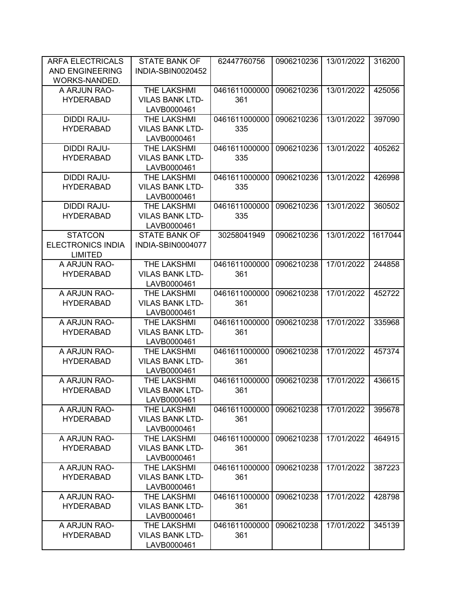| <b>ARFA ELECTRICALS</b>  | <b>STATE BANK OF</b>     | 62447760756   | 0906210236 | 13/01/2022 | 316200  |
|--------------------------|--------------------------|---------------|------------|------------|---------|
| <b>AND ENGINEERING</b>   | <b>INDIA-SBIN0020452</b> |               |            |            |         |
| WORKS-NANDED.            |                          |               |            |            |         |
| A ARJUN RAO-             | THE LAKSHMI              | 0461611000000 | 0906210236 | 13/01/2022 | 425056  |
| <b>HYDERABAD</b>         | <b>VILAS BANK LTD-</b>   | 361           |            |            |         |
|                          | LAVB0000461              |               |            |            |         |
| <b>DIDDI RAJU-</b>       | THE LAKSHMI              | 0461611000000 | 0906210236 | 13/01/2022 | 397090  |
| <b>HYDERABAD</b>         | <b>VILAS BANK LTD-</b>   | 335           |            |            |         |
|                          | LAVB0000461              |               |            |            |         |
| <b>DIDDI RAJU-</b>       | THE LAKSHMI              | 0461611000000 | 0906210236 | 13/01/2022 | 405262  |
| <b>HYDERABAD</b>         | <b>VILAS BANK LTD-</b>   | 335           |            |            |         |
|                          | LAVB0000461              |               |            |            |         |
| <b>DIDDI RAJU-</b>       | THE LAKSHMI              | 0461611000000 | 0906210236 | 13/01/2022 | 426998  |
| <b>HYDERABAD</b>         | <b>VILAS BANK LTD-</b>   | 335           |            |            |         |
|                          | LAVB0000461              |               |            |            |         |
| <b>DIDDI RAJU-</b>       | THE LAKSHMI              | 0461611000000 | 0906210236 | 13/01/2022 | 360502  |
| <b>HYDERABAD</b>         | <b>VILAS BANK LTD-</b>   | 335           |            |            |         |
|                          | LAVB0000461              |               |            |            |         |
| <b>STATCON</b>           | <b>STATE BANK OF</b>     | 30258041949   | 0906210236 | 13/01/2022 | 1617044 |
| <b>ELECTRONICS INDIA</b> | INDIA-SBIN0004077        |               |            |            |         |
| <b>LIMITED</b>           |                          |               |            |            |         |
| A ARJUN RAO-             | THE LAKSHMI              | 0461611000000 | 0906210238 | 17/01/2022 | 244858  |
| <b>HYDERABAD</b>         | <b>VILAS BANK LTD-</b>   | 361           |            |            |         |
|                          | LAVB0000461              |               |            |            |         |
| A ARJUN RAO-             | THE LAKSHMI              | 0461611000000 | 0906210238 | 17/01/2022 | 452722  |
| <b>HYDERABAD</b>         | <b>VILAS BANK LTD-</b>   | 361           |            |            |         |
|                          | LAVB0000461              |               |            |            |         |
| A ARJUN RAO-             | THE LAKSHMI              | 0461611000000 | 0906210238 | 17/01/2022 | 335968  |
| <b>HYDERABAD</b>         | <b>VILAS BANK LTD-</b>   | 361           |            |            |         |
|                          | LAVB0000461              |               |            |            |         |
| A ARJUN RAO-             | THE LAKSHMI              | 0461611000000 | 0906210238 | 17/01/2022 | 457374  |
| <b>HYDERABAD</b>         | <b>VILAS BANK LTD-</b>   | 361           |            |            |         |
|                          | LAVB0000461              |               |            |            |         |
| A ARJUN RAO-             | THE LAKSHMI              | 0461611000000 | 0906210238 | 17/01/2022 | 436615  |
| <b>HYDERABAD</b>         | <b>VILAS BANK LTD-</b>   | 361           |            |            |         |
|                          | LAVB0000461              |               |            |            |         |
| A ARJUN RAO-             | THE LAKSHMI              | 0461611000000 | 0906210238 | 17/01/2022 | 395678  |
| <b>HYDERABAD</b>         | <b>VILAS BANK LTD-</b>   | 361           |            |            |         |
|                          | LAVB0000461              |               |            |            |         |
| A ARJUN RAO-             | THE LAKSHMI              | 0461611000000 | 0906210238 | 17/01/2022 | 464915  |
| <b>HYDERABAD</b>         | <b>VILAS BANK LTD-</b>   | 361           |            |            |         |
|                          | LAVB0000461              |               |            |            |         |
| A ARJUN RAO-             | THE LAKSHMI              | 0461611000000 | 0906210238 | 17/01/2022 | 387223  |
| <b>HYDERABAD</b>         | <b>VILAS BANK LTD-</b>   | 361           |            |            |         |
|                          | LAVB0000461              |               |            |            |         |
| A ARJUN RAO-             | THE LAKSHMI              | 0461611000000 | 0906210238 | 17/01/2022 | 428798  |
| <b>HYDERABAD</b>         | <b>VILAS BANK LTD-</b>   | 361           |            |            |         |
|                          | LAVB0000461              |               |            |            |         |
| A ARJUN RAO-             | THE LAKSHMI              | 0461611000000 | 0906210238 | 17/01/2022 | 345139  |
| <b>HYDERABAD</b>         | <b>VILAS BANK LTD-</b>   | 361           |            |            |         |
|                          | LAVB0000461              |               |            |            |         |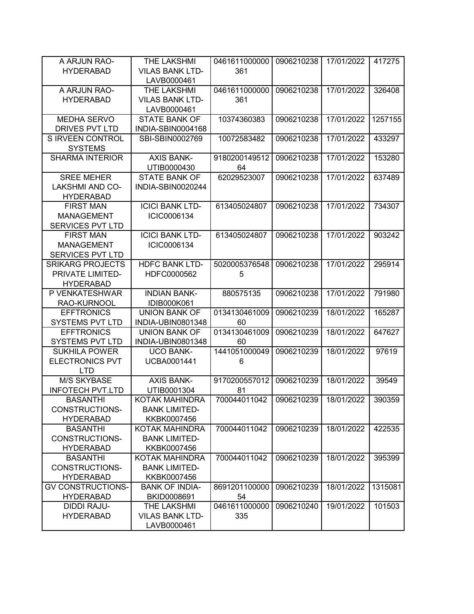| A ARJUN RAO-             | <b>THE LAKSHMI</b>     | 0461611000000 | 0906210238 | 17/01/2022 | 417275  |
|--------------------------|------------------------|---------------|------------|------------|---------|
| <b>HYDERABAD</b>         | <b>VILAS BANK LTD-</b> | 361           |            |            |         |
|                          | LAVB0000461            |               |            |            |         |
| A ARJUN RAO-             | THE LAKSHMI            | 0461611000000 | 0906210238 | 17/01/2022 | 326408  |
| <b>HYDERABAD</b>         | <b>VILAS BANK LTD-</b> | 361           |            |            |         |
|                          | LAVB0000461            |               |            |            |         |
| MEDHA SERVO              | <b>STATE BANK OF</b>   | 10374360383   | 0906210238 | 17/01/2022 | 1257155 |
| <b>DRIVES PVT LTD</b>    | INDIA-SBIN0004168      |               |            |            |         |
| S IRVEEN CONTROL         | SBI-SBIN0002769        | 10072583482   | 0906210238 | 17/01/2022 | 433297  |
| <b>SYSTEMS</b>           |                        |               |            |            |         |
| <b>SHARMA INTERIOR</b>   | <b>AXIS BANK-</b>      | 9180200149512 | 0906210238 | 17/01/2022 | 153280  |
|                          | UTIB0000430            | 64            |            |            |         |
| <b>SREE MEHER</b>        | <b>STATE BANK OF</b>   | 62029523007   | 0906210238 | 17/01/2022 | 637489  |
| <b>LAKSHMI AND CO-</b>   | INDIA-SBIN0020244      |               |            |            |         |
| <b>HYDERABAD</b>         |                        |               |            |            |         |
| <b>FIRST MAN</b>         | <b>ICICI BANK LTD-</b> | 613405024807  | 0906210238 | 17/01/2022 | 734307  |
| <b>MANAGEMENT</b>        | ICIC0006134            |               |            |            |         |
| <b>SERVICES PVT LTD</b>  |                        |               |            |            |         |
| <b>FIRST MAN</b>         | <b>ICICI BANK LTD-</b> | 613405024807  | 0906210238 | 17/01/2022 | 903242  |
| <b>MANAGEMENT</b>        | ICIC0006134            |               |            |            |         |
| <b>SERVICES PVT LTD</b>  |                        |               |            |            |         |
| <b>SRIKARG PROJECTS</b>  | <b>HDFC BANK LTD-</b>  | 5020005376548 | 0906210238 | 17/01/2022 | 295914  |
| PRIVATE LIMITED-         | HDFC0000562            | 5             |            |            |         |
| <b>HYDERABAD</b>         |                        |               |            |            |         |
| P VENKATESHWAR           | <b>INDIAN BANK-</b>    | 880575135     | 0906210238 | 17/01/2022 | 791980  |
| RAO-KURNOOL              | <b>IDIB000K061</b>     |               |            |            |         |
| <b>EFFTRONICS</b>        | <b>UNION BANK OF</b>   | 0134130461009 | 0906210239 | 18/01/2022 | 165287  |
| <b>SYSTEMS PVT LTD</b>   | INDIA-UBIN0801348      | 60            |            |            |         |
| <b>EFFTRONICS</b>        | <b>UNION BANK OF</b>   | 0134130461009 | 0906210239 | 18/01/2022 | 647627  |
| <b>SYSTEMS PVT LTD</b>   | INDIA-UBIN0801348      | 60            |            |            |         |
| <b>SUKHILA POWER</b>     | <b>UCO BANK-</b>       | 1441051000049 | 0906210239 | 18/01/2022 | 97619   |
| <b>ELECTRONICS PVT</b>   | UCBA0001441            | 6             |            |            |         |
| <b>LTD</b>               |                        |               |            |            |         |
| <b>M/S SKYBASE</b>       | <b>AXIS BANK-</b>      | 9170200557012 | 0906210239 | 18/01/2022 | 39549   |
| <b>INFOTECH PVT.LTD</b>  | UTIB0001304            | 81            |            |            |         |
| <b>BASANTHI</b>          | KOTAK MAHINDRA         | 700044011042  | 0906210239 | 18/01/2022 | 390359  |
| CONSTRUCTIONS-           | <b>BANK LIMITED-</b>   |               |            |            |         |
| <b>HYDERABAD</b>         | KKBK0007456            |               |            |            |         |
| <b>BASANTHI</b>          | KOTAK MAHINDRA         | 700044011042  | 0906210239 | 18/01/2022 | 422535  |
| <b>CONSTRUCTIONS-</b>    | <b>BANK LIMITED-</b>   |               |            |            |         |
| <b>HYDERABAD</b>         | KKBK0007456            |               |            |            |         |
| <b>BASANTHI</b>          | KOTAK MAHINDRA         | 700044011042  | 0906210239 | 18/01/2022 | 395399  |
| <b>CONSTRUCTIONS-</b>    | <b>BANK LIMITED-</b>   |               |            |            |         |
| <b>HYDERABAD</b>         | KKBK0007456            |               |            |            |         |
| <b>GV CONSTRUCTIONS-</b> | <b>BANK OF INDIA-</b>  | 8691201100000 | 0906210239 | 18/01/2022 | 1315081 |
| <b>HYDERABAD</b>         | BKID0008691            | 54            |            |            |         |
| DIDDI RAJU-              | THE LAKSHMI            | 0461611000000 | 0906210240 | 19/01/2022 | 101503  |
| <b>HYDERABAD</b>         | <b>VILAS BANK LTD-</b> | 335           |            |            |         |
|                          | LAVB0000461            |               |            |            |         |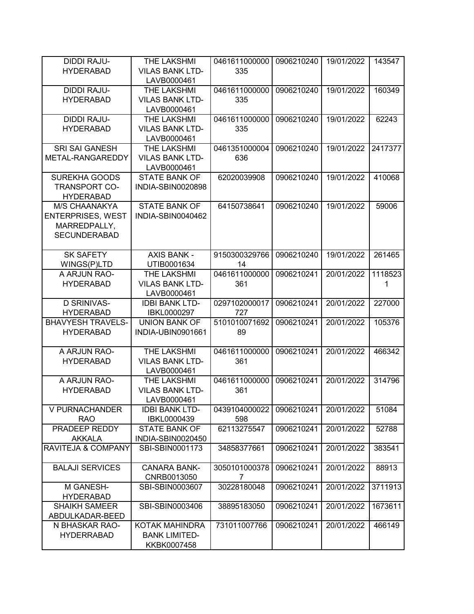| <b>DIDDI RAJU-</b>            | THE LAKSHMI            | 0461611000000 | 0906210240 | 19/01/2022 | 143547  |
|-------------------------------|------------------------|---------------|------------|------------|---------|
| <b>HYDERABAD</b>              | <b>VILAS BANK LTD-</b> | 335           |            |            |         |
|                               | LAVB0000461            |               |            |            |         |
|                               |                        |               |            |            |         |
| <b>DIDDI RAJU-</b>            | THE LAKSHMI            | 0461611000000 | 0906210240 | 19/01/2022 | 160349  |
| <b>HYDERABAD</b>              | <b>VILAS BANK LTD-</b> | 335           |            |            |         |
|                               | LAVB0000461            |               |            |            |         |
| <b>DIDDI RAJU-</b>            | THE LAKSHMI            | 0461611000000 | 0906210240 | 19/01/2022 | 62243   |
| <b>HYDERABAD</b>              | <b>VILAS BANK LTD-</b> | 335           |            |            |         |
|                               | LAVB0000461            |               |            |            |         |
| <b>SRI SAI GANESH</b>         | THE LAKSHMI            | 0461351000004 | 0906210240 | 19/01/2022 | 2417377 |
| METAL-RANGAREDDY              | <b>VILAS BANK LTD-</b> | 636           |            |            |         |
|                               | LAVB0000461            |               |            |            |         |
| <b>SUREKHA GOODS</b>          | <b>STATE BANK OF</b>   | 62020039908   | 0906210240 | 19/01/2022 | 410068  |
| <b>TRANSPORT CO-</b>          | INDIA-SBIN0020898      |               |            |            |         |
|                               |                        |               |            |            |         |
| <b>HYDERABAD</b>              |                        |               |            |            |         |
| M/S CHAANAKYA                 | <b>STATE BANK OF</b>   | 64150738641   | 0906210240 | 19/01/2022 | 59006   |
| <b>ENTERPRISES, WEST</b>      | INDIA-SBIN0040462      |               |            |            |         |
| MARREDPALLY,                  |                        |               |            |            |         |
| <b>SECUNDERABAD</b>           |                        |               |            |            |         |
|                               |                        |               |            |            |         |
| <b>SK SAFETY</b>              | <b>AXIS BANK -</b>     | 9150300329766 | 0906210240 | 19/01/2022 | 261465  |
| WINGS(P)LTD                   | UTIB0001634            | 14            |            |            |         |
| A ARJUN RAO-                  | THE LAKSHMI            | 0461611000000 | 0906210241 | 20/01/2022 | 1118523 |
| <b>HYDERABAD</b>              | <b>VILAS BANK LTD-</b> | 361           |            |            | 1       |
|                               |                        |               |            |            |         |
|                               | LAVB0000461            |               |            |            |         |
| <b>D SRINIVAS-</b>            | <b>IDBI BANK LTD-</b>  | 0297102000017 | 0906210241 | 20/01/2022 | 227000  |
| <b>HYDERABAD</b>              | IBKL0000297            | 727           |            |            |         |
| <b>BHAVYESH TRAVELS-</b>      | <b>UNION BANK OF</b>   | 5101010071692 | 0906210241 | 20/01/2022 | 105376  |
| <b>HYDERABAD</b>              | INDIA-UBIN0901661      | 89            |            |            |         |
|                               |                        |               |            |            |         |
| A ARJUN RAO-                  | THE LAKSHMI            | 0461611000000 | 0906210241 | 20/01/2022 | 466342  |
| <b>HYDERABAD</b>              | <b>VILAS BANK LTD-</b> | 361           |            |            |         |
|                               | LAVB0000461            |               |            |            |         |
| A ARJUN RAO-                  | THE LAKSHMI            | 0461611000000 | 0906210241 | 20/01/2022 | 314796  |
| <b>HYDERABAD</b>              | <b>VILAS BANK LTD-</b> | 361           |            |            |         |
|                               | LAVB0000461            |               |            |            |         |
|                               |                        |               |            |            |         |
| V PURNACHANDER                | <b>IDBI BANK LTD-</b>  | 0439104000022 | 0906210241 | 20/01/2022 | 51084   |
| <b>RAO</b>                    | IBKL0000439            | 598           |            |            |         |
| PRADEEP REDDY                 | <b>STATE BANK OF</b>   | 62113275547   | 0906210241 | 20/01/2022 | 52788   |
| <b>AKKALA</b>                 | INDIA-SBIN0020450      |               |            |            |         |
| <b>RAVITEJA &amp; COMPANY</b> | SBI-SBIN0001173        | 34858377661   | 0906210241 | 20/01/2022 | 383541  |
|                               |                        |               |            |            |         |
| <b>BALAJI SERVICES</b>        | <b>CANARA BANK-</b>    | 3050101000378 | 0906210241 | 20/01/2022 | 88913   |
|                               | CNRB0013050            | 7             |            |            |         |
| M GANESH-                     | SBI-SBIN0003607        | 30228180048   | 0906210241 | 20/01/2022 | 3711913 |
| <b>HYDERABAD</b>              |                        |               |            |            |         |
| <b>SHAIKH SAMEER</b>          | SBI-SBIN0003406        | 38895183050   | 0906210241 | 20/01/2022 | 1673611 |
|                               |                        |               |            |            |         |
| ABDULKADAR-BEED               |                        |               |            |            |         |
| N BHASKAR RAO-                | KOTAK MAHINDRA         | 731011007766  | 0906210241 | 20/01/2022 | 466149  |
| <b>HYDERRABAD</b>             | <b>BANK LIMITED-</b>   |               |            |            |         |
|                               | KKBK0007458            |               |            |            |         |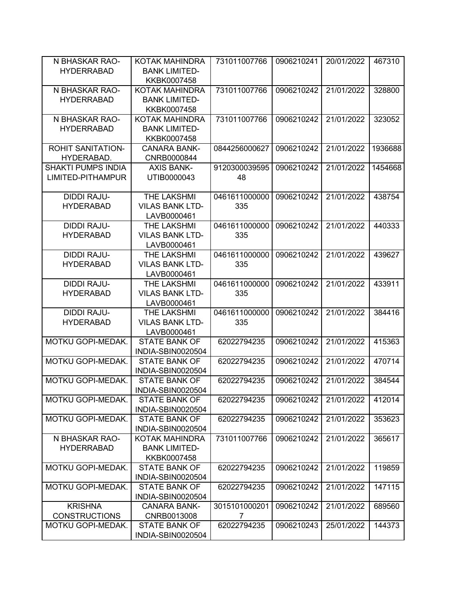| N BHASKAR RAO-            | KOTAK MAHINDRA         | 731011007766  | 0906210241 | 20/01/2022 | 467310  |
|---------------------------|------------------------|---------------|------------|------------|---------|
| <b>HYDERRABAD</b>         | <b>BANK LIMITED-</b>   |               |            |            |         |
|                           | KKBK0007458            |               |            |            |         |
| N BHASKAR RAO-            | KOTAK MAHINDRA         | 731011007766  | 0906210242 | 21/01/2022 | 328800  |
| <b>HYDERRABAD</b>         | <b>BANK LIMITED-</b>   |               |            |            |         |
|                           | KKBK0007458            |               |            |            |         |
| N BHASKAR RAO-            | KOTAK MAHINDRA         | 731011007766  | 0906210242 | 21/01/2022 | 323052  |
| <b>HYDERRABAD</b>         | <b>BANK LIMITED-</b>   |               |            |            |         |
|                           | KKBK0007458            |               |            |            |         |
| <b>ROHIT SANITATION-</b>  | <b>CANARA BANK-</b>    | 0844256000627 | 0906210242 | 21/01/2022 | 1936688 |
| HYDERABAD.                | CNRB0000844            |               |            |            |         |
| <b>SHAKTI PUMPS INDIA</b> | <b>AXIS BANK-</b>      | 9120300039595 | 0906210242 | 21/01/2022 | 1454668 |
| LIMITED-PITHAMPUR         | UTIB0000043            | 48            |            |            |         |
|                           |                        |               |            |            |         |
| <b>DIDDI RAJU-</b>        | THE LAKSHMI            | 0461611000000 | 0906210242 | 21/01/2022 | 438754  |
| <b>HYDERABAD</b>          | <b>VILAS BANK LTD-</b> | 335           |            |            |         |
|                           | LAVB0000461            |               |            |            |         |
| <b>DIDDI RAJU-</b>        | THE LAKSHMI            | 0461611000000 | 0906210242 | 21/01/2022 | 440333  |
| <b>HYDERABAD</b>          | <b>VILAS BANK LTD-</b> | 335           |            |            |         |
|                           | LAVB0000461            |               |            |            |         |
| <b>DIDDI RAJU-</b>        | <b>THE LAKSHMI</b>     | 0461611000000 | 0906210242 | 21/01/2022 | 439627  |
| <b>HYDERABAD</b>          | <b>VILAS BANK LTD-</b> | 335           |            |            |         |
|                           | LAVB0000461            |               |            |            |         |
| <b>DIDDI RAJU-</b>        | THE LAKSHMI            | 0461611000000 | 0906210242 | 21/01/2022 | 433911  |
| <b>HYDERABAD</b>          | <b>VILAS BANK LTD-</b> | 335           |            |            |         |
|                           | LAVB0000461            |               |            |            |         |
| <b>DIDDI RAJU-</b>        | THE LAKSHMI            | 0461611000000 | 0906210242 | 21/01/2022 | 384416  |
| <b>HYDERABAD</b>          | <b>VILAS BANK LTD-</b> | 335           |            |            |         |
|                           | LAVB0000461            |               |            |            |         |
| MOTKU GOPI-MEDAK.         | <b>STATE BANK OF</b>   | 62022794235   | 0906210242 | 21/01/2022 | 415363  |
|                           | INDIA-SBIN0020504      |               |            |            |         |
| MOTKU GOPI-MEDAK.         | <b>STATE BANK OF</b>   | 62022794235   | 0906210242 | 21/01/2022 | 470714  |
|                           | INDIA-SBIN0020504      |               |            |            |         |
| MOTKU GOPI-MEDAK.         | <b>STATE BANK OF</b>   | 62022794235   | 0906210242 | 21/01/2022 | 384544  |
|                           | INDIA-SBIN0020504      |               |            |            |         |
| MOTKU GOPI-MEDAK.         | <b>STATE BANK OF</b>   | 62022794235   | 0906210242 | 21/01/2022 | 412014  |
|                           | INDIA-SBIN0020504      |               |            |            |         |
| MOTKU GOPI-MEDAK.         | <b>STATE BANK OF</b>   | 62022794235   | 0906210242 | 21/01/2022 | 353623  |
|                           | INDIA-SBIN0020504      |               |            |            |         |
| N BHASKAR RAO-            | KOTAK MAHINDRA         | 731011007766  | 0906210242 | 21/01/2022 | 365617  |
| <b>HYDERRABAD</b>         | <b>BANK LIMITED-</b>   |               |            |            |         |
|                           | KKBK0007458            |               |            |            |         |
| MOTKU GOPI-MEDAK.         | <b>STATE BANK OF</b>   | 62022794235   | 0906210242 | 21/01/2022 | 119859  |
|                           | INDIA-SBIN0020504      |               |            |            |         |
| MOTKU GOPI-MEDAK.         | <b>STATE BANK OF</b>   | 62022794235   | 0906210242 | 21/01/2022 | 147115  |
|                           | INDIA-SBIN0020504      |               |            |            |         |
| <b>KRISHNA</b>            | <b>CANARA BANK-</b>    | 3015101000201 | 0906210242 | 21/01/2022 | 689560  |
| <b>CONSTRUCTIONS</b>      | CNRB0013008            | 7             |            |            |         |
| MOTKU GOPI-MEDAK.         | <b>STATE BANK OF</b>   | 62022794235   | 0906210243 | 25/01/2022 | 144373  |
|                           | INDIA-SBIN0020504      |               |            |            |         |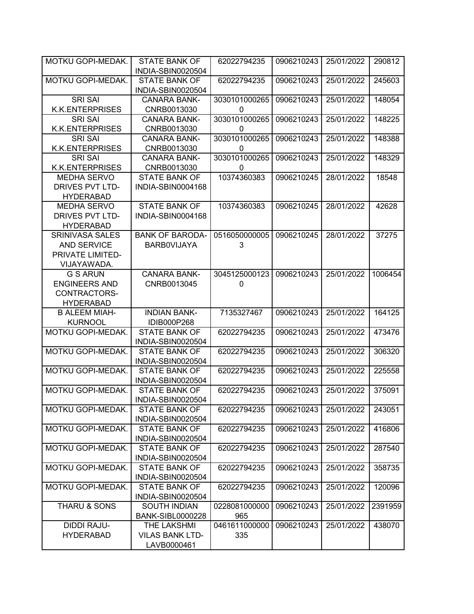| MOTKU GOPI-MEDAK.       | <b>STATE BANK OF</b>                      | 62022794235   | 0906210243 | 25/01/2022 | 290812  |
|-------------------------|-------------------------------------------|---------------|------------|------------|---------|
|                         | INDIA-SBIN0020504                         |               |            |            |         |
| MOTKU GOPI-MEDAK.       | <b>STATE BANK OF</b>                      | 62022794235   | 0906210243 | 25/01/2022 | 245603  |
|                         | INDIA-SBIN0020504                         |               |            |            |         |
| <b>SRI SAI</b>          | <b>CANARA BANK-</b>                       | 3030101000265 | 0906210243 | 25/01/2022 | 148054  |
| <b>K.K.ENTERPRISES</b>  | CNRB0013030                               | 0             |            |            |         |
| <b>SRI SAI</b>          | <b>CANARA BANK-</b>                       | 3030101000265 | 0906210243 | 25/01/2022 | 148225  |
| <b>K.K.ENTERPRISES</b>  | CNRB0013030                               | 0             |            |            |         |
| <b>SRI SAI</b>          | <b>CANARA BANK-</b>                       | 3030101000265 | 0906210243 | 25/01/2022 | 148388  |
| <b>K.K.ENTERPRISES</b>  | CNRB0013030                               | 0             |            |            |         |
| <b>SRI SAI</b>          | <b>CANARA BANK-</b>                       | 3030101000265 | 0906210243 | 25/01/2022 | 148329  |
| <b>K.K.ENTERPRISES</b>  | CNRB0013030                               | 0             |            |            |         |
| <b>MEDHA SERVO</b>      | <b>STATE BANK OF</b>                      | 10374360383   | 0906210245 | 28/01/2022 | 18548   |
| DRIVES PVT LTD-         | INDIA-SBIN0004168                         |               |            |            |         |
| <b>HYDERABAD</b>        |                                           |               |            |            |         |
| MEDHA SERVO             | <b>STATE BANK OF</b>                      | 10374360383   | 0906210245 | 28/01/2022 | 42628   |
| DRIVES PVT LTD-         | INDIA-SBIN0004168                         |               |            |            |         |
| <b>HYDERABAD</b>        |                                           |               |            |            |         |
| <b>SRINIVASA SALES</b>  | <b>BANK OF BARODA-</b>                    | 0516050000005 | 0906210245 | 28/01/2022 | 37275   |
| <b>AND SERVICE</b>      | <b>BARBOVIJAYA</b>                        | 3             |            |            |         |
| PRIVATE LIMITED-        |                                           |               |            |            |         |
| VIJAYAWADA.             |                                           |               |            |            |         |
| <b>G S ARUN</b>         | <b>CANARA BANK-</b>                       | 3045125000123 | 0906210243 | 25/01/2022 | 1006454 |
| <b>ENGINEERS AND</b>    | CNRB0013045                               | 0             |            |            |         |
| CONTRACTORS-            |                                           |               |            |            |         |
| <b>HYDERABAD</b>        |                                           |               |            |            |         |
| <b>B ALEEM MIAH-</b>    | <b>INDIAN BANK-</b>                       | 7135327467    | 0906210243 | 25/01/2022 | 164125  |
| <b>KURNOOL</b>          | IDIB000P268                               |               |            |            |         |
| MOTKU GOPI-MEDAK.       | <b>STATE BANK OF</b>                      | 62022794235   | 0906210243 | 25/01/2022 | 473476  |
|                         | INDIA-SBIN0020504                         |               |            |            |         |
| MOTKU GOPI-MEDAK.       | <b>STATE BANK OF</b>                      | 62022794235   | 0906210243 | 25/01/2022 | 306320  |
|                         | INDIA-SBIN0020504                         |               |            |            |         |
| MOTKU GOPI-MEDAK.       | <b>STATE BANK OF</b>                      | 62022794235   | 0906210243 | 25/01/2022 | 225558  |
|                         | INDIA-SBIN0020504                         |               |            |            |         |
| MOTKU GOPI-MEDAK.       | <b>STATE BANK OF</b>                      | 62022794235   | 0906210243 | 25/01/2022 | 375091  |
|                         | INDIA-SBIN0020504<br><b>STATE BANK OF</b> |               |            |            |         |
| MOTKU GOPI-MEDAK.       |                                           | 62022794235   | 0906210243 | 25/01/2022 | 243051  |
|                         | INDIA-SBIN0020504                         |               |            |            |         |
| MOTKU GOPI-MEDAK.       | <b>STATE BANK OF</b>                      | 62022794235   | 0906210243 | 25/01/2022 | 416806  |
| MOTKU GOPI-MEDAK.       | INDIA-SBIN0020504<br><b>STATE BANK OF</b> | 62022794235   | 0906210243 | 25/01/2022 | 287540  |
|                         | INDIA-SBIN0020504                         |               |            |            |         |
| MOTKU GOPI-MEDAK.       | <b>STATE BANK OF</b>                      | 62022794235   | 0906210243 | 25/01/2022 | 358735  |
|                         |                                           |               |            |            |         |
| MOTKU GOPI-MEDAK.       | INDIA-SBIN0020504<br><b>STATE BANK OF</b> | 62022794235   | 0906210243 | 25/01/2022 | 120096  |
|                         |                                           |               |            |            |         |
| <b>THARU &amp; SONS</b> | INDIA-SBIN0020504<br>SOUTH INDIAN         | 0228081000000 | 0906210243 | 25/01/2022 | 2391959 |
|                         | <b>BANK-SIBL0000228</b>                   | 965           |            |            |         |
| <b>DIDDI RAJU-</b>      | THE LAKSHMI                               | 0461611000000 | 0906210243 | 25/01/2022 | 438070  |
| <b>HYDERABAD</b>        | <b>VILAS BANK LTD-</b>                    | 335           |            |            |         |
|                         | LAVB0000461                               |               |            |            |         |
|                         |                                           |               |            |            |         |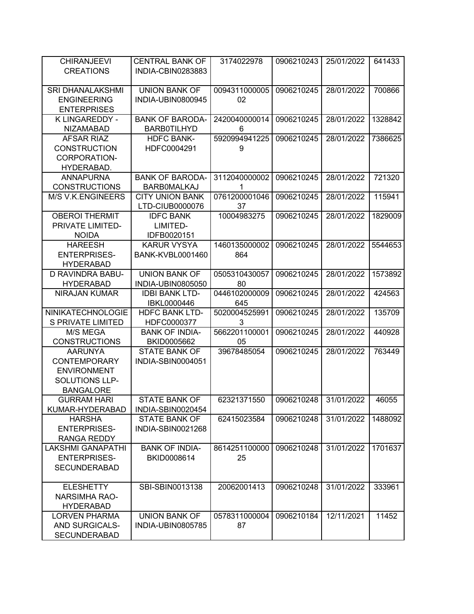| <b>CHIRANJEEVI</b>               | <b>CENTRAL BANK OF</b>               | 3174022978          | 0906210243 | 25/01/2022 | 641433  |
|----------------------------------|--------------------------------------|---------------------|------------|------------|---------|
| <b>CREATIONS</b>                 | INDIA-CBIN0283883                    |                     |            |            |         |
| <b>SRI DHANALAKSHMI</b>          | <b>UNION BANK OF</b>                 | 0094311000005       | 0906210245 | 28/01/2022 | 700866  |
| <b>ENGINEERING</b>               | INDIA-UBIN0800945                    | 02                  |            |            |         |
| <b>ENTERPRISES</b>               |                                      |                     |            |            |         |
| K LINGAREDDY -                   | <b>BANK OF BARODA-</b>               | 2420040000014       | 0906210245 | 28/01/2022 | 1328842 |
| <b>NIZAMABAD</b>                 | <b>BARB0TILHYD</b>                   | 6                   |            |            |         |
| <b>AFSAR RIAZ</b>                | <b>HDFC BANK-</b>                    | 5920994941225       | 0906210245 | 28/01/2022 | 7386625 |
| <b>CONSTRUCTION</b>              | HDFC0004291                          | 9                   |            |            |         |
| CORPORATION-                     |                                      |                     |            |            |         |
| HYDERABAD.<br><b>ANNAPURNA</b>   | <b>BANK OF BARODA-</b>               | 3112040000002       | 0906210245 | 28/01/2022 | 721320  |
| <b>CONSTRUCTIONS</b>             | <b>BARBOMALKAJ</b>                   | 1                   |            |            |         |
| <b>M/S V.K.ENGINEERS</b>         | <b>CITY UNION BANK</b>               | 0761200001046       | 0906210245 | 28/01/2022 | 115941  |
|                                  | LTD-CIUB0000076                      | 37                  |            |            |         |
| <b>OBEROI THERMIT</b>            | <b>IDFC BANK</b>                     | 10004983275         | 0906210245 | 28/01/2022 | 1829009 |
| PRIVATE LIMITED-                 | LIMITED-                             |                     |            |            |         |
| <b>NOIDA</b>                     | IDFB0020151                          |                     |            |            |         |
| <b>HAREESH</b>                   | <b>KARUR VYSYA</b>                   | 1460135000002       | 0906210245 | 28/01/2022 | 5544653 |
| <b>ENTERPRISES-</b>              | BANK-KVBL0001460                     | 864                 |            |            |         |
| <b>HYDERABAD</b>                 |                                      |                     |            |            |         |
| D RAVINDRA BABU-                 | <b>UNION BANK OF</b>                 | 0505310430057       | 0906210245 | 28/01/2022 | 1573892 |
| <b>HYDERABAD</b>                 | INDIA-UBIN0805050                    | 80                  |            |            |         |
| NIRAJAN KUMAR                    | <b>IDBI BANK LTD-</b>                | 0446102000009       | 0906210245 | 28/01/2022 | 424563  |
|                                  | IBKL0000446                          | 645                 |            |            |         |
| NINIKATECHNOLOGIE                | <b>HDFC BANK LTD-</b>                | 5020004525991       | 0906210245 | 28/01/2022 | 135709  |
| <b>S PRIVATE LIMITED</b>         | HDFC0000377                          | 3                   |            |            |         |
| M/S MEGA<br><b>CONSTRUCTIONS</b> | <b>BANK OF INDIA-</b><br>BKID0005662 | 5662201100001<br>05 | 0906210245 | 28/01/2022 | 440928  |
| <b>AARUNYA</b>                   | <b>STATE BANK OF</b>                 | 39678485054         | 0906210245 | 28/01/2022 | 763449  |
| <b>CONTEMPORARY</b>              | INDIA-SBIN0004051                    |                     |            |            |         |
| <b>ENVIRONMENT</b>               |                                      |                     |            |            |         |
| SOLUTIONS LLP-                   |                                      |                     |            |            |         |
| <b>BANGALORE</b>                 |                                      |                     |            |            |         |
| <b>GURRAM HARI</b>               | <b>STATE BANK OF</b>                 | 62321371550         | 0906210248 | 31/01/2022 | 46055   |
| KUMAR-HYDERABAD                  | INDIA-SBIN0020454                    |                     |            |            |         |
| <b>HARSHA</b>                    | <b>STATE BANK OF</b>                 | 62415023584         | 0906210248 | 31/01/2022 | 1488092 |
| <b>ENTERPRISES-</b>              | INDIA-SBIN0021268                    |                     |            |            |         |
| <b>RANGA REDDY</b>               |                                      |                     |            |            |         |
| <b>LAKSHMI GANAPATHI</b>         | <b>BANK OF INDIA-</b>                | 8614251100000       | 0906210248 | 31/01/2022 | 1701637 |
| <b>ENTERPRISES-</b>              | BKID0008614                          | 25                  |            |            |         |
| <b>SECUNDERABAD</b>              |                                      |                     |            |            |         |
| <b>ELESHETTY</b>                 | SBI-SBIN0013138                      | 20062001413         | 0906210248 | 31/01/2022 | 333961  |
| NARSIMHA RAO-                    |                                      |                     |            |            |         |
| <b>HYDERABAD</b>                 |                                      |                     |            |            |         |
| <b>LORVEN PHARMA</b>             | <b>UNION BANK OF</b>                 | 0578311000004       | 0906210184 | 12/11/2021 | 11452   |
| AND SURGICALS-                   | INDIA-UBIN0805785                    | 87                  |            |            |         |
| SECUNDERABAD                     |                                      |                     |            |            |         |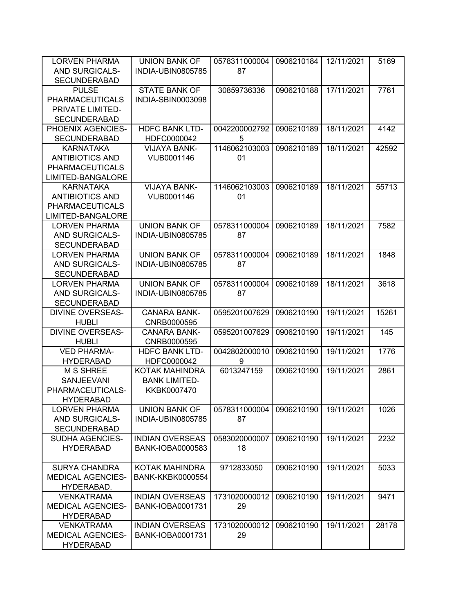| <b>LORVEN PHARMA</b><br><b>AND SURGICALS-</b> | <b>UNION BANK OF</b><br>INDIA-UBIN0805785 | 0578311000004<br>87 | 0906210184 | 12/11/2021 | 5169  |
|-----------------------------------------------|-------------------------------------------|---------------------|------------|------------|-------|
| <b>SECUNDERABAD</b>                           |                                           |                     |            |            |       |
| <b>PULSE</b>                                  | <b>STATE BANK OF</b>                      | 30859736336         | 0906210188 | 17/11/2021 | 7761  |
| <b>PHARMACEUTICALS</b>                        | INDIA-SBIN0003098                         |                     |            |            |       |
| PRIVATE LIMITED-                              |                                           |                     |            |            |       |
| <b>SECUNDERABAD</b>                           |                                           |                     |            |            |       |
| PHOENIX AGENCIES-                             | <b>HDFC BANK LTD-</b>                     | 0042200002792       | 0906210189 | 18/11/2021 | 4142  |
| <b>SECUNDERABAD</b>                           | HDFC0000042                               | 5                   |            |            |       |
| <b>KARNATAKA</b>                              | <b>VIJAYA BANK-</b>                       | 1146062103003       | 0906210189 | 18/11/2021 | 42592 |
| <b>ANTIBIOTICS AND</b>                        | VIJB0001146                               | 01                  |            |            |       |
| <b>PHARMACEUTICALS</b>                        |                                           |                     |            |            |       |
| LIMITED-BANGALORE                             |                                           |                     |            |            |       |
| <b>KARNATAKA</b>                              | <b>VIJAYA BANK-</b>                       | 1146062103003       | 0906210189 | 18/11/2021 | 55713 |
| <b>ANTIBIOTICS AND</b>                        | VIJB0001146                               | 01                  |            |            |       |
| <b>PHARMACEUTICALS</b>                        |                                           |                     |            |            |       |
| LIMITED-BANGALORE                             |                                           |                     |            |            |       |
| <b>LORVEN PHARMA</b>                          | <b>UNION BANK OF</b>                      | 0578311000004       | 0906210189 | 18/11/2021 | 7582  |
| AND SURGICALS-                                | INDIA-UBIN0805785                         | 87                  |            |            |       |
| <b>SECUNDERABAD</b>                           |                                           |                     |            |            |       |
| <b>LORVEN PHARMA</b>                          | <b>UNION BANK OF</b>                      | 0578311000004       | 0906210189 | 18/11/2021 | 1848  |
| AND SURGICALS-                                | INDIA-UBIN0805785                         | 87                  |            |            |       |
| <b>SECUNDERABAD</b>                           |                                           |                     |            |            |       |
| <b>LORVEN PHARMA</b>                          | <b>UNION BANK OF</b>                      | 0578311000004       | 0906210189 | 18/11/2021 | 3618  |
| <b>AND SURGICALS-</b>                         | INDIA-UBIN0805785                         | 87                  |            |            |       |
| <b>SECUNDERABAD</b>                           |                                           |                     |            |            |       |
| <b>DIVINE OVERSEAS-</b>                       | <b>CANARA BANK-</b>                       | 0595201007629       | 0906210190 | 19/11/2021 | 15261 |
| <b>HUBLI</b>                                  | CNRB0000595                               |                     |            |            |       |
| <b>DIVINE OVERSEAS-</b>                       | <b>CANARA BANK-</b>                       | 0595201007629       | 0906210190 | 19/11/2021 | 145   |
| <b>HUBLI</b>                                  | CNRB0000595                               |                     |            |            |       |
| <b>VED PHARMA-</b>                            | <b>HDFC BANK LTD-</b>                     | 0042802000010       | 0906210190 | 19/11/2021 | 1776  |
| <b>HYDERABAD</b>                              | HDFC0000042                               | 9                   |            |            |       |
| <b>M S SHREE</b>                              | KOTAK MAHINDRA                            | 6013247159          | 0906210190 | 19/11/2021 | 2861  |
| <b>SANJEEVANI</b>                             | <b>BANK LIMITED-</b>                      |                     |            |            |       |
| PHARMACEUTICALS-                              | KKBK0007470                               |                     |            |            |       |
| <b>HYDERABAD</b>                              |                                           |                     |            |            |       |
| <b>LORVEN PHARMA</b>                          | <b>UNION BANK OF</b>                      | 0578311000004       | 0906210190 | 19/11/2021 | 1026  |
| AND SURGICALS-                                | INDIA-UBIN0805785                         | 87                  |            |            |       |
| <b>SECUNDERABAD</b>                           |                                           |                     |            |            |       |
| <b>SUDHA AGENCIES-</b>                        | <b>INDIAN OVERSEAS</b>                    | 0583020000007       | 0906210190 | 19/11/2021 | 2232  |
| <b>HYDERABAD</b>                              | <b>BANK-IOBA0000583</b>                   | 18                  |            |            |       |
|                                               |                                           |                     |            |            |       |
| <b>SURYA CHANDRA</b>                          | KOTAK MAHINDRA                            | 9712833050          | 0906210190 | 19/11/2021 | 5033  |
| <b>MEDICAL AGENCIES-</b>                      | <b>BANK-KKBK0000554</b>                   |                     |            |            |       |
| HYDERABAD.                                    |                                           |                     |            |            |       |
| <b>VENKATRAMA</b>                             | <b>INDIAN OVERSEAS</b>                    | 1731020000012       | 0906210190 | 19/11/2021 | 9471  |
| <b>MEDICAL AGENCIES-</b>                      | BANK-IOBA0001731                          | 29                  |            |            |       |
| <b>HYDERABAD</b>                              |                                           |                     |            |            |       |
| <b>VENKATRAMA</b>                             | <b>INDIAN OVERSEAS</b>                    | 1731020000012       | 0906210190 | 19/11/2021 | 28178 |
| <b>MEDICAL AGENCIES-</b>                      | BANK-IOBA0001731                          | 29                  |            |            |       |
| <b>HYDERABAD</b>                              |                                           |                     |            |            |       |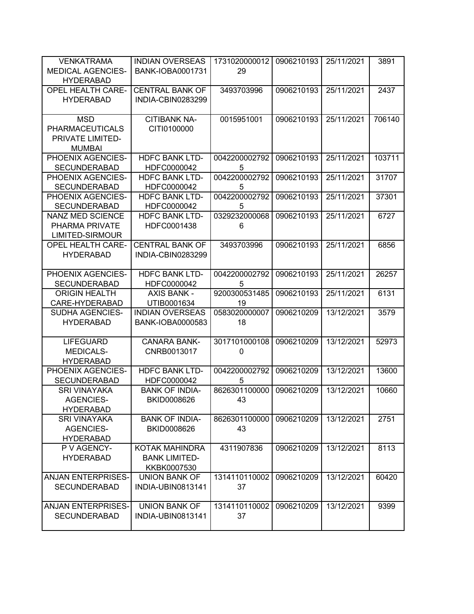| <b>VENKATRAMA</b>                            | <b>INDIAN OVERSEAS</b>               | 1731020000012      | 0906210193 | 25/11/2021 | 3891   |
|----------------------------------------------|--------------------------------------|--------------------|------------|------------|--------|
| <b>MEDICAL AGENCIES-</b>                     | <b>BANK-IOBA0001731</b>              | 29                 |            |            |        |
| <b>HYDERABAD</b><br><b>OPEL HEALTH CARE-</b> | <b>CENTRAL BANK OF</b>               | 3493703996         | 0906210193 | 25/11/2021 | 2437   |
| <b>HYDERABAD</b>                             | INDIA-CBIN0283299                    |                    |            |            |        |
|                                              |                                      |                    |            |            |        |
| <b>MSD</b>                                   | <b>CITIBANK NA-</b>                  | 0015951001         | 0906210193 | 25/11/2021 | 706140 |
| <b>PHARMACEUTICALS</b>                       | CITI0100000                          |                    |            |            |        |
| PRIVATE LIMITED-                             |                                      |                    |            |            |        |
| <b>MUMBAI</b>                                |                                      |                    |            |            |        |
| PHOENIX AGENCIES-                            | <b>HDFC BANK LTD-</b>                | 0042200002792      | 0906210193 | 25/11/2021 | 103711 |
| <b>SECUNDERABAD</b>                          | HDFC0000042                          | 5                  |            |            |        |
| PHOENIX AGENCIES-                            | <b>HDFC BANK LTD-</b>                | 0042200002792      | 0906210193 | 25/11/2021 | 31707  |
| <b>SECUNDERABAD</b>                          | HDFC0000042                          | 5                  |            |            |        |
| PHOENIX AGENCIES-<br><b>SECUNDERABAD</b>     | <b>HDFC BANK LTD-</b>                | 0042200002792      | 0906210193 | 25/11/2021 | 37301  |
| <b>NANZ MED SCIENCE</b>                      | HDFC0000042<br><b>HDFC BANK LTD-</b> | 5<br>0329232000068 | 0906210193 | 25/11/2021 | 6727   |
| PHARMA PRIVATE                               | HDFC0001438                          | 6                  |            |            |        |
| LIMITED-SIRMOUR                              |                                      |                    |            |            |        |
| <b>OPEL HEALTH CARE-</b>                     | <b>CENTRAL BANK OF</b>               | 3493703996         | 0906210193 | 25/11/2021 | 6856   |
| <b>HYDERABAD</b>                             | INDIA-CBIN0283299                    |                    |            |            |        |
|                                              |                                      |                    |            |            |        |
| PHOENIX AGENCIES-                            | <b>HDFC BANK LTD-</b>                | 0042200002792      | 0906210193 | 25/11/2021 | 26257  |
| <b>SECUNDERABAD</b>                          | HDFC0000042                          | 5                  |            |            |        |
| <b>ORIGIN HEALTH</b>                         | <b>AXIS BANK -</b>                   | 9200300531485      | 0906210193 | 25/11/2021 | 6131   |
| CARE-HYDERABAD                               | UTIB0001634                          | 19                 |            |            |        |
| SUDHA AGENCIES-                              | <b>INDIAN OVERSEAS</b>               | 0583020000007      | 0906210209 | 13/12/2021 | 3579   |
| <b>HYDERABAD</b>                             | BANK-IOBA0000583                     | 18                 |            |            |        |
| <b>LIFEGUARD</b>                             | <b>CANARA BANK-</b>                  | 3017101000108      | 0906210209 | 13/12/2021 | 52973  |
| <b>MEDICALS-</b>                             | CNRB0013017                          | $\pmb{0}$          |            |            |        |
| <b>HYDERABAD</b>                             |                                      |                    |            |            |        |
| PHOENIX AGENCIES-                            | <b>HDFC BANK LTD-</b>                | 0042200002792      | 0906210209 | 13/12/2021 | 13600  |
| <b>SECUNDERABAD</b>                          | HDFC0000042                          | 5                  |            |            |        |
| <b>SRI VINAYAKA</b>                          | <b>BANK OF INDIA-</b>                | 8626301100000      | 0906210209 | 13/12/2021 | 10660  |
| <b>AGENCIES-</b>                             | BKID0008626                          | 43                 |            |            |        |
| <b>HYDERABAD</b>                             |                                      |                    |            |            |        |
| <b>SRI VINAYAKA</b>                          | <b>BANK OF INDIA-</b>                | 8626301100000      | 0906210209 | 13/12/2021 | 2751   |
| <b>AGENCIES-</b>                             | BKID0008626                          | 43                 |            |            |        |
| <b>HYDERABAD</b>                             |                                      |                    |            |            |        |
| P V AGENCY-                                  | KOTAK MAHINDRA                       | 4311907836         | 0906210209 | 13/12/2021 | 8113   |
| <b>HYDERABAD</b>                             | <b>BANK LIMITED-</b><br>KKBK0007530  |                    |            |            |        |
| <b>ANJAN ENTERPRISES-</b>                    | <b>UNION BANK OF</b>                 | 1314110110002      | 0906210209 | 13/12/2021 | 60420  |
| <b>SECUNDERABAD</b>                          | <b>INDIA-UBIN0813141</b>             | 37                 |            |            |        |
|                                              |                                      |                    |            |            |        |
| <b>ANJAN ENTERPRISES-</b>                    | <b>UNION BANK OF</b>                 | 1314110110002      | 0906210209 | 13/12/2021 | 9399   |
| <b>SECUNDERABAD</b>                          | <b>INDIA-UBIN0813141</b>             | 37                 |            |            |        |
|                                              |                                      |                    |            |            |        |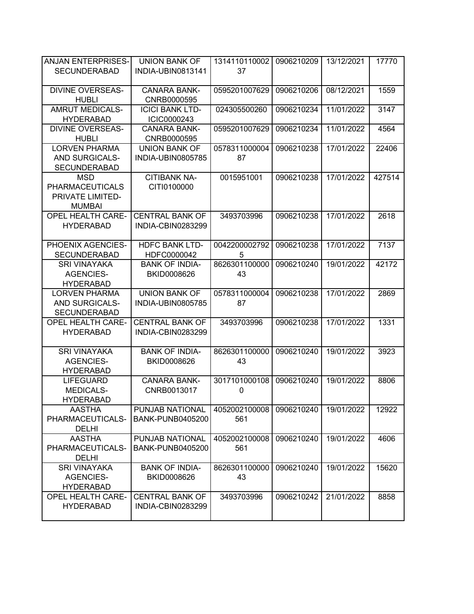| <b>ANJAN ENTERPRISES-</b>                    | <b>UNION BANK OF</b>                        | 1314110110002       | 0906210209 | 13/12/2021 | 17770  |
|----------------------------------------------|---------------------------------------------|---------------------|------------|------------|--------|
| <b>SECUNDERABAD</b>                          | <b>INDIA-UBIN0813141</b>                    | 37                  |            |            |        |
| <b>DIVINE OVERSEAS-</b>                      | <b>CANARA BANK-</b>                         | 0595201007629       | 0906210206 | 08/12/2021 | 1559   |
| <b>HUBLI</b>                                 | CNRB0000595                                 |                     |            |            |        |
| <b>AMRUT MEDICALS-</b>                       | <b>ICICI BANK LTD-</b>                      | 024305500260        | 0906210234 | 11/01/2022 | 3147   |
| <b>HYDERABAD</b><br><b>DIVINE OVERSEAS-</b>  | ICIC0000243<br><b>CANARA BANK-</b>          | 0595201007629       | 0906210234 | 11/01/2022 | 4564   |
| <b>HUBLI</b>                                 | CNRB0000595                                 |                     |            |            |        |
| <b>LORVEN PHARMA</b>                         | <b>UNION BANK OF</b>                        | 0578311000004       | 0906210238 | 17/01/2022 | 22406  |
| <b>AND SURGICALS-</b>                        | INDIA-UBIN0805785                           | 87                  |            |            |        |
| <b>SECUNDERABAD</b>                          |                                             |                     |            |            |        |
| <b>MSD</b>                                   | <b>CITIBANK NA-</b>                         | 0015951001          | 0906210238 | 17/01/2022 | 427514 |
| <b>PHARMACEUTICALS</b><br>PRIVATE LIMITED-   | CITI0100000                                 |                     |            |            |        |
| <b>MUMBAI</b>                                |                                             |                     |            |            |        |
| <b>OPEL HEALTH CARE-</b>                     | <b>CENTRAL BANK OF</b>                      | 3493703996          | 0906210238 | 17/01/2022 | 2618   |
| <b>HYDERABAD</b>                             | INDIA-CBIN0283299                           |                     |            |            |        |
|                                              |                                             |                     |            |            |        |
| PHOENIX AGENCIES-                            | <b>HDFC BANK LTD-</b>                       | 0042200002792<br>5  | 0906210238 | 17/01/2022 | 7137   |
| <b>SECUNDERABAD</b><br><b>SRI VINAYAKA</b>   | HDFC0000042<br><b>BANK OF INDIA-</b>        | 8626301100000       | 0906210240 | 19/01/2022 | 42172  |
| <b>AGENCIES-</b>                             | <b>BKID0008626</b>                          | 43                  |            |            |        |
| <b>HYDERABAD</b>                             |                                             |                     |            |            |        |
| <b>LORVEN PHARMA</b>                         | <b>UNION BANK OF</b>                        | 0578311000004       | 0906210238 | 17/01/2022 | 2869   |
| AND SURGICALS-                               | INDIA-UBIN0805785                           | 87                  |            |            |        |
| <b>SECUNDERABAD</b>                          |                                             |                     |            |            |        |
| <b>OPEL HEALTH CARE-</b><br><b>HYDERABAD</b> | <b>CENTRAL BANK OF</b><br>INDIA-CBIN0283299 | 3493703996          | 0906210238 | 17/01/2022 | 1331   |
|                                              |                                             |                     |            |            |        |
| <b>SRI VINAYAKA</b>                          | <b>BANK OF INDIA-</b>                       | 8626301100000       | 0906210240 | 19/01/2022 | 3923   |
| <b>AGENCIES-</b>                             | BKID0008626                                 | 43                  |            |            |        |
| <b>HYDERABAD</b>                             |                                             |                     |            |            |        |
| <b>LIFEGUARD</b>                             | <b>CANARA BANK-</b>                         | 3017101000108       | 0906210240 | 19/01/2022 | 8806   |
| <b>MEDICALS-</b><br><b>HYDERABAD</b>         | CNRB0013017                                 | $\mathbf 0$         |            |            |        |
| <b>AASTHA</b>                                | PUNJAB NATIONAL                             | 4052002100008       | 0906210240 | 19/01/2022 | 12922  |
| PHARMACEUTICALS-                             | <b>BANK-PUNB0405200</b>                     | 561                 |            |            |        |
| <b>DELHI</b>                                 |                                             |                     |            |            |        |
| <b>AASTHA</b>                                | PUNJAB NATIONAL                             | 4052002100008       | 0906210240 | 19/01/2022 | 4606   |
| PHARMACEUTICALS-                             | <b>BANK-PUNB0405200</b>                     | 561                 |            |            |        |
| <b>DELHI</b><br><b>SRI VINAYAKA</b>          | <b>BANK OF INDIA-</b>                       |                     | 0906210240 |            |        |
| <b>AGENCIES-</b>                             | BKID0008626                                 | 8626301100000<br>43 |            | 19/01/2022 | 15620  |
| <b>HYDERABAD</b>                             |                                             |                     |            |            |        |
| OPEL HEALTH CARE-                            | <b>CENTRAL BANK OF</b>                      | 3493703996          | 0906210242 | 21/01/2022 | 8858   |
| <b>HYDERABAD</b>                             | INDIA-CBIN0283299                           |                     |            |            |        |
|                                              |                                             |                     |            |            |        |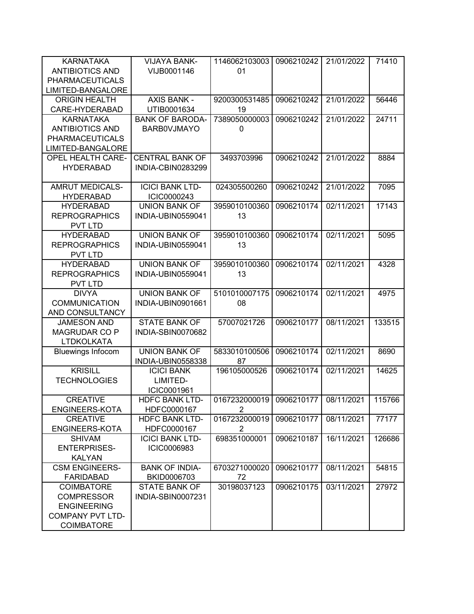| <b>KARNATAKA</b>         | <b>VIJAYA BANK-</b>    | 1146062103003  | 0906210242 | 21/01/2022 | 71410  |
|--------------------------|------------------------|----------------|------------|------------|--------|
| <b>ANTIBIOTICS AND</b>   | VIJB0001146            | 01             |            |            |        |
| <b>PHARMACEUTICALS</b>   |                        |                |            |            |        |
| LIMITED-BANGALORE        |                        |                |            |            |        |
| <b>ORIGIN HEALTH</b>     | <b>AXIS BANK -</b>     | 9200300531485  | 0906210242 | 21/01/2022 | 56446  |
| CARE-HYDERABAD           | UTIB0001634            | 19             |            |            |        |
| <b>KARNATAKA</b>         | <b>BANK OF BARODA-</b> | 7389050000003  | 0906210242 | 21/01/2022 | 24711  |
| <b>ANTIBIOTICS AND</b>   | <b>BARBOVJMAYO</b>     | 0              |            |            |        |
| <b>PHARMACEUTICALS</b>   |                        |                |            |            |        |
| LIMITED-BANGALORE        |                        |                |            |            |        |
| <b>OPEL HEALTH CARE-</b> | <b>CENTRAL BANK OF</b> | 3493703996     | 0906210242 | 21/01/2022 | 8884   |
| <b>HYDERABAD</b>         | INDIA-CBIN0283299      |                |            |            |        |
|                          |                        |                |            |            |        |
| <b>AMRUT MEDICALS-</b>   | <b>ICICI BANK LTD-</b> | 024305500260   | 0906210242 | 21/01/2022 | 7095   |
| <b>HYDERABAD</b>         | ICIC0000243            |                |            |            |        |
| <b>HYDERABAD</b>         | <b>UNION BANK OF</b>   | 3959010100360  | 0906210174 | 02/11/2021 | 17143  |
| <b>REPROGRAPHICS</b>     | INDIA-UBIN0559041      | 13             |            |            |        |
| <b>PVT LTD</b>           |                        |                |            |            |        |
| <b>HYDERABAD</b>         | <b>UNION BANK OF</b>   | 3959010100360  | 0906210174 | 02/11/2021 | 5095   |
| <b>REPROGRAPHICS</b>     | INDIA-UBIN0559041      | 13             |            |            |        |
| <b>PVT LTD</b>           |                        |                |            |            |        |
| <b>HYDERABAD</b>         | <b>UNION BANK OF</b>   | 3959010100360  | 0906210174 | 02/11/2021 | 4328   |
| <b>REPROGRAPHICS</b>     | INDIA-UBIN0559041      | 13             |            |            |        |
| <b>PVT LTD</b>           |                        |                |            |            |        |
| <b>DIVYA</b>             | <b>UNION BANK OF</b>   | 5101010007175  | 0906210174 | 02/11/2021 | 4975   |
| <b>COMMUNICATION</b>     | INDIA-UBIN0901661      | 08             |            |            |        |
| AND CONSULTANCY          |                        |                |            |            |        |
| <b>JAMESON AND</b>       | <b>STATE BANK OF</b>   | 57007021726    | 0906210177 | 08/11/2021 | 133515 |
| <b>MAGRUDAR CO P</b>     | INDIA-SBIN0070682      |                |            |            |        |
| <b>LTDKOLKATA</b>        |                        |                |            |            |        |
| <b>Bluewings Infocom</b> | <b>UNION BANK OF</b>   | 5833010100506  | 0906210174 | 02/11/2021 | 8690   |
|                          | INDIA-UBIN0558338      | 87             |            |            |        |
| <b>KRISILL</b>           | <b>ICICI BANK</b>      | 196105000526   | 0906210174 | 02/11/2021 | 14625  |
| <b>TECHNOLOGIES</b>      | LIMITED-               |                |            |            |        |
|                          | ICIC0001961            |                |            |            |        |
| <b>CREATIVE</b>          | HDFC BANK LTD-         | 0167232000019  | 0906210177 | 08/11/2021 | 115766 |
| ENGINEERS-KOTA           | HDFC0000167            | $\overline{2}$ |            |            |        |
| <b>CREATIVE</b>          | <b>HDFC BANK LTD-</b>  | 0167232000019  | 0906210177 | 08/11/2021 | 77177  |
| <b>ENGINEERS-KOTA</b>    | HDFC0000167            | $\overline{2}$ |            |            |        |
| <b>SHIVAM</b>            | <b>ICICI BANK LTD-</b> | 698351000001   | 0906210187 | 16/11/2021 | 126686 |
| <b>ENTERPRISES-</b>      | ICIC0006983            |                |            |            |        |
| <b>KALYAN</b>            |                        |                |            |            |        |
| <b>CSM ENGINEERS-</b>    | <b>BANK OF INDIA-</b>  | 6703271000020  | 0906210177 | 08/11/2021 | 54815  |
| <b>FARIDABAD</b>         | BKID0006703            | 72             |            |            |        |
| <b>COIMBATORE</b>        | <b>STATE BANK OF</b>   | 30198037123    | 0906210175 | 03/11/2021 | 27972  |
| <b>COMPRESSOR</b>        | INDIA-SBIN0007231      |                |            |            |        |
| <b>ENGINEERING</b>       |                        |                |            |            |        |
| <b>COMPANY PVT LTD-</b>  |                        |                |            |            |        |
| <b>COIMBATORE</b>        |                        |                |            |            |        |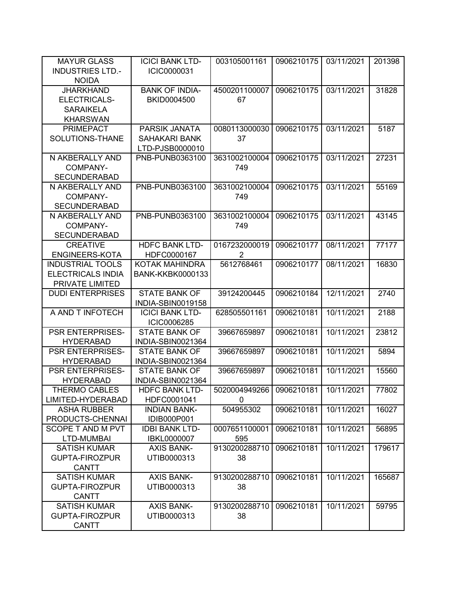| <b>MAYUR GLASS</b>              | <b>ICICI BANK LTD-</b>  | 003105001161   | 0906210175 | 03/11/2021 | 201398 |
|---------------------------------|-------------------------|----------------|------------|------------|--------|
| <b>INDUSTRIES LTD.-</b>         | ICIC0000031             |                |            |            |        |
| <b>NOIDA</b>                    |                         |                |            |            |        |
| <b>JHARKHAND</b>                | <b>BANK OF INDIA-</b>   | 4500201100007  | 0906210175 | 03/11/2021 | 31828  |
| ELECTRICALS-                    | BKID0004500             | 67             |            |            |        |
| <b>SARAIKELA</b>                |                         |                |            |            |        |
| <b>KHARSWAN</b>                 |                         |                |            |            |        |
| <b>PRIMEPACT</b>                | PARSIK JANATA           | 0080113000030  | 0906210175 | 03/11/2021 | 5187   |
| SOLUTIONS-THANE                 | <b>SAHAKARI BANK</b>    | 37             |            |            |        |
|                                 | LTD-PJSB0000010         |                |            |            |        |
| N AKBERALLY AND                 | PNB-PUNB0363100         | 3631002100004  | 0906210175 | 03/11/2021 | 27231  |
| COMPANY-                        |                         | 749            |            |            |        |
| <b>SECUNDERABAD</b>             |                         |                |            |            |        |
| N AKBERALLY AND                 | PNB-PUNB0363100         | 3631002100004  | 0906210175 | 03/11/2021 | 55169  |
| COMPANY-                        |                         | 749            |            |            |        |
| <b>SECUNDERABAD</b>             | PNB-PUNB0363100         |                | 0906210175 | 03/11/2021 | 43145  |
| N AKBERALLY AND                 |                         | 3631002100004  |            |            |        |
| COMPANY-<br><b>SECUNDERABAD</b> |                         | 749            |            |            |        |
| <b>CREATIVE</b>                 | <b>HDFC BANK LTD-</b>   | 0167232000019  | 0906210177 | 08/11/2021 | 77177  |
| <b>ENGINEERS-KOTA</b>           | HDFC0000167             | $\overline{2}$ |            |            |        |
| <b>INDUSTRIAL TOOLS</b>         | KOTAK MAHINDRA          | 5612768461     | 0906210177 | 08/11/2021 | 16830  |
| <b>ELECTRICALS INDIA</b>        | <b>BANK-KKBK0000133</b> |                |            |            |        |
| PRIVATE LIMITED                 |                         |                |            |            |        |
| <b>DUDI ENTERPRISES</b>         | <b>STATE BANK OF</b>    | 39124200445    | 0906210184 | 12/11/2021 | 2740   |
|                                 | INDIA-SBIN0019158       |                |            |            |        |
| A AND T INFOTECH                | <b>ICICI BANK LTD-</b>  | 628505501161   | 0906210181 | 10/11/2021 | 2188   |
|                                 | ICIC0006285             |                |            |            |        |
| <b>PSR ENTERPRISES-</b>         | <b>STATE BANK OF</b>    | 39667659897    | 0906210181 | 10/11/2021 | 23812  |
| <b>HYDERABAD</b>                | INDIA-SBIN0021364       |                |            |            |        |
| <b>PSR ENTERPRISES-</b>         | <b>STATE BANK OF</b>    | 39667659897    | 0906210181 | 10/11/2021 | 5894   |
| <b>HYDERABAD</b>                | INDIA-SBIN0021364       |                |            |            |        |
| <b>PSR ENTERPRISES-</b>         | <b>STATE BANK OF</b>    | 39667659897    | 0906210181 | 10/11/2021 | 15560  |
| <b>HYDERABAD</b>                | INDIA-SBIN0021364       |                |            |            |        |
| <b>THERMO CABLES</b>            | <b>HDFC BANK LTD-</b>   | 5020004949266  | 0906210181 | 10/11/2021 | 77802  |
| LIMITED-HYDERABAD               | HDFC0001041             | 0              |            |            |        |
| <b>ASHA RUBBER</b>              | <b>INDIAN BANK-</b>     | 504955302      | 0906210181 | 10/11/2021 | 16027  |
| PRODUCTS-CHENNAI                | <b>IDIB000P001</b>      |                |            |            |        |
| SCOPE T AND M PVT               | <b>IDBI BANK LTD-</b>   | 0007651100001  | 0906210181 | 10/11/2021 | 56895  |
| LTD-MUMBAI                      | <b>IBKL0000007</b>      | 595            |            |            |        |
| <b>SATISH KUMAR</b>             | <b>AXIS BANK-</b>       | 9130200288710  | 0906210181 | 10/11/2021 | 179617 |
| <b>GUPTA-FIROZPUR</b>           | UTIB0000313             | 38             |            |            |        |
| <b>CANTT</b>                    |                         |                |            |            |        |
| <b>SATISH KUMAR</b>             | <b>AXIS BANK-</b>       | 9130200288710  | 0906210181 | 10/11/2021 | 165687 |
| GUPTA-FIROZPUR                  | UTIB0000313             | 38             |            |            |        |
| <b>CANTT</b>                    |                         |                |            |            |        |
| <b>SATISH KUMAR</b>             | <b>AXIS BANK-</b>       | 9130200288710  | 0906210181 | 10/11/2021 | 59795  |
| <b>GUPTA-FIROZPUR</b>           | UTIB0000313             | 38             |            |            |        |
| <b>CANTT</b>                    |                         |                |            |            |        |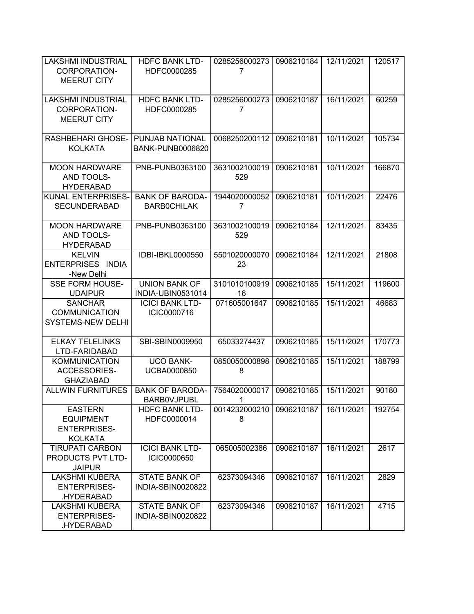| <b>LAKSHMI INDUSTRIAL</b><br>CORPORATION-                                   | <b>HDFC BANK LTD-</b><br>HDFC0000285             | 0285256000273<br>7   | 0906210184 | 12/11/2021 | 120517 |
|-----------------------------------------------------------------------------|--------------------------------------------------|----------------------|------------|------------|--------|
| <b>MEERUT CITY</b>                                                          |                                                  |                      |            |            |        |
| <b>LAKSHMI INDUSTRIAL</b><br><b>CORPORATION-</b><br><b>MEERUT CITY</b>      | <b>HDFC BANK LTD-</b><br>HDFC0000285             | 0285256000273<br>7   | 0906210187 | 16/11/2021 | 60259  |
| <b>RASHBEHARI GHOSE-</b><br><b>KOLKATA</b>                                  | PUNJAB NATIONAL<br><b>BANK-PUNB0006820</b>       | 0068250200112        | 0906210181 | 10/11/2021 | 105734 |
| <b>MOON HARDWARE</b><br>AND TOOLS-<br><b>HYDERABAD</b>                      | PNB-PUNB0363100                                  | 3631002100019<br>529 | 0906210181 | 10/11/2021 | 166870 |
| KUNAL ENTERPRISES-<br><b>SECUNDERABAD</b>                                   | <b>BANK OF BARODA-</b><br><b>BARBOCHILAK</b>     | 1944020000052<br>7   | 0906210181 | 10/11/2021 | 22476  |
| <b>MOON HARDWARE</b><br>AND TOOLS-<br><b>HYDERABAD</b>                      | PNB-PUNB0363100                                  | 3631002100019<br>529 | 0906210184 | 12/11/2021 | 83435  |
| <b>KELVIN</b><br>ENTERPRISES INDIA<br>-New Delhi                            | IDBI-IBKL0000550                                 | 5501020000070<br>23  | 0906210184 | 12/11/2021 | 21808  |
| <b>SSE FORM HOUSE-</b><br><b>UDAIPUR</b>                                    | <b>UNION BANK OF</b><br>INDIA-UBIN0531014        | 3101010100919<br>16  | 0906210185 | 15/11/2021 | 119600 |
| <b>SANCHAR</b><br><b>COMMUNICATION</b><br><b>SYSTEMS-NEW DELHI</b>          | <b>ICICI BANK LTD-</b><br>ICIC0000716            | 071605001647         | 0906210185 | 15/11/2021 | 46683  |
| <b>ELKAY TELELINKS</b><br>LTD-FARIDABAD                                     | SBI-SBIN0009950                                  | 65033274437          | 0906210185 | 15/11/2021 | 170773 |
| <b>KOMMUNICATION</b><br><b>ACCESSORIES-</b><br><b>GHAZIABAD</b>             | <b>UCO BANK-</b><br>UCBA0000850                  | 0850050000898<br>8   | 0906210185 | 15/11/2021 | 188799 |
| <b>ALLWIN FURNITURES</b>                                                    | <b>BANK OF BARODA-</b><br><b>BARBOVJPUBL</b>     | 7564020000017<br>1   | 0906210185 | 15/11/2021 | 90180  |
| <b>EASTERN</b><br><b>EQUIPMENT</b><br><b>ENTERPRISES-</b><br><b>KOLKATA</b> | <b>HDFC BANK LTD-</b><br>HDFC0000014             | 0014232000210<br>8   | 0906210187 | 16/11/2021 | 192754 |
| <b>TIRUPATI CARBON</b><br>PRODUCTS PVT LTD-<br><b>JAIPUR</b>                | <b>ICICI BANK LTD-</b><br>ICIC0000650            | 065005002386         | 0906210187 | 16/11/2021 | 2617   |
| <b>LAKSHMI KUBERA</b><br><b>ENTERPRISES-</b><br>.HYDERABAD                  | <b>STATE BANK OF</b><br><b>INDIA-SBIN0020822</b> | 62373094346          | 0906210187 | 16/11/2021 | 2829   |
| <b>LAKSHMI KUBERA</b><br><b>ENTERPRISES-</b><br>.HYDERABAD                  | <b>STATE BANK OF</b><br>INDIA-SBIN0020822        | 62373094346          | 0906210187 | 16/11/2021 | 4715   |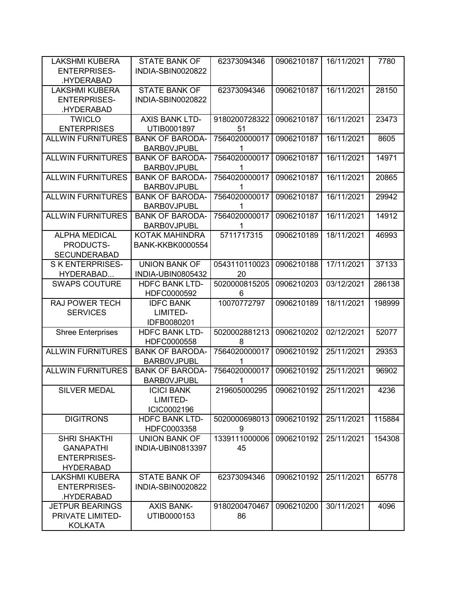| <b>LAKSHMI KUBERA</b>    | <b>STATE BANK OF</b>     | 62373094346   | 0906210187 | 16/11/2021 | 7780   |
|--------------------------|--------------------------|---------------|------------|------------|--------|
| <b>ENTERPRISES-</b>      | INDIA-SBIN0020822        |               |            |            |        |
| .HYDERABAD               |                          |               |            |            |        |
| <b>LAKSHMI KUBERA</b>    | <b>STATE BANK OF</b>     | 62373094346   | 0906210187 | 16/11/2021 | 28150  |
| <b>ENTERPRISES-</b>      | INDIA-SBIN0020822        |               |            |            |        |
| .HYDERABAD               |                          |               |            |            |        |
| <b>TWICLO</b>            | AXIS BANK LTD-           | 9180200728322 | 0906210187 | 16/11/2021 | 23473  |
| <b>ENTERPRISES</b>       | UTIB0001897              | 51            |            |            |        |
| <b>ALLWIN FURNITURES</b> | <b>BANK OF BARODA-</b>   | 7564020000017 | 0906210187 | 16/11/2021 | 8605   |
|                          | <b>BARBOVJPUBL</b>       | 1             |            |            |        |
| <b>ALLWIN FURNITURES</b> | <b>BANK OF BARODA-</b>   | 7564020000017 | 0906210187 | 16/11/2021 | 14971  |
|                          | <b>BARBOVJPUBL</b>       | 1             |            |            |        |
| <b>ALLWIN FURNITURES</b> | <b>BANK OF BARODA-</b>   | 7564020000017 | 0906210187 | 16/11/2021 | 20865  |
|                          | <b>BARBOVJPUBL</b>       | 1             |            |            |        |
| <b>ALLWIN FURNITURES</b> | <b>BANK OF BARODA-</b>   | 7564020000017 | 0906210187 | 16/11/2021 | 29942  |
|                          | <b>BARBOVJPUBL</b>       | 1             |            |            |        |
| <b>ALLWIN FURNITURES</b> | <b>BANK OF BARODA-</b>   | 7564020000017 | 0906210187 | 16/11/2021 | 14912  |
|                          | <b>BARBOVJPUBL</b>       | 1             |            |            |        |
| <b>ALPHA MEDICAL</b>     | <b>KOTAK MAHINDRA</b>    | 5711717315    | 0906210189 | 18/11/2021 | 46993  |
| PRODUCTS-                | <b>BANK-KKBK0000554</b>  |               |            |            |        |
| <b>SECUNDERABAD</b>      |                          |               |            |            |        |
| <b>SKENTERPRISES-</b>    | <b>UNION BANK OF</b>     | 0543110110023 | 0906210188 | 17/11/2021 | 37133  |
| HYDERABAD                | <b>INDIA-UBIN0805432</b> | 20            |            |            |        |
| <b>SWAPS COUTURE</b>     | <b>HDFC BANK LTD-</b>    | 5020000815205 | 0906210203 | 03/12/2021 | 286138 |
|                          | HDFC0000592              | 6             |            |            |        |
| <b>RAJ POWER TECH</b>    | <b>IDFC BANK</b>         | 10070772797   | 0906210189 | 18/11/2021 | 198999 |
| <b>SERVICES</b>          | LIMITED-                 |               |            |            |        |
|                          | IDFB0080201              |               |            |            |        |
| <b>Shree Enterprises</b> | <b>HDFC BANK LTD-</b>    | 5020002881213 | 0906210202 | 02/12/2021 | 52077  |
|                          | HDFC0000558              | 8             |            |            |        |
| <b>ALLWIN FURNITURES</b> | <b>BANK OF BARODA-</b>   | 7564020000017 | 0906210192 | 25/11/2021 | 29353  |
|                          | <b>BARBOVJPUBL</b>       | 1             |            |            |        |
| <b>ALLWIN FURNITURES</b> | <b>BANK OF BARODA-</b>   | 7564020000017 | 0906210192 | 25/11/2021 | 96902  |
|                          | <b>BARBOVJPUBL</b>       | 1             |            |            |        |
| <b>SILVER MEDAL</b>      | <b>ICICI BANK</b>        | 219605000295  | 0906210192 | 25/11/2021 | 4236   |
|                          | LIMITED-                 |               |            |            |        |
|                          | ICIC0002196              |               |            |            |        |
| <b>DIGITRONS</b>         | <b>HDFC BANK LTD-</b>    | 5020000698013 | 0906210192 | 25/11/2021 | 115884 |
|                          | HDFC0003358              | 9             |            |            |        |
| <b>SHRI SHAKTHI</b>      | <b>UNION BANK OF</b>     | 1339111000006 | 0906210192 | 25/11/2021 | 154308 |
| <b>GANAPATHI</b>         | INDIA-UBIN0813397        | 45            |            |            |        |
| <b>ENTERPRISES-</b>      |                          |               |            |            |        |
| <b>HYDERABAD</b>         |                          |               |            |            |        |
| <b>LAKSHMI KUBERA</b>    | <b>STATE BANK OF</b>     | 62373094346   | 0906210192 | 25/11/2021 | 65778  |
| <b>ENTERPRISES-</b>      | <b>INDIA-SBIN0020822</b> |               |            |            |        |
| .HYDERABAD               |                          |               |            |            |        |
| <b>JETPUR BEARINGS</b>   | <b>AXIS BANK-</b>        | 9180200470467 | 0906210200 | 30/11/2021 | 4096   |
| PRIVATE LIMITED-         | UTIB0000153              | 86            |            |            |        |
| <b>KOLKATA</b>           |                          |               |            |            |        |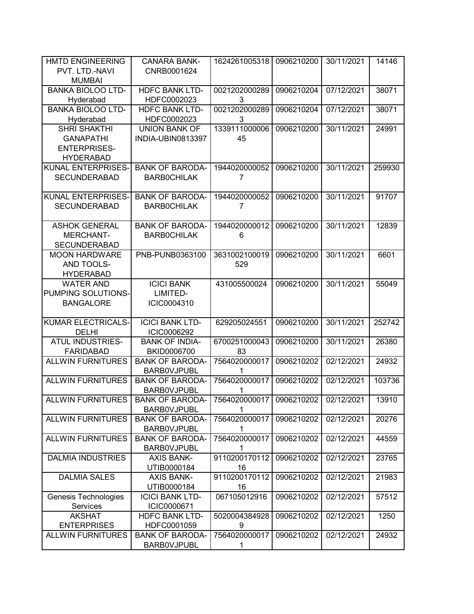| <b>HMTD ENGINEERING</b>   | <b>CANARA BANK-</b>    | 1624261005318            | 0906210200 | 30/11/2021 | 14146  |
|---------------------------|------------------------|--------------------------|------------|------------|--------|
| PVT. LTD.-NAVI            | CNRB0001624            |                          |            |            |        |
| <b>MUMBAI</b>             |                        |                          |            |            |        |
| <b>BANKA BIOLOO LTD-</b>  | <b>HDFC BANK LTD-</b>  | 0021202000289            | 0906210204 | 07/12/2021 | 38071  |
| Hyderabad                 | HDFC0002023            | 3                        |            |            |        |
| <b>BANKA BIOLOO LTD-</b>  | <b>HDFC BANK LTD-</b>  | 0021202000289            | 0906210204 | 07/12/2021 | 38071  |
| Hyderabad                 | HDFC0002023            | 3                        |            |            |        |
| <b>SHRI SHAKTHI</b>       | <b>UNION BANK OF</b>   | 1339111000006            | 0906210200 | 30/11/2021 | 24991  |
| <b>GANAPATHI</b>          | INDIA-UBIN0813397      | 45                       |            |            |        |
| <b>ENTERPRISES-</b>       |                        |                          |            |            |        |
| <b>HYDERABAD</b>          |                        |                          |            |            |        |
| <b>KUNAL ENTERPRISES-</b> | <b>BANK OF BARODA-</b> | 1944020000052            | 0906210200 | 30/11/2021 | 259930 |
| <b>SECUNDERABAD</b>       | <b>BARBOCHILAK</b>     | 7                        |            |            |        |
|                           |                        |                          |            |            |        |
| KUNAL ENTERPRISES-        | <b>BANK OF BARODA-</b> | 1944020000052            | 0906210200 | 30/11/2021 | 91707  |
| <b>SECUNDERABAD</b>       | <b>BARBOCHILAK</b>     | 7                        |            |            |        |
|                           |                        |                          |            |            |        |
| <b>ASHOK GENERAL</b>      | <b>BANK OF BARODA-</b> | 1944020000012            | 0906210200 | 30/11/2021 | 12839  |
| <b>MERCHANT-</b>          | <b>BARBOCHILAK</b>     | 6                        |            |            |        |
| <b>SECUNDERABAD</b>       |                        |                          |            |            |        |
| <b>MOON HARDWARE</b>      | PNB-PUNB0363100        | 3631002100019            | 0906210200 | 30/11/2021 | 6601   |
| AND TOOLS-                |                        | 529                      |            |            |        |
| <b>HYDERABAD</b>          |                        |                          |            |            |        |
| <b>WATER AND</b>          | <b>ICICI BANK</b>      | 431005500024             | 0906210200 | 30/11/2021 | 55049  |
| PUMPING SOLUTIONS-        | LIMITED-               |                          |            |            |        |
| <b>BANGALORE</b>          | ICIC0004310            |                          |            |            |        |
| <b>KUMAR ELECTRICALS-</b> | <b>ICICI BANK LTD-</b> | 629205024551             | 0906210200 | 30/11/2021 | 252742 |
| <b>DELHI</b>              | ICIC0006292            |                          |            |            |        |
| <b>ATUL INDUSTRIES-</b>   | <b>BANK OF INDIA-</b>  | 6700251000043            | 0906210200 | 30/11/2021 | 26380  |
| <b>FARIDABAD</b>          | BKID0006700            | 83                       |            |            |        |
| <b>ALLWIN FURNITURES</b>  | <b>BANK OF BARODA-</b> | 7564020000017            | 0906210202 | 02/12/2021 | 24932  |
|                           | <b>BARBOVJPUBL</b>     | 1                        |            |            |        |
| <b>ALLWIN FURNITURES</b>  | <b>BANK OF BARODA-</b> | 7564020000017            | 0906210202 | 02/12/2021 | 103736 |
|                           | <b>BARBOVJPUBL</b>     | 1                        |            |            |        |
| <b>ALLWIN FURNITURES</b>  | <b>BANK OF BARODA-</b> | 7564020000017 0906210202 |            | 02/12/2021 | 13910  |
|                           | <b>BARBOVJPUBL</b>     | 1                        |            |            |        |
| <b>ALLWIN FURNITURES</b>  | <b>BANK OF BARODA-</b> | 7564020000017            | 0906210202 | 02/12/2021 | 20276  |
|                           | <b>BARBOVJPUBL</b>     | 1                        |            |            |        |
| <b>ALLWIN FURNITURES</b>  | <b>BANK OF BARODA-</b> | 7564020000017            | 0906210202 | 02/12/2021 | 44559  |
|                           | <b>BARBOVJPUBL</b>     | 1                        |            |            |        |
| <b>DALMIA INDUSTRIES</b>  | <b>AXIS BANK-</b>      | 9110200170112            | 0906210202 | 02/12/2021 | 23765  |
|                           | UTIB0000184            | 16                       |            |            |        |
| <b>DALMIA SALES</b>       | <b>AXIS BANK-</b>      | 9110200170112            | 0906210202 | 02/12/2021 | 21983  |
|                           | UTIB0000184            | 16                       |            |            |        |
| Genesis Technologies      | <b>ICICI BANK LTD-</b> | 067105012916             | 0906210202 | 02/12/2021 | 57512  |
| Services                  | ICIC0000671            |                          |            |            |        |
| <b>AKSHAT</b>             | <b>HDFC BANK LTD-</b>  | 5020004384928            | 0906210202 | 02/12/2021 | 1250   |
| <b>ENTERPRISES</b>        | HDFC0001059            | 9                        |            |            |        |
| <b>ALLWIN FURNITURES</b>  | <b>BANK OF BARODA-</b> | 7564020000017            | 0906210202 | 02/12/2021 | 24932  |
|                           | <b>BARBOVJPUBL</b>     | 1                        |            |            |        |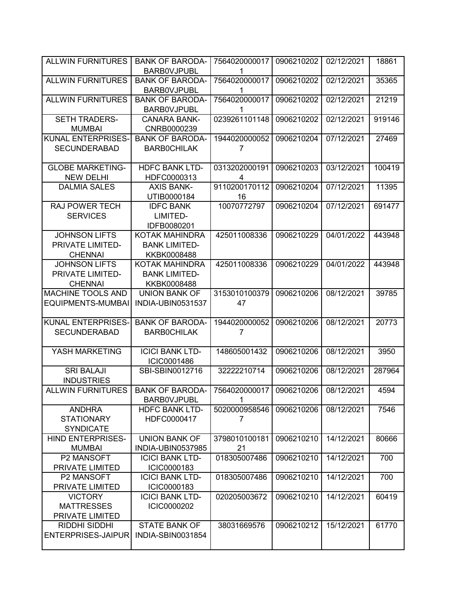| <b>ALLWIN FURNITURES</b>                                   | <b>BANK OF BARODA-</b>                                       | 7564020000017       | 0906210202 | 02/12/2021 | 18861  |
|------------------------------------------------------------|--------------------------------------------------------------|---------------------|------------|------------|--------|
|                                                            | <b>BARBOVJPUBL</b>                                           | 1                   |            |            |        |
| <b>ALLWIN FURNITURES</b>                                   | <b>BANK OF BARODA-</b><br><b>BARBOVJPUBL</b>                 | 7564020000017<br>1  | 0906210202 | 02/12/2021 | 35365  |
| <b>ALLWIN FURNITURES</b>                                   | <b>BANK OF BARODA-</b><br><b>BARBOVJPUBL</b>                 | 7564020000017<br>1  | 0906210202 | 02/12/2021 | 21219  |
| <b>SETH TRADERS-</b><br><b>MUMBAI</b>                      | <b>CANARA BANK-</b><br>CNRB0000239                           | 0239261101148       | 0906210202 | 02/12/2021 | 919146 |
| KUNAL ENTERPRISES-<br><b>SECUNDERABAD</b>                  | <b>BANK OF BARODA-</b><br><b>BARBOCHILAK</b>                 | 1944020000052<br>7  | 0906210204 | 07/12/2021 | 27469  |
| <b>GLOBE MARKETING-</b><br><b>NEW DELHI</b>                | <b>HDFC BANK LTD-</b><br>HDFC0000313                         | 0313202000191<br>4  | 0906210203 | 03/12/2021 | 100419 |
| <b>DALMIA SALES</b>                                        | <b>AXIS BANK-</b><br>UTIB0000184                             | 9110200170112<br>16 | 0906210204 | 07/12/2021 | 11395  |
| <b>RAJ POWER TECH</b><br><b>SERVICES</b>                   | <b>IDFC BANK</b><br>LIMITED-<br>IDFB0080201                  | 10070772797         | 0906210204 | 07/12/2021 | 691477 |
| <b>JOHNSON LIFTS</b><br>PRIVATE LIMITED-<br><b>CHENNAI</b> | <b>KOTAK MAHINDRA</b><br><b>BANK LIMITED-</b><br>KKBK0008488 | 425011008336        | 0906210229 | 04/01/2022 | 443948 |
| <b>JOHNSON LIFTS</b><br>PRIVATE LIMITED-<br><b>CHENNAI</b> | <b>KOTAK MAHINDRA</b><br><b>BANK LIMITED-</b><br>KKBK0008488 | 425011008336        | 0906210229 | 04/01/2022 | 443948 |
| <b>MACHINE TOOLS AND</b><br><b>EQUIPMENTS-MUMBAI</b>       | UNION BANK OF<br>INDIA-UBIN0531537                           | 3153010100379<br>47 | 0906210206 | 08/12/2021 | 39785  |
| KUNAL ENTERPRISES-<br><b>SECUNDERABAD</b>                  | <b>BANK OF BARODA-</b><br><b>BARBOCHILAK</b>                 | 1944020000052<br>7  | 0906210206 | 08/12/2021 | 20773  |
| YASH MARKETING                                             | <b>ICICI BANK LTD-</b><br>ICIC0001486                        | 148605001432        | 0906210206 | 08/12/2021 | 3950   |
| <b>SRI BALAJI</b><br><b>INDUSTRIES</b>                     | SBI-SBIN0012716                                              | 32222210714         | 0906210206 | 08/12/2021 | 287964 |
| <b>ALLWIN FURNITURES</b>                                   | <b>BANK OF BARODA-</b><br><b>BARBOVJPUBL</b>                 | 7564020000017<br>1  | 0906210206 | 08/12/2021 | 4594   |
| <b>ANDHRA</b><br><b>STATIONARY</b><br><b>SYNDICATE</b>     | <b>HDFC BANK LTD-</b><br>HDFC0000417                         | 5020000958546<br>7  | 0906210206 | 08/12/2021 | 7546   |
| <b>HIND ENTERPRISES-</b><br><b>MUMBAI</b>                  | <b>UNION BANK OF</b><br>INDIA-UBIN0537985                    | 3798010100181<br>21 | 0906210210 | 14/12/2021 | 80666  |
| P2 MANSOFT<br>PRIVATE LIMITED                              | <b>ICICI BANK LTD-</b><br>ICIC0000183                        | 018305007486        | 0906210210 | 14/12/2021 | 700    |
| P2 MANSOFT<br>PRIVATE LIMITED                              | <b>ICICI BANK LTD-</b><br>ICIC0000183                        | 018305007486        | 0906210210 | 14/12/2021 | 700    |
| <b>VICTORY</b><br><b>MATTRESSES</b><br>PRIVATE LIMITED     | <b>ICICI BANK LTD-</b><br>ICIC0000202                        | 020205003672        | 0906210210 | 14/12/2021 | 60419  |
| RIDDHI SIDDHI<br><b>ENTERPRISES-JAIPUR</b>                 | <b>STATE BANK OF</b><br>INDIA-SBIN0031854                    | 38031669576         | 0906210212 | 15/12/2021 | 61770  |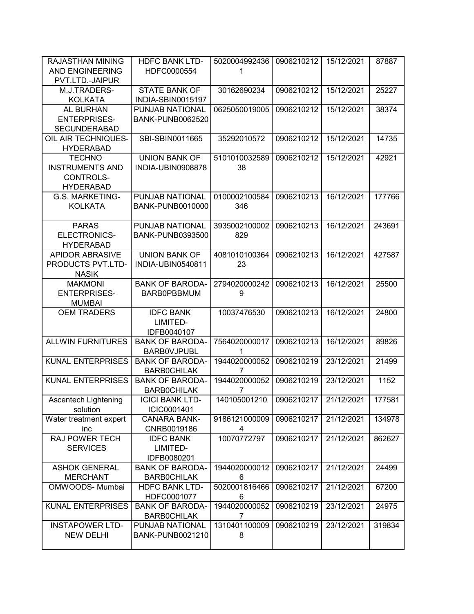| <b>RAJASTHAN MINING</b><br><b>AND ENGINEERING</b> | <b>HDFC BANK LTD-</b><br>HDFC0000554      | 5020004992436<br>1             | 0906210212 | 15/12/2021 | 87887  |
|---------------------------------------------------|-------------------------------------------|--------------------------------|------------|------------|--------|
| PVT.LTD.-JAIPUR                                   |                                           |                                |            |            |        |
| M.J.TRADERS-<br><b>KOLKATA</b>                    | <b>STATE BANK OF</b><br>INDIA-SBIN0015197 | 30162690234                    | 0906210212 | 15/12/2021 | 25227  |
| AL BURHAN                                         | PUNJAB NATIONAL                           | 0625050019005                  | 0906210212 | 15/12/2021 | 38374  |
| <b>ENTERPRISES-</b>                               | <b>BANK-PUNB0062520</b>                   |                                |            |            |        |
| <b>SECUNDERABAD</b>                               |                                           |                                |            |            |        |
| OIL AIR TECHNIQUES-                               | SBI-SBIN0011665                           | 35292010572                    | 0906210212 | 15/12/2021 | 14735  |
| <b>HYDERABAD</b>                                  |                                           |                                |            |            |        |
| <b>TECHNO</b>                                     | <b>UNION BANK OF</b>                      | 5101010032589                  | 0906210212 | 15/12/2021 | 42921  |
| <b>INSTRUMENTS AND</b>                            | INDIA-UBIN0908878                         | 38                             |            |            |        |
| <b>CONTROLS-</b>                                  |                                           |                                |            |            |        |
| <b>HYDERABAD</b>                                  |                                           |                                |            |            |        |
| G.S. MARKETING-                                   | PUNJAB NATIONAL                           | 0100002100584                  | 0906210213 | 16/12/2021 | 177766 |
| <b>KOLKATA</b>                                    | <b>BANK-PUNB0010000</b>                   | 346                            |            |            |        |
| <b>PARAS</b>                                      | <b>PUNJAB NATIONAL</b>                    | 3935002100002                  | 0906210213 | 16/12/2021 | 243691 |
| ELECTRONICS-                                      | <b>BANK-PUNB0393500</b>                   | 829                            |            |            |        |
| <b>HYDERABAD</b>                                  |                                           |                                |            |            |        |
| <b>APIDOR ABRASIVE</b>                            | <b>UNION BANK OF</b>                      | 4081010100364                  | 0906210213 | 16/12/2021 | 427587 |
| PRODUCTS PVT.LTD-                                 | INDIA-UBIN0540811                         | 23                             |            |            |        |
| <b>NASIK</b>                                      |                                           |                                |            |            |        |
| <b>MAKMONI</b>                                    | <b>BANK OF BARODA-</b>                    | 2794020000242                  | 0906210213 | 16/12/2021 | 25500  |
| <b>ENTERPRISES-</b>                               | <b>BARB0PBBMUM</b>                        | 9                              |            |            |        |
| <b>MUMBAI</b>                                     |                                           |                                |            |            |        |
| <b>OEM TRADERS</b>                                | <b>IDFC BANK</b>                          | 10037476530                    | 0906210213 | 16/12/2021 | 24800  |
|                                                   | LIMITED-                                  |                                |            |            |        |
|                                                   | IDFB0040107                               |                                |            |            |        |
| <b>ALLWIN FURNITURES</b>                          | <b>BANK OF BARODA-</b>                    | 7564020000017                  | 0906210213 | 16/12/2021 | 89826  |
|                                                   | <b>BARBOVJPUBL</b>                        | 1                              |            |            |        |
| <b>KUNAL ENTERPRISES</b>                          | <b>BANK OF BARODA-</b>                    | 1944020000052                  | 0906210219 | 23/12/2021 | 21499  |
|                                                   | <b>BARBOCHILAK</b>                        | 7                              |            |            |        |
| <b>KUNAL ENTERPRISES</b>                          | <b>BANK OF BARODA-</b>                    | 1944020000052                  | 0906210219 | 23/12/2021 | 1152   |
|                                                   | <b>BARBOCHILAK</b>                        | $\overline{7}$<br>140105001210 |            |            |        |
| Ascentech Lightening<br>solution                  | <b>ICICI BANK LTD-</b><br>ICIC0001401     |                                | 0906210217 | 21/12/2021 | 177581 |
| Water treatment expert                            | <b>CANARA BANK-</b>                       | 9186121000009                  | 0906210217 | 21/12/2021 | 134978 |
| inc                                               | CNRB0019186                               | 4                              |            |            |        |
| RAJ POWER TECH                                    | <b>IDFC BANK</b>                          | 10070772797                    | 0906210217 | 21/12/2021 | 862627 |
| <b>SERVICES</b>                                   | LIMITED-                                  |                                |            |            |        |
|                                                   | IDFB0080201                               |                                |            |            |        |
| <b>ASHOK GENERAL</b>                              | <b>BANK OF BARODA-</b>                    | 1944020000012                  | 0906210217 | 21/12/2021 | 24499  |
| <b>MERCHANT</b>                                   | <b>BARBOCHILAK</b>                        | 6                              |            |            |        |
| OMWOODS- Mumbai                                   | <b>HDFC BANK LTD-</b>                     | 5020001816466                  | 0906210217 | 21/12/2021 | 67200  |
|                                                   | HDFC0001077                               | 6                              |            |            |        |
| <b>KUNAL ENTERPRISES</b>                          | <b>BANK OF BARODA-</b>                    | 1944020000052                  | 0906210219 | 23/12/2021 | 24975  |
|                                                   | <b>BARBOCHILAK</b>                        | 7                              |            |            |        |
| <b>INSTAPOWER LTD-</b>                            | PUNJAB NATIONAL                           | 1310401100009                  | 0906210219 | 23/12/2021 | 319834 |
| <b>NEW DELHI</b>                                  | <b>BANK-PUNB0021210</b>                   | 8                              |            |            |        |
|                                                   |                                           |                                |            |            |        |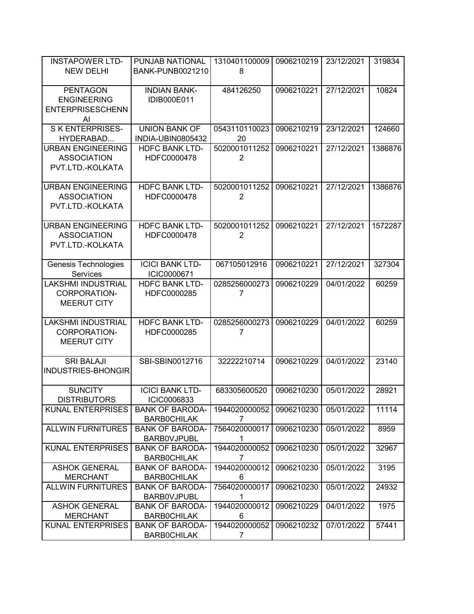| <b>INSTAPOWER LTD-</b>    | PUNJAB NATIONAL         | 1310401100009  | 0906210219 | 23/12/2021 | 319834  |
|---------------------------|-------------------------|----------------|------------|------------|---------|
| <b>NEW DELHI</b>          | <b>BANK-PUNB0021210</b> | 8              |            |            |         |
|                           |                         |                |            |            |         |
| <b>PENTAGON</b>           | <b>INDIAN BANK-</b>     | 484126250      | 0906210221 | 27/12/2021 | 10824   |
| <b>ENGINEERING</b>        | IDIB000E011             |                |            |            |         |
| <b>ENTERPRISESCHENN</b>   |                         |                |            |            |         |
| Al                        |                         |                |            |            |         |
| <b>SKENTERPRISES-</b>     | <b>UNION BANK OF</b>    | 0543110110023  | 0906210219 | 23/12/2021 | 124660  |
| HYDERABAD                 | INDIA-UBIN0805432       | 20             |            |            |         |
| <b>URBAN ENGINEERING</b>  | <b>HDFC BANK LTD-</b>   | 5020001011252  | 0906210221 | 27/12/2021 | 1386876 |
| <b>ASSOCIATION</b>        | HDFC0000478             | 2              |            |            |         |
| PVT.LTD.-KOLKATA          |                         |                |            |            |         |
|                           |                         |                |            |            |         |
| <b>URBAN ENGINEERING</b>  | <b>HDFC BANK LTD-</b>   | 5020001011252  | 0906210221 | 27/12/2021 | 1386876 |
| <b>ASSOCIATION</b>        | HDFC0000478             | $\overline{2}$ |            |            |         |
| PVT.LTD.-KOLKATA          |                         |                |            |            |         |
|                           |                         |                |            |            |         |
| <b>URBAN ENGINEERING</b>  | <b>HDFC BANK LTD-</b>   | 5020001011252  | 0906210221 | 27/12/2021 | 1572287 |
| <b>ASSOCIATION</b>        | HDFC0000478             | $\overline{2}$ |            |            |         |
| PVT.LTD.-KOLKATA          |                         |                |            |            |         |
|                           |                         |                |            |            |         |
| Genesis Technologies      | <b>ICICI BANK LTD-</b>  | 067105012916   | 0906210221 | 27/12/2021 | 327304  |
| Services                  | ICIC0000671             |                |            |            |         |
| <b>LAKSHMI INDUSTRIAL</b> | <b>HDFC BANK LTD-</b>   | 0285256000273  | 0906210229 | 04/01/2022 | 60259   |
| CORPORATION-              | HDFC0000285             | 7              |            |            |         |
| <b>MEERUT CITY</b>        |                         |                |            |            |         |
|                           |                         |                |            |            |         |
| <b>LAKSHMI INDUSTRIAL</b> | <b>HDFC BANK LTD-</b>   | 0285256000273  | 0906210229 | 04/01/2022 | 60259   |
| CORPORATION-              | HDFC0000285             | 7              |            |            |         |
| <b>MEERUT CITY</b>        |                         |                |            |            |         |
|                           |                         |                |            |            |         |
| <b>SRI BALAJI</b>         | SBI-SBIN0012716         | 32222210714    | 0906210229 | 04/01/2022 | 23140   |
| INDUSTRIES-BHONGIR        |                         |                |            |            |         |
|                           |                         |                |            |            |         |
| <b>SUNCITY</b>            | <b>ICICI BANK LTD-</b>  | 683305600520   | 0906210230 | 05/01/2022 | 28921   |
| <b>DISTRIBUTORS</b>       | ICIC0006833             |                |            |            |         |
| <b>KUNAL ENTERPRISES</b>  | <b>BANK OF BARODA-</b>  | 1944020000052  | 0906210230 | 05/01/2022 | 11114   |
|                           | <b>BARBOCHILAK</b>      | 7              |            |            |         |
| <b>ALLWIN FURNITURES</b>  | <b>BANK OF BARODA-</b>  | 7564020000017  | 0906210230 | 05/01/2022 | 8959    |
|                           | <b>BARBOVJPUBL</b>      | 1              |            |            |         |
| <b>KUNAL ENTERPRISES</b>  | <b>BANK OF BARODA-</b>  | 1944020000052  | 0906210230 | 05/01/2022 | 32967   |
|                           | <b>BARBOCHILAK</b>      | 7              |            |            |         |
| <b>ASHOK GENERAL</b>      | <b>BANK OF BARODA-</b>  | 1944020000012  | 0906210230 | 05/01/2022 | 3195    |
| <b>MERCHANT</b>           | <b>BARBOCHILAK</b>      | 6              |            |            |         |
| <b>ALLWIN FURNITURES</b>  | <b>BANK OF BARODA-</b>  | 7564020000017  | 0906210230 | 05/01/2022 | 24932   |
|                           | <b>BARBOVJPUBL</b>      | 1              |            |            |         |
| <b>ASHOK GENERAL</b>      | <b>BANK OF BARODA-</b>  | 1944020000012  | 0906210229 | 04/01/2022 | 1975    |
| <b>MERCHANT</b>           | <b>BARBOCHILAK</b>      | 6              |            |            |         |
| <b>KUNAL ENTERPRISES</b>  | <b>BANK OF BARODA-</b>  | 1944020000052  | 0906210232 | 07/01/2022 | 57441   |
|                           | <b>BARBOCHILAK</b>      | 7              |            |            |         |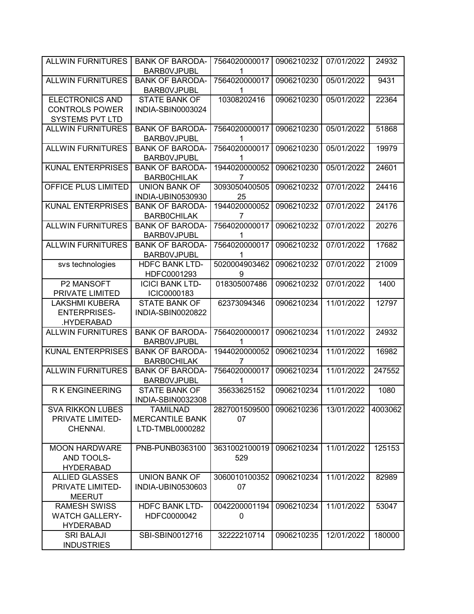| <b>ALLWIN FURNITURES</b>                                                  | <b>BANK OF BARODA-</b><br><b>BARBOVJPUBL</b>                 | 7564020000017<br>1   | 0906210232 | 07/01/2022 | 24932   |
|---------------------------------------------------------------------------|--------------------------------------------------------------|----------------------|------------|------------|---------|
| <b>ALLWIN FURNITURES</b>                                                  | <b>BANK OF BARODA-</b><br><b>BARBOVJPUBL</b>                 | 7564020000017<br>1   | 0906210230 | 05/01/2022 | 9431    |
| <b>ELECTRONICS AND</b><br><b>CONTROLS POWER</b><br><b>SYSTEMS PVT LTD</b> | <b>STATE BANK OF</b><br>INDIA-SBIN0003024                    | 10308202416          | 0906210230 | 05/01/2022 | 22364   |
| <b>ALLWIN FURNITURES</b>                                                  | <b>BANK OF BARODA-</b><br><b>BARBOVJPUBL</b>                 | 7564020000017<br>1   | 0906210230 | 05/01/2022 | 51868   |
| <b>ALLWIN FURNITURES</b>                                                  | <b>BANK OF BARODA-</b><br><b>BARBOVJPUBL</b>                 | 7564020000017<br>1   | 0906210230 | 05/01/2022 | 19979   |
| <b>KUNAL ENTERPRISES</b>                                                  | <b>BANK OF BARODA-</b><br><b>BARBOCHILAK</b>                 | 1944020000052<br>7   | 0906210230 | 05/01/2022 | 24601   |
| OFFICE PLUS LIMITED                                                       | <b>UNION BANK OF</b><br>INDIA-UBIN0530930                    | 3093050400505<br>25  | 0906210232 | 07/01/2022 | 24416   |
| <b>KUNAL ENTERPRISES</b>                                                  | <b>BANK OF BARODA-</b><br><b>BARB0CHILAK</b>                 | 1944020000052<br>7   | 0906210232 | 07/01/2022 | 24176   |
| <b>ALLWIN FURNITURES</b>                                                  | <b>BANK OF BARODA-</b><br><b>BARBOVJPUBL</b>                 | 7564020000017<br>1   | 0906210232 | 07/01/2022 | 20276   |
| <b>ALLWIN FURNITURES</b>                                                  | <b>BANK OF BARODA-</b><br><b>BARBOVJPUBL</b>                 | 7564020000017<br>1   | 0906210232 | 07/01/2022 | 17682   |
| svs technologies                                                          | <b>HDFC BANK LTD-</b><br>HDFC0001293                         | 5020004903462<br>9   | 0906210232 | 07/01/2022 | 21009   |
| P2 MANSOFT<br>PRIVATE LIMITED                                             | <b>ICICI BANK LTD-</b><br>ICIC0000183                        | 018305007486         | 0906210232 | 07/01/2022 | 1400    |
| <b>LAKSHMI KUBERA</b><br><b>ENTERPRISES-</b><br>.HYDERABAD                | <b>STATE BANK OF</b><br>INDIA-SBIN0020822                    | 62373094346          | 0906210234 | 11/01/2022 | 12797   |
| <b>ALLWIN FURNITURES</b>                                                  | <b>BANK OF BARODA-</b><br><b>BARBOVJPUBL</b>                 | 7564020000017<br>1   | 0906210234 | 11/01/2022 | 24932   |
| <b>KUNAL ENTERPRISES</b>                                                  | <b>BANK OF BARODA-</b><br><b>BARBOCHILAK</b>                 | 1944020000052<br>7   | 0906210234 | 11/01/2022 | 16982   |
| <b>ALLWIN FURNITURES</b>                                                  | <b>BANK OF BARODA-</b><br><b>BARBOVJPUBL</b>                 | 7564020000017<br>1   | 0906210234 | 11/01/2022 | 247552  |
| <b>RK ENGINEERING</b>                                                     | <b>STATE BANK OF</b><br>INDIA-SBIN0032308                    | 35633625152          | 0906210234 | 11/01/2022 | 1080    |
| <b>SVA RIKKON LUBES</b><br>PRIVATE LIMITED-<br>CHENNAI.                   | <b>TAMILNAD</b><br><b>MERCANTILE BANK</b><br>LTD-TMBL0000282 | 2827001509500<br>07  | 0906210236 | 13/01/2022 | 4003062 |
| <b>MOON HARDWARE</b><br>AND TOOLS-<br><b>HYDERABAD</b>                    | PNB-PUNB0363100                                              | 3631002100019<br>529 | 0906210234 | 11/01/2022 | 125153  |
| <b>ALLIED GLASSES</b><br>PRIVATE LIMITED-<br><b>MEERUT</b>                | <b>UNION BANK OF</b><br>INDIA-UBIN0530603                    | 3060010100352<br>07  | 0906210234 | 11/01/2022 | 82989   |
| <b>RAMESH SWISS</b><br><b>WATCH GALLERY-</b><br><b>HYDERABAD</b>          | <b>HDFC BANK LTD-</b><br>HDFC0000042                         | 0042200001194<br>0   | 0906210234 | 11/01/2022 | 53047   |
| <b>SRI BALAJI</b><br><b>INDUSTRIES</b>                                    | SBI-SBIN0012716                                              | 32222210714          | 0906210235 | 12/01/2022 | 180000  |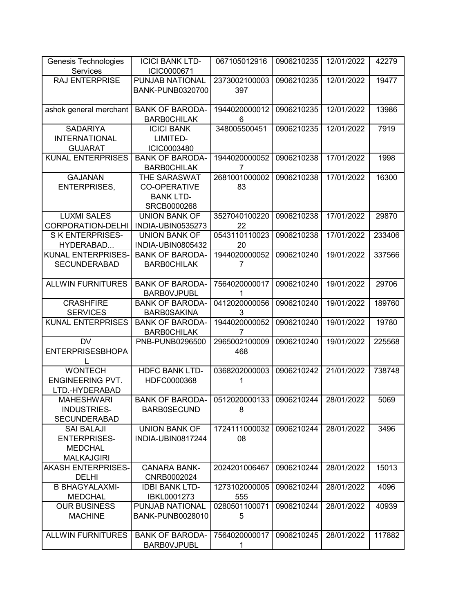| Genesis Technologies                  | <b>ICICI BANK LTD-</b>                       | 067105012916             | 0906210235 | 12/01/2022 | 42279  |
|---------------------------------------|----------------------------------------------|--------------------------|------------|------------|--------|
| Services                              | ICIC0000671                                  |                          |            |            |        |
| <b>RAJ ENTERPRISE</b>                 | PUNJAB NATIONAL<br><b>BANK-PUNB0320700</b>   | 2373002100003<br>397     | 0906210235 | 12/01/2022 | 19477  |
| ashok general merchant                | <b>BANK OF BARODA-</b><br><b>BARBOCHILAK</b> | 1944020000012<br>6       | 0906210235 | 12/01/2022 | 13986  |
| <b>SADARIYA</b>                       | <b>ICICI BANK</b>                            | 348005500451             | 0906210235 | 12/01/2022 | 7919   |
| <b>INTERNATIONAL</b>                  | LIMITED-                                     |                          |            |            |        |
| <b>GUJARAT</b>                        | ICIC0003480                                  |                          |            |            |        |
| <b>KUNAL ENTERPRISES</b>              | <b>BANK OF BARODA-</b>                       | 1944020000052            | 0906210238 | 17/01/2022 | 1998   |
|                                       | <b>BARBOCHILAK</b>                           | 7                        |            |            |        |
| <b>GAJANAN</b>                        | THE SARASWAT                                 | 2681001000002            | 0906210238 | 17/01/2022 | 16300  |
| <b>ENTERPRISES,</b>                   | <b>CO-OPERATIVE</b>                          | 83                       |            |            |        |
|                                       | <b>BANK LTD-</b>                             |                          |            |            |        |
|                                       | SRCB0000268                                  |                          |            |            |        |
| <b>LUXMI SALES</b>                    | <b>UNION BANK OF</b>                         | 3527040100220            | 0906210238 | 17/01/2022 | 29870  |
| CORPORATION-DELHI                     | INDIA-UBIN0535273                            | 22                       |            |            |        |
| <b>SKENTERPRISES-</b>                 | <b>UNION BANK OF</b>                         | 0543110110023            | 0906210238 | 17/01/2022 | 233406 |
| HYDERABAD                             | INDIA-UBIN0805432                            | 20                       |            |            |        |
| KUNAL ENTERPRISES-                    | <b>BANK OF BARODA-</b>                       | 1944020000052            | 0906210240 | 19/01/2022 | 337566 |
| <b>SECUNDERABAD</b>                   | <b>BARBOCHILAK</b>                           | 7                        |            |            |        |
| <b>ALLWIN FURNITURES</b>              | <b>BANK OF BARODA-</b>                       | 7564020000017            | 0906210240 | 19/01/2022 | 29706  |
|                                       | <b>BARBOVJPUBL</b>                           |                          |            |            |        |
| <b>CRASHFIRE</b>                      | <b>BANK OF BARODA-</b>                       | 0412020000056            | 0906210240 | 19/01/2022 | 189760 |
| <b>SERVICES</b>                       | <b>BARB0SAKINA</b>                           | 3                        |            |            |        |
| <b>KUNAL ENTERPRISES</b>              | <b>BANK OF BARODA-</b>                       | 1944020000052            | 0906210240 | 19/01/2022 | 19780  |
|                                       | <b>BARBOCHILAK</b>                           | 7                        |            |            |        |
| <b>DV</b>                             | PNB-PUNB0296500                              | 2965002100009            | 0906210240 | 19/01/2022 | 225568 |
| <b>ENTERPRISESBHOPA</b>               |                                              | 468                      |            |            |        |
|                                       |                                              |                          |            |            |        |
| <b>WONTECH</b>                        | <b>HDFC BANK LTD-</b>                        | 0368202000003            | 0906210242 | 21/01/2022 | 738748 |
| <b>ENGINEERING PVT.</b>               | HDFC0000368                                  | 1                        |            |            |        |
| LTD.-HYDERABAD                        |                                              |                          |            |            |        |
| <b>MAHESHWARI</b>                     | <b>BANK OF BARODA-</b>                       | 0512020000133 0906210244 |            | 28/01/2022 | 5069   |
| <b>INDUSTRIES-</b>                    | <b>BARB0SECUND</b>                           | 8                        |            |            |        |
| <b>SECUNDERABAD</b>                   |                                              |                          |            |            |        |
| <b>SAI BALAJI</b>                     | <b>UNION BANK OF</b>                         | 1724111000032            | 0906210244 | 28/01/2022 | 3496   |
| <b>ENTERPRISES-</b>                   | INDIA-UBIN0817244                            | 08                       |            |            |        |
| <b>MEDCHAL</b>                        |                                              |                          |            |            |        |
| <b>MALKAJGIRI</b>                     |                                              |                          |            |            |        |
| <b>AKASH ENTERPRISES-</b>             | <b>CANARA BANK-</b>                          | 2024201006467            | 0906210244 | 28/01/2022 | 15013  |
| <b>DELHI</b>                          | CNRB0002024                                  |                          |            |            |        |
| <b>B BHAGYALAXMI-</b>                 | <b>IDBI BANK LTD-</b><br>IBKL0001273         | 1273102000005            | 0906210244 | 28/01/2022 | 4096   |
| <b>MEDCHAL</b><br><b>OUR BUSINESS</b> | PUNJAB NATIONAL                              | 555<br>0280501100071     | 0906210244 | 28/01/2022 | 40939  |
| <b>MACHINE</b>                        | <b>BANK-PUNB0028010</b>                      | 5                        |            |            |        |
|                                       |                                              |                          |            |            |        |
| <b>ALLWIN FURNITURES</b>              | <b>BANK OF BARODA-</b>                       | 7564020000017            | 0906210245 | 28/01/2022 | 117882 |
|                                       | <b>BARBOVJPUBL</b>                           | 1                        |            |            |        |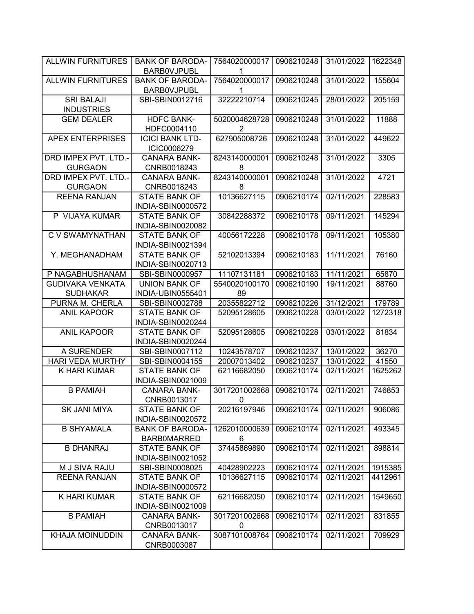| <b>ALLWIN FURNITURES</b>               | <b>BANK OF BARODA-</b>                       | 7564020000017      | 0906210248 | 31/01/2022 | 1622348 |
|----------------------------------------|----------------------------------------------|--------------------|------------|------------|---------|
|                                        | <b>BARBOVJPUBL</b>                           |                    |            |            |         |
| <b>ALLWIN FURNITURES</b>               | <b>BANK OF BARODA-</b><br><b>BARBOVJPUBL</b> | 7564020000017<br>1 | 0906210248 | 31/01/2022 | 155604  |
| <b>SRI BALAJI</b><br><b>INDUSTRIES</b> | SBI-SBIN0012716                              | 32222210714        | 0906210245 | 28/01/2022 | 205159  |
|                                        |                                              |                    |            |            |         |
| <b>GEM DEALER</b>                      | <b>HDFC BANK-</b><br>HDFC0004110             | 5020004628728<br>2 | 0906210248 | 31/01/2022 | 11888   |
| <b>APEX ENTERPRISES</b>                | <b>ICICI BANK LTD-</b><br>ICIC0006279        | 627905008726       | 0906210248 | 31/01/2022 | 449622  |
| DRD IMPEX PVT. LTD.-                   | <b>CANARA BANK-</b>                          | 8243140000001      | 0906210248 | 31/01/2022 | 3305    |
| <b>GURGAON</b>                         | CNRB0018243                                  | 8                  |            |            |         |
| DRD IMPEX PVT. LTD.-                   | <b>CANARA BANK-</b>                          | 8243140000001      | 0906210248 | 31/01/2022 | 4721    |
| <b>GURGAON</b>                         | CNRB0018243                                  | 8                  |            |            |         |
| <b>REENA RANJAN</b>                    | <b>STATE BANK OF</b>                         | 10136627115        | 0906210174 | 02/11/2021 | 228583  |
|                                        | INDIA-SBIN0000572                            |                    |            |            |         |
| P VIJAYA KUMAR                         | <b>STATE BANK OF</b>                         | 30842288372        | 0906210178 | 09/11/2021 | 145294  |
|                                        | INDIA-SBIN0020082                            |                    |            |            |         |
| <b>CV SWAMYNATHAN</b>                  | <b>STATE BANK OF</b>                         | 40056172228        | 0906210178 | 09/11/2021 | 105380  |
|                                        | INDIA-SBIN0021394                            |                    |            |            |         |
| Y. MEGHANADHAM                         | <b>STATE BANK OF</b>                         | 52102013394        | 0906210183 | 11/11/2021 | 76160   |
|                                        | INDIA-SBIN0020713                            |                    |            |            |         |
| P NAGABHUSHANAM                        | SBI-SBIN0000957                              | 11107131181        | 0906210183 | 11/11/2021 | 65870   |
| <b>GUDIVAKA VENKATA</b>                | <b>UNION BANK OF</b>                         | 5540020100170      | 0906210190 | 19/11/2021 | 88760   |
| <b>SUDHAKAR</b>                        | INDIA-UBIN0555401                            | 89                 |            |            |         |
| PURNA M. CHERLA                        | SBI-SBIN0002788                              | 20355822712        | 0906210226 | 31/12/2021 | 179789  |
| <b>ANIL KAPOOR</b>                     | <b>STATE BANK OF</b>                         | 52095128605        | 0906210228 | 03/01/2022 | 1272318 |
|                                        | INDIA-SBIN0020244                            |                    |            |            |         |
| <b>ANIL KAPOOR</b>                     | <b>STATE BANK OF</b>                         | 52095128605        | 0906210228 | 03/01/2022 | 81834   |
|                                        | INDIA-SBIN0020244                            |                    |            |            |         |
| A SURENDER                             | SBI-SBIN0007112                              | 10243578707        | 0906210237 | 13/01/2022 | 36270   |
| <b>HARI VEDA MURTHY</b>                | SBI-SBIN0004155                              | 20007013402        | 0906210237 | 13/01/2022 | 41550   |
| K HARI KUMAR                           | <b>STATE BANK OF</b>                         | 62116682050        | 0906210174 | 02/11/2021 | 1625262 |
|                                        | INDIA-SBIN0021009                            |                    |            |            |         |
| <b>B PAMIAH</b>                        | <b>CANARA BANK-</b>                          | 3017201002668      | 0906210174 | 02/11/2021 | 746853  |
|                                        | CNRB0013017                                  | 0                  |            |            |         |
| SK JANI MIYA                           | <b>STATE BANK OF</b>                         | 20216197946        | 0906210174 | 02/11/2021 | 906086  |
|                                        | INDIA-SBIN0020572                            |                    |            |            |         |
| <b>B SHYAMALA</b>                      | <b>BANK OF BARODA-</b>                       | 1262010000639      | 0906210174 | 02/11/2021 | 493345  |
|                                        | <b>BARBOMARRED</b>                           | 6                  |            |            |         |
| <b>B DHANRAJ</b>                       | <b>STATE BANK OF</b>                         | 37445869890        | 0906210174 | 02/11/2021 | 898814  |
|                                        | INDIA-SBIN0021052                            |                    |            |            |         |
| M J SIVA RAJU                          | SBI-SBIN0008025                              | 40428902223        | 0906210174 | 02/11/2021 | 1915385 |
| <b>REENA RANJAN</b>                    | STATE BANK OF                                | 10136627115        | 0906210174 | 02/11/2021 | 4412961 |
|                                        | INDIA-SBIN0000572                            |                    |            |            |         |
| K HARI KUMAR                           | <b>STATE BANK OF</b>                         | 62116682050        | 0906210174 | 02/11/2021 | 1549650 |
|                                        | INDIA-SBIN0021009                            |                    |            |            |         |
| <b>B PAMIAH</b>                        | <b>CANARA BANK-</b>                          | 3017201002668      | 0906210174 | 02/11/2021 | 831855  |
|                                        | CNRB0013017                                  | 0                  |            |            |         |
| <b>KHAJA MOINUDDIN</b>                 | CANARA BANK-<br>CNRB0003087                  | 3087101008764      | 0906210174 | 02/11/2021 | 709929  |
|                                        |                                              |                    |            |            |         |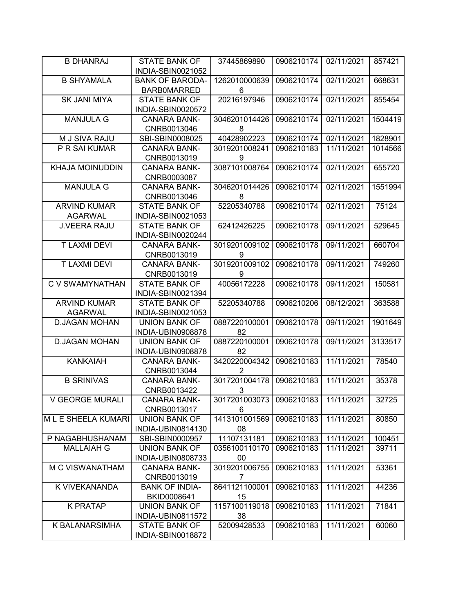| <b>B DHANRAJ</b>       | <b>STATE BANK OF</b>   | 37445869890                | 0906210174 | 02/11/2021 | 857421  |
|------------------------|------------------------|----------------------------|------------|------------|---------|
|                        | INDIA-SBIN0021052      |                            |            |            |         |
| <b>B SHYAMALA</b>      | <b>BANK OF BARODA-</b> | 1262010000639              | 0906210174 | 02/11/2021 | 668631  |
|                        | <b>BARBOMARRED</b>     | 6                          |            |            |         |
| <b>SK JANI MIYA</b>    | <b>STATE BANK OF</b>   | 20216197946                | 0906210174 | 02/11/2021 | 855454  |
|                        | INDIA-SBIN0020572      |                            |            |            |         |
| <b>MANJULA G</b>       | <b>CANARA BANK-</b>    | 3046201014426              | 0906210174 | 02/11/2021 | 1504419 |
|                        | CNRB0013046            | 8                          |            |            |         |
| M J SIVA RAJU          | SBI-SBIN0008025        | 40428902223                | 0906210174 | 02/11/2021 | 1828901 |
| P R SAI KUMAR          | <b>CANARA BANK-</b>    | 3019201008241              | 0906210183 | 11/11/2021 | 1014566 |
|                        | CNRB0013019            | 9                          |            |            |         |
| <b>KHAJA MOINUDDIN</b> | CANARA BANK-           | 3087101008764              | 0906210174 | 02/11/2021 | 655720  |
|                        | CNRB0003087            |                            |            |            |         |
| <b>MANJULA G</b>       | <b>CANARA BANK-</b>    | 3046201014426              | 0906210174 | 02/11/2021 | 1551994 |
|                        | CNRB0013046            | 8                          |            |            |         |
| <b>ARVIND KUMAR</b>    | <b>STATE BANK OF</b>   | 52205340788                | 0906210174 | 02/11/2021 | 75124   |
| <b>AGARWAL</b>         | INDIA-SBIN0021053      |                            |            |            |         |
| <b>J.VEERA RAJU</b>    | <b>STATE BANK OF</b>   | 62412426225                | 0906210178 | 09/11/2021 | 529645  |
|                        | INDIA-SBIN0020244      |                            |            |            |         |
| <b>T LAXMI DEVI</b>    | <b>CANARA BANK-</b>    | 3019201009102              | 0906210178 | 09/11/2021 | 660704  |
|                        | CNRB0013019            | 9                          |            |            |         |
| <b>T LAXMI DEVI</b>    | <b>CANARA BANK-</b>    | 3019201009102              | 0906210178 | 09/11/2021 | 749260  |
|                        | CNRB0013019            | 9                          |            |            |         |
|                        |                        |                            |            |            |         |
| C V SWAMYNATHAN        | <b>STATE BANK OF</b>   | 40056172228                | 0906210178 | 09/11/2021 | 150581  |
|                        | INDIA-SBIN0021394      |                            |            |            |         |
| <b>ARVIND KUMAR</b>    | <b>STATE BANK OF</b>   | 52205340788                | 0906210206 | 08/12/2021 | 363588  |
| <b>AGARWAL</b>         | INDIA-SBIN0021053      |                            |            |            |         |
| <b>D.JAGAN MOHAN</b>   | <b>UNION BANK OF</b>   | 0887220100001              | 0906210178 | 09/11/2021 | 1901649 |
|                        | INDIA-UBIN0908878      | 82                         |            |            |         |
| <b>D.JAGAN MOHAN</b>   | <b>UNION BANK OF</b>   | 0887220100001              | 0906210178 | 09/11/2021 | 3133517 |
|                        | INDIA-UBIN0908878      | 82                         |            |            |         |
| <b>KANKAIAH</b>        | <b>CANARA BANK-</b>    | 3420220004342              | 0906210183 | 11/11/2021 | 78540   |
|                        | CNRB0013044            | $\overline{2}$             |            |            |         |
| <b>B SRINIVAS</b>      | <b>CANARA BANK-</b>    | 3017201004178              | 0906210183 | 11/11/2021 | 35378   |
|                        | CNRB0013422            | 3                          |            |            |         |
| V GEORGE MURALI        | CANARA BANK-           | 3017201003073   0906210183 |            | 11/11/2021 | 32725   |
|                        | CNRB0013017            | 6                          |            |            |         |
| M L E SHEELA KUMARI    | <b>UNION BANK OF</b>   | 1413101001569              | 0906210183 | 11/11/2021 | 80850   |
|                        | INDIA-UBIN0814130      | 08                         |            |            |         |
| P NAGABHUSHANAM        | SBI-SBIN0000957        | 11107131181                | 0906210183 | 11/11/2021 | 100451  |
| <b>MALLAIAH G</b>      | <b>UNION BANK OF</b>   | 0356100110170              | 0906210183 | 11/11/2021 | 39711   |
|                        | INDIA-UBIN0808733      | 00                         |            |            |         |
| <b>M C VISWANATHAM</b> | <b>CANARA BANK-</b>    | 3019201006755              | 0906210183 | 11/11/2021 | 53361   |
|                        | CNRB0013019            | 7                          |            |            |         |
| K VIVEKANANDA          | <b>BANK OF INDIA-</b>  | 8641121100001              | 0906210183 | 11/11/2021 | 44236   |
|                        | BKID0008641            | 15                         |            |            |         |
| <b>K PRATAP</b>        | <b>UNION BANK OF</b>   | 1157100119018              | 0906210183 | 11/11/2021 | 71841   |
|                        | INDIA-UBIN0811572      | 38                         |            |            |         |
| K BALANARSIMHA         | <b>STATE BANK OF</b>   | 52009428533                | 0906210183 | 11/11/2021 | 60060   |
|                        | INDIA-SBIN0018872      |                            |            |            |         |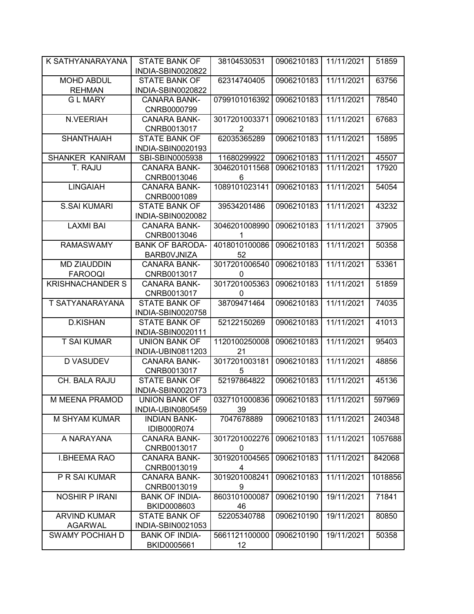| K SATHYANARAYANA        | <b>STATE BANK OF</b>   | 38104530531   | 0906210183 | 11/11/2021 | 51859   |
|-------------------------|------------------------|---------------|------------|------------|---------|
|                         | INDIA-SBIN0020822      |               |            |            |         |
| <b>MOHD ABDUL</b>       | <b>STATE BANK OF</b>   | 62314740405   | 0906210183 | 11/11/2021 | 63756   |
| <b>REHMAN</b>           | INDIA-SBIN0020822      |               |            |            |         |
| <b>GLMARY</b>           | <b>CANARA BANK-</b>    | 0799101016392 | 0906210183 | 11/11/2021 | 78540   |
|                         | CNRB0000799            |               |            |            |         |
| N.VEERIAH               | <b>CANARA BANK-</b>    | 3017201003371 | 0906210183 | 11/11/2021 | 67683   |
|                         | CNRB0013017            | 2             |            |            |         |
| <b>SHANTHAIAH</b>       | <b>STATE BANK OF</b>   | 62035365289   | 0906210183 | 11/11/2021 | 15895   |
|                         | INDIA-SBIN0020193      |               |            |            |         |
| SHANKER KANIRAM         | SBI-SBIN0005938        | 11680299922   | 0906210183 | 11/11/2021 | 45507   |
| T. RAJU                 | <b>CANARA BANK-</b>    | 3046201011568 | 0906210183 | 11/11/2021 | 17920   |
|                         | CNRB0013046            | 6             |            |            |         |
| <b>LINGAIAH</b>         | <b>CANARA BANK-</b>    | 1089101023141 | 0906210183 | 11/11/2021 | 54054   |
|                         | CNRB0001089            |               |            |            |         |
| <b>S.SAI KUMARI</b>     | <b>STATE BANK OF</b>   | 39534201486   | 0906210183 | 11/11/2021 | 43232   |
|                         | INDIA-SBIN0020082      |               |            |            |         |
| <b>LAXMI BAI</b>        | <b>CANARA BANK-</b>    | 3046201008990 | 0906210183 | 11/11/2021 | 37905   |
|                         | CNRB0013046            | 1             |            |            |         |
| <b>RAMASWAMY</b>        | <b>BANK OF BARODA-</b> | 4018010100086 | 0906210183 | 11/11/2021 | 50358   |
|                         | BARB0VJNIZA            | 52            |            |            |         |
| <b>MD ZIAUDDIN</b>      | <b>CANARA BANK-</b>    | 3017201006540 | 0906210183 | 11/11/2021 | 53361   |
| <b>FAROOQI</b>          | CNRB0013017            | 0             |            |            |         |
| <b>KRISHNACHANDER S</b> | <b>CANARA BANK-</b>    | 3017201005363 | 0906210183 | 11/11/2021 | 51859   |
|                         | CNRB0013017            | 0             |            |            |         |
| T SATYANARAYANA         | <b>STATE BANK OF</b>   | 38709471464   | 0906210183 | 11/11/2021 | 74035   |
|                         | INDIA-SBIN0020758      |               |            |            |         |
| <b>D.KISHAN</b>         | <b>STATE BANK OF</b>   | 52122150269   | 0906210183 | 11/11/2021 | 41013   |
|                         | INDIA-SBIN0020111      |               |            |            |         |
| <b>T SAI KUMAR</b>      | <b>UNION BANK OF</b>   | 1120100250008 | 0906210183 | 11/11/2021 | 95403   |
|                         | INDIA-UBIN0811203      | 21            |            |            |         |
| <b>D VASUDEV</b>        | <b>CANARA BANK-</b>    | 3017201003181 | 0906210183 | 11/11/2021 | 48856   |
|                         | CNRB0013017            | 5             |            |            |         |
| CH. BALA RAJU           | <b>STATE BANK OF</b>   | 52197864822   | 0906210183 | 11/11/2021 | 45136   |
|                         | INDIA-SBIN0020173      |               |            |            |         |
| M MEENA PRAMOD          | <b>UNION BANK OF</b>   | 0327101000836 | 0906210183 | 11/11/2021 | 597969  |
|                         | INDIA-UBIN0805459      | 39            |            |            |         |
| M SHYAM KUMAR           | <b>INDIAN BANK-</b>    | 7047678889    | 0906210183 | 11/11/2021 | 240348  |
|                         | IDIB000R074            |               |            |            |         |
| A NARAYANA              | <b>CANARA BANK-</b>    | 3017201002276 | 0906210183 | 11/11/2021 | 1057688 |
|                         | CNRB0013017            | 0             |            |            |         |
| <b>I.BHEEMA RAO</b>     | <b>CANARA BANK-</b>    | 3019201004565 | 0906210183 | 11/11/2021 | 842068  |
|                         | CNRB0013019            | 4             |            |            |         |
| P R SAI KUMAR           | <b>CANARA BANK-</b>    | 3019201008241 | 0906210183 | 11/11/2021 | 1018856 |
|                         | CNRB0013019            | 9             |            |            |         |
| <b>NOSHIR P IRANI</b>   | <b>BANK OF INDIA-</b>  | 8603101000087 | 0906210190 | 19/11/2021 | 71841   |
|                         | BKID0008603            | 46            |            |            |         |
| <b>ARVIND KUMAR</b>     | <b>STATE BANK OF</b>   | 52205340788   | 0906210190 | 19/11/2021 | 80850   |
| <b>AGARWAL</b>          | INDIA-SBIN0021053      |               |            |            |         |
| SWAMY POCHIAH D         | <b>BANK OF INDIA-</b>  | 5661121100000 | 0906210190 | 19/11/2021 | 50358   |
|                         | BKID0005661            | 12            |            |            |         |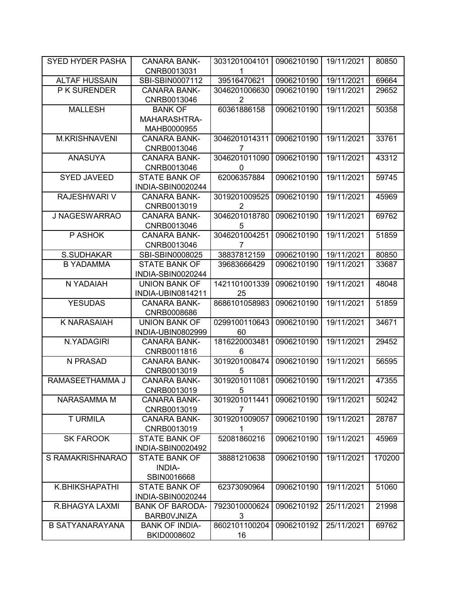|                        | <b>CANARA BANK-</b>                  | 3031201004101       | 0906210190 | 19/11/2021 | 80850  |
|------------------------|--------------------------------------|---------------------|------------|------------|--------|
|                        | CNRB0013031                          | 1                   |            |            |        |
| <b>ALTAF HUSSAIN</b>   | SBI-SBIN0007112                      | 39516470621         | 0906210190 | 19/11/2021 | 69664  |
| P K SURENDER           | <b>CANARA BANK-</b>                  | 3046201006630       | 0906210190 | 19/11/2021 | 29652  |
|                        | CNRB0013046                          | 2                   |            |            |        |
| <b>MALLESH</b>         | <b>BANK OF</b>                       | 60361886158         | 0906210190 | 19/11/2021 | 50358  |
|                        | MAHARASHTRA-                         |                     |            |            |        |
|                        | MAHB0000955                          |                     |            |            |        |
| <b>M.KRISHNAVENI</b>   | <b>CANARA BANK-</b>                  | 3046201014311       | 0906210190 | 19/11/2021 | 33761  |
|                        | CNRB0013046                          | 7                   |            |            |        |
| <b>ANASUYA</b>         | <b>CANARA BANK-</b>                  | 3046201011090       | 0906210190 | 19/11/2021 | 43312  |
|                        | CNRB0013046                          | 0                   |            |            |        |
| <b>SYED JAVEED</b>     | <b>STATE BANK OF</b>                 | 62006357884         | 0906210190 | 19/11/2021 | 59745  |
|                        | INDIA-SBIN0020244                    |                     |            |            |        |
| RAJESHWARI V           | <b>CANARA BANK-</b>                  | 3019201009525       | 0906210190 | 19/11/2021 | 45969  |
|                        | CNRB0013019                          | $\overline{2}$      |            |            |        |
| J NAGESWARRAO          | <b>CANARA BANK-</b>                  | 3046201018780       | 0906210190 | 19/11/2021 | 69762  |
|                        | CNRB0013046                          | 5                   |            |            |        |
| P ASHOK                | <b>CANARA BANK-</b>                  | 3046201004251       | 0906210190 | 19/11/2021 | 51859  |
|                        | CNRB0013046                          | 7                   |            |            |        |
| S.SUDHAKAR             | SBI-SBIN0008025                      | 38837812159         | 0906210190 | 19/11/2021 | 80850  |
| <b>B YADAMMA</b>       | <b>STATE BANK OF</b>                 | 39683666429         | 0906210190 | 19/11/2021 | 33687  |
|                        | INDIA-SBIN0020244                    |                     |            |            |        |
| N YADAIAH              | <b>UNION BANK OF</b>                 | 1421101001339       | 0906210190 | 19/11/2021 | 48048  |
|                        | INDIA-UBIN0814211                    | 25                  |            |            |        |
| <b>YESUDAS</b>         | <b>CANARA BANK-</b>                  | 8686101058983       | 0906210190 | 19/11/2021 | 51859  |
|                        | CNRB0008686                          |                     |            |            |        |
| <b>K NARASAIAH</b>     | <b>UNION BANK OF</b>                 | 0299100110643       | 0906210190 | 19/11/2021 | 34671  |
|                        |                                      |                     |            |            |        |
|                        | INDIA-UBIN0802999                    | 60                  |            |            |        |
| N.YADAGIRI             | <b>CANARA BANK-</b>                  | 1816220003481       | 0906210190 | 19/11/2021 | 29452  |
|                        | CNRB0011816                          | 6                   |            |            |        |
| N PRASAD               | <b>CANARA BANK-</b>                  | 3019201008474       | 0906210190 | 19/11/2021 | 56595  |
|                        | CNRB0013019                          | 5                   |            |            |        |
| RAMASEETHAMMA J        | <b>CANARA BANK-</b>                  | 3019201011081       | 0906210190 | 19/11/2021 | 47355  |
|                        | CNRB0013019                          | 5                   |            |            |        |
| NARASAMMA M            | CANARA BANK-                         | 3019201011441       | 0906210190 | 19/11/2021 | 50242  |
|                        | CNRB0013019                          | 7                   |            |            |        |
| <b>T URMILA</b>        | <b>CANARA BANK-</b>                  | 3019201009057       | 0906210190 | 19/11/2021 | 28787  |
|                        | CNRB0013019                          | 1                   |            |            |        |
| <b>SK FAROOK</b>       | <b>STATE BANK OF</b>                 | 52081860216         | 0906210190 | 19/11/2021 | 45969  |
|                        | INDIA-SBIN0020492                    |                     |            |            |        |
| S RAMAKRISHNARAO       | <b>STATE BANK OF</b>                 | 38881210638         | 0906210190 | 19/11/2021 | 170200 |
|                        | INDIA-                               |                     |            |            |        |
|                        | SBIN0016668                          |                     |            |            |        |
| K.BHIKSHAPATHI         | <b>STATE BANK OF</b>                 | 62373090964         | 0906210190 | 19/11/2021 | 51060  |
|                        | INDIA-SBIN0020244                    |                     |            |            |        |
| R.BHAGYA LAXMI         | <b>BANK OF BARODA-</b>               | 7923010000624       | 0906210192 | 25/11/2021 | 21998  |
|                        | BARB0VJNIZA                          | 3                   |            |            |        |
| <b>B SATYANARAYANA</b> | <b>BANK OF INDIA-</b><br>BKID0008602 | 8602101100204<br>16 | 0906210192 | 25/11/2021 | 69762  |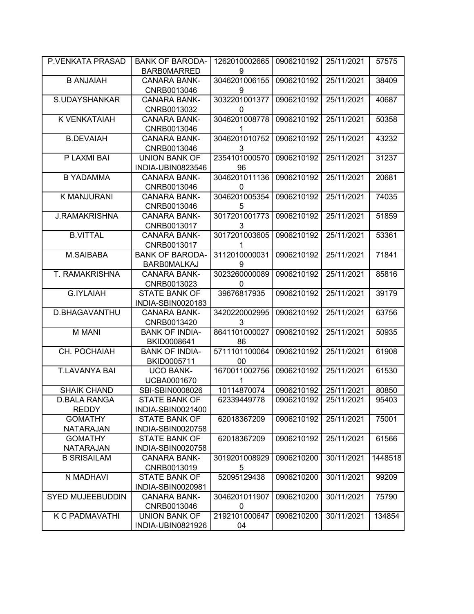| P.VENKATA PRASAD                    | <b>BANK OF BARODA-</b>                    | 1262010002665 | 0906210192 | 25/11/2021 | 57575   |
|-------------------------------------|-------------------------------------------|---------------|------------|------------|---------|
|                                     | <b>BARBOMARRED</b>                        | 9             |            |            |         |
| <b>B ANJAIAH</b>                    | <b>CANARA BANK-</b>                       | 3046201006155 | 0906210192 | 25/11/2021 | 38409   |
|                                     | CNRB0013046                               | 9             |            |            |         |
| S.UDAYSHANKAR                       | <b>CANARA BANK-</b>                       | 3032201001377 | 0906210192 | 25/11/2021 | 40687   |
|                                     | CNRB0013032                               | 0             |            |            |         |
| <b>K VENKATAIAH</b>                 | <b>CANARA BANK-</b>                       | 3046201008778 | 0906210192 | 25/11/2021 | 50358   |
|                                     | CNRB0013046                               | 1             |            |            |         |
| <b>B.DEVAIAH</b>                    | <b>CANARA BANK-</b>                       | 3046201010752 | 0906210192 | 25/11/2021 | 43232   |
|                                     | CNRB0013046                               | 3             |            |            |         |
| P LAXMI BAI                         | <b>UNION BANK OF</b>                      | 2354101000570 | 0906210192 | 25/11/2021 | 31237   |
|                                     | INDIA-UBIN0823546                         | 96            |            |            |         |
| <b>B YADAMMA</b>                    | <b>CANARA BANK-</b>                       | 3046201011136 | 0906210192 | 25/11/2021 | 20681   |
|                                     | CNRB0013046                               | 0             |            |            |         |
| K MANJURANI                         | <b>CANARA BANK-</b>                       | 3046201005354 | 0906210192 | 25/11/2021 | 74035   |
|                                     | CNRB0013046                               | 5             |            |            |         |
| <b>J.RAMAKRISHNA</b>                | <b>CANARA BANK-</b>                       | 3017201001773 | 0906210192 | 25/11/2021 | 51859   |
|                                     | CNRB0013017                               | 3             |            |            |         |
| <b>B.VITTAL</b>                     | <b>CANARA BANK-</b>                       | 3017201003605 | 0906210192 | 25/11/2021 | 53361   |
|                                     | CNRB0013017                               | 1             |            |            |         |
| M.SAIBABA                           | <b>BANK OF BARODA-</b>                    | 3112010000031 | 0906210192 | 25/11/2021 | 71841   |
|                                     | <b>BARBOMALKAJ</b>                        | 9             |            |            |         |
| T. RAMAKRISHNA                      | <b>CANARA BANK-</b>                       | 3023260000089 | 0906210192 | 25/11/2021 | 85816   |
|                                     | CNRB0013023                               | 0             |            |            |         |
| <b>G.IYLAIAH</b>                    | <b>STATE BANK OF</b>                      | 39676817935   | 0906210192 | 25/11/2021 | 39179   |
|                                     | INDIA-SBIN0020183                         |               |            |            |         |
| D.BHAGAVANTHU                       | <b>CANARA BANK-</b>                       | 3420220002995 | 0906210192 | 25/11/2021 | 63756   |
|                                     | CNRB0013420                               | 3             |            |            |         |
| <b>M MANI</b>                       | <b>BANK OF INDIA-</b>                     | 8641101000027 | 0906210192 | 25/11/2021 | 50935   |
|                                     | BKID0008641                               | 86            |            |            |         |
| CH. POCHAIAH                        | <b>BANK OF INDIA-</b>                     | 5711101100064 | 0906210192 | 25/11/2021 | 61908   |
|                                     | BKID0005711                               | 00            |            |            |         |
| <b>T.LAVANYA BAI</b>                | <b>UCO BANK-</b>                          | 1670011002756 | 0906210192 | 25/11/2021 | 61530   |
|                                     | UCBA0001670                               | 1             |            |            |         |
| <b>SHAIK CHAND</b>                  | SBI-SBIN0008026                           | 10114870074   | 0906210192 | 25/11/2021 | 80850   |
| <b>D.BALA RANGA</b><br><b>REDDY</b> | <b>STATE BANK OF</b>                      | 62339449778   | 0906210192 | 25/11/2021 | 95403   |
| <b>GOMATHY</b>                      | INDIA-SBIN0021400<br><b>STATE BANK OF</b> | 62018367209   |            |            |         |
| <b>NATARAJAN</b>                    | INDIA-SBIN0020758                         |               | 0906210192 | 25/11/2021 | 75001   |
| <b>GOMATHY</b>                      | <b>STATE BANK OF</b>                      | 62018367209   | 0906210192 | 25/11/2021 | 61566   |
| <b>NATARAJAN</b>                    | INDIA-SBIN0020758                         |               |            |            |         |
| <b>B SRISAILAM</b>                  | <b>CANARA BANK-</b>                       | 3019201008929 | 0906210200 | 30/11/2021 | 1448518 |
|                                     | CNRB0013019                               | 5             |            |            |         |
| N MADHAVI                           | <b>STATE BANK OF</b>                      | 52095129438   | 0906210200 | 30/11/2021 | 99209   |
|                                     | INDIA-SBIN0020981                         |               |            |            |         |
| <b>SYED MUJEEBUDDIN</b>             | <b>CANARA BANK-</b>                       | 3046201011907 | 0906210200 | 30/11/2021 | 75790   |
|                                     | CNRB0013046                               | 0             |            |            |         |
| K C PADMAVATHI                      | <b>UNION BANK OF</b>                      | 2192101000647 | 0906210200 | 30/11/2021 | 134854  |
|                                     | INDIA-UBIN0821926                         | 04            |            |            |         |
|                                     |                                           |               |            |            |         |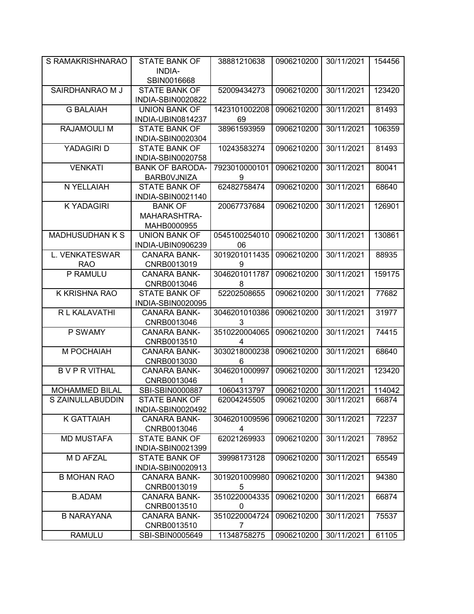| S RAMAKRISHNARAO       | <b>STATE BANK OF</b>                     | 38881210638         | 0906210200 | 30/11/2021 | 154456 |
|------------------------|------------------------------------------|---------------------|------------|------------|--------|
|                        | <b>INDIA-</b>                            |                     |            |            |        |
|                        | SBIN0016668                              |                     |            |            |        |
| SAIRDHANRAO M J        | <b>STATE BANK OF</b>                     | 52009434273         | 0906210200 | 30/11/2021 | 123420 |
|                        | INDIA-SBIN0020822                        |                     |            |            |        |
| <b>G BALAIAH</b>       | <b>UNION BANK OF</b>                     | 1423101002208       | 0906210200 | 30/11/2021 | 81493  |
|                        | INDIA-UBIN0814237                        | 69                  |            |            |        |
| RAJAMOULI M            | <b>STATE BANK OF</b>                     | 38961593959         | 0906210200 | 30/11/2021 | 106359 |
|                        | INDIA-SBIN0020304                        |                     |            |            |        |
| YADAGIRI D             | <b>STATE BANK OF</b>                     | 10243583274         | 0906210200 | 30/11/2021 | 81493  |
|                        | INDIA-SBIN0020758                        |                     |            |            |        |
| <b>VENKATI</b>         | <b>BANK OF BARODA-</b>                   | 7923010000101       | 0906210200 | 30/11/2021 | 80041  |
|                        | BARB0VJNIZA                              | 9                   |            |            |        |
| N YELLAIAH             | <b>STATE BANK OF</b>                     | 62482758474         | 0906210200 | 30/11/2021 | 68640  |
|                        | INDIA-SBIN0021140                        |                     |            |            |        |
| <b>K YADAGIRI</b>      | <b>BANK OF</b>                           | 20067737684         | 0906210200 | 30/11/2021 | 126901 |
|                        | MAHARASHTRA-                             |                     |            |            |        |
| <b>MADHUSUDHAN K S</b> | MAHB0000955                              |                     |            | 30/11/2021 |        |
|                        | <b>UNION BANK OF</b>                     | 0545100254010<br>06 | 0906210200 |            | 130861 |
| L. VENKATESWAR         | INDIA-UBIN0906239<br><b>CANARA BANK-</b> | 3019201011435       | 0906210200 | 30/11/2021 | 88935  |
| <b>RAO</b>             | CNRB0013019                              | 9                   |            |            |        |
| P RAMULU               | <b>CANARA BANK-</b>                      | 3046201011787       | 0906210200 | 30/11/2021 | 159175 |
|                        | CNRB0013046                              | 8                   |            |            |        |
| K KRISHNA RAO          | <b>STATE BANK OF</b>                     | 52202508655         | 0906210200 | 30/11/2021 | 77682  |
|                        | INDIA-SBIN0020095                        |                     |            |            |        |
| R L KALAVATHI          | <b>CANARA BANK-</b>                      | 3046201010386       | 0906210200 | 30/11/2021 | 31977  |
|                        | CNRB0013046                              | 3                   |            |            |        |
| P SWAMY                | <b>CANARA BANK-</b>                      | 3510220004065       | 0906210200 | 30/11/2021 | 74415  |
|                        | CNRB0013510                              | 4                   |            |            |        |
| M POCHAIAH             | <b>CANARA BANK-</b>                      | 3030218000238       | 0906210200 | 30/11/2021 | 68640  |
|                        | CNRB0013030                              | 6                   |            |            |        |
| <b>BVPRVITHAL</b>      | <b>CANARA BANK-</b>                      | 3046201000997       | 0906210200 | 30/11/2021 | 123420 |
|                        | CNRB0013046                              | 1                   |            |            |        |
| <b>MOHAMMED BILAL</b>  | SBI-SBIN0000887                          | 10604313797         | 0906210200 | 30/11/2021 | 114042 |
| S ZAINULLABUDDIN       | <b>STATE BANK OF</b>                     | 62004245505         | 0906210200 | 30/11/2021 | 66874  |
|                        | INDIA-SBIN0020492                        |                     |            |            |        |
| <b>K GATTAIAH</b>      | <b>CANARA BANK-</b>                      | 3046201009596       | 0906210200 | 30/11/2021 | 72237  |
|                        | CNRB0013046                              | 4                   |            |            |        |
| <b>MD MUSTAFA</b>      | <b>STATE BANK OF</b>                     | 62021269933         | 0906210200 | 30/11/2021 | 78952  |
|                        | INDIA-SBIN0021399                        |                     |            |            |        |
| M D AFZAL              | <b>STATE BANK OF</b>                     | 39998173128         | 0906210200 | 30/11/2021 | 65549  |
| <b>B MOHAN RAO</b>     | INDIA-SBIN0020913<br><b>CANARA BANK-</b> | 3019201009980       | 0906210200 | 30/11/2021 | 94380  |
|                        | CNRB0013019                              | 5                   |            |            |        |
| <b>B.ADAM</b>          | <b>CANARA BANK-</b>                      | 3510220004335       | 0906210200 | 30/11/2021 | 66874  |
|                        | CNRB0013510                              | 0                   |            |            |        |
| <b>B NARAYANA</b>      | CANARA BANK-                             | 3510220004724       | 0906210200 | 30/11/2021 | 75537  |
|                        | CNRB0013510                              | 7                   |            |            |        |
| <b>RAMULU</b>          | SBI-SBIN0005649                          | 11348758275         | 0906210200 | 30/11/2021 | 61105  |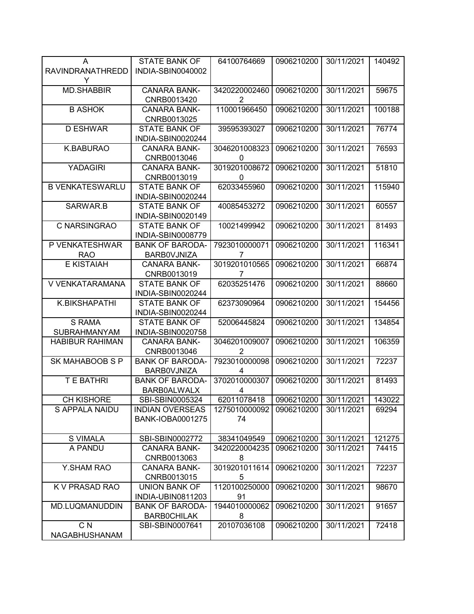| A                       | <b>STATE BANK OF</b>    | 64100764669    | 0906210200 | 30/11/2021 | 140492 |
|-------------------------|-------------------------|----------------|------------|------------|--------|
| <b>RAVINDRANATHREDD</b> | INDIA-SBIN0040002       |                |            |            |        |
| Y                       |                         |                |            |            |        |
| <b>MD.SHABBIR</b>       | <b>CANARA BANK-</b>     | 3420220002460  | 0906210200 | 30/11/2021 | 59675  |
|                         | CNRB0013420             | $\overline{2}$ |            |            |        |
| <b>B ASHOK</b>          | <b>CANARA BANK-</b>     | 110001966450   | 0906210200 | 30/11/2021 | 100188 |
|                         | CNRB0013025             |                |            |            |        |
| <b>D ESHWAR</b>         | <b>STATE BANK OF</b>    | 39595393027    | 0906210200 | 30/11/2021 | 76774  |
|                         | INDIA-SBIN0020244       |                |            |            |        |
| K.BABURAO               | <b>CANARA BANK-</b>     | 3046201008323  | 0906210200 | 30/11/2021 | 76593  |
|                         | CNRB0013046             | 0              |            |            |        |
| <b>YADAGIRI</b>         | <b>CANARA BANK-</b>     | 3019201008672  | 0906210200 | 30/11/2021 | 51810  |
|                         | CNRB0013019             | 0              |            |            |        |
| <b>B VENKATESWARLU</b>  | <b>STATE BANK OF</b>    | 62033455960    | 0906210200 | 30/11/2021 | 115940 |
|                         | INDIA-SBIN0020244       |                |            |            |        |
| SARWAR.B                | <b>STATE BANK OF</b>    | 40085453272    | 0906210200 | 30/11/2021 | 60557  |
|                         | INDIA-SBIN0020149       |                |            |            |        |
| C NARSINGRAO            | <b>STATE BANK OF</b>    | 10021499942    | 0906210200 | 30/11/2021 | 81493  |
|                         | INDIA-SBIN0008779       |                |            |            |        |
| P VENKATESHWAR          | <b>BANK OF BARODA-</b>  | 7923010000071  | 0906210200 | 30/11/2021 | 116341 |
| <b>RAO</b>              | BARB0VJNIZA             | 7              |            |            |        |
| <b>E KISTAIAH</b>       | <b>CANARA BANK-</b>     | 3019201010565  | 0906210200 | 30/11/2021 | 66874  |
|                         | CNRB0013019             | 7              |            |            |        |
| V VENKATARAMANA         | <b>STATE BANK OF</b>    | 62035251476    | 0906210200 | 30/11/2021 | 88660  |
|                         | INDIA-SBIN0020244       |                |            |            |        |
| K.BIKSHAPATHI           | <b>STATE BANK OF</b>    | 62373090964    | 0906210200 | 30/11/2021 | 154456 |
|                         | INDIA-SBIN0020244       |                |            |            |        |
| <b>S RAMA</b>           | <b>STATE BANK OF</b>    | 52006445824    | 0906210200 | 30/11/2021 | 134854 |
| <b>SUBRAHMANYAM</b>     | INDIA-SBIN0020758       |                |            |            |        |
| <b>HABIBUR RAHIMAN</b>  | <b>CANARA BANK-</b>     | 3046201009007  | 0906210200 | 30/11/2021 | 106359 |
|                         | CNRB0013046             | 2              |            |            |        |
| SK MAHABOOB S P         | <b>BANK OF BARODA-</b>  | 7923010000098  | 0906210200 | 30/11/2021 | 72237  |
|                         | <b>BARBOVJNIZA</b>      | 4              |            |            |        |
| <b>T E BATHRI</b>       | <b>BANK OF BARODA-</b>  | 3702010000307  | 0906210200 | 30/11/2021 | 81493  |
|                         | <b>BARB0ALWALX</b>      | 4              |            |            |        |
| <b>CH KISHORE</b>       | SBI-SBIN0005324         | 62011078418    | 0906210200 | 30/11/2021 | 143022 |
| S APPALA NAIDU          | <b>INDIAN OVERSEAS</b>  | 1275010000092  | 0906210200 | 30/11/2021 | 69294  |
|                         | <b>BANK-IOBA0001275</b> | 74             |            |            |        |
|                         |                         |                |            |            |        |
| <b>S VIMALA</b>         | SBI-SBIN0002772         | 38341049549    | 0906210200 | 30/11/2021 | 121275 |
| A PANDU                 | <b>CANARA BANK-</b>     | 3420220004235  | 0906210200 | 30/11/2021 | 74415  |
|                         | CNRB0013063             | 8              |            |            |        |
| Y.SHAM RAO              | <b>CANARA BANK-</b>     | 3019201011614  | 0906210200 | 30/11/2021 | 72237  |
|                         | CNRB0013015             | 5              |            |            |        |
| K V PRASAD RAO          | <b>UNION BANK OF</b>    | 1120100250000  | 0906210200 | 30/11/2021 | 98670  |
|                         | INDIA-UBIN0811203       | 91             |            |            |        |
| MD.LUQMANUDDIN          | <b>BANK OF BARODA-</b>  | 1944010000062  | 0906210200 | 30/11/2021 | 91657  |
|                         | <b>BARBOCHILAK</b>      | 8              |            |            |        |
| C <sub>N</sub>          | SBI-SBIN0007641         | 20107036108    | 0906210200 | 30/11/2021 | 72418  |
| NAGABHUSHANAM           |                         |                |            |            |        |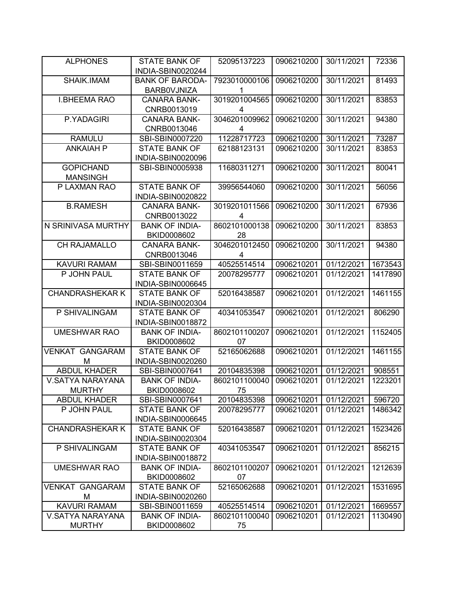| <b>ALPHONES</b>                         | <b>STATE BANK OF</b><br>INDIA-SBIN0020244 | 52095137223                  | 0906210200               | 30/11/2021               | 72336             |
|-----------------------------------------|-------------------------------------------|------------------------------|--------------------------|--------------------------|-------------------|
| SHAIK.IMAM                              | <b>BANK OF BARODA-</b>                    | 7923010000106                | 0906210200               | 30/11/2021               | 81493             |
|                                         | <b>BARBOVJNIZA</b>                        | 1                            |                          |                          |                   |
| <b>I.BHEEMA RAO</b>                     | <b>CANARA BANK-</b>                       | 3019201004565                | 0906210200               | 30/11/2021               | 83853             |
|                                         | CNRB0013019                               | 4                            |                          |                          |                   |
| P.YADAGIRI                              | <b>CANARA BANK-</b>                       | 3046201009962                | 0906210200               | 30/11/2021               | 94380             |
|                                         | CNRB0013046                               | 4                            |                          |                          |                   |
| <b>RAMULU</b>                           | SBI-SBIN0007220                           | 11228717723                  | 0906210200               | 30/11/2021               | 73287             |
| <b>ANKAIAH P</b>                        | <b>STATE BANK OF</b>                      | 62188123131                  | 0906210200               | 30/11/2021               | 83853             |
|                                         | INDIA-SBIN0020096                         |                              |                          |                          |                   |
| <b>GOPICHAND</b>                        | SBI-SBIN0005938                           | 11680311271                  | 0906210200               | 30/11/2021               | 80041             |
| <b>MANSINGH</b>                         |                                           |                              |                          |                          |                   |
| P LAXMAN RAO                            | <b>STATE BANK OF</b><br>INDIA-SBIN0020822 | 39956544060                  | 0906210200               | 30/11/2021               | 56056             |
| <b>B.RAMESH</b>                         | <b>CANARA BANK-</b>                       | 3019201011566                | 0906210200               | 30/11/2021               | 67936             |
|                                         | CNRB0013022                               | 4                            |                          |                          |                   |
| N SRINIVASA MURTHY                      | <b>BANK OF INDIA-</b>                     | 8602101000138                | 0906210200               | 30/11/2021               | 83853             |
|                                         | BKID0008602                               | 28                           |                          |                          |                   |
| CH RAJAMALLO                            | <b>CANARA BANK-</b>                       | 3046201012450                | 0906210200               | 30/11/2021               | 94380             |
|                                         | CNRB0013046                               | 4                            |                          |                          |                   |
| <b>KAVURI RAMAM</b>                     | SBI-SBIN0011659                           | 40525514514                  | 0906210201               | 01/12/2021               | 1673543           |
| P JOHN PAUL                             | <b>STATE BANK OF</b>                      | 20078295777                  | 0906210201               | 01/12/2021               | 1417890           |
|                                         | INDIA-SBIN0006645                         |                              |                          |                          |                   |
| <b>CHANDRASHEKAR K</b>                  | <b>STATE BANK OF</b>                      | 52016438587                  | 0906210201               | 01/12/2021               | 1461155           |
|                                         | INDIA-SBIN0020304                         |                              |                          |                          |                   |
| P SHIVALINGAM                           | <b>STATE BANK OF</b>                      | 40341053547                  | 0906210201               | 01/12/2021               | 806290            |
|                                         | INDIA-SBIN0018872                         |                              |                          |                          |                   |
| <b>UMESHWAR RAO</b>                     | <b>BANK OF INDIA-</b>                     | 8602101100207                | 0906210201               | 01/12/2021               | 1152405           |
|                                         | BKID0008602                               | 07                           |                          |                          |                   |
| <b>VENKAT GANGARAM</b>                  | <b>STATE BANK OF</b>                      | 52165062688                  | 0906210201               | 01/12/2021               | 1461155           |
| М                                       | INDIA-SBIN0020260                         |                              |                          |                          |                   |
| <b>ABDUL KHADER</b><br>V.SATYA NARAYANA | SBI-SBIN0007641<br><b>BANK OF INDIA-</b>  | 20104835398<br>8602101100040 | 0906210201<br>0906210201 | 01/12/2021<br>01/12/2021 | 908551<br>1223201 |
| <b>MURTHY</b>                           | BKID0008602                               | 75                           |                          |                          |                   |
| <b>ABDUL KHADER</b>                     | SBI-SBIN0007641                           | 20104835398                  | 0906210201               | 01/12/2021               | 596720            |
| P JOHN PAUL                             | <b>STATE BANK OF</b>                      | 20078295777                  | 0906210201               | 01/12/2021               | 1486342           |
|                                         | INDIA-SBIN0006645                         |                              |                          |                          |                   |
| <b>CHANDRASHEKAR K</b>                  | <b>STATE BANK OF</b>                      | 52016438587                  | 0906210201               | 01/12/2021               | 1523426           |
|                                         | INDIA-SBIN0020304                         |                              |                          |                          |                   |
| P SHIVALINGAM                           | <b>STATE BANK OF</b>                      | 40341053547                  | 0906210201               | 01/12/2021               | 856215            |
|                                         | INDIA-SBIN0018872                         |                              |                          |                          |                   |
| <b>UMESHWAR RAO</b>                     | <b>BANK OF INDIA-</b>                     | 8602101100207                | 0906210201               | 01/12/2021               | 1212639           |
|                                         | BKID0008602                               | 07                           |                          |                          |                   |
| <b>VENKAT GANGARAM</b>                  | <b>STATE BANK OF</b>                      | 52165062688                  | 0906210201               | 01/12/2021               | 1531695           |
| М                                       | INDIA-SBIN0020260                         |                              |                          |                          |                   |
| <b>KAVURI RAMAM</b>                     | SBI-SBIN0011659                           | 40525514514                  | 0906210201               | 01/12/2021               | 1669557           |
| V.SATYA NARAYANA                        | <b>BANK OF INDIA-</b>                     | 8602101100040                | 0906210201               | 01/12/2021               | 1130490           |
| <b>MURTHY</b>                           | BKID0008602                               | 75                           |                          |                          |                   |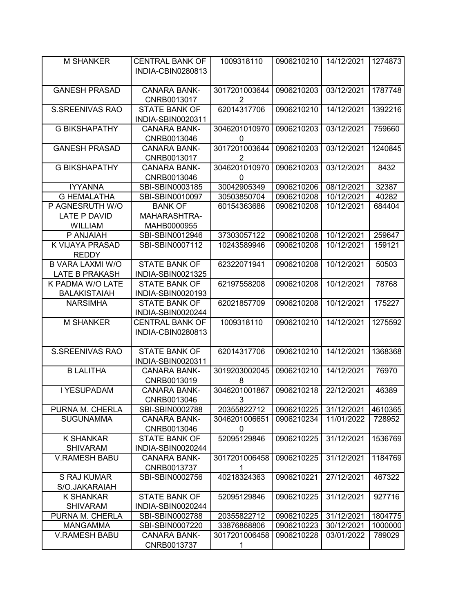| <b>M SHANKER</b>                                 | <b>CENTRAL BANK OF</b><br>INDIA-CBIN0280813 | 1009318110                      | 0906210210 | 14/12/2021 | 1274873 |
|--------------------------------------------------|---------------------------------------------|---------------------------------|------------|------------|---------|
| <b>GANESH PRASAD</b>                             | <b>CANARA BANK-</b><br>CNRB0013017          | 3017201003644<br>$\overline{2}$ | 0906210203 | 03/12/2021 | 1787748 |
| <b>S.SREENIVAS RAO</b>                           | <b>STATE BANK OF</b><br>INDIA-SBIN0020311   | 62014317706                     | 0906210210 | 14/12/2021 | 1392216 |
| <b>G BIKSHAPATHY</b>                             | <b>CANARA BANK-</b><br>CNRB0013046          | 3046201010970<br>0              | 0906210203 | 03/12/2021 | 759660  |
| <b>GANESH PRASAD</b>                             | <b>CANARA BANK-</b><br>CNRB0013017          | 3017201003644<br>2              | 0906210203 | 03/12/2021 | 1240845 |
| <b>G BIKSHAPATHY</b>                             | <b>CANARA BANK-</b><br>CNRB0013046          | 3046201010970<br>0              | 0906210203 | 03/12/2021 | 8432    |
| <b>IYYANNA</b>                                   | SBI-SBIN0003185                             | 30042905349                     | 0906210206 | 08/12/2021 | 32387   |
| <b>G HEMALATHA</b>                               | SBI-SBIN0010097                             | 30503850704                     | 0906210208 | 10/12/2021 | 40282   |
| P AGNESRUTH W/O                                  | <b>BANK OF</b>                              | 60154363686                     | 0906210208 | 10/12/2021 | 684404  |
| <b>LATE P DAVID</b>                              | MAHARASHTRA-                                |                                 |            |            |         |
| <b>WILLIAM</b>                                   | MAHB0000955                                 |                                 |            |            |         |
| P ANJAIAH                                        | SBI-SBIN0012946                             | 37303057122                     | 0906210208 | 10/12/2021 | 259647  |
| K VIJAYA PRASAD<br><b>REDDY</b>                  | SBI-SBIN0007112                             | 10243589946                     | 0906210208 | 10/12/2021 | 159121  |
| <b>B VARA LAXMI W/O</b><br><b>LATE B PRAKASH</b> | <b>STATE BANK OF</b><br>INDIA-SBIN0021325   | 62322071941                     | 0906210208 | 10/12/2021 | 50503   |
| K PADMA W/O LATE<br><b>BALAKISTAIAH</b>          | <b>STATE BANK OF</b><br>INDIA-SBIN0020193   | 62197558208                     | 0906210208 | 10/12/2021 | 78768   |
| <b>NARSIMHA</b>                                  | <b>STATE BANK OF</b><br>INDIA-SBIN0020244   | 62021857709                     | 0906210208 | 10/12/2021 | 175227  |
| <b>M SHANKER</b>                                 | <b>CENTRAL BANK OF</b><br>INDIA-CBIN0280813 | 1009318110                      | 0906210210 | 14/12/2021 | 1275592 |
| <b>S.SREENIVAS RAO</b>                           | <b>STATE BANK OF</b><br>INDIA-SBIN0020311   | 62014317706                     | 0906210210 | 14/12/2021 | 1368368 |
| <b>B LALITHA</b>                                 | <b>CANARA BANK-</b><br>CNRB0013019          | 3019203002045<br>8              | 0906210210 | 14/12/2021 | 76970   |
| I YESUPADAM                                      | <b>CANARA BANK-</b><br>CNRB0013046          | 3046201001867<br>3              | 0906210218 | 22/12/2021 | 46389   |
| PURNA M. CHERLA                                  | SBI-SBIN0002788                             | 20355822712                     | 0906210225 | 31/12/2021 | 4610365 |
| <b>SUGUNAMMA</b>                                 | <b>CANARA BANK-</b><br>CNRB0013046          | 3046201006651<br>0              | 0906210234 | 11/01/2022 | 728952  |
| <b>K SHANKAR</b><br><b>SHIVARAM</b>              | <b>STATE BANK OF</b><br>INDIA-SBIN0020244   | 52095129846                     | 0906210225 | 31/12/2021 | 1536769 |
| <b>V.RAMESH BABU</b>                             | <b>CANARA BANK-</b><br>CNRB0013737          | 3017201006458<br>1              | 0906210225 | 31/12/2021 | 1184769 |
| S RAJ KUMAR<br>S/O.JAKARAIAH                     | SBI-SBIN0002756                             | 40218324363                     | 0906210221 | 27/12/2021 | 467322  |
| <b>K SHANKAR</b><br><b>SHIVARAM</b>              | <b>STATE BANK OF</b><br>INDIA-SBIN0020244   | 52095129846                     | 0906210225 | 31/12/2021 | 927716  |
| PURNA M. CHERLA                                  | SBI-SBIN0002788                             | 20355822712                     | 0906210225 | 31/12/2021 | 1804775 |
| MANGAMMA                                         | SBI-SBIN0007220                             | 33876868806                     | 0906210223 | 30/12/2021 | 1000000 |
| <b>V.RAMESH BABU</b>                             | <b>CANARA BANK-</b><br>CNRB0013737          | 3017201006458<br>1              | 0906210228 | 03/01/2022 | 789029  |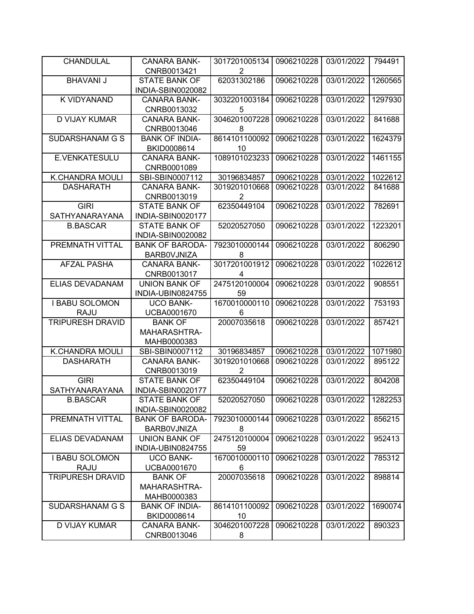| <b>CHANDULAL</b>                       | <b>CANARA BANK-</b>                  | 3017201005134    | 0906210228 | 03/01/2022 | 794491  |
|----------------------------------------|--------------------------------------|------------------|------------|------------|---------|
|                                        | CNRB0013421                          | 2                |            |            |         |
| <b>BHAVANI J</b>                       | <b>STATE BANK OF</b>                 | 62031302186      | 0906210228 | 03/01/2022 | 1260565 |
|                                        | INDIA-SBIN0020082                    |                  |            |            |         |
| K VIDYANAND                            | <b>CANARA BANK-</b>                  | 3032201003184    | 0906210228 | 03/01/2022 | 1297930 |
|                                        | CNRB0013032                          | 5                |            |            |         |
| <b>D VIJAY KUMAR</b>                   | <b>CANARA BANK-</b>                  | 3046201007228    | 0906210228 | 03/01/2022 | 841688  |
|                                        | CNRB0013046                          | 8                |            |            |         |
| SUDARSHANAM G S                        | <b>BANK OF INDIA-</b>                | 8614101100092    | 0906210228 | 03/01/2022 | 1624379 |
|                                        | BKID0008614                          | 10               |            |            |         |
| E.VENKATESULU                          | <b>CANARA BANK-</b>                  | 1089101023233    | 0906210228 | 03/01/2022 | 1461155 |
|                                        | CNRB0001089                          |                  |            |            |         |
| <b>K.CHANDRA MOULI</b>                 | SBI-SBIN0007112                      | 30196834857      | 0906210228 | 03/01/2022 | 1022612 |
| <b>DASHARATH</b>                       | <b>CANARA BANK-</b>                  | 3019201010668    | 0906210228 | 03/01/2022 | 841688  |
|                                        | CNRB0013019                          | $\overline{2}$   |            |            |         |
| <b>GIRI</b>                            | <b>STATE BANK OF</b>                 | 62350449104      | 0906210228 | 03/01/2022 | 782691  |
| SATHYANARAYANA                         | INDIA-SBIN0020177                    |                  |            |            |         |
| <b>B.BASCAR</b>                        | <b>STATE BANK OF</b>                 | 52020527050      | 0906210228 | 03/01/2022 | 1223201 |
|                                        | INDIA-SBIN0020082                    |                  |            |            |         |
| PREMNATH VITTAL                        | <b>BANK OF BARODA-</b>               | 7923010000144    | 0906210228 | 03/01/2022 | 806290  |
|                                        | <b>BARBOVJNIZA</b>                   | 8                |            |            |         |
| <b>AFZAL PASHA</b>                     | <b>CANARA BANK-</b>                  | 3017201001912    | 0906210228 | 03/01/2022 | 1022612 |
|                                        | CNRB0013017                          | 4                |            |            |         |
| ELIAS DEVADANAM                        | <b>UNION BANK OF</b>                 | 2475120100004    | 0906210228 | 03/01/2022 | 908551  |
|                                        | INDIA-UBIN0824755                    | 59               |            |            |         |
| <b>I BABU SOLOMON</b>                  | <b>UCO BANK-</b>                     | 1670010000110    | 0906210228 | 03/01/2022 | 753193  |
| <b>RAJU</b>                            | UCBA0001670                          | 6                |            |            |         |
| <b>TRIPURESH DRAVID</b>                | <b>BANK OF</b>                       | 20007035618      | 0906210228 | 03/01/2022 | 857421  |
|                                        | MAHARASHTRA-                         |                  |            |            |         |
|                                        | MAHB0000383                          |                  |            |            |         |
| <b>K.CHANDRA MOULI</b>                 | SBI-SBIN0007112                      | 30196834857      | 0906210228 | 03/01/2022 | 1071980 |
| <b>DASHARATH</b>                       | <b>CANARA BANK-</b>                  | 3019201010668    | 0906210228 | 03/01/2022 | 895122  |
|                                        | CNRB0013019                          | 2                |            |            |         |
| <b>GIRI</b>                            | <b>STATE BANK OF</b>                 | 62350449104      | 0906210228 | 03/01/2022 | 804208  |
| SATHYANARAYANA                         | INDIA-SBIN0020177                    |                  |            |            |         |
| <b>B.BASCAR</b>                        | <b>STATE BANK OF</b>                 | 52020527050      | 0906210228 | 03/01/2022 | 1282253 |
|                                        | INDIA-SBIN0020082                    |                  |            |            |         |
| PREMNATH VITTAL                        | <b>BANK OF BARODA-</b>               | 7923010000144    | 0906210228 | 03/01/2022 | 856215  |
|                                        | <b>BARBOVJNIZA</b>                   | 8                |            |            |         |
| ELIAS DEVADANAM                        | <b>UNION BANK OF</b>                 | 2475120100004    | 0906210228 | 03/01/2022 | 952413  |
|                                        | INDIA-UBIN0824755                    | 59               |            |            |         |
| <b>I BABU SOLOMON</b>                  | <b>UCO BANK-</b>                     | 1670010000110    | 0906210228 | 03/01/2022 | 785312  |
| <b>RAJU</b><br><b>TRIPURESH DRAVID</b> | UCBA0001670<br><b>BANK OF</b>        | 6<br>20007035618 | 0906210228 | 03/01/2022 |         |
|                                        |                                      |                  |            |            | 898814  |
|                                        | MAHARASHTRA-                         |                  |            |            |         |
| SUDARSHANAM G S                        | MAHB0000383<br><b>BANK OF INDIA-</b> | 8614101100092    | 0906210228 | 03/01/2022 | 1690074 |
|                                        | BKID0008614                          | 10               |            |            |         |
| D VIJAY KUMAR                          | <b>CANARA BANK-</b>                  | 3046201007228    | 0906210228 | 03/01/2022 | 890323  |
|                                        | CNRB0013046                          | 8                |            |            |         |
|                                        |                                      |                  |            |            |         |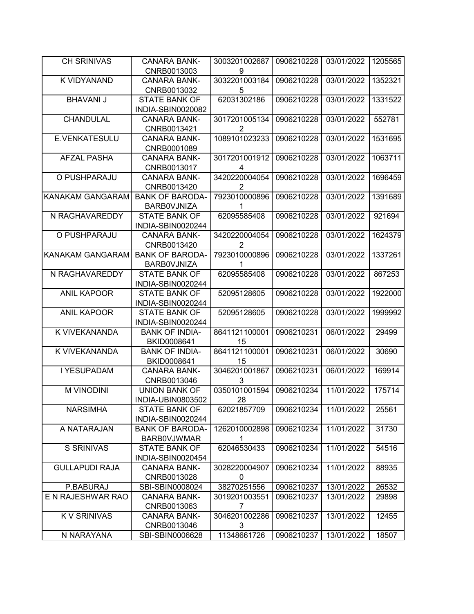| <b>CH SRINIVAS</b>      | <b>CANARA BANK-</b>    | 3003201002687  | 0906210228 | 03/01/2022 | 1205565 |
|-------------------------|------------------------|----------------|------------|------------|---------|
|                         | CNRB0013003            | 9              |            |            |         |
| K VIDYANAND             | <b>CANARA BANK-</b>    | 3032201003184  | 0906210228 | 03/01/2022 | 1352321 |
|                         | CNRB0013032            | 5              |            |            |         |
| <b>BHAVANI J</b>        | <b>STATE BANK OF</b>   | 62031302186    | 0906210228 | 03/01/2022 | 1331522 |
|                         | INDIA-SBIN0020082      |                |            |            |         |
| CHANDULAL               | <b>CANARA BANK-</b>    | 3017201005134  | 0906210228 | 03/01/2022 | 552781  |
|                         | CNRB0013421            | 2              |            |            |         |
| E.VENKATESULU           | <b>CANARA BANK-</b>    | 1089101023233  | 0906210228 | 03/01/2022 | 1531695 |
|                         | CNRB0001089            |                |            |            |         |
| <b>AFZAL PASHA</b>      | <b>CANARA BANK-</b>    | 3017201001912  | 0906210228 | 03/01/2022 | 1063711 |
|                         | CNRB0013017            | 4              |            |            |         |
| O PUSHPARAJU            | <b>CANARA BANK-</b>    | 3420220004054  | 0906210228 | 03/01/2022 | 1696459 |
|                         | CNRB0013420            | $\overline{2}$ |            |            |         |
| <b>KANAKAM GANGARAM</b> | <b>BANK OF BARODA-</b> | 7923010000896  | 0906210228 | 03/01/2022 | 1391689 |
|                         | BARB0VJNIZA            | 1              |            |            |         |
| N RAGHAVAREDDY          | <b>STATE BANK OF</b>   | 62095585408    | 0906210228 | 03/01/2022 | 921694  |
|                         | INDIA-SBIN0020244      |                |            |            |         |
| O PUSHPARAJU            | <b>CANARA BANK-</b>    | 3420220004054  | 0906210228 | 03/01/2022 | 1624379 |
|                         | CNRB0013420            | 2              |            |            |         |
| <b>KANAKAM GANGARAM</b> | <b>BANK OF BARODA-</b> | 7923010000896  | 0906210228 | 03/01/2022 | 1337261 |
|                         | BARB0VJNIZA            | 1              |            |            |         |
| N RAGHAVAREDDY          | <b>STATE BANK OF</b>   | 62095585408    | 0906210228 | 03/01/2022 | 867253  |
|                         | INDIA-SBIN0020244      |                |            |            |         |
| <b>ANIL KAPOOR</b>      | <b>STATE BANK OF</b>   | 52095128605    | 0906210228 | 03/01/2022 | 1922000 |
|                         | INDIA-SBIN0020244      |                |            |            |         |
| <b>ANIL KAPOOR</b>      | <b>STATE BANK OF</b>   | 52095128605    | 0906210228 | 03/01/2022 | 1999992 |
|                         | INDIA-SBIN0020244      |                |            |            |         |
| K VIVEKANANDA           | <b>BANK OF INDIA-</b>  | 8641121100001  | 0906210231 | 06/01/2022 | 29499   |
|                         | BKID0008641            | 15             |            |            |         |
| K VIVEKANANDA           | <b>BANK OF INDIA-</b>  | 8641121100001  | 0906210231 | 06/01/2022 | 30690   |
|                         | BKID0008641            | 15             |            |            |         |
| I YESUPADAM             | <b>CANARA BANK-</b>    | 3046201001867  | 0906210231 | 06/01/2022 | 169914  |
|                         | CNRB0013046            | 3              |            |            |         |
| <b>M VINODINI</b>       | <b>UNION BANK OF</b>   | 0350101001594  | 0906210234 | 11/01/2022 | 175714  |
|                         | INDIA-UBIN0803502      | 28             |            |            |         |
| <b>NARSIMHA</b>         | <b>STATE BANK OF</b>   | 62021857709    | 0906210234 | 11/01/2022 | 25561   |
|                         | INDIA-SBIN0020244      |                |            |            |         |
| A NATARAJAN             | <b>BANK OF BARODA-</b> | 1262010002898  | 0906210234 | 11/01/2022 | 31730   |
|                         | <b>BARBOVJWMAR</b>     | 1              |            |            |         |
| S SRINIVAS              | <b>STATE BANK OF</b>   | 62046530433    | 0906210234 | 11/01/2022 | 54516   |
|                         | INDIA-SBIN0020454      |                |            |            |         |
| <b>GULLAPUDI RAJA</b>   | CANARA BANK-           | 3028220004907  | 0906210234 | 11/01/2022 | 88935   |
|                         | CNRB0013028            | 0              |            |            |         |
| P.BABURAJ               | SBI-SBIN0008024        | 38270251556    | 0906210237 | 13/01/2022 | 26532   |
| E N RAJESHWAR RAO       | <b>CANARA BANK-</b>    | 3019201003551  | 0906210237 | 13/01/2022 | 29898   |
|                         | CNRB0013063            | 7              |            |            |         |
| <b>KV SRINIVAS</b>      | CANARA BANK-           | 3046201002286  | 0906210237 | 13/01/2022 | 12455   |
|                         | CNRB0013046            | 3              |            |            |         |
| N NARAYANA              | SBI-SBIN0006628        | 11348661726    | 0906210237 | 13/01/2022 | 18507   |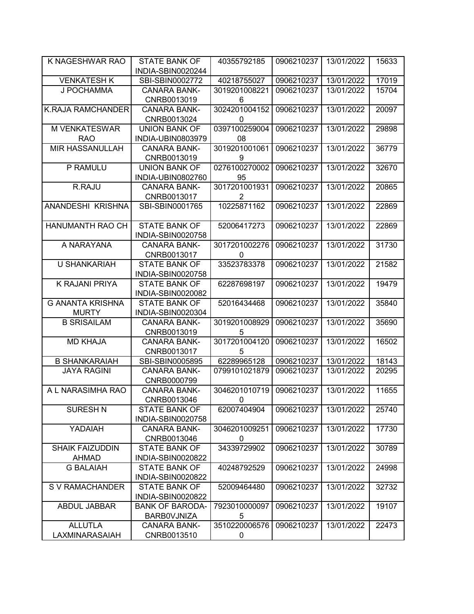| K NAGESHWAR RAO          | <b>STATE BANK OF</b>   | 40355792185    | 0906210237 | 13/01/2022 | 15633 |
|--------------------------|------------------------|----------------|------------|------------|-------|
|                          | INDIA-SBIN0020244      |                |            |            |       |
| <b>VENKATESH K</b>       | SBI-SBIN0002772        | 40218755027    | 0906210237 | 13/01/2022 | 17019 |
| J POCHAMMA               | <b>CANARA BANK-</b>    | 3019201008221  | 0906210237 | 13/01/2022 | 15704 |
|                          | CNRB0013019            | 6              |            |            |       |
| <b>K.RAJA RAMCHANDER</b> | <b>CANARA BANK-</b>    | 3024201004152  | 0906210237 | 13/01/2022 | 20097 |
|                          | CNRB0013024            | 0              |            |            |       |
| <b>M VENKATESWAR</b>     | <b>UNION BANK OF</b>   | 0397100259004  | 0906210237 | 13/01/2022 | 29898 |
| <b>RAO</b>               | INDIA-UBIN0803979      | 08             |            |            |       |
| <b>MIR HASSANULLAH</b>   | <b>CANARA BANK-</b>    | 3019201001061  | 0906210237 | 13/01/2022 | 36779 |
|                          | CNRB0013019            | 9              |            |            |       |
| P RAMULU                 | <b>UNION BANK OF</b>   | 0276100270002  | 0906210237 | 13/01/2022 | 32670 |
|                          | INDIA-UBIN0802760      | 95             |            |            |       |
| R.RAJU                   | <b>CANARA BANK-</b>    | 3017201001931  | 0906210237 | 13/01/2022 | 20865 |
|                          | CNRB0013017            | $\overline{2}$ |            |            |       |
| ANANDESHI KRISHNA        | SBI-SBIN0001765        | 10225871162    | 0906210237 | 13/01/2022 | 22869 |
|                          |                        |                |            |            |       |
| HANUMANTH RAO CH         | <b>STATE BANK OF</b>   | 52006417273    | 0906210237 | 13/01/2022 | 22869 |
|                          | INDIA-SBIN0020758      |                |            |            |       |
| A NARAYANA               | <b>CANARA BANK-</b>    | 3017201002276  | 0906210237 | 13/01/2022 | 31730 |
|                          | CNRB0013017            | 0              |            |            |       |
| <b>U SHANKARIAH</b>      | <b>STATE BANK OF</b>   | 33523783378    | 0906210237 | 13/01/2022 | 21582 |
|                          | INDIA-SBIN0020758      |                |            |            |       |
| K RAJANI PRIYA           | <b>STATE BANK OF</b>   | 62287698197    | 0906210237 | 13/01/2022 | 19479 |
|                          | INDIA-SBIN0020082      |                |            |            |       |
| <b>G ANANTA KRISHNA</b>  | <b>STATE BANK OF</b>   | 52016434468    | 0906210237 | 13/01/2022 | 35840 |
| <b>MURTY</b>             | INDIA-SBIN0020304      |                |            |            |       |
| <b>B SRISAILAM</b>       | <b>CANARA BANK-</b>    | 3019201008929  | 0906210237 | 13/01/2022 | 35690 |
|                          | CNRB0013019            | 5              |            |            |       |
| <b>MD KHAJA</b>          | <b>CANARA BANK-</b>    | 3017201004120  | 0906210237 | 13/01/2022 | 16502 |
|                          | CNRB0013017            | 5              |            |            |       |
| <b>B SHANKARAIAH</b>     | SBI-SBIN0005895        | 62289965128    | 0906210237 | 13/01/2022 | 18143 |
| <b>JAYA RAGINI</b>       | <b>CANARA BANK-</b>    | 0799101021879  | 0906210237 | 13/01/2022 | 20295 |
|                          | CNRB0000799            |                |            |            |       |
| A L NARASIMHA RAO        | <b>CANARA BANK-</b>    | 3046201010719  | 0906210237 | 13/01/2022 | 11655 |
|                          | CNRB0013046            | 0              |            |            |       |
| <b>SURESH N</b>          | <b>STATE BANK OF</b>   | 62007404904    | 0906210237 | 13/01/2022 | 25740 |
|                          | INDIA-SBIN0020758      |                |            |            |       |
| YADAIAH                  | <b>CANARA BANK-</b>    | 3046201009251  | 0906210237 | 13/01/2022 | 17730 |
|                          | CNRB0013046            | 0              |            |            |       |
| <b>SHAIK FAIZUDDIN</b>   | <b>STATE BANK OF</b>   | 34339729902    | 0906210237 | 13/01/2022 | 30789 |
| <b>AHMAD</b>             | INDIA-SBIN0020822      |                |            |            |       |
| <b>G BALAIAH</b>         | <b>STATE BANK OF</b>   | 40248792529    | 0906210237 | 13/01/2022 | 24998 |
|                          | INDIA-SBIN0020822      |                |            |            |       |
| S V RAMACHANDER          | <b>STATE BANK OF</b>   | 52009464480    | 0906210237 | 13/01/2022 | 32732 |
|                          | INDIA-SBIN0020822      |                |            |            |       |
| ABDUL JABBAR             | <b>BANK OF BARODA-</b> | 7923010000097  | 0906210237 | 13/01/2022 | 19107 |
|                          | <b>BARBOVJNIZA</b>     | 5              |            |            |       |
| <b>ALLUTLA</b>           | CANARA BANK-           | 3510220006576  | 0906210237 | 13/01/2022 | 22473 |
| LAXMINARASAIAH           | CNRB0013510            | 0              |            |            |       |